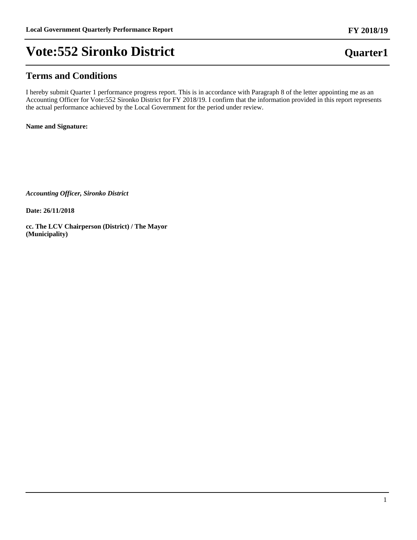## **Terms and Conditions**

I hereby submit Quarter 1 performance progress report. This is in accordance with Paragraph 8 of the letter appointing me as an Accounting Officer for Vote:552 Sironko District for FY 2018/19. I confirm that the information provided in this report represents the actual performance achieved by the Local Government for the period under review.

**Name and Signature:**

*Accounting Officer, Sironko District*

**Date: 26/11/2018**

**cc. The LCV Chairperson (District) / The Mayor (Municipality)**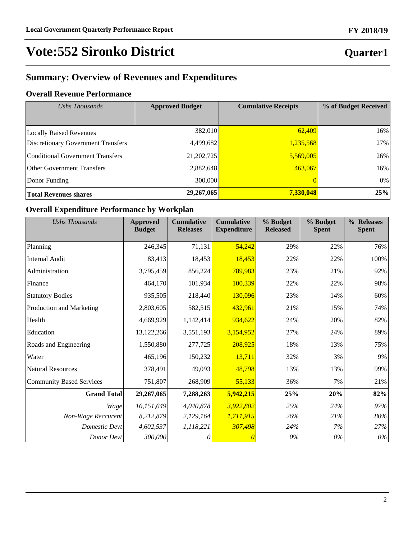## **Quarter1**

## **Summary: Overview of Revenues and Expenditures**

## **Overall Revenue Performance**

| Ushs Thousands                            | <b>Approved Budget</b> | <b>Cumulative Receipts</b> | % of Budget Received |
|-------------------------------------------|------------------------|----------------------------|----------------------|
|                                           |                        |                            |                      |
| <b>Locally Raised Revenues</b>            | 382,010                | 62,409                     | 16%                  |
| <b>Discretionary Government Transfers</b> | 4,499,682              | 1,235,568                  | 27%                  |
| Conditional Government Transfers          | 21,202,725             | 5,569,005                  | 26%                  |
| <b>Other Government Transfers</b>         | 2,882,648              | 463,067                    | 16%                  |
| Donor Funding                             | 300,000                |                            | 0%                   |
| Total Revenues shares                     | 29,267,065             | 7,330,048                  | 25%                  |

## **Overall Expenditure Performance by Workplan**

| Ushs Thousands                  | <b>Approved</b><br><b>Budget</b> | <b>Cumulative</b><br><b>Releases</b> | <b>Cumulative</b><br><b>Expenditure</b> | % Budget<br><b>Released</b> | % Budget<br><b>Spent</b> | % Releases<br><b>Spent</b> |
|---------------------------------|----------------------------------|--------------------------------------|-----------------------------------------|-----------------------------|--------------------------|----------------------------|
| Planning                        | 246,345                          | 71,131                               | 54,242                                  | 29%                         | 22%                      | 76%                        |
| <b>Internal Audit</b>           | 83,413                           | 18,453                               | 18,453                                  | 22%                         | 22%                      | 100%                       |
| Administration                  | 3,795,459                        | 856,224                              | 789,983                                 | 23%                         | 21%                      | 92%                        |
| Finance                         | 464,170                          | 101,934                              | 100,339                                 | 22%                         | 22%                      | 98%                        |
| <b>Statutory Bodies</b>         | 935,505                          | 218,440                              | 130,096                                 | 23%                         | 14%                      | 60%                        |
| Production and Marketing        | 2,803,605                        | 582,515                              | 432,961                                 | 21%                         | 15%                      | 74%                        |
| Health                          | 4,669,929                        | 1,142,414                            | 934,622                                 | 24%                         | 20%                      | 82%                        |
| Education                       | 13,122,266                       | 3,551,193                            | 3,154,952                               | 27%                         | 24%                      | 89%                        |
| Roads and Engineering           | 1,550,880                        | 277,725                              | 208,925                                 | 18%                         | 13%                      | 75%                        |
| Water                           | 465,196                          | 150,232                              | 13,711                                  | 32%                         | 3%                       | 9%                         |
| <b>Natural Resources</b>        | 378,491                          | 49,093                               | 48,798                                  | 13%                         | 13%                      | 99%                        |
| <b>Community Based Services</b> | 751,807                          | 268,909                              | 55,133                                  | 36%                         | 7%                       | 21%                        |
| <b>Grand Total</b>              | 29,267,065                       | 7,288,263                            | 5,942,215                               | 25%                         | 20%                      | 82%                        |
| Wage                            | 16,151,649                       | 4,040,878                            | 3,922,802                               | 25%                         | 24%                      | 97%                        |
| Non-Wage Reccurent              | 8,212,879                        | 2,129,164                            | 1,711,915                               | 26%                         | 21%                      | 80%                        |
| <b>Domestic Devt</b>            | 4,602,537                        | 1,118,221                            | 307,498                                 | 24%                         | 7%                       | 27%                        |
| Donor Devt                      | 300,000                          | 0                                    |                                         | $0\%$                       | $0\%$                    | $0\%$                      |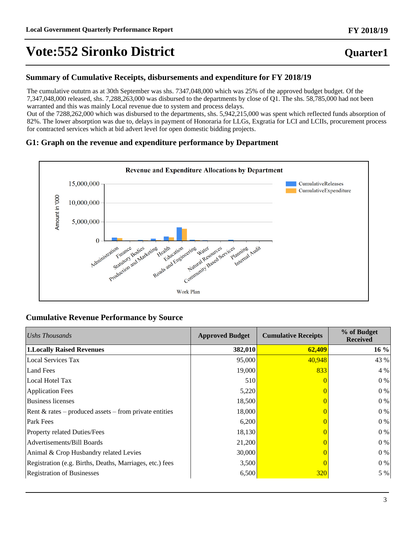## **Quarter1**

### **Summary of Cumulative Receipts, disbursements and expenditure for FY 2018/19**

The cumulative oututrn as at 30th September was shs. 7347,048,000 which was 25% of the approved budget budget. Of the 7,347,048,000 released, shs. 7,288,263,000 was disbursed to the departments by close of Q1. The shs. 58,785,000 had not been warranted and this was mainly Local revenue due to system and process delays.

Out of the 7288,262,000 which was disbursed to the departments, shs. 5,942,215,000 was spent which reflected funds absorption of 82%. The lower absorption was due to, delays in payment of Honoraria for LLGs, Exgratia for LCI and LCIIs, procurement process for contracted services which at bid advert level for open domestic bidding projects.

### **G1: Graph on the revenue and expenditure performance by Department**



### **Cumulative Revenue Performance by Source**

| Ushs Thousands                                           | <b>Approved Budget</b> | <b>Cumulative Receipts</b> | % of Budget<br><b>Received</b> |
|----------------------------------------------------------|------------------------|----------------------------|--------------------------------|
| <b>1.Locally Raised Revenues</b>                         | 382,010                | 62,409                     | 16%                            |
| <b>Local Services Tax</b>                                | 95,000                 | 40,948                     | 43 %                           |
| Land Fees                                                | 19,000                 | 833                        | 4 %                            |
| Local Hotel Tax                                          | 510                    |                            | 0 %                            |
| <b>Application Fees</b>                                  | 5,220                  |                            | 0 %                            |
| Business licenses                                        | 18,500                 |                            | $0\%$                          |
| Rent $& rates - produced assets - from private entities$ | 18,000                 |                            | 0 %                            |
| Park Fees                                                | 6,200                  |                            | $0\%$                          |
| Property related Duties/Fees                             | 18,130                 |                            | 0 %                            |
| Advertisements/Bill Boards                               | 21,200                 |                            | $0\%$                          |
| Animal & Crop Husbandry related Levies                   | 30,000                 |                            | 0 %                            |
| Registration (e.g. Births, Deaths, Marriages, etc.) fees | 3,500                  |                            | $0\%$                          |
| <b>Registration of Businesses</b>                        | 6,500                  | <u>320</u>                 | 5 %                            |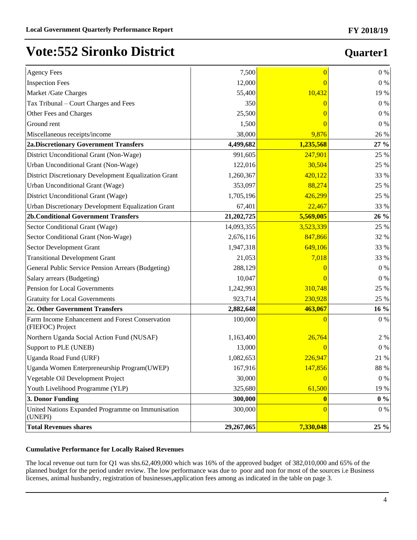## **Quarter1**

| <b>Agency Fees</b>                                                  | 7,500      | $\overline{0}$ | $0\%$           |
|---------------------------------------------------------------------|------------|----------------|-----------------|
| <b>Inspection Fees</b>                                              | 12,000     |                | $0\ \%$         |
| Market /Gate Charges                                                | 55,400     | 10,432         | 19 %            |
| Tax Tribunal - Court Charges and Fees                               | 350        |                | $0\ \%$         |
| Other Fees and Charges                                              | 25,500     |                | $0\ \%$         |
| Ground rent                                                         | 1,500      |                | $0\%$           |
| Miscellaneous receipts/income                                       | 38,000     | 9,876          | 26 %            |
| <b>2a.Discretionary Government Transfers</b>                        | 4,499,682  | 1,235,568      | 27 %            |
| District Unconditional Grant (Non-Wage)                             | 991,605    | 247,901        | 25 %            |
| Urban Unconditional Grant (Non-Wage)                                | 122,016    | 30,504         | 25 %            |
| District Discretionary Development Equalization Grant               | 1,260,367  | 420,122        | 33 %            |
| Urban Unconditional Grant (Wage)                                    | 353,097    | 88,274         | 25 %            |
| District Unconditional Grant (Wage)                                 | 1,705,196  | 426,299        | 25 %            |
| Urban Discretionary Development Equalization Grant                  | 67,401     | 22,467         | 33 %            |
| <b>2b.Conditional Government Transfers</b>                          | 21,202,725 | 5,569,005      | 26 %            |
| Sector Conditional Grant (Wage)                                     | 14,093,355 | 3,523,339      | 25 %            |
| Sector Conditional Grant (Non-Wage)                                 | 2,676,116  | 847,866        | 32 %            |
| Sector Development Grant                                            | 1,947,318  | 649,106        | 33 %            |
| <b>Transitional Development Grant</b>                               | 21,053     | 7,018          | 33 %            |
| General Public Service Pension Arrears (Budgeting)                  | 288,129    |                | $0\ \%$         |
| Salary arrears (Budgeting)                                          | 10,047     |                | $0\ \%$         |
| Pension for Local Governments                                       | 1,242,993  | 310,748        | 25 %            |
| <b>Gratuity for Local Governments</b>                               | 923,714    | 230,928        | 25 %            |
| 2c. Other Government Transfers                                      | 2,882,648  | 463,067        | 16 %            |
| Farm Income Enhancement and Forest Conservation<br>(FIEFOC) Project | 100,000    | $\Omega$       | $0\%$           |
| Northern Uganda Social Action Fund (NUSAF)                          | 1,163,400  | 26,764         | $2 \frac{9}{6}$ |
| Support to PLE (UNEB)                                               | 13,000     |                | $0\ \%$         |
| Uganda Road Fund (URF)                                              | 1,082,653  | 226,947        | 21 %            |
| Uganda Women Enterpreneurship Program(UWEP)                         | 167,916    | 147,856        | 88 %            |
| Vegetable Oil Development Project                                   | 30,000     | $\overline{0}$ | 0%              |
| Youth Livelihood Programme (YLP)                                    | 325,680    | 61,500         | 19 %            |
| 3. Donor Funding                                                    | 300,000    | $\mathbf{0}$   | $0\ \%$         |
| United Nations Expanded Programme on Immunisation<br>(UNEPI)        | 300,000    | $\Omega$       | $0\%$           |
| <b>Total Revenues shares</b>                                        | 29,267,065 | 7,330,048      | 25 %            |

### **Cumulative Performance for Locally Raised Revenues**

The local revenue out turn for Q1 was shs.62,409,000 which was 16% of the approved budget of 382,010,000 and 65% of the planned budget for the period under review. The low performance was due to poor and non for most of the sources i.e Business licenses, animal husbandry, registration of businesses,application fees among as indicated in the table on page 3.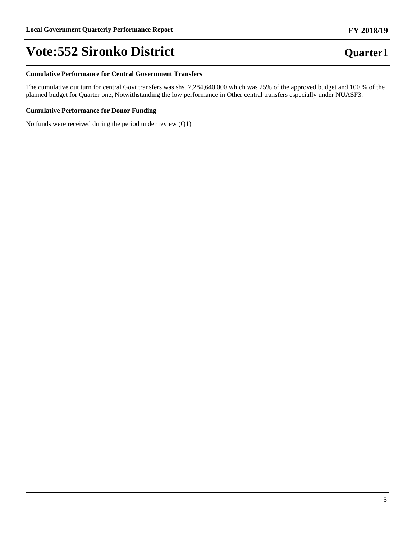#### **Cumulative Performance for Central Government Transfers**

The cumulative out turn for central Govt transfers was shs. 7,284,640,000 which was 25% of the approved budget and 100.% of the planned budget for Quarter one, Notwithstanding the low performance in Other central transfers especially under NUASF3.

### **Cumulative Performance for Donor Funding**

No funds were received during the period under review (Q1)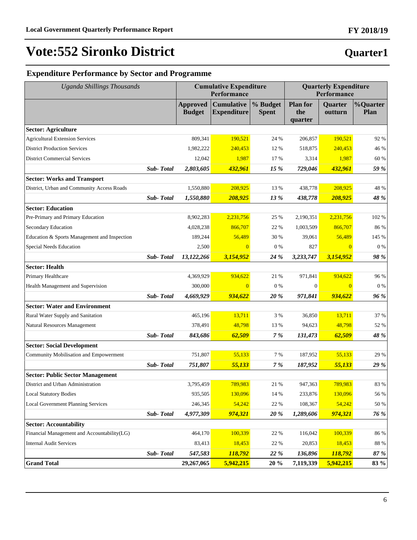# **FY 2018/19**

## **Expenditure Performance by Sector and Programme**

| <b>Uganda Shillings Thousands</b>            |                  | <b>Cumulative Expenditure</b><br>Performance |                                         |                          | <b>Quarterly Expenditure</b><br>Performance |                    |                         |
|----------------------------------------------|------------------|----------------------------------------------|-----------------------------------------|--------------------------|---------------------------------------------|--------------------|-------------------------|
|                                              |                  | <b>Approved</b><br><b>Budget</b>             | <b>Cumulative</b><br><b>Expenditure</b> | % Budget<br><b>Spent</b> | <b>Plan for</b><br>the<br>quarter           | Quarter<br>outturn | %Quarter<br><b>Plan</b> |
| <b>Sector: Agriculture</b>                   |                  |                                              |                                         |                          |                                             |                    |                         |
| <b>Agricultural Extension Services</b>       |                  | 809,341                                      | 190,521                                 | 24 %                     | 206,857                                     | 190,521            | 92 %                    |
| <b>District Production Services</b>          |                  | 1,982,222                                    | 240,453                                 | 12 %                     | 518,875                                     | 240,453            | 46 %                    |
| <b>District Commercial Services</b>          |                  | 12,042                                       | 1,987                                   | 17 %                     | 3,314                                       | 1,987              | 60 %                    |
|                                              | Sub-Total        | 2,803,605                                    | 432,961                                 | 15 %                     | 729,046                                     | 432,961            | 59 %                    |
| <b>Sector: Works and Transport</b>           |                  |                                              |                                         |                          |                                             |                    |                         |
| District, Urban and Community Access Roads   |                  | 1,550,880                                    | 208,925                                 | 13 %                     | 438,778                                     | 208,925            | 48 %                    |
|                                              | Sub-Total        | 1,550,880                                    | 208,925                                 | 13 %                     | 438,778                                     | 208,925            | 48 %                    |
| <b>Sector: Education</b>                     |                  |                                              |                                         |                          |                                             |                    |                         |
| Pre-Primary and Primary Education            |                  | 8,902,283                                    | 2,231,756                               | 25 %                     | 2,190,351                                   | 2,231,756          | 102 %                   |
| Secondary Education                          |                  | 4,028,238                                    | 866,707                                 | 22 %                     | 1,003,509                                   | 866,707            | 86 %                    |
| Education & Sports Management and Inspection |                  | 189,244                                      | 56,489                                  | 30 %                     | 39,061                                      | 56,489             | 145 %                   |
| <b>Special Needs Education</b>               |                  | 2,500                                        | $\overline{0}$                          | $0\%$                    | 827                                         | $\overline{0}$     | 0%                      |
|                                              | <b>Sub-Total</b> | 13,122,266                                   | 3,154,952                               | 24 %                     | 3,233,747                                   | 3,154,952          | 98 %                    |
| <b>Sector: Health</b>                        |                  |                                              |                                         |                          |                                             |                    |                         |
| Primary Healthcare                           |                  | 4,369,929                                    | 934,622                                 | 21 %                     | 971,841                                     | 934,622            | 96 %                    |
| Health Management and Supervision            |                  | 300,000                                      | $\Omega$                                | $0\%$                    | $\mathbf{0}$                                | $\overline{0}$     | $0\%$                   |
|                                              | Sub-Total        | 4,669,929                                    | 934,622                                 | 20 %                     | 971,841                                     | 934,622            | 96 %                    |
| <b>Sector: Water and Environment</b>         |                  |                                              |                                         |                          |                                             |                    |                         |
| Rural Water Supply and Sanitation            |                  | 465,196                                      | 13,711                                  | 3 %                      | 36,850                                      | 13,711             | 37 %                    |
| Natural Resources Management                 |                  | 378,491                                      | 48,798                                  | 13 %                     | 94,623                                      | 48,798             | 52 %                    |
|                                              | Sub-Total        | 843,686                                      | 62,509                                  | $7\ \%$                  | 131,473                                     | 62,509             | 48 %                    |
| <b>Sector: Social Development</b>            |                  |                                              |                                         |                          |                                             |                    |                         |
| Community Mobilisation and Empowerment       |                  | 751,807                                      | 55,133                                  | 7 %                      | 187,952                                     | 55,133             | 29 %                    |
|                                              | Sub-Total        | 751,807                                      | 55,133                                  | 7 %                      | 187,952                                     | 55,133             | 29 %                    |
| <b>Sector: Public Sector Management</b>      |                  |                                              |                                         |                          |                                             |                    |                         |
| District and Urban Administration            |                  | 3,795,459                                    | 789,983                                 | 21 %                     | 947,363                                     | 789,983            | 83 %                    |
| <b>Local Statutory Bodies</b>                |                  | 935,505                                      | 130,096                                 | 14 %                     | 233,876                                     | 130,096            | 56 %                    |
| <b>Local Government Planning Services</b>    |                  | 246,345                                      | 54,242                                  | 22 %                     | 108,367                                     | 54,242             | 50 %                    |
|                                              | Sub-Total        | 4,977,309                                    | 974,321                                 | 20%                      | 1,289,606                                   | 974,321            | 76 %                    |
| <b>Sector: Accountability</b>                |                  |                                              |                                         |                          |                                             |                    |                         |
| Financial Management and Accountability(LG)  |                  | 464,170                                      | 100,339                                 | 22 %                     | 116,042                                     | 100,339            | 86 %                    |
| <b>Internal Audit Services</b>               |                  | 83,413                                       | 18,453                                  | 22 %                     | 20,853                                      | 18,453             | 88 %                    |
|                                              | <b>Sub-Total</b> | 547,583                                      | 118,792                                 | <b>22 %</b>              | 136,896                                     | 118,792            | 87 %                    |
| <b>Grand Total</b>                           |                  | 29,267,065                                   | 5,942,215                               | 20%                      | 7,119,339                                   | 5,942,215          | 83 %                    |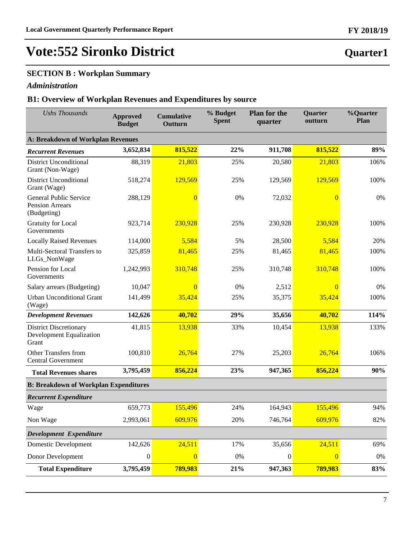## **SECTION B : Workplan Summary**

### *Administration*

### **B1: Overview of Workplan Revenues and Expenditures by source**

| <b>Ushs Thousands</b>                                                     | <b>Approved</b><br><b>Budget</b> | <b>Cumulative</b><br>Outturn | % Budget<br><b>Spent</b> | <b>Plan for the</b><br>quarter | Quarter<br>outturn | %Quarter<br>Plan |
|---------------------------------------------------------------------------|----------------------------------|------------------------------|--------------------------|--------------------------------|--------------------|------------------|
| <b>A: Breakdown of Workplan Revenues</b>                                  |                                  |                              |                          |                                |                    |                  |
| <b>Recurrent Revenues</b>                                                 | 3,652,834                        | 815,522                      | 22%                      | 911,708                        | 815,522            | 89%              |
| <b>District Unconditional</b><br>Grant (Non-Wage)                         | 88,319                           | 21,803                       | 25%                      | 20,580                         | 21,803             | 106%             |
| <b>District Unconditional</b><br>Grant (Wage)                             | 518,274                          | 129,569                      | 25%                      | 129,569                        | 129,569            | 100%             |
| General Public Service<br><b>Pension Arrears</b><br>(Budgeting)           | 288,129                          | $\Omega$                     | 0%                       | 72,032                         | $\overline{0}$     | 0%               |
| <b>Gratuity for Local</b><br>Governments                                  | 923,714                          | 230,928                      | 25%                      | 230,928                        | 230,928            | 100%             |
| <b>Locally Raised Revenues</b>                                            | 114,000                          | 5,584                        | 5%                       | 28,500                         | 5,584              | 20%              |
| Multi-Sectoral Transfers to<br>LLGs_NonWage                               | 325,859                          | 81,465                       | 25%                      | 81,465                         | 81,465             | 100%             |
| Pension for Local<br>Governments                                          | 1,242,993                        | 310,748                      | 25%                      | 310,748                        | 310,748            | 100%             |
| Salary arrears (Budgeting)                                                | 10,047                           | $\overline{0}$               | 0%                       | 2,512                          | $\overline{0}$     | 0%               |
| <b>Urban Unconditional Grant</b><br>(Wage)                                | 141,499                          | 35,424                       | 25%                      | 35,375                         | 35,424             | 100%             |
| <b>Development Revenues</b>                                               | 142,626                          | 40,702                       | 29%                      | 35,656                         | 40,702             | 114%             |
| <b>District Discretionary</b><br><b>Development Equalization</b><br>Grant | 41,815                           | 13,938                       | 33%                      | 10,454                         | 13,938             | 133%             |
| Other Transfers from<br><b>Central Government</b>                         | 100,810                          | 26,764                       | 27%                      | 25,203                         | 26,764             | 106%             |
| <b>Total Revenues shares</b>                                              | 3,795,459                        | 856,224                      | 23%                      | 947,365                        | 856,224            | 90%              |
| <b>B: Breakdown of Workplan Expenditures</b>                              |                                  |                              |                          |                                |                    |                  |
| <b>Recurrent Expenditure</b>                                              |                                  |                              |                          |                                |                    |                  |
| Wage                                                                      | 659,773                          | 155,496                      | 24%                      | 164,943                        | 155,496            | 94%              |
| Non Wage                                                                  | 2,993,061                        | 609,976                      | 20%                      | 746,764                        | 609,976            | 82%              |
| Development Expenditure                                                   |                                  |                              |                          |                                |                    |                  |
| <b>Domestic Development</b>                                               | 142,626                          | 24,511                       | 17%                      | 35,656                         | 24,511             | 69%              |
| Donor Development                                                         | $\boldsymbol{0}$                 | $\overline{0}$               | 0%                       | $\boldsymbol{0}$               | $\overline{0}$     | $0\%$            |
| <b>Total Expenditure</b>                                                  | 3,795,459                        | 789,983                      | 21%                      | 947,363                        | 789,983            | 83%              |

7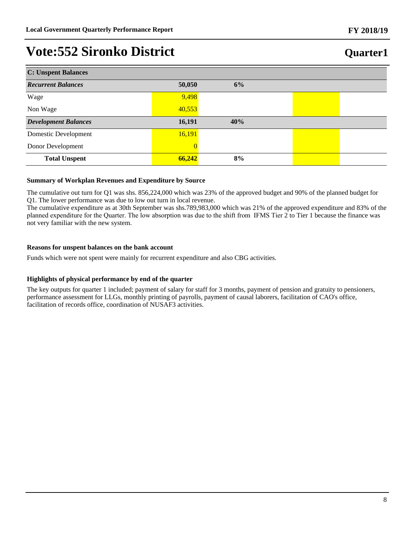## **Quarter1**

| <b>C: Unspent Balances</b>  |                |     |  |  |  |  |
|-----------------------------|----------------|-----|--|--|--|--|
| <b>Recurrent Balances</b>   | 50,050         | 6%  |  |  |  |  |
| Wage                        | 9,498          |     |  |  |  |  |
| Non Wage                    | 40,553         |     |  |  |  |  |
| <b>Development Balances</b> | 16,191         | 40% |  |  |  |  |
| Domestic Development        | 16,191         |     |  |  |  |  |
| Donor Development           | $\overline{0}$ |     |  |  |  |  |
| <b>Total Unspent</b>        | 66,242         | 8%  |  |  |  |  |

### **Summary of Workplan Revenues and Expenditure by Source**

The cumulative out turn for Q1 was shs. 856,224,000 which was 23% of the approved budget and 90% of the planned budget for Q1. The lower performance was due to low out turn in local revenue.

The cumulative expenditure as at 30th September was shs.789,983,000 which was 21% of the approved expenditure and 83% of the planned expenditure for the Quarter. The low absorption was due to the shift from IFMS Tier 2 to Tier 1 because the finance was not very familiar with the new system.

### **Reasons for unspent balances on the bank account**

Funds which were not spent were mainly for recurrent expenditure and also CBG activities.

### **Highlights of physical performance by end of the quarter**

The key outputs for quarter 1 included; payment of salary for staff for 3 months, payment of pension and gratuity to pensioners, performance assessment for LLGs, monthly printing of payrolls, payment of causal laborers, facilitation of CAO's office, facilitation of records office, coordination of NUSAF3 activities.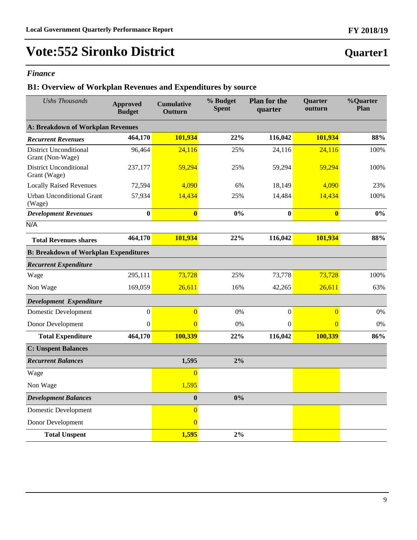### *Finance*

## **B1: Overview of Workplan Revenues and Expenditures by source**

| <b>Ushs Thousands</b>                             | <b>Approved</b><br><b>Budget</b>         | <b>Cumulative</b><br>Outturn | % Budget<br><b>Spent</b> | <b>Plan for the</b><br>quarter | Quarter<br>outturn | %Quarter<br>Plan |  |  |  |
|---------------------------------------------------|------------------------------------------|------------------------------|--------------------------|--------------------------------|--------------------|------------------|--|--|--|
|                                                   | <b>A: Breakdown of Workplan Revenues</b> |                              |                          |                                |                    |                  |  |  |  |
| <b>Recurrent Revenues</b>                         | 464,170                                  | 101,934                      | 22%                      | 116,042                        | 101,934            | 88%              |  |  |  |
| <b>District Unconditional</b><br>Grant (Non-Wage) | 96,464                                   | 24,116                       | 25%                      | 24,116                         | 24,116             | 100%             |  |  |  |
| <b>District Unconditional</b><br>Grant (Wage)     | 237,177                                  | 59,294                       | 25%                      | 59,294                         | 59,294             | 100%             |  |  |  |
| <b>Locally Raised Revenues</b>                    | 72,594                                   | 4,090                        | 6%                       | 18,149                         | 4,090              | 23%              |  |  |  |
| <b>Urban Unconditional Grant</b><br>(Wage)        | 57,934                                   | 14,434                       | 25%                      | 14,484                         | 14,434             | 100%             |  |  |  |
| <b>Development Revenues</b>                       | $\bf{0}$                                 | $\overline{\mathbf{0}}$      | 0%                       | $\bf{0}$                       | $\boldsymbol{0}$   | 0%               |  |  |  |
| N/A                                               |                                          |                              |                          |                                |                    |                  |  |  |  |
| <b>Total Revenues shares</b>                      | 464,170                                  | 101,934                      | 22%                      | 116,042                        | 101,934            | 88%              |  |  |  |
| <b>B: Breakdown of Workplan Expenditures</b>      |                                          |                              |                          |                                |                    |                  |  |  |  |
| <b>Recurrent Expenditure</b>                      |                                          |                              |                          |                                |                    |                  |  |  |  |
| Wage                                              | 295,111                                  | 73,728                       | 25%                      | 73,778                         | 73,728             | 100%             |  |  |  |
| Non Wage                                          | 169,059                                  | 26,611                       | 16%                      | 42,265                         | 26,611             | 63%              |  |  |  |
| Development Expenditure                           |                                          |                              |                          |                                |                    |                  |  |  |  |
| Domestic Development                              | $\overline{0}$                           | $\overline{0}$               | 0%                       | $\boldsymbol{0}$               | $\overline{0}$     | $0\%$            |  |  |  |
| Donor Development                                 | $\mathbf{0}$                             | $\overline{0}$               | 0%                       | $\mathbf{0}$                   | $\overline{0}$     | $0\%$            |  |  |  |
| <b>Total Expenditure</b>                          | 464,170                                  | 100,339                      | 22%                      | 116,042                        | 100,339            | 86%              |  |  |  |
| <b>C: Unspent Balances</b>                        |                                          |                              |                          |                                |                    |                  |  |  |  |
| <b>Recurrent Balances</b>                         |                                          | 1,595                        | 2%                       |                                |                    |                  |  |  |  |
| Wage                                              |                                          | $\overline{0}$               |                          |                                |                    |                  |  |  |  |
| Non Wage                                          |                                          | 1,595                        |                          |                                |                    |                  |  |  |  |
| <b>Development Balances</b>                       |                                          | $\mathbf{0}$                 | 0%                       |                                |                    |                  |  |  |  |
| <b>Domestic Development</b>                       |                                          | $\overline{0}$               |                          |                                |                    |                  |  |  |  |
| Donor Development                                 |                                          | $\overline{0}$               |                          |                                |                    |                  |  |  |  |
| <b>Total Unspent</b>                              |                                          | 1,595                        | 2%                       |                                |                    |                  |  |  |  |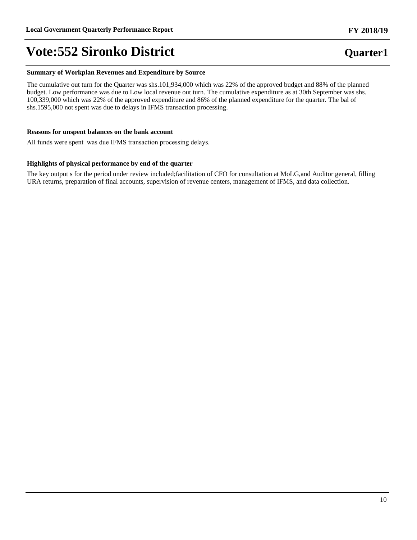#### **Summary of Workplan Revenues and Expenditure by Source**

The cumulative out turn for the Quarter was shs.101,934,000 which was 22% of the approved budget and 88% of the planned budget. Low performance was due to Low local revenue out turn. The cumulative expenditure as at 30th September was shs. 100,339,000 which was 22% of the approved expenditure and 86% of the planned expenditure for the quarter. The bal of shs.1595,000 not spent was due to delays in IFMS transaction processing.

#### **Reasons for unspent balances on the bank account**

All funds were spent was due IFMS transaction processing delays.

#### **Highlights of physical performance by end of the quarter**

The key output s for the period under review included;facilitation of CFO for consultation at MoLG,and Auditor general, filling URA returns, preparation of final accounts, supervision of revenue centers, management of IFMS, and data collection.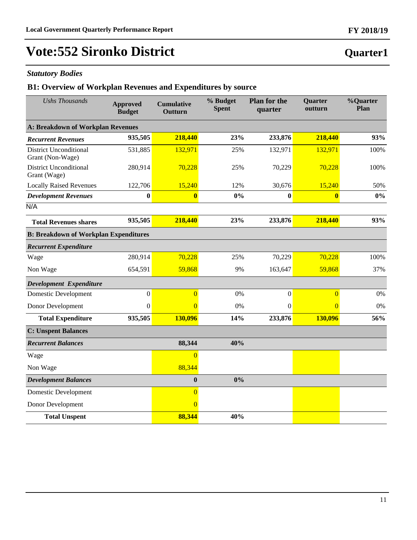### *Statutory Bodies*

### **B1: Overview of Workplan Revenues and Expenditures by source**

| <b>Ushs Thousands</b>                             | <b>Approved</b><br><b>Budget</b> | <b>Cumulative</b><br>Outturn | % Budget<br><b>Spent</b> | <b>Plan for the</b><br>quarter | Quarter<br>outturn | %Quarter<br>Plan |  |
|---------------------------------------------------|----------------------------------|------------------------------|--------------------------|--------------------------------|--------------------|------------------|--|
| A: Breakdown of Workplan Revenues                 |                                  |                              |                          |                                |                    |                  |  |
| <b>Recurrent Revenues</b>                         | 935,505                          | 218,440                      | 23%                      | 233,876                        | 218,440            | 93%              |  |
| <b>District Unconditional</b><br>Grant (Non-Wage) | 531,885                          | 132,971                      | 25%                      | 132,971                        | 132,971            | 100%             |  |
| <b>District Unconditional</b><br>Grant (Wage)     | 280,914                          | 70,228                       | 25%                      | 70,229                         | 70,228             | 100%             |  |
| <b>Locally Raised Revenues</b>                    | 122,706                          | 15,240                       | 12%                      | 30,676                         | 15,240             | 50%              |  |
| <b>Development Revenues</b>                       | $\bf{0}$                         | $\mathbf{0}$                 | 0%                       | $\bf{0}$                       | $\bf{0}$           | 0%               |  |
| N/A                                               |                                  |                              |                          |                                |                    |                  |  |
| <b>Total Revenues shares</b>                      | 935,505                          | 218,440                      | 23%                      | 233,876                        | 218,440            | 93%              |  |
| <b>B: Breakdown of Workplan Expenditures</b>      |                                  |                              |                          |                                |                    |                  |  |
| <b>Recurrent Expenditure</b>                      |                                  |                              |                          |                                |                    |                  |  |
| Wage                                              | 280,914                          | 70,228                       | 25%                      | 70,229                         | 70,228             | 100%             |  |
| Non Wage                                          | 654,591                          | 59,868                       | 9%                       | 163,647                        | 59,868             | 37%              |  |
| Development Expenditure                           |                                  |                              |                          |                                |                    |                  |  |
| <b>Domestic Development</b>                       | $\mathbf{0}$                     | $\overline{0}$               | 0%                       | $\boldsymbol{0}$               | $\overline{0}$     | 0%               |  |
| Donor Development                                 | $\boldsymbol{0}$                 | $\overline{0}$               | 0%                       | $\boldsymbol{0}$               | $\overline{0}$     | $0\%$            |  |
| <b>Total Expenditure</b>                          | 935,505                          | 130,096                      | 14%                      | 233,876                        | 130,096            | 56%              |  |
| <b>C: Unspent Balances</b>                        |                                  |                              |                          |                                |                    |                  |  |
| <b>Recurrent Balances</b>                         |                                  | 88,344                       | 40%                      |                                |                    |                  |  |
| Wage                                              |                                  | $\Omega$                     |                          |                                |                    |                  |  |
| Non Wage                                          |                                  | 88,344                       |                          |                                |                    |                  |  |
| <b>Development Balances</b>                       |                                  | $\mathbf{0}$                 | 0%                       |                                |                    |                  |  |
| Domestic Development                              |                                  | $\overline{0}$               |                          |                                |                    |                  |  |
| Donor Development                                 |                                  | $\overline{0}$               |                          |                                |                    |                  |  |
| <b>Total Unspent</b>                              |                                  | 88,344                       | 40%                      |                                |                    |                  |  |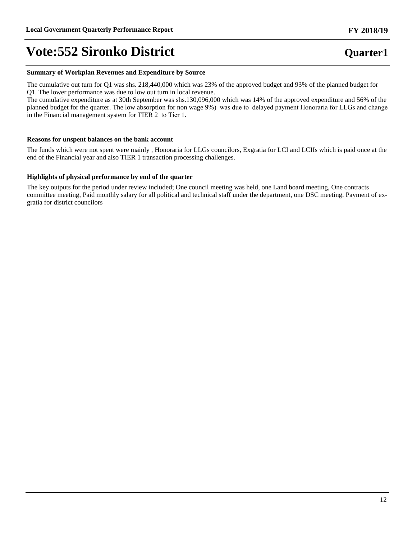### **Summary of Workplan Revenues and Expenditure by Source**

The cumulative out turn for Q1 was shs. 218,440,000 which was 23% of the approved budget and 93% of the planned budget for Q1. The lower performance was due to low out turn in local revenue.

The cumulative expenditure as at 30th September was shs.130,096,000 which was 14% of the approved expenditure and 56% of the planned budget for the quarter. The low absorption for non wage 9%) was due to delayed payment Honoraria for LLGs and change in the Financial management system for TIER 2 to Tier 1.

#### **Reasons for unspent balances on the bank account**

The funds which were not spent were mainly , Honoraria for LLGs councilors, Exgratia for LCI and LCIIs which is paid once at the end of the Financial year and also TIER 1 transaction processing challenges.

#### **Highlights of physical performance by end of the quarter**

The key outputs for the period under review included; One council meeting was held, one Land board meeting, One contracts committee meeting, Paid monthly salary for all political and technical staff under the department, one DSC meeting, Payment of exgratia for district councilors

## **Quarter1**

**FY 2018/19**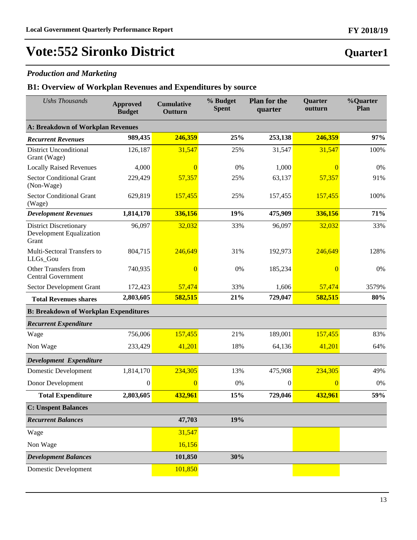### *Production and Marketing*

### **B1: Overview of Workplan Revenues and Expenditures by source**

| <b>Ushs Thousands</b>                                              | <b>Approved</b><br><b>Budget</b> | <b>Cumulative</b><br>Outturn | % Budget<br><b>Spent</b> | <b>Plan for the</b><br>quarter | <b>Quarter</b><br>outturn | <b>%Quarter</b><br>Plan |
|--------------------------------------------------------------------|----------------------------------|------------------------------|--------------------------|--------------------------------|---------------------------|-------------------------|
| <b>A: Breakdown of Workplan Revenues</b>                           |                                  |                              |                          |                                |                           |                         |
| <b>Recurrent Revenues</b>                                          | 989,435                          | 246,359                      | 25%                      | 253,138                        | 246,359                   | 97%                     |
| <b>District Unconditional</b><br>Grant (Wage)                      | 126,187                          | 31,547                       | 25%                      | 31,547                         | 31,547                    | 100%                    |
| <b>Locally Raised Revenues</b>                                     | 4,000                            | $\theta$                     | 0%                       | 1,000                          | $\Omega$                  | 0%                      |
| <b>Sector Conditional Grant</b><br>(Non-Wage)                      | 229,429                          | 57,357                       | 25%                      | 63,137                         | 57,357                    | 91%                     |
| <b>Sector Conditional Grant</b><br>(Wage)                          | 629,819                          | 157,455                      | 25%                      | 157,455                        | 157,455                   | 100%                    |
| <b>Development Revenues</b>                                        | 1,814,170                        | 336,156                      | 19%                      | 475,909                        | 336,156                   | 71%                     |
| <b>District Discretionary</b><br>Development Equalization<br>Grant | 96,097                           | 32,032                       | 33%                      | 96,097                         | 32,032                    | 33%                     |
| Multi-Sectoral Transfers to<br>LLGs_Gou                            | 804,715                          | 246,649                      | 31%                      | 192,973                        | 246,649                   | 128%                    |
| Other Transfers from<br><b>Central Government</b>                  | 740,935                          | $\theta$                     | 0%                       | 185,234                        | $\overline{0}$            | 0%                      |
| <b>Sector Development Grant</b>                                    | 172,423                          | 57,474                       | 33%                      | 1,606                          | 57,474                    | 3579%                   |
| <b>Total Revenues shares</b>                                       | 2,803,605                        | 582,515                      | 21%                      | 729,047                        | 582,515                   | 80%                     |
| <b>B: Breakdown of Workplan Expenditures</b>                       |                                  |                              |                          |                                |                           |                         |
| <b>Recurrent Expenditure</b>                                       |                                  |                              |                          |                                |                           |                         |
| Wage                                                               | 756,006                          | 157,455                      | 21%                      | 189,001                        | 157,455                   | 83%                     |
| Non Wage                                                           | 233,429                          | 41,201                       | 18%                      | 64,136                         | 41,201                    | 64%                     |
| Development Expenditure                                            |                                  |                              |                          |                                |                           |                         |
| <b>Domestic Development</b>                                        | 1,814,170                        | 234,305                      | 13%                      | 475,908                        | 234,305                   | 49%                     |
| Donor Development                                                  | $\boldsymbol{0}$                 | $\overline{0}$               | 0%                       | $\boldsymbol{0}$               | $\overline{0}$            | 0%                      |
| <b>Total Expenditure</b>                                           | 2,803,605                        | 432,961                      | 15%                      | 729,046                        | 432,961                   | 59%                     |
| <b>C: Unspent Balances</b>                                         |                                  |                              |                          |                                |                           |                         |
| <b>Recurrent Balances</b>                                          |                                  | 47,703                       | 19%                      |                                |                           |                         |
| Wage                                                               |                                  | 31,547                       |                          |                                |                           |                         |
| Non Wage                                                           |                                  | 16,156                       |                          |                                |                           |                         |
| <b>Development Balances</b>                                        |                                  | 101,850                      | 30%                      |                                |                           |                         |
| Domestic Development                                               |                                  | 101,850                      |                          |                                |                           |                         |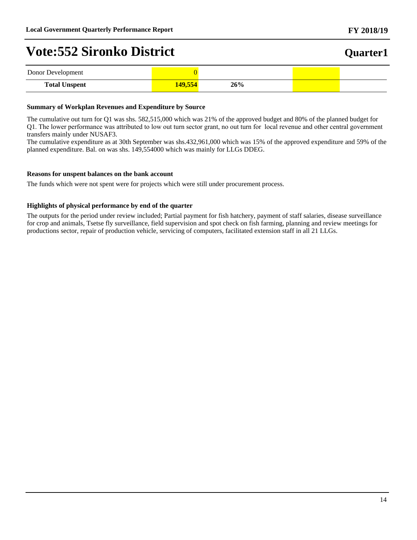| Donor Development    |      |     |  |
|----------------------|------|-----|--|
| <b>Total Unspent</b> | A0EZ | 26% |  |

### **Summary of Workplan Revenues and Expenditure by Source**

The cumulative out turn for Q1 was shs. 582,515,000 which was 21% of the approved budget and 80% of the planned budget for Q1. The lower performance was attributed to low out turn sector grant, no out turn for local revenue and other central government transfers mainly under NUSAF3.

The cumulative expenditure as at 30th September was shs.432,961,000 which was 15% of the approved expenditure and 59% of the planned expenditure. Bal. on was shs. 149,554000 which was mainly for LLGs DDEG.

#### **Reasons for unspent balances on the bank account**

The funds which were not spent were for projects which were still under procurement process.

### **Highlights of physical performance by end of the quarter**

The outputs for the period under review included; Partial payment for fish hatchery, payment of staff salaries, disease surveillance for crop and animals, Tsetse fly surveillance, field supervision and spot check on fish farming, planning and review meetings for productions sector, repair of production vehicle, servicing of computers, facilitated extension staff in all 21 LLGs.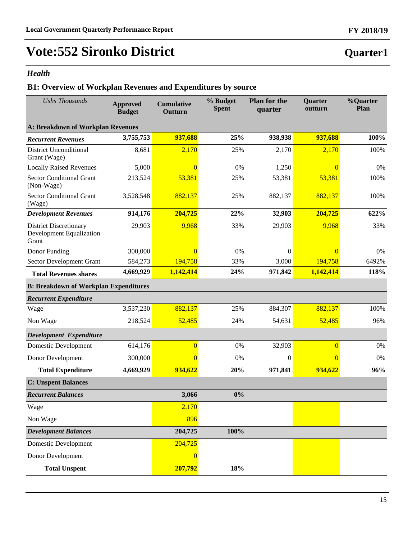## *Health*

## **B1: Overview of Workplan Revenues and Expenditures by source**

| <b>Ushs Thousands</b>                                              | <b>Approved</b><br><b>Budget</b> | <b>Cumulative</b><br>Outturn | % Budget<br><b>Spent</b> | <b>Plan for the</b><br>quarter | <b>Quarter</b><br>outturn | %Quarter<br>Plan |
|--------------------------------------------------------------------|----------------------------------|------------------------------|--------------------------|--------------------------------|---------------------------|------------------|
| A: Breakdown of Workplan Revenues                                  |                                  |                              |                          |                                |                           |                  |
| <b>Recurrent Revenues</b>                                          | 3,755,753                        | 937,688                      | 25%                      | 938,938                        | 937,688                   | 100%             |
| <b>District Unconditional</b><br>Grant (Wage)                      | 8,681                            | 2,170                        | 25%                      | 2,170                          | 2,170                     | 100%             |
| <b>Locally Raised Revenues</b>                                     | 5,000                            | $\Omega$                     | 0%                       | 1,250                          | $\Omega$                  | 0%               |
| <b>Sector Conditional Grant</b><br>(Non-Wage)                      | 213,524                          | 53,381                       | 25%                      | 53,381                         | 53,381                    | 100%             |
| <b>Sector Conditional Grant</b><br>(Wage)                          | 3,528,548                        | 882,137                      | 25%                      | 882,137                        | 882,137                   | 100%             |
| <b>Development Revenues</b>                                        | 914,176                          | 204,725                      | 22%                      | 32,903                         | 204,725                   | 622%             |
| <b>District Discretionary</b><br>Development Equalization<br>Grant | 29,903                           | 9,968                        | 33%                      | 29,903                         | 9,968                     | 33%              |
| Donor Funding                                                      | 300,000                          | $\Omega$                     | 0%                       | $\overline{0}$                 | $\overline{0}$            | 0%               |
| Sector Development Grant                                           | 584,273                          | 194,758                      | 33%                      | 3,000                          | 194,758                   | 6492%            |
| <b>Total Revenues shares</b>                                       | 4,669,929                        | 1,142,414                    | 24%                      | 971,842                        | 1,142,414                 | 118%             |
| <b>B: Breakdown of Workplan Expenditures</b>                       |                                  |                              |                          |                                |                           |                  |
| <b>Recurrent Expenditure</b>                                       |                                  |                              |                          |                                |                           |                  |
| Wage                                                               | 3,537,230                        | 882,137                      | 25%                      | 884,307                        | 882,137                   | 100%             |
| Non Wage                                                           | 218,524                          | 52,485                       | 24%                      | 54,631                         | 52,485                    | 96%              |
| Development Expenditure                                            |                                  |                              |                          |                                |                           |                  |
| <b>Domestic Development</b>                                        | 614,176                          | $\overline{0}$               | 0%                       | 32,903                         | $\overline{0}$            | 0%               |
| Donor Development                                                  | 300,000                          | $\overline{0}$               | 0%                       | $\overline{0}$                 | $\overline{0}$            | 0%               |
| <b>Total Expenditure</b>                                           | 4,669,929                        | 934,622                      | 20%                      | 971,841                        | 934,622                   | 96%              |
| <b>C: Unspent Balances</b>                                         |                                  |                              |                          |                                |                           |                  |
| <b>Recurrent Balances</b>                                          |                                  | 3,066                        | 0%                       |                                |                           |                  |
| Wage                                                               |                                  | 2,170                        |                          |                                |                           |                  |
| Non Wage                                                           |                                  | 896                          |                          |                                |                           |                  |
| <b>Development Balances</b>                                        |                                  | 204,725                      | 100%                     |                                |                           |                  |
| <b>Domestic Development</b>                                        |                                  | 204,725                      |                          |                                |                           |                  |
| Donor Development                                                  |                                  | $\overline{0}$               |                          |                                |                           |                  |
| <b>Total Unspent</b>                                               |                                  | 207,792                      | 18%                      |                                |                           |                  |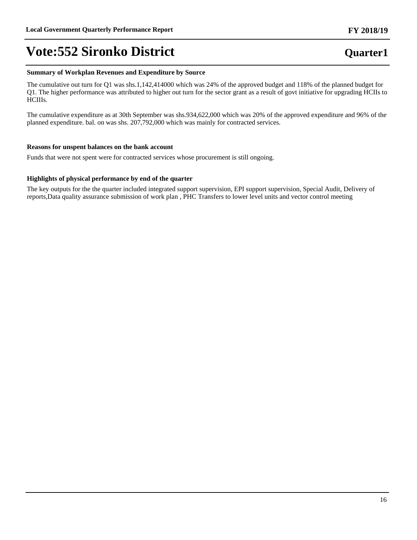#### **Summary of Workplan Revenues and Expenditure by Source**

The cumulative out turn for Q1 was shs.1,142,414000 which was 24% of the approved budget and 118% of the planned budget for Q1. The higher performance was attributed to higher out turn for the sector grant as a result of govt initiative for upgrading HCIIs to HCIIIs.

The cumulative expenditure as at 30th September was shs.934,622,000 which was 20% of the approved expenditure and 96% of the planned expenditure. bal. on was shs. 207,792,000 which was mainly for contracted services.

#### **Reasons for unspent balances on the bank account**

Funds that were not spent were for contracted services whose procurement is still ongoing.

#### **Highlights of physical performance by end of the quarter**

The key outputs for the the quarter included integrated support supervision, EPI support supervision, Special Audit, Delivery of reports,Data quality assurance submission of work plan , PHC Transfers to lower level units and vector control meeting

#### **FY 2018/19**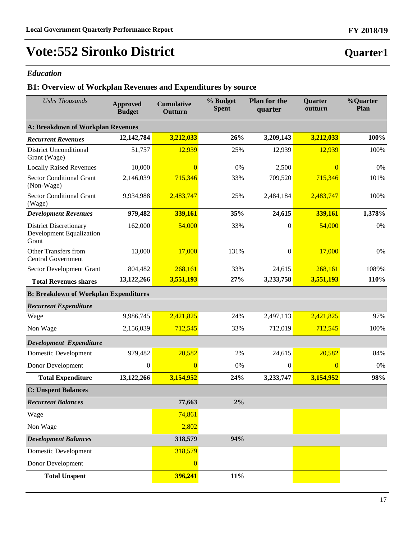### *Education*

### **B1: Overview of Workplan Revenues and Expenditures by source**

| <b>Ushs Thousands</b>                                                     | <b>Approved</b><br><b>Budget</b> | <b>Cumulative</b><br>Outturn | % Budget<br><b>Spent</b> | <b>Plan for the</b><br>quarter | Quarter<br>outturn | %Quarter<br>Plan |
|---------------------------------------------------------------------------|----------------------------------|------------------------------|--------------------------|--------------------------------|--------------------|------------------|
| <b>A: Breakdown of Workplan Revenues</b>                                  |                                  |                              |                          |                                |                    |                  |
| <b>Recurrent Revenues</b>                                                 | 12,142,784                       | 3,212,033                    | 26%                      | 3,209,143                      | 3,212,033          | 100%             |
| <b>District Unconditional</b><br>Grant (Wage)                             | 51,757                           | 12,939                       | 25%                      | 12,939                         | 12,939             | 100%             |
| <b>Locally Raised Revenues</b>                                            | 10,000                           | $\overline{0}$               | 0%                       | 2,500                          | $\Omega$           | 0%               |
| <b>Sector Conditional Grant</b><br>(Non-Wage)                             | 2,146,039                        | 715,346                      | 33%                      | 709,520                        | 715,346            | 101%             |
| <b>Sector Conditional Grant</b><br>(Wage)                                 | 9,934,988                        | 2,483,747                    | 25%                      | 2,484,184                      | 2,483,747          | 100%             |
| <b>Development Revenues</b>                                               | 979,482                          | 339,161                      | 35%                      | 24,615                         | 339,161            | 1,378%           |
| <b>District Discretionary</b><br><b>Development Equalization</b><br>Grant | 162,000                          | 54,000                       | 33%                      | $\boldsymbol{0}$               | 54,000             | $0\%$            |
| Other Transfers from<br><b>Central Government</b>                         | 13,000                           | 17,000                       | 131%                     | 0                              | 17,000             | 0%               |
| Sector Development Grant                                                  | 804,482                          | 268,161                      | 33%                      | 24,615                         | 268,161            | 1089%            |
| <b>Total Revenues shares</b>                                              | 13,122,266                       | 3,551,193                    | 27%                      | 3,233,758                      | 3,551,193          | 110%             |
| <b>B: Breakdown of Workplan Expenditures</b>                              |                                  |                              |                          |                                |                    |                  |
| <b>Recurrent Expenditure</b>                                              |                                  |                              |                          |                                |                    |                  |
| Wage                                                                      | 9,986,745                        | 2,421,825                    | 24%                      | 2,497,113                      | 2,421,825          | 97%              |
| Non Wage                                                                  | 2,156,039                        | 712,545                      | 33%                      | 712,019                        | 712,545            | 100%             |
| Development Expenditure                                                   |                                  |                              |                          |                                |                    |                  |
| <b>Domestic Development</b>                                               | 979,482                          | 20,582                       | 2%                       | 24,615                         | 20,582             | 84%              |
| Donor Development                                                         | $\boldsymbol{0}$                 | $\overline{0}$               | 0%                       | $\overline{0}$                 | $\overline{0}$     | $0\%$            |
| <b>Total Expenditure</b>                                                  | 13,122,266                       | 3,154,952                    | 24%                      | 3,233,747                      | 3,154,952          | 98%              |
| <b>C: Unspent Balances</b>                                                |                                  |                              |                          |                                |                    |                  |
| <b>Recurrent Balances</b>                                                 |                                  | 77,663                       | 2%                       |                                |                    |                  |
| Wage                                                                      |                                  | 74,861                       |                          |                                |                    |                  |
| Non Wage                                                                  |                                  | 2,802                        |                          |                                |                    |                  |
| <b>Development Balances</b>                                               |                                  | 318,579                      | 94%                      |                                |                    |                  |
| <b>Domestic Development</b>                                               |                                  | 318,579                      |                          |                                |                    |                  |
| Donor Development                                                         |                                  | $\overline{0}$               |                          |                                |                    |                  |
| <b>Total Unspent</b>                                                      |                                  | 396,241                      | 11%                      |                                |                    |                  |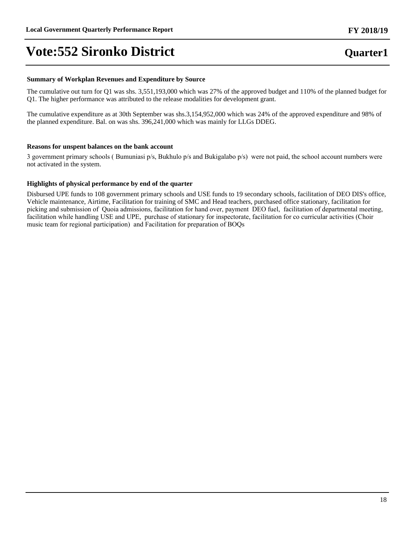### **FY 2018/19**

## **Quarter1**

#### **Summary of Workplan Revenues and Expenditure by Source**

The cumulative out turn for Q1 was shs. 3,551,193,000 which was 27% of the approved budget and 110% of the planned budget for Q1. The higher performance was attributed to the release modalities for development grant.

The cumulative expenditure as at 30th September was shs.3,154,952,000 which was 24% of the approved expenditure and 98% of the planned expenditure. Bal. on was shs. 396,241,000 which was mainly for LLGs DDEG.

### **Reasons for unspent balances on the bank account**

3 government primary schools (Bumuniasi p/s, Bukhulo p/s and Bukigalabo p/s) were not paid, the school account numbers were not activated in the system.

### **Highlights of physical performance by end of the quarter**

Disbursed UPE funds to 108 government primary schools and USE funds to 19 secondary schools, facilitation of DEO DIS's office, Vehicle maintenance, Airtime, Facilitation for training of SMC and Head teachers, purchased office stationary, facilitation for picking and submission of Quoia admissions, facilitation for hand over, payment DEO fuel, facilitation of departmental meeting, facilitation while handling USE and UPE, purchase of stationary for inspectorate, facilitation for co curricular activities (Choir music team for regional participation) and Facilitation for preparation of BOQs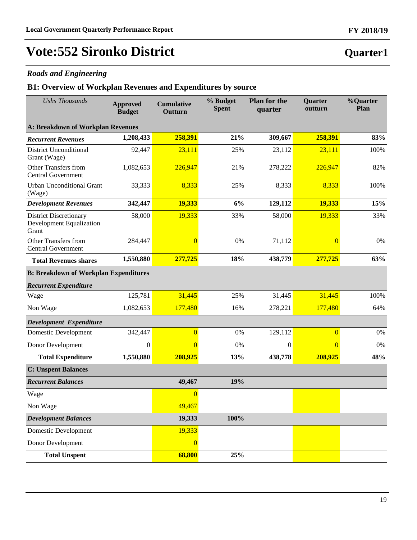### *Roads and Engineering*

### **B1: Overview of Workplan Revenues and Expenditures by source**

| <b>Ushs Thousands</b>                                                     | <b>Approved</b><br><b>Budget</b>         | <b>Cumulative</b><br>Outturn | % Budget<br><b>Spent</b> | <b>Plan for the</b><br>quarter | Quarter<br>outturn | %Quarter<br>Plan |  |  |  |  |
|---------------------------------------------------------------------------|------------------------------------------|------------------------------|--------------------------|--------------------------------|--------------------|------------------|--|--|--|--|
|                                                                           | <b>A: Breakdown of Workplan Revenues</b> |                              |                          |                                |                    |                  |  |  |  |  |
| <b>Recurrent Revenues</b>                                                 | 1,208,433                                | 258,391                      | 21%                      | 309,667                        | 258,391            | 83%              |  |  |  |  |
| <b>District Unconditional</b><br>Grant (Wage)                             | 92,447                                   | 23,111                       | 25%                      | 23,112                         | 23,111             | 100%             |  |  |  |  |
| Other Transfers from<br><b>Central Government</b>                         | 1,082,653                                | 226,947                      | 21%                      | 278,222                        | 226,947            | 82%              |  |  |  |  |
| <b>Urban Unconditional Grant</b><br>(Wage)                                | 33,333                                   | 8,333                        | 25%                      | 8,333                          | 8,333              | 100%             |  |  |  |  |
| <b>Development Revenues</b>                                               | 342,447                                  | 19,333                       | 6%                       | 129,112                        | 19,333             | 15%              |  |  |  |  |
| <b>District Discretionary</b><br><b>Development Equalization</b><br>Grant | 58,000                                   | 19,333                       | 33%                      | 58,000                         | 19,333             | 33%              |  |  |  |  |
| <b>Other Transfers from</b><br><b>Central Government</b>                  | 284,447                                  | $\overline{0}$               | 0%                       | 71,112                         | $\overline{0}$     | 0%               |  |  |  |  |
| <b>Total Revenues shares</b>                                              | 1,550,880                                | 277,725                      | 18%                      | 438,779                        | 277,725            | 63%              |  |  |  |  |
| <b>B: Breakdown of Workplan Expenditures</b>                              |                                          |                              |                          |                                |                    |                  |  |  |  |  |
| <b>Recurrent Expenditure</b>                                              |                                          |                              |                          |                                |                    |                  |  |  |  |  |
| Wage                                                                      | 125,781                                  | 31,445                       | 25%                      | 31,445                         | 31,445             | 100%             |  |  |  |  |
| Non Wage                                                                  | 1,082,653                                | 177,480                      | 16%                      | 278,221                        | 177,480            | 64%              |  |  |  |  |
| Development Expenditure                                                   |                                          |                              |                          |                                |                    |                  |  |  |  |  |
| Domestic Development                                                      | 342,447                                  | $\overline{0}$               | 0%                       | 129,112                        | $\overline{0}$     | $0\%$            |  |  |  |  |
| Donor Development                                                         | $\mathbf{0}$                             | $\overline{0}$               | 0%                       | $\theta$                       | $\overline{0}$     | 0%               |  |  |  |  |
| <b>Total Expenditure</b>                                                  | 1,550,880                                | 208,925                      | 13%                      | 438,778                        | 208,925            | 48%              |  |  |  |  |
| <b>C: Unspent Balances</b>                                                |                                          |                              |                          |                                |                    |                  |  |  |  |  |
| <b>Recurrent Balances</b>                                                 |                                          | 49,467                       | 19%                      |                                |                    |                  |  |  |  |  |
| Wage                                                                      |                                          | $\overline{0}$               |                          |                                |                    |                  |  |  |  |  |
| Non Wage                                                                  |                                          | 49,467                       |                          |                                |                    |                  |  |  |  |  |
| <b>Development Balances</b>                                               |                                          | 19,333                       | 100%                     |                                |                    |                  |  |  |  |  |
| <b>Domestic Development</b>                                               |                                          | 19,333                       |                          |                                |                    |                  |  |  |  |  |
| Donor Development                                                         |                                          | $\overline{0}$               |                          |                                |                    |                  |  |  |  |  |
| <b>Total Unspent</b>                                                      |                                          | 68,800                       | 25%                      |                                |                    |                  |  |  |  |  |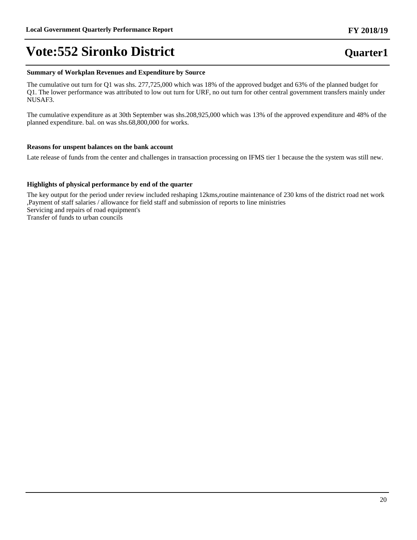#### **Summary of Workplan Revenues and Expenditure by Source**

The cumulative out turn for Q1 was shs. 277,725,000 which was 18% of the approved budget and 63% of the planned budget for Q1. The lower performance was attributed to low out turn for URF, no out turn for other central government transfers mainly under NUSAF3.

The cumulative expenditure as at 30th September was shs.208,925,000 which was 13% of the approved expenditure and 48% of the planned expenditure. bal. on was shs.68,800,000 for works.

#### **Reasons for unspent balances on the bank account**

Late release of funds from the center and challenges in transaction processing on IFMS tier 1 because the the system was still new.

#### **Highlights of physical performance by end of the quarter**

The key output for the period under review included reshaping 12kms,routine maintenance of 230 kms of the district road net work ,Payment of staff salaries / allowance for field staff and submission of reports to line ministries Servicing and repairs of road equipment's Transfer of funds to urban councils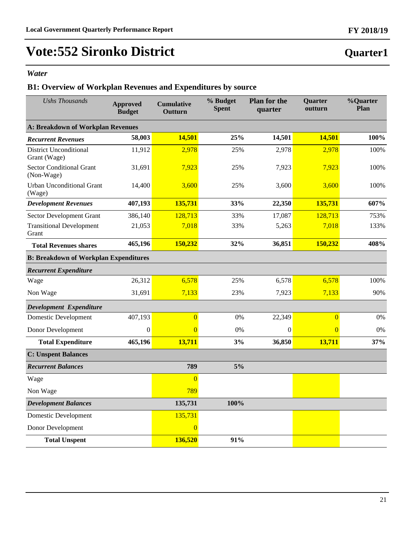### *Water*

## **B1: Overview of Workplan Revenues and Expenditures by source**

| <b>Ushs Thousands</b>                         | <b>Approved</b><br><b>Budget</b> | <b>Cumulative</b><br>Outturn | % Budget<br><b>Spent</b> | <b>Plan for the</b><br>quarter | Quarter<br>outturn | %Quarter<br>Plan |
|-----------------------------------------------|----------------------------------|------------------------------|--------------------------|--------------------------------|--------------------|------------------|
| A: Breakdown of Workplan Revenues             |                                  |                              |                          |                                |                    |                  |
| <b>Recurrent Revenues</b>                     | 58,003                           | 14,501                       | 25%                      | 14,501                         | 14,501             | 100%             |
| <b>District Unconditional</b><br>Grant (Wage) | 11,912                           | 2,978                        | 25%                      | 2,978                          | 2,978              | 100%             |
| <b>Sector Conditional Grant</b><br>(Non-Wage) | 31,691                           | 7,923                        | 25%                      | 7,923                          | 7,923              | 100%             |
| <b>Urban Unconditional Grant</b><br>(Wage)    | 14,400                           | 3,600                        | 25%                      | 3,600                          | 3,600              | 100%             |
| <b>Development Revenues</b>                   | 407,193                          | 135,731                      | 33%                      | 22,350                         | 135,731            | 607%             |
| Sector Development Grant                      | 386,140                          | 128,713                      | 33%                      | 17,087                         | 128,713            | 753%             |
| <b>Transitional Development</b><br>Grant      | 21,053                           | 7,018                        | 33%                      | 5,263                          | 7,018              | 133%             |
| <b>Total Revenues shares</b>                  | 465,196                          | 150,232                      | 32%                      | 36,851                         | 150,232            | 408%             |
| <b>B: Breakdown of Workplan Expenditures</b>  |                                  |                              |                          |                                |                    |                  |
| <b>Recurrent Expenditure</b>                  |                                  |                              |                          |                                |                    |                  |
| Wage                                          | 26,312                           | 6,578                        | 25%                      | 6,578                          | 6,578              | 100%             |
| Non Wage                                      | 31,691                           | 7,133                        | 23%                      | 7,923                          | 7,133              | 90%              |
| Development Expenditure                       |                                  |                              |                          |                                |                    |                  |
| <b>Domestic Development</b>                   | 407,193                          | $\overline{0}$               | 0%                       | 22,349                         | $\overline{0}$     | 0%               |
| Donor Development                             | $\boldsymbol{0}$                 | $\overline{0}$               | 0%                       | $\boldsymbol{0}$               | $\overline{0}$     | 0%               |
| <b>Total Expenditure</b>                      | 465,196                          | 13,711                       | 3%                       | 36,850                         | 13,711             | 37%              |
| <b>C: Unspent Balances</b>                    |                                  |                              |                          |                                |                    |                  |
| <b>Recurrent Balances</b>                     |                                  | 789                          | 5%                       |                                |                    |                  |
| Wage                                          |                                  | $\overline{0}$               |                          |                                |                    |                  |
| Non Wage                                      |                                  | 789                          |                          |                                |                    |                  |
| <b>Development Balances</b>                   |                                  | 135,731                      | 100%                     |                                |                    |                  |
| Domestic Development                          |                                  | 135,731                      |                          |                                |                    |                  |
| Donor Development                             |                                  | $\overline{0}$               |                          |                                |                    |                  |
| <b>Total Unspent</b>                          |                                  | 136,520                      | 91%                      |                                |                    |                  |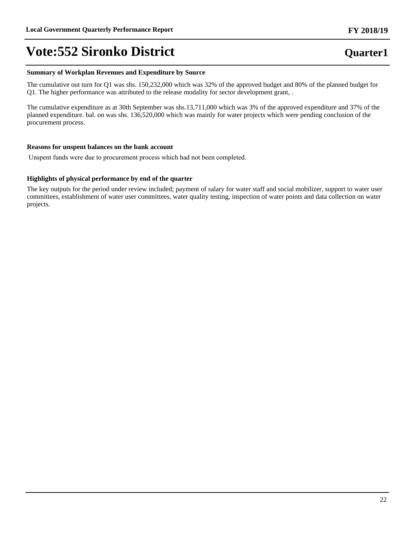#### **Summary of Workplan Revenues and Expenditure by Source**

The cumulative out turn for Q1 was shs. 150,232,000 which was 32% of the approved budget and 80% of the planned budget for Q1. The higher performance was attributed to the release modality for sector development grant, .

The cumulative expenditure as at 30th September was shs.13,711,000 which was 3% of the approved expenditure and 37% of the planned expenditure. bal. on was shs. 136,520,000 which was mainly for water projects which were pending conclusion of the procurement process.

#### **Reasons for unspent balances on the bank account**

Unspent funds were due to procurement process which had not been completed.

#### **Highlights of physical performance by end of the quarter**

The key outputs for the period under review included; payment of salary for water staff and social mobilizer, support to water user committees, establishment of water user committees, water quality testing, inspection of water points and data collection on water projects.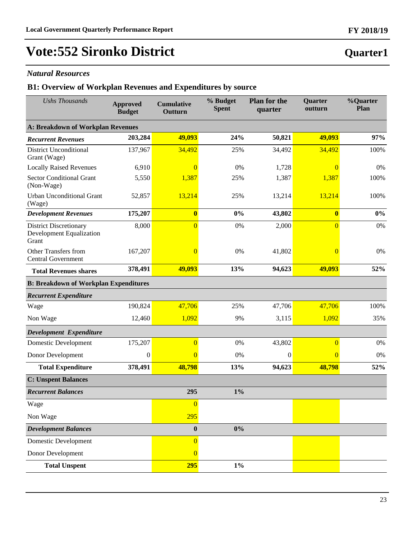### *Natural Resources*

### **B1: Overview of Workplan Revenues and Expenditures by source**

| <b>Ushs Thousands</b>                                                     | <b>Approved</b><br><b>Budget</b>         | <b>Cumulative</b><br>Outturn | % Budget<br><b>Spent</b> | <b>Plan for the</b><br>quarter | Quarter<br>outturn | %Quarter<br>Plan |  |  |  |
|---------------------------------------------------------------------------|------------------------------------------|------------------------------|--------------------------|--------------------------------|--------------------|------------------|--|--|--|
|                                                                           | <b>A: Breakdown of Workplan Revenues</b> |                              |                          |                                |                    |                  |  |  |  |
| <b>Recurrent Revenues</b>                                                 | 203,284                                  | 49,093                       | 24%                      | 50,821                         | 49,093             | 97%              |  |  |  |
| <b>District Unconditional</b><br>Grant (Wage)                             | 137,967                                  | 34,492                       | 25%                      | 34,492                         | 34,492             | 100%             |  |  |  |
| <b>Locally Raised Revenues</b>                                            | 6,910                                    | $\overline{0}$               | 0%                       | 1,728                          | $\Omega$           | 0%               |  |  |  |
| <b>Sector Conditional Grant</b><br>(Non-Wage)                             | 5,550                                    | 1,387                        | 25%                      | 1,387                          | 1,387              | 100%             |  |  |  |
| <b>Urban Unconditional Grant</b><br>(Wage)                                | 52,857                                   | 13,214                       | 25%                      | 13,214                         | 13,214             | 100%             |  |  |  |
| <b>Development Revenues</b>                                               | 175,207                                  | $\overline{\mathbf{0}}$      | 0%                       | 43,802                         | $\boldsymbol{0}$   | $0\%$            |  |  |  |
| <b>District Discretionary</b><br><b>Development Equalization</b><br>Grant | 8,000                                    | $\overline{0}$               | 0%                       | 2,000                          | $\overline{0}$     | $0\%$            |  |  |  |
| Other Transfers from<br><b>Central Government</b>                         | 167,207                                  | $\overline{0}$               | 0%                       | 41,802                         | $\Omega$           | 0%               |  |  |  |
| <b>Total Revenues shares</b>                                              | 378,491                                  | 49,093                       | 13%                      | 94,623                         | 49,093             | 52%              |  |  |  |
| <b>B: Breakdown of Workplan Expenditures</b>                              |                                          |                              |                          |                                |                    |                  |  |  |  |
| <b>Recurrent Expenditure</b>                                              |                                          |                              |                          |                                |                    |                  |  |  |  |
| Wage                                                                      | 190,824                                  | 47,706                       | 25%                      | 47,706                         | 47,706             | 100%             |  |  |  |
| Non Wage                                                                  | 12,460                                   | 1,092                        | 9%                       | 3,115                          | 1,092              | 35%              |  |  |  |
| Development Expenditure                                                   |                                          |                              |                          |                                |                    |                  |  |  |  |
| <b>Domestic Development</b>                                               | 175,207                                  | $\overline{0}$               | 0%                       | 43,802                         | $\overline{0}$     | 0%               |  |  |  |
| Donor Development                                                         | $\boldsymbol{0}$                         | $\overline{0}$               | 0%                       | $\overline{0}$                 | $\overline{0}$     | $0\%$            |  |  |  |
| <b>Total Expenditure</b>                                                  | 378,491                                  | 48,798                       | 13%                      | 94,623                         | 48,798             | 52%              |  |  |  |
| <b>C: Unspent Balances</b>                                                |                                          |                              |                          |                                |                    |                  |  |  |  |
| <b>Recurrent Balances</b>                                                 |                                          | 295                          | $1\%$                    |                                |                    |                  |  |  |  |
| Wage                                                                      |                                          | $\overline{0}$               |                          |                                |                    |                  |  |  |  |
| Non Wage                                                                  |                                          | 295                          |                          |                                |                    |                  |  |  |  |
| <b>Development Balances</b>                                               |                                          | $\boldsymbol{0}$             | $0\%$                    |                                |                    |                  |  |  |  |
| <b>Domestic Development</b>                                               |                                          | $\overline{0}$               |                          |                                |                    |                  |  |  |  |
| Donor Development                                                         |                                          | $\overline{0}$               |                          |                                |                    |                  |  |  |  |
| <b>Total Unspent</b>                                                      |                                          | 295                          | $1\%$                    |                                |                    |                  |  |  |  |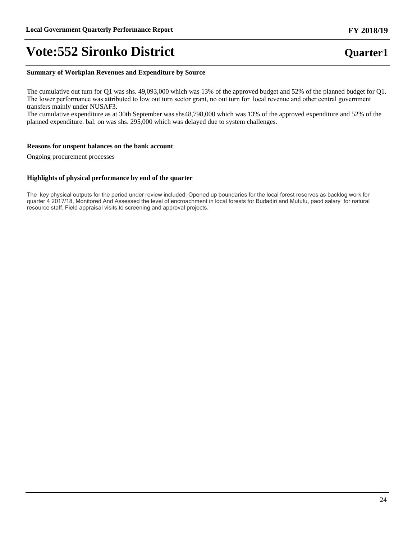#### **Summary of Workplan Revenues and Expenditure by Source**

The cumulative out turn for Q1 was shs. 49,093,000 which was 13% of the approved budget and 52% of the planned budget for Q1. The lower performance was attributed to low out turn sector grant, no out turn for local revenue and other central government transfers mainly under NUSAF3.

The cumulative expenditure as at 30th September was shs48,798,000 which was 13% of the approved expenditure and 52% of the planned expenditure. bal. on was shs. 295,000 which was delayed due to system challenges.

#### **Reasons for unspent balances on the bank account**

Ongoing procurement processes

#### **Highlights of physical performance by end of the quarter**

The key physical outputs for the period under review included: Opened up boundaries for the local forest reserves as backlog work for quarter 4 2017/18, Monitored And Assessed the level of encroachment in local forests for Budadiri and Mutufu, paod salary for natural resource staff. Field appraisal visits to screening and approval projects.

### **FY 2018/19**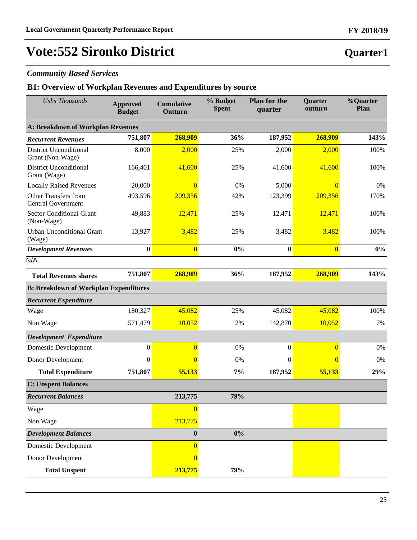### *Community Based Services*

### **B1: Overview of Workplan Revenues and Expenditures by source**

| <b>Ushs Thousands</b>                             | <b>Approved</b><br><b>Budget</b> | <b>Cumulative</b><br>Outturn | % Budget<br><b>Spent</b> | <b>Plan for the</b><br>quarter | Quarter<br>outturn | %Quarter<br>Plan |
|---------------------------------------------------|----------------------------------|------------------------------|--------------------------|--------------------------------|--------------------|------------------|
| A: Breakdown of Workplan Revenues                 |                                  |                              |                          |                                |                    |                  |
| <b>Recurrent Revenues</b>                         | 751,807                          | 268,909                      | 36%                      | 187,952                        | 268,909            | 143%             |
| <b>District Unconditional</b><br>Grant (Non-Wage) | 8,000                            | 2,000                        | 25%                      | 2,000                          | 2,000              | 100%             |
| <b>District Unconditional</b><br>Grant (Wage)     | 166,401                          | 41,600                       | 25%                      | 41,600                         | 41,600             | 100%             |
| <b>Locally Raised Revenues</b>                    | 20,000                           | $\Omega$                     | 0%                       | 5,000                          | $\overline{0}$     | $0\%$            |
| Other Transfers from<br><b>Central Government</b> | 493,596                          | 209,356                      | 42%                      | 123,399                        | 209,356            | 170%             |
| <b>Sector Conditional Grant</b><br>(Non-Wage)     | 49,883                           | 12,471                       | 25%                      | 12,471                         | 12,471             | 100%             |
| <b>Urban Unconditional Grant</b><br>(Wage)        | 13,927                           | 3,482                        | 25%                      | 3,482                          | 3,482              | 100%             |
| <b>Development Revenues</b>                       | $\bf{0}$                         | $\bf{0}$                     | 0%                       | $\bf{0}$                       | $\bf{0}$           | $0\%$            |
| N/A                                               |                                  |                              |                          |                                |                    |                  |
| <b>Total Revenues shares</b>                      | 751,807                          | 268,909                      | 36%                      | 187,952                        | 268,909            | 143%             |
| <b>B: Breakdown of Workplan Expenditures</b>      |                                  |                              |                          |                                |                    |                  |
| <b>Recurrent Expenditure</b>                      |                                  |                              |                          |                                |                    |                  |
| Wage                                              | 180,327                          | 45,082                       | 25%                      | 45,082                         | 45,082             | 100%             |
| Non Wage                                          | 571,479                          | 10,052                       | 2%                       | 142,870                        | 10,052             | 7%               |
| Development Expenditure                           |                                  |                              |                          |                                |                    |                  |
| Domestic Development                              | $\boldsymbol{0}$                 | $\overline{0}$               | 0%                       | $\boldsymbol{0}$               | $\overline{0}$     | 0%               |
| Donor Development                                 | $\boldsymbol{0}$                 | $\Omega$                     | 0%                       | $\mathbf{0}$                   | $\overline{0}$     | 0%               |
| <b>Total Expenditure</b>                          | 751,807                          | 55,133                       | 7%                       | 187,952                        | 55,133             | 29%              |
| <b>C: Unspent Balances</b>                        |                                  |                              |                          |                                |                    |                  |
| <b>Recurrent Balances</b>                         |                                  | 213,775                      | 79%                      |                                |                    |                  |
| Wage                                              |                                  | $\overline{0}$               |                          |                                |                    |                  |
| Non Wage                                          |                                  | 213,775                      |                          |                                |                    |                  |
| <b>Development Balances</b>                       |                                  | $\boldsymbol{0}$             | 0%                       |                                |                    |                  |
| Domestic Development                              |                                  | $\overline{0}$               |                          |                                |                    |                  |
| Donor Development                                 |                                  | $\Omega$                     |                          |                                |                    |                  |
| <b>Total Unspent</b>                              |                                  | 213,775                      | 79%                      |                                |                    |                  |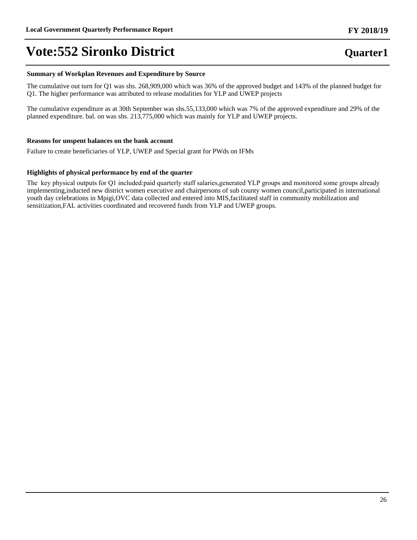#### **Summary of Workplan Revenues and Expenditure by Source**

The cumulative out turn for Q1 was shs. 268,909,000 which was 36% of the approved budget and 143% of the planned budget for Q1. The higher performance was attributed to release modalities for YLP and UWEP projects

The cumulative expenditure as at 30th September was shs.55,133,000 which was 7% of the approved expenditure and 29% of the planned expenditure. bal. on was shs. 213,775,000 which was mainly for YLP and UWEP projects.

#### **Reasons for unspent balances on the bank account**

Failure to create beneficiaries of YLP, UWEP and Special grant for PWds on IFMs

#### **Highlights of physical performance by end of the quarter**

The key physical outputs for Q1 included:paid quarterly staff salaries, generated YLP groups and monitored some groups already implementing,inducted new district women executive and chairpersons of sub county women council,participated in international youth day celebrations in Mpigi,OVC data collected and entered into MIS,facilitated staff in community mobilization and sensitization,FAL activities coordinated and recovered funds from YLP and UWEP groups.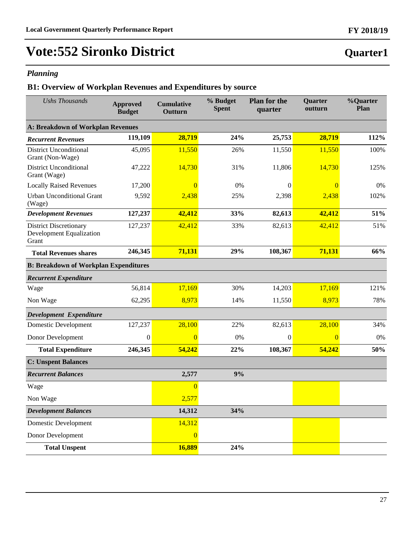## *Planning*

## **B1: Overview of Workplan Revenues and Expenditures by source**

| <b>Ushs Thousands</b>                                              | <b>Approved</b><br><b>Budget</b> | <b>Cumulative</b><br>Outturn | % Budget<br><b>Spent</b> | <b>Plan for the</b><br>quarter | Quarter<br>outturn | %Quarter<br>Plan |
|--------------------------------------------------------------------|----------------------------------|------------------------------|--------------------------|--------------------------------|--------------------|------------------|
| A: Breakdown of Workplan Revenues                                  |                                  |                              |                          |                                |                    |                  |
| <b>Recurrent Revenues</b>                                          | 119,109                          | 28,719                       | 24%                      | 25,753                         | 28,719             | 112%             |
| <b>District Unconditional</b><br>Grant (Non-Wage)                  | 45,095                           | 11,550                       | 26%                      | 11,550                         | 11,550             | 100%             |
| <b>District Unconditional</b><br>Grant (Wage)                      | 47,222                           | 14,730                       | 31%                      | 11,806                         | 14,730             | 125%             |
| <b>Locally Raised Revenues</b>                                     | 17,200                           | $\overline{0}$               | 0%                       | $\boldsymbol{0}$               | $\Omega$           | 0%               |
| <b>Urban Unconditional Grant</b><br>(Wage)                         | 9,592                            | 2,438                        | 25%                      | 2,398                          | 2,438              | 102%             |
| <b>Development Revenues</b>                                        | 127,237                          | 42,412                       | 33%                      | 82,613                         | 42,412             | 51%              |
| <b>District Discretionary</b><br>Development Equalization<br>Grant | 127,237                          | 42,412                       | 33%                      | 82,613                         | 42,412             | 51%              |
| <b>Total Revenues shares</b>                                       | 246,345                          | 71,131                       | 29%                      | 108,367                        | 71,131             | 66%              |
| <b>B: Breakdown of Workplan Expenditures</b>                       |                                  |                              |                          |                                |                    |                  |
| <b>Recurrent Expenditure</b>                                       |                                  |                              |                          |                                |                    |                  |
| Wage                                                               | 56,814                           | 17,169                       | 30%                      | 14,203                         | 17,169             | 121%             |
| Non Wage                                                           | 62,295                           | 8,973                        | 14%                      | 11,550                         | 8,973              | 78%              |
| Development Expenditure                                            |                                  |                              |                          |                                |                    |                  |
| Domestic Development                                               | 127,237                          | 28,100                       | 22%                      | 82,613                         | 28,100             | 34%              |
| Donor Development                                                  | $\mathbf{0}$                     | $\overline{0}$               | 0%                       | $\theta$                       | $\Omega$           | 0%               |
| <b>Total Expenditure</b>                                           | 246,345                          | 54,242                       | 22%                      | 108,367                        | 54,242             | 50%              |
| <b>C: Unspent Balances</b>                                         |                                  |                              |                          |                                |                    |                  |
| <b>Recurrent Balances</b>                                          |                                  | 2,577                        | 9%                       |                                |                    |                  |
| Wage                                                               |                                  | $\Omega$                     |                          |                                |                    |                  |
| Non Wage                                                           |                                  | 2,577                        |                          |                                |                    |                  |
| <b>Development Balances</b>                                        |                                  | 14,312                       | 34%                      |                                |                    |                  |
| <b>Domestic Development</b>                                        |                                  | 14,312                       |                          |                                |                    |                  |
| Donor Development                                                  |                                  | $\overline{0}$               |                          |                                |                    |                  |
| <b>Total Unspent</b>                                               |                                  | 16,889                       | 24%                      |                                |                    |                  |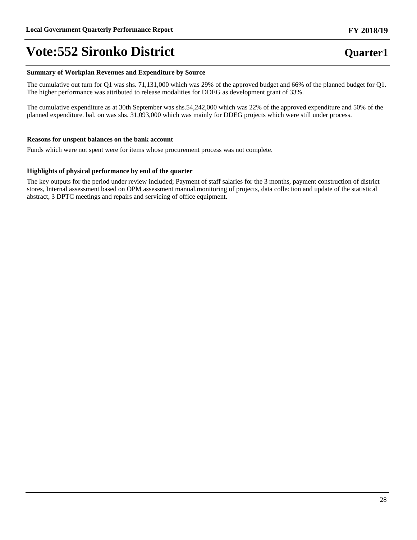#### **Summary of Workplan Revenues and Expenditure by Source**

The cumulative out turn for Q1 was shs. 71,131,000 which was 29% of the approved budget and 66% of the planned budget for Q1. The higher performance was attributed to release modalities for DDEG as development grant of 33%.

The cumulative expenditure as at 30th September was shs.54,242,000 which was 22% of the approved expenditure and 50% of the planned expenditure. bal. on was shs. 31,093,000 which was mainly for DDEG projects which were still under process.

#### **Reasons for unspent balances on the bank account**

Funds which were not spent were for items whose procurement process was not complete.

#### **Highlights of physical performance by end of the quarter**

The key outputs for the period under review included; Payment of staff salaries for the 3 months, payment construction of district stores, Internal assessment based on OPM assessment manual,monitoring of projects, data collection and update of the statistical abstract, 3 DPTC meetings and repairs and servicing of office equipment.

## **Quarter1**

**FY 2018/19**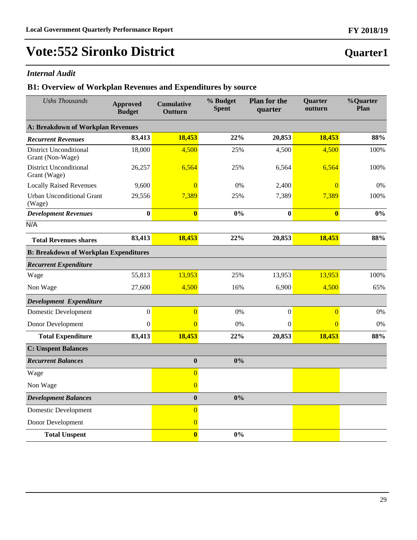### *Internal Audit*

### **B1: Overview of Workplan Revenues and Expenditures by source**

| <b>Ushs Thousands</b>                             | <b>Approved</b><br><b>Budget</b> | <b>Cumulative</b><br>Outturn | % Budget<br><b>Spent</b> | <b>Plan for the</b><br>quarter | Quarter<br>outturn | %Quarter<br>Plan |
|---------------------------------------------------|----------------------------------|------------------------------|--------------------------|--------------------------------|--------------------|------------------|
| <b>A: Breakdown of Workplan Revenues</b>          |                                  |                              |                          |                                |                    |                  |
| <b>Recurrent Revenues</b>                         | 83,413                           | 18,453                       | 22%                      | 20,853                         | 18,453             | 88%              |
| <b>District Unconditional</b><br>Grant (Non-Wage) | 18,000                           | 4,500                        | 25%                      | 4,500                          | 4,500              | 100%             |
| <b>District Unconditional</b><br>Grant (Wage)     | 26,257                           | 6,564                        | 25%                      | 6,564                          | 6,564              | 100%             |
| <b>Locally Raised Revenues</b>                    | 9,600                            | $\Omega$                     | 0%                       | 2,400                          | $\overline{0}$     | 0%               |
| <b>Urban Unconditional Grant</b><br>(Wage)        | 29,556                           | 7,389                        | 25%                      | 7,389                          | 7,389              | 100%             |
| <b>Development Revenues</b>                       | $\bf{0}$                         | $\overline{\mathbf{0}}$      | 0%                       | $\bf{0}$                       | $\bf{0}$           | 0%               |
| N/A                                               |                                  |                              |                          |                                |                    |                  |
| <b>Total Revenues shares</b>                      | 83,413                           | 18,453                       | 22%                      | 20,853                         | 18,453             | 88%              |
| <b>B: Breakdown of Workplan Expenditures</b>      |                                  |                              |                          |                                |                    |                  |
| <b>Recurrent Expenditure</b>                      |                                  |                              |                          |                                |                    |                  |
| Wage                                              | 55,813                           | 13,953                       | 25%                      | 13,953                         | 13,953             | 100%             |
| Non Wage                                          | 27,600                           | 4,500                        | 16%                      | 6,900                          | 4,500              | 65%              |
| Development Expenditure                           |                                  |                              |                          |                                |                    |                  |
| <b>Domestic Development</b>                       | $\overline{0}$                   | $\overline{0}$               | 0%                       | $\boldsymbol{0}$               | $\overline{0}$     | $0\%$            |
| Donor Development                                 | $\boldsymbol{0}$                 | $\overline{0}$               | 0%                       | $\boldsymbol{0}$               | $\overline{0}$     | 0%               |
| <b>Total Expenditure</b>                          | 83,413                           | 18,453                       | 22%                      | 20,853                         | 18,453             | 88%              |
| <b>C: Unspent Balances</b>                        |                                  |                              |                          |                                |                    |                  |
| <b>Recurrent Balances</b>                         |                                  | $\bf{0}$                     | 0%                       |                                |                    |                  |
| Wage                                              |                                  | $\overline{0}$               |                          |                                |                    |                  |
| Non Wage                                          |                                  | $\overline{0}$               |                          |                                |                    |                  |
| <b>Development Balances</b>                       |                                  | $\boldsymbol{0}$             | 0%                       |                                |                    |                  |
| <b>Domestic Development</b>                       |                                  | $\overline{0}$               |                          |                                |                    |                  |
| Donor Development                                 |                                  | $\overline{0}$               |                          |                                |                    |                  |
| <b>Total Unspent</b>                              |                                  | $\mathbf{0}$                 | 0%                       |                                |                    |                  |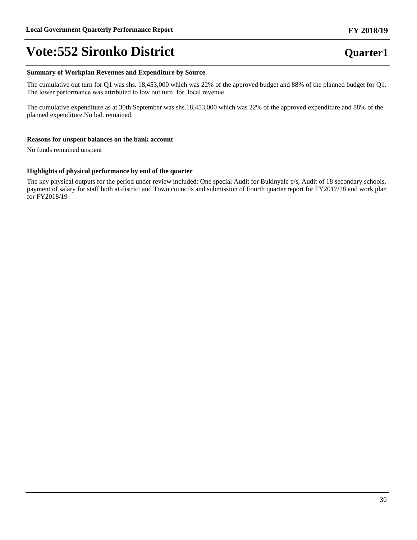### **Summary of Workplan Revenues and Expenditure by Source**

The cumulative out turn for Q1 was shs. 18,453,000 which was 22% of the approved budget and 88% of the planned budget for Q1. The lower performance was attributed to low out turn for local revenue.

The cumulative expenditure as at 30th September was shs.18,453,000 which was 22% of the approved expenditure and 88% of the planned expenditure.No bal. remained.

#### **Reasons for unspent balances on the bank account**

No funds remained unspent

### **Highlights of physical performance by end of the quarter**

The key physical outputs for the period under review included: One special Audit for Bukinyale p/s, Audit of 18 secondary schools, payment of salary for staff both at district and Town councils and submission of Fourth quarter report for FY2017/18 and work plan for FY2018/19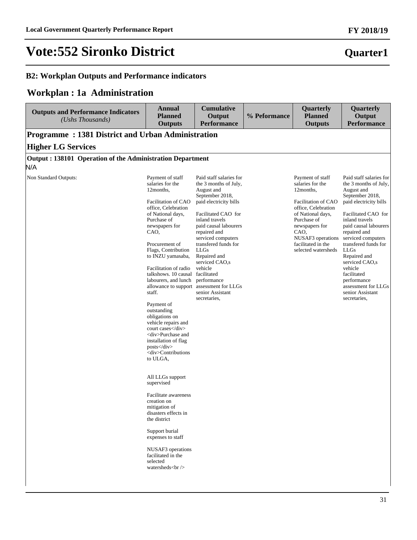**Quarter1**

# **Vote:552 Sironko District**

### **B2: Workplan Outputs and Performance indicators**

## **Workplan : 1a Administration**

| <b>Outputs and Performance Indicators</b><br>(Ushs Thousands)    | <b>Annual</b><br><b>Planned</b><br><b>Outputs</b>                                                                                                                                                                                                                                                                                                                                                                                                                                                                                                                                                                                                                                                                                                                                                                | <b>Cumulative</b><br>Output<br><b>Performance</b>                                                                                                                                                                                                                                                                                                                                                                     | % Peformance | Quarterly<br><b>Planned</b><br><b>Outputs</b>                                                                                                                                                                                   | Quarterly<br>Output<br><b>Performance</b>                                                                                                                                                                                                                                                                                                                                                        |
|------------------------------------------------------------------|------------------------------------------------------------------------------------------------------------------------------------------------------------------------------------------------------------------------------------------------------------------------------------------------------------------------------------------------------------------------------------------------------------------------------------------------------------------------------------------------------------------------------------------------------------------------------------------------------------------------------------------------------------------------------------------------------------------------------------------------------------------------------------------------------------------|-----------------------------------------------------------------------------------------------------------------------------------------------------------------------------------------------------------------------------------------------------------------------------------------------------------------------------------------------------------------------------------------------------------------------|--------------|---------------------------------------------------------------------------------------------------------------------------------------------------------------------------------------------------------------------------------|--------------------------------------------------------------------------------------------------------------------------------------------------------------------------------------------------------------------------------------------------------------------------------------------------------------------------------------------------------------------------------------------------|
| Programme: 1381 District and Urban Administration                |                                                                                                                                                                                                                                                                                                                                                                                                                                                                                                                                                                                                                                                                                                                                                                                                                  |                                                                                                                                                                                                                                                                                                                                                                                                                       |              |                                                                                                                                                                                                                                 |                                                                                                                                                                                                                                                                                                                                                                                                  |
| <b>Higher LG Services</b>                                        |                                                                                                                                                                                                                                                                                                                                                                                                                                                                                                                                                                                                                                                                                                                                                                                                                  |                                                                                                                                                                                                                                                                                                                                                                                                                       |              |                                                                                                                                                                                                                                 |                                                                                                                                                                                                                                                                                                                                                                                                  |
| Output: 138101 Operation of the Administration Department<br>N/A |                                                                                                                                                                                                                                                                                                                                                                                                                                                                                                                                                                                                                                                                                                                                                                                                                  |                                                                                                                                                                                                                                                                                                                                                                                                                       |              |                                                                                                                                                                                                                                 |                                                                                                                                                                                                                                                                                                                                                                                                  |
| Non Standard Outputs:                                            | Payment of staff<br>salaries for the<br>12 months,<br>Facilitation of CAO<br>office, Celebration<br>of National days,<br>Purchase of<br>newspapers for<br>CAO,<br>Procurement of<br>Flags, Contribution<br>to INZU yamasaba,<br>Facilitation of radio<br>talkshows. 10 causal<br>labourers, and lunch<br>staff.<br>Payment of<br>outstanding<br>obligations on<br>vehicle repairs and<br>court cases<br><div>Purchase and<br/>installation of flag<br/><math>\text{posts} \leq \text{div}</math><br/><div>Contributions<br/>to ULGA,<br/>All LLGs support<br/>supervised<br/>Facilitate awareness<br/>creation on<br/>mitigation of<br/>disasters effects in<br/>the district<br/>Support burial<br/>expenses to staff<br/>NUSAF3 operations<br/>facilitated in the<br/>selected<br/>watersheds<br/></div></div> | Paid staff salaries for<br>the 3 months of July,<br>August and<br>September 2018,<br>paid electricity bills<br>Facilitated CAO for<br>inland travels<br>paid causal labourers<br>repaired and<br>serviced computers<br>transfered funds for<br><b>LLGs</b><br>Repaired and<br>serviced CAO,s<br>vehicle<br>facilitated<br>performance<br>allowance to support assessment for LLGs<br>senior Assistant<br>secretaries. |              | Payment of staff<br>salaries for the<br>12months,<br>Facilitation of CAO<br>office, Celebration<br>of National days,<br>Purchase of<br>newspapers for<br>CAO,<br>NUSAF3 operations<br>facilitated in the<br>selected watersheds | Paid staff salaries for<br>the 3 months of July,<br>August and<br>September 2018,<br>paid electricity bills<br>Facilitated CAO for<br>inland travels<br>paid causal labourers<br>repaired and<br>serviced computers<br>transfered funds for<br><b>LLGs</b><br>Repaired and<br>serviced CAO,s<br>vehicle<br>facilitated<br>performance<br>assessment for LLGs<br>senior Assistant<br>secretaries, |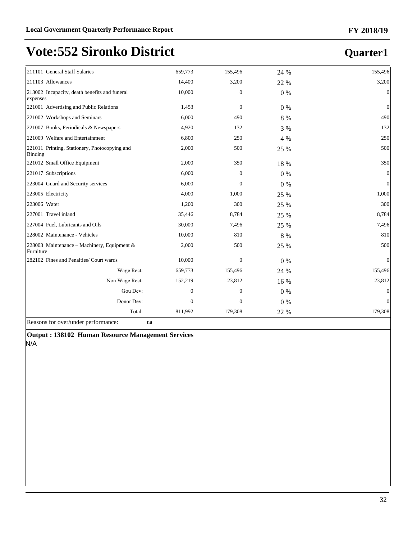## **Quarter1**

| 211101 General Staff Salaries                             | 659,773        | 155,496          | 24 %    | 155,496          |
|-----------------------------------------------------------|----------------|------------------|---------|------------------|
| 211103 Allowances                                         | 14,400         | 3,200            | 22 %    | 3,200            |
| 213002 Incapacity, death benefits and funeral<br>expenses | 10,000         | $\overline{0}$   | $0\%$   | $\mathbf{0}$     |
| 221001 Advertising and Public Relations                   | 1,453          | $\mathbf{0}$     | $0\%$   | $\mathbf{0}$     |
| 221002 Workshops and Seminars                             | 6,000          | 490              | 8 %     | 490              |
| 221007 Books, Periodicals & Newspapers                    | 4,920          | 132              | 3 %     | 132              |
| 221009 Welfare and Entertainment                          | 6,800          | 250              | 4 %     | 250              |
| 221011 Printing, Stationery, Photocopying and<br>Binding  | 2,000          | 500              | 25 %    | 500              |
| 221012 Small Office Equipment                             | 2,000          | 350              | 18 %    | 350              |
| 221017 Subscriptions                                      | 6,000          | $\mathbf{0}$     | $0\%$   | $\boldsymbol{0}$ |
| 223004 Guard and Security services                        | 6,000          | $\overline{0}$   | $0\ \%$ | $\mathbf{0}$     |
| 223005 Electricity                                        | 4,000          | 1,000            | 25 %    | 1,000            |
| 223006 Water                                              | 1,200          | 300              | 25 %    | 300              |
| 227001 Travel inland                                      | 35,446         | 8,784            | 25 %    | 8,784            |
| 227004 Fuel, Lubricants and Oils                          | 30,000         | 7,496            | 25 %    | 7,496            |
| 228002 Maintenance - Vehicles                             | 10,000         | 810              | 8 %     | 810              |
| 228003 Maintenance – Machinery, Equipment &<br>Furniture  | 2,000          | 500              | 25 %    | 500              |
| 282102 Fines and Penalties/ Court wards                   | 10,000         | $\mathbf{0}$     | $0\%$   | $\mathbf{0}$     |
| Wage Rect:                                                | 659,773        | 155,496          | 24 %    | 155,496          |
| Non Wage Rect:                                            | 152,219        | 23,812           | 16 %    | 23,812           |
| Gou Dev:                                                  | $\overline{0}$ | $\overline{0}$   | $0\%$   | $\overline{0}$   |
| Donor Dev:                                                | $\mathbf{0}$   | $\boldsymbol{0}$ | $0\%$   | $\mathbf{0}$     |
| Total:                                                    | 811,992        | 179,308          | 22 %    | 179,308          |
|                                                           |                |                  |         |                  |

Reasons for over/under performance: na

**Output : 138102 Human Resource Management Services** N/A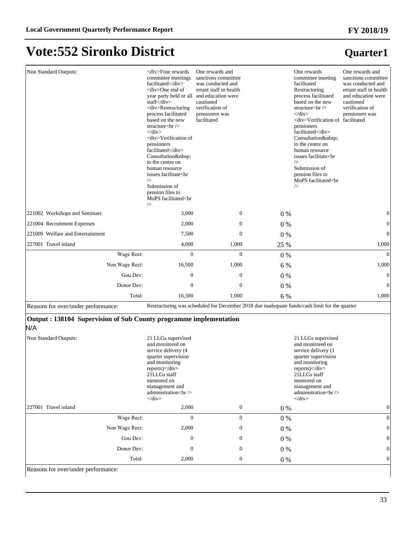| Non Standard Outputs:                                                    | <div>Four rewards<br/>committee meetings<br/>facilitated</div><br><div>One end of<br/>year party held or all and education were<br/>staff</div><br><div>Restructuring<br/>process facilitated<br/>based on the new<br/>structure<br/><br/><math>\langle</math>div&gt;<br/><div>Verification of<br>pensioners<br/>facilitated</br></div><br/>Consultation <br/>to the centre on<br/>human resource<br/>issues facilitate<br<br><math>\rightarrow</math><br/>Submission of<br/>pension files to<br/>MoPS facilitated<br<br>/&gt;</br<br></br<br></div> | One rewards and<br>sanctions committee<br>was conducted and<br>errant staff in health<br>cautioned<br>verification of<br>pensioners was<br>facilitated |         | One rewards<br>committee meeting<br>facilitated<br>Restructuring<br>process facilitated<br>based on the new<br>structure $>$<br>$\langle$ div><br><div>Verification of facilitated<br/>pensioners<br/>facilitated</div><br>Consultation<br>to the centre on<br>human resource<br>issues facilitate <br<br>/&gt;<br/>Submission of<br/>pension files to<br/>MoPS facilitated<br<br><math>\rightarrow</math></br<br></br<br> | One rewards and<br>sanctions committee<br>was conducted and<br>errant staff in health<br>and education were<br>cautioned<br>verification of<br>pensioners was |
|--------------------------------------------------------------------------|------------------------------------------------------------------------------------------------------------------------------------------------------------------------------------------------------------------------------------------------------------------------------------------------------------------------------------------------------------------------------------------------------------------------------------------------------------------------------------------------------------------------------------------------------|--------------------------------------------------------------------------------------------------------------------------------------------------------|---------|----------------------------------------------------------------------------------------------------------------------------------------------------------------------------------------------------------------------------------------------------------------------------------------------------------------------------------------------------------------------------------------------------------------------------|---------------------------------------------------------------------------------------------------------------------------------------------------------------|
| 221002 Workshops and Seminars                                            | 3,000                                                                                                                                                                                                                                                                                                                                                                                                                                                                                                                                                | $\mathbf{0}$                                                                                                                                           | $0\%$   |                                                                                                                                                                                                                                                                                                                                                                                                                            | 0                                                                                                                                                             |
| 221004 Recruitment Expenses                                              | 2,000                                                                                                                                                                                                                                                                                                                                                                                                                                                                                                                                                | $\boldsymbol{0}$                                                                                                                                       | $0\%$   |                                                                                                                                                                                                                                                                                                                                                                                                                            | $\overline{0}$                                                                                                                                                |
| 221009 Welfare and Entertainment                                         | 7,500                                                                                                                                                                                                                                                                                                                                                                                                                                                                                                                                                | $\mathbf{0}$                                                                                                                                           | $0\%$   |                                                                                                                                                                                                                                                                                                                                                                                                                            | $\theta$                                                                                                                                                      |
| 227001 Travel inland                                                     | 4,000                                                                                                                                                                                                                                                                                                                                                                                                                                                                                                                                                | 1,000                                                                                                                                                  | 25 %    |                                                                                                                                                                                                                                                                                                                                                                                                                            | 1,000                                                                                                                                                         |
| Wage Rect:                                                               | $\boldsymbol{0}$                                                                                                                                                                                                                                                                                                                                                                                                                                                                                                                                     | $\overline{0}$                                                                                                                                         | $0\ \%$ |                                                                                                                                                                                                                                                                                                                                                                                                                            | $\theta$                                                                                                                                                      |
| Non Wage Rect:                                                           | 16,500                                                                                                                                                                                                                                                                                                                                                                                                                                                                                                                                               | 1,000                                                                                                                                                  | 6 %     |                                                                                                                                                                                                                                                                                                                                                                                                                            | 1,000                                                                                                                                                         |
| Gou Dev:                                                                 | 0                                                                                                                                                                                                                                                                                                                                                                                                                                                                                                                                                    | $\mathbf{0}$                                                                                                                                           | $0\%$   |                                                                                                                                                                                                                                                                                                                                                                                                                            | $\overline{0}$                                                                                                                                                |
| Donor Dev:                                                               | 0                                                                                                                                                                                                                                                                                                                                                                                                                                                                                                                                                    | $\mathbf{0}$                                                                                                                                           | 0%      |                                                                                                                                                                                                                                                                                                                                                                                                                            | $\overline{0}$                                                                                                                                                |
| Total:                                                                   | 16,500                                                                                                                                                                                                                                                                                                                                                                                                                                                                                                                                               | 1,000                                                                                                                                                  | 6 %     |                                                                                                                                                                                                                                                                                                                                                                                                                            | 1,000                                                                                                                                                         |
| Reasons for over/under performance:                                      |                                                                                                                                                                                                                                                                                                                                                                                                                                                                                                                                                      | Restructuring was scheduled for December 2018 due inadequate funds/cash limit for the quarter                                                          |         |                                                                                                                                                                                                                                                                                                                                                                                                                            |                                                                                                                                                               |
| Output: 138104 Supervision of Sub County programme implementation<br>N/A |                                                                                                                                                                                                                                                                                                                                                                                                                                                                                                                                                      |                                                                                                                                                        |         |                                                                                                                                                                                                                                                                                                                                                                                                                            |                                                                                                                                                               |
| Non Standard Outputs:                                                    | 21 LLGs supervised<br>and monitored on<br>service delivery (4<br>quarter supervision<br>and monitoring<br>$reports$ $\ll$ div<br>21LLGs staff<br>mentored on<br>management and<br>administration<br>br/><br>$\langle$ div>                                                                                                                                                                                                                                                                                                                           |                                                                                                                                                        |         | 21 LLGs supervised<br>and monitored on<br>service delivery (1<br>quarter supervision<br>and monitoring<br>$reports$ $\ll$ div<br>21LLGs staff<br>mentored on<br>management and<br>administration<br><br>$\langle$ div>                                                                                                                                                                                                     |                                                                                                                                                               |
| 227001 Travel inland                                                     | 2,000                                                                                                                                                                                                                                                                                                                                                                                                                                                                                                                                                | $\mathbf{0}$                                                                                                                                           | $0\%$   |                                                                                                                                                                                                                                                                                                                                                                                                                            | 0                                                                                                                                                             |
| Wage Rect:                                                               | $\boldsymbol{0}$                                                                                                                                                                                                                                                                                                                                                                                                                                                                                                                                     | $\overline{0}$                                                                                                                                         | 0%      |                                                                                                                                                                                                                                                                                                                                                                                                                            | $\overline{0}$                                                                                                                                                |
|                                                                          |                                                                                                                                                                                                                                                                                                                                                                                                                                                                                                                                                      |                                                                                                                                                        |         |                                                                                                                                                                                                                                                                                                                                                                                                                            |                                                                                                                                                               |
| Non Wage Rect:                                                           | 2,000                                                                                                                                                                                                                                                                                                                                                                                                                                                                                                                                                | $\boldsymbol{0}$                                                                                                                                       | 0%      |                                                                                                                                                                                                                                                                                                                                                                                                                            | $\mathbf{0}$                                                                                                                                                  |
| Gou Dev:                                                                 | $\boldsymbol{0}$                                                                                                                                                                                                                                                                                                                                                                                                                                                                                                                                     | $\boldsymbol{0}$                                                                                                                                       | 0%      |                                                                                                                                                                                                                                                                                                                                                                                                                            | $\overline{0}$                                                                                                                                                |
| Donor Dev:                                                               | $\boldsymbol{0}$                                                                                                                                                                                                                                                                                                                                                                                                                                                                                                                                     | $\boldsymbol{0}$                                                                                                                                       | $0\ \%$ |                                                                                                                                                                                                                                                                                                                                                                                                                            | $\overline{0}$                                                                                                                                                |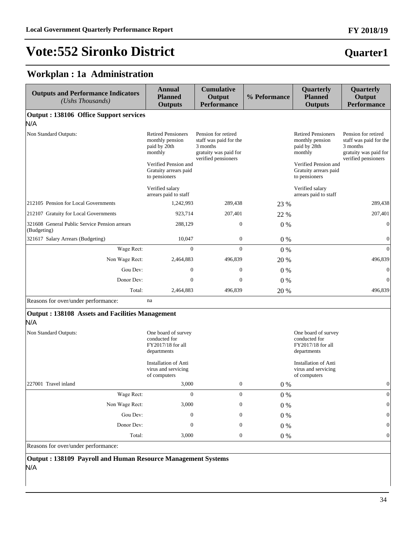## **Quarter1**

## **Workplan : 1a Administration**

| <b>Outputs and Performance Indicators</b><br>(Ushs Thousands) | <b>Annual</b><br><b>Planned</b><br><b>Outputs</b>                        | <b>Cumulative</b><br>Output<br><b>Performance</b>                                                         | % Peformance | Quarterly<br><b>Planned</b><br><b>Outputs</b>                            | Quarterly<br>Output<br><b>Performance</b>                                                                 |
|---------------------------------------------------------------|--------------------------------------------------------------------------|-----------------------------------------------------------------------------------------------------------|--------------|--------------------------------------------------------------------------|-----------------------------------------------------------------------------------------------------------|
| <b>Output : 138106 Office Support services</b>                |                                                                          |                                                                                                           |              |                                                                          |                                                                                                           |
| N/A                                                           |                                                                          |                                                                                                           |              |                                                                          |                                                                                                           |
| Non Standard Outputs:                                         | <b>Retired Pensioners</b><br>monthly pension<br>paid by 20th<br>monthly  | Pension for retired<br>staff was paid for the<br>3 months<br>gratuity was paid for<br>verified pensioners |              | <b>Retired Pensioners</b><br>monthly pension<br>paid by 28th<br>monthly  | Pension for retired<br>staff was paid for the<br>3 months<br>gratuity was paid for<br>verified pensioners |
|                                                               | Verified Pension and<br>Gratuity arrears paid<br>to pensioners           |                                                                                                           |              | Verified Pension and<br>Gratuity arrears paid<br>to pensioners           |                                                                                                           |
|                                                               | Verified salary<br>arrears paid to staff                                 |                                                                                                           |              | Verified salary<br>arrears paid to staff                                 |                                                                                                           |
| 212105 Pension for Local Governments                          | 1,242,993                                                                | 289,438                                                                                                   | 23 %         |                                                                          | 289,438                                                                                                   |
| 212107 Gratuity for Local Governments                         | 923,714                                                                  | 207,401                                                                                                   | 22 %         |                                                                          | 207,401                                                                                                   |
| 321608 General Public Service Pension arrears<br>(Budgeting)  | 288,129                                                                  | $\mathbf{0}$                                                                                              | 0%           |                                                                          | $\overline{0}$                                                                                            |
| 321617 Salary Arrears (Budgeting)                             | 10,047                                                                   | $\boldsymbol{0}$                                                                                          | $0\%$        |                                                                          | $\boldsymbol{0}$                                                                                          |
| Wage Rect:                                                    | $\overline{0}$                                                           | $\Omega$                                                                                                  | $0\%$        |                                                                          | $\overline{0}$                                                                                            |
| Non Wage Rect:                                                | 2,464,883                                                                | 496,839                                                                                                   | 20 %         |                                                                          | 496,839                                                                                                   |
| Gou Dev:                                                      | $\boldsymbol{0}$                                                         | $\boldsymbol{0}$                                                                                          | $0\%$        |                                                                          | $\mathbf{0}$                                                                                              |
| Donor Dev:                                                    | $\overline{0}$                                                           | $\mathbf{0}$                                                                                              | $0\%$        |                                                                          | $\Omega$                                                                                                  |
| Total:                                                        | 2,464,883                                                                | 496,839                                                                                                   | 20 %         |                                                                          | 496,839                                                                                                   |
| Reasons for over/under performance:                           | na                                                                       |                                                                                                           |              |                                                                          |                                                                                                           |
| <b>Output: 138108 Assets and Facilities Management</b><br>N/A |                                                                          |                                                                                                           |              |                                                                          |                                                                                                           |
| Non Standard Outputs:                                         | One board of survey<br>conducted for<br>FY2017/18 for all<br>departments |                                                                                                           |              | One board of survey<br>conducted for<br>FY2017/18 for all<br>departments |                                                                                                           |
|                                                               | <b>Installation of Anti</b><br>virus and servicing<br>of computers       |                                                                                                           |              | <b>Installation of Anti</b><br>virus and servicing<br>of computers       |                                                                                                           |
| 227001 Travel inland                                          | 3,000                                                                    | $\boldsymbol{0}$                                                                                          | 0 %          |                                                                          | $\boldsymbol{0}$                                                                                          |
| Wage Rect:                                                    | $\Omega$                                                                 | $\Omega$                                                                                                  | $0\%$        |                                                                          | $\overline{0}$                                                                                            |
| Non Wage Rect:                                                | 3,000                                                                    | $\mathbf{0}$                                                                                              | $0\%$        |                                                                          | $\overline{0}$                                                                                            |
| Gou Dev:                                                      | $\boldsymbol{0}$                                                         | $\boldsymbol{0}$                                                                                          | $0\%$        |                                                                          | $\mathbf{0}$                                                                                              |
| Donor Dev:                                                    | $\mathbf{0}$                                                             | $\mathbf{0}$                                                                                              | $0\%$        |                                                                          | $\mathbf{0}$                                                                                              |
| Total:                                                        | 3,000                                                                    | $\boldsymbol{0}$                                                                                          | $0\%$        |                                                                          | $\mathbf{0}$                                                                                              |

Reasons for over/under performance:

**Output : 138109 Payroll and Human Resource Management Systems** N/A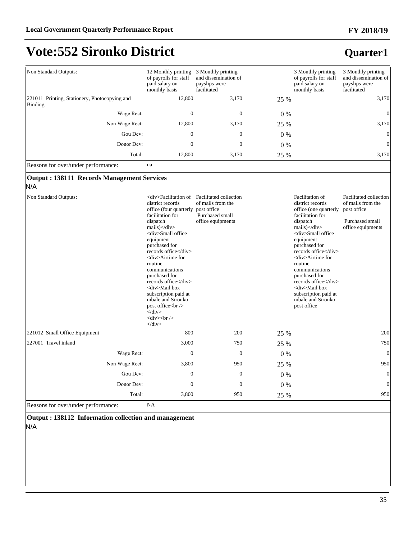### **FY 2018/19**

# **Vote:552 Sironko District**

## **Quarter1**

| Non Standard Outputs:                                           | 12 Monthly printing<br>of payrolls for staff<br>paid salary on<br>monthly basis                                                                                                                                                                                                                                                                                                                                                                                                                                  | 3 Monthly printing<br>and dissemination of<br>payslips were<br>facilitated                                                        |       | 3 Monthly printing<br>of payrolls for staff<br>paid salary on<br>monthly basis                                                                                                                                                                                                                                                                                                                 | 3 Monthly printing<br>and dissemination of<br>payslips were<br>facilitated                         |
|-----------------------------------------------------------------|------------------------------------------------------------------------------------------------------------------------------------------------------------------------------------------------------------------------------------------------------------------------------------------------------------------------------------------------------------------------------------------------------------------------------------------------------------------------------------------------------------------|-----------------------------------------------------------------------------------------------------------------------------------|-------|------------------------------------------------------------------------------------------------------------------------------------------------------------------------------------------------------------------------------------------------------------------------------------------------------------------------------------------------------------------------------------------------|----------------------------------------------------------------------------------------------------|
| 221011 Printing, Stationery, Photocopying and<br><b>Binding</b> | 12,800                                                                                                                                                                                                                                                                                                                                                                                                                                                                                                           | 3,170                                                                                                                             | 25 %  |                                                                                                                                                                                                                                                                                                                                                                                                | 3,170                                                                                              |
| Wage Rect:                                                      | $\mathbf{0}$                                                                                                                                                                                                                                                                                                                                                                                                                                                                                                     | $\mathbf{0}$                                                                                                                      | $0\%$ |                                                                                                                                                                                                                                                                                                                                                                                                | $\Omega$                                                                                           |
| Non Wage Rect:                                                  | 12,800                                                                                                                                                                                                                                                                                                                                                                                                                                                                                                           | 3,170                                                                                                                             | 25 %  |                                                                                                                                                                                                                                                                                                                                                                                                | 3,170                                                                                              |
| Gou Dev:                                                        | $\mathbf{0}$                                                                                                                                                                                                                                                                                                                                                                                                                                                                                                     | $\mathbf{0}$                                                                                                                      | $0\%$ |                                                                                                                                                                                                                                                                                                                                                                                                | $\theta$                                                                                           |
| Donor Dev:                                                      | $\Omega$                                                                                                                                                                                                                                                                                                                                                                                                                                                                                                         | $\Omega$                                                                                                                          | $0\%$ |                                                                                                                                                                                                                                                                                                                                                                                                | $\boldsymbol{0}$                                                                                   |
| Total:                                                          | 12,800                                                                                                                                                                                                                                                                                                                                                                                                                                                                                                           | 3,170                                                                                                                             | 25 %  |                                                                                                                                                                                                                                                                                                                                                                                                | 3,170                                                                                              |
| Reasons for over/under performance:                             | na                                                                                                                                                                                                                                                                                                                                                                                                                                                                                                               |                                                                                                                                   |       |                                                                                                                                                                                                                                                                                                                                                                                                |                                                                                                    |
| <b>Output: 138111 Records Management Services</b><br>N/A        |                                                                                                                                                                                                                                                                                                                                                                                                                                                                                                                  |                                                                                                                                   |       |                                                                                                                                                                                                                                                                                                                                                                                                |                                                                                                    |
| Non Standard Outputs:                                           | district records<br>office (four quarterly<br>facilitation for<br>dispatch<br>$mails$ $\lt$ /div $>$<br><div>Small office<br/>equipment<br/>purchased for<br/>records office</div><br><div>Airtime for<br/>routine<br/>communications<br/>purchased for<br/>records office</div><br><div>Mail box<br/>subscription paid at<br/>mbale and Sironko<br/>post office<br/><br/><math>\langle</math>div&gt;<br/><math>\langle</math>div<math>&gt;</math>br/<math>&gt;</math><br><math>\langle</math>div&gt;</br></div> | <div>Facilitation of Facilitated collection<br/>of mails from the<br/>post office<br/>Purchased small<br/>office equipments</div> |       | Facilitation of<br>district records<br>office (one quarterly<br>facilitation for<br>dispatch<br>mails $\frac{1}{\sqrt{div}}$<br><div>Small office<br/>equipment<br/>purchased for<br/>records office</div><br><div>Airtime for<br/>routine<br/>communications<br/>purchased for<br/>records office</div><br><div>Mail box<br/>subscription paid at<br/>mbale and Sironko<br/>post office</div> | Facilitated collection<br>of mails from the<br>post office<br>Purchased small<br>office equipments |
| 221012 Small Office Equipment                                   | 800                                                                                                                                                                                                                                                                                                                                                                                                                                                                                                              | 200                                                                                                                               | 25 %  |                                                                                                                                                                                                                                                                                                                                                                                                | 200                                                                                                |
| 227001 Travel inland                                            | 3,000                                                                                                                                                                                                                                                                                                                                                                                                                                                                                                            | 750                                                                                                                               | 25 %  |                                                                                                                                                                                                                                                                                                                                                                                                | 750                                                                                                |
| Wage Rect:                                                      | $\Omega$                                                                                                                                                                                                                                                                                                                                                                                                                                                                                                         | $\Omega$                                                                                                                          | $0\%$ |                                                                                                                                                                                                                                                                                                                                                                                                | $\Omega$                                                                                           |
| Non Wage Rect:                                                  | 3,800                                                                                                                                                                                                                                                                                                                                                                                                                                                                                                            | 950                                                                                                                               | 25 %  |                                                                                                                                                                                                                                                                                                                                                                                                | 950                                                                                                |
| Gou Dev:                                                        | $\mathbf{0}$                                                                                                                                                                                                                                                                                                                                                                                                                                                                                                     | $\mathbf{0}$                                                                                                                      | $0\%$ |                                                                                                                                                                                                                                                                                                                                                                                                | $\mathbf{0}$                                                                                       |
|                                                                 | $\mathbf{0}$                                                                                                                                                                                                                                                                                                                                                                                                                                                                                                     | $\mathbf{0}$                                                                                                                      | $0\%$ |                                                                                                                                                                                                                                                                                                                                                                                                | $\mathbf{0}$                                                                                       |
| Donor Dev:                                                      |                                                                                                                                                                                                                                                                                                                                                                                                                                                                                                                  |                                                                                                                                   |       |                                                                                                                                                                                                                                                                                                                                                                                                |                                                                                                    |

**Output : 138112 Information collection and management**  N/A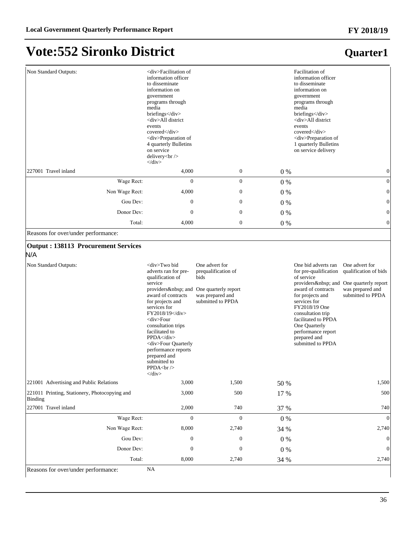### **FY 2018/19**

# **Vote:552 Sironko District**

## **Quarter1**

| Non Standard Outputs:                                                                                                 | <div>Facilitation of<br/>information officer<br/>to disseminate<br/>information on<br/>government<br/>programs through<br/>media<br/>briefings</div><br><div>All district<br/>events<br/>covered</div><br><div>Preparation of<br/>4 quarterly Bulletins<br/>on service<br/>delivery<br/><br/><math>\langle</math>div<math>&gt;</math></div>                                                                                                 |                                                                                                 |         | Facilitation of<br>information officer<br>to disseminate<br>information on<br>government<br>programs through<br>media<br>briefings<br><div>All district<br/>events<br/>covered</div><br><div>Preparation of<br/>1 quarterly Bulletins<br/>on service delivery</div> |                                                                                                                                  |
|-----------------------------------------------------------------------------------------------------------------------|---------------------------------------------------------------------------------------------------------------------------------------------------------------------------------------------------------------------------------------------------------------------------------------------------------------------------------------------------------------------------------------------------------------------------------------------|-------------------------------------------------------------------------------------------------|---------|---------------------------------------------------------------------------------------------------------------------------------------------------------------------------------------------------------------------------------------------------------------------|----------------------------------------------------------------------------------------------------------------------------------|
| 227001 Travel inland                                                                                                  | 4,000                                                                                                                                                                                                                                                                                                                                                                                                                                       | $\boldsymbol{0}$                                                                                | $0\ \%$ |                                                                                                                                                                                                                                                                     | $\boldsymbol{0}$                                                                                                                 |
| Wage Rect:                                                                                                            | $\overline{0}$                                                                                                                                                                                                                                                                                                                                                                                                                              | $\boldsymbol{0}$                                                                                | $0\%$   |                                                                                                                                                                                                                                                                     | $\boldsymbol{0}$                                                                                                                 |
| Non Wage Rect:                                                                                                        | 4,000                                                                                                                                                                                                                                                                                                                                                                                                                                       | $\boldsymbol{0}$                                                                                | $0\%$   |                                                                                                                                                                                                                                                                     | $\boldsymbol{0}$                                                                                                                 |
| Gou Dev:                                                                                                              | $\boldsymbol{0}$                                                                                                                                                                                                                                                                                                                                                                                                                            | $\boldsymbol{0}$                                                                                | $0\%$   |                                                                                                                                                                                                                                                                     | $\boldsymbol{0}$                                                                                                                 |
| Donor Dev:                                                                                                            | $\mathbf{0}$                                                                                                                                                                                                                                                                                                                                                                                                                                | $\boldsymbol{0}$                                                                                | 0%      |                                                                                                                                                                                                                                                                     | $\boldsymbol{0}$                                                                                                                 |
| Total:                                                                                                                | 4,000                                                                                                                                                                                                                                                                                                                                                                                                                                       | $\boldsymbol{0}$                                                                                | $0\%$   |                                                                                                                                                                                                                                                                     | $\boldsymbol{0}$                                                                                                                 |
| Reasons for over/under performance:                                                                                   |                                                                                                                                                                                                                                                                                                                                                                                                                                             |                                                                                                 |         |                                                                                                                                                                                                                                                                     |                                                                                                                                  |
| <b>Output: 138113 Procurement Services</b><br>N/A<br>Non Standard Outputs:<br>221001 Advertising and Public Relations | <div>Two bid<br/>adverts ran for pre-<br/>qualification of<br/>service<br/>providers  and One quarterly report<br/>award of contracts<br/>for projects and<br/>services for<br/>FY2018/19</div><br><div>Four<br/>consultation trips<br/>facilitated to<br/>PPDA</div><br><div>Four Quarterly<br/>performance reports<br/>prepared and<br/>submitted to<br/>PPDA<br/>chr / &gt;<br/><math>\langle</math>div<math>&gt;</math><br/>3,000</div> | One advert for<br>prequalification of<br>bids<br>was prepared and<br>submitted to PPDA<br>1,500 | 50 %    | One bid adverts ran<br>for pre-qualification<br>of service<br>award of contracts<br>for projects and<br>services for<br>FY2018/19 One<br>consultation trip<br>facilitated to PPDA<br>One Quarterly<br>performance report<br>prepared and<br>submitted to PPDA       | One advert for<br>qualification of bids<br>providers  and One quarterly report<br>was prepared and<br>submitted to PPDA<br>1,500 |
| 221011 Printing, Stationery, Photocopying and                                                                         | 3,000                                                                                                                                                                                                                                                                                                                                                                                                                                       | 500                                                                                             | 17 %    |                                                                                                                                                                                                                                                                     | 500                                                                                                                              |
| Binding                                                                                                               |                                                                                                                                                                                                                                                                                                                                                                                                                                             |                                                                                                 |         |                                                                                                                                                                                                                                                                     |                                                                                                                                  |
| 227001 Travel inland<br>Wage Rect:                                                                                    | 2,000<br>$\mathbf{0}$                                                                                                                                                                                                                                                                                                                                                                                                                       | 740                                                                                             | 37 %    |                                                                                                                                                                                                                                                                     | 740<br>$\Omega$                                                                                                                  |
| Non Wage Rect:                                                                                                        |                                                                                                                                                                                                                                                                                                                                                                                                                                             | $\boldsymbol{0}$                                                                                | $0\ \%$ |                                                                                                                                                                                                                                                                     | 2,740                                                                                                                            |
| Gou Dev:                                                                                                              | 8,000                                                                                                                                                                                                                                                                                                                                                                                                                                       | 2,740                                                                                           | 34 %    |                                                                                                                                                                                                                                                                     |                                                                                                                                  |
|                                                                                                                       | $\boldsymbol{0}$                                                                                                                                                                                                                                                                                                                                                                                                                            | $\mathbf{0}$                                                                                    | $0\ \%$ |                                                                                                                                                                                                                                                                     | $\mathbf{0}$                                                                                                                     |
| Donor Dev:<br>Total:                                                                                                  | $\boldsymbol{0}$                                                                                                                                                                                                                                                                                                                                                                                                                            | $\boldsymbol{0}$                                                                                | $0\ \%$ |                                                                                                                                                                                                                                                                     | $\mathbf{0}$                                                                                                                     |
| Reasons for over/under performance:                                                                                   | 8,000<br>NA                                                                                                                                                                                                                                                                                                                                                                                                                                 | 2,740                                                                                           | 34 %    |                                                                                                                                                                                                                                                                     | 2,740                                                                                                                            |

36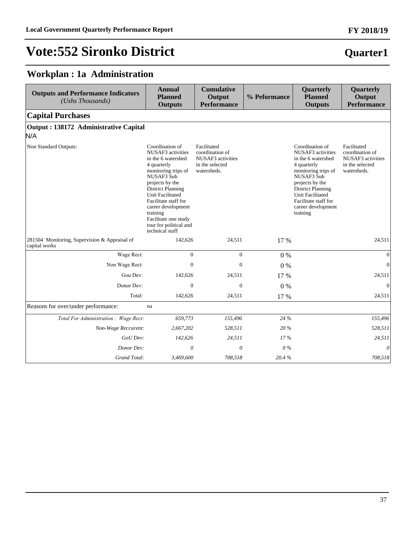### **Quarter1**

### **Workplan : 1a Administration**

| <b>Outputs and Performance Indicators</b><br>(Ushs Thousands)  | <b>Annual</b><br><b>Planned</b><br><b>Outputs</b>                                                                                                                                                                                                                                                                       | <b>Cumulative</b><br>Output<br><b>Performance</b>                                     | % Peformance | Quarterly<br><b>Planned</b><br><b>Outputs</b>                                                                                                                                                                                               | Quarterly<br>Output<br><b>Performance</b>                                             |
|----------------------------------------------------------------|-------------------------------------------------------------------------------------------------------------------------------------------------------------------------------------------------------------------------------------------------------------------------------------------------------------------------|---------------------------------------------------------------------------------------|--------------|---------------------------------------------------------------------------------------------------------------------------------------------------------------------------------------------------------------------------------------------|---------------------------------------------------------------------------------------|
| <b>Capital Purchases</b>                                       |                                                                                                                                                                                                                                                                                                                         |                                                                                       |              |                                                                                                                                                                                                                                             |                                                                                       |
| Output: 138172 Administrative Capital<br>N/A                   |                                                                                                                                                                                                                                                                                                                         |                                                                                       |              |                                                                                                                                                                                                                                             |                                                                                       |
| Non Standard Outputs:                                          | Coordination of<br>NUSAF3 activities<br>in the 6 watershed<br>4 quarterly<br>monitoring trips of<br>NUSAF3 Sub<br>projects by the<br><b>District Planning</b><br><b>Unit Facilitated</b><br>Facilitate staff for<br>career development<br>training<br>Facilitate one study<br>tour for political and<br>technical staff | Facilitated<br>coordination of<br>NUSAF3 activities<br>in the selected<br>watersheds. |              | Coordination of<br>NUSAF3 activities<br>in the 6 watershed<br>4 quarterly<br>monitoring trips of<br>NUSAF3 Sub<br>projects by the<br><b>District Planning</b><br>Unit Facilitated<br>Facilitate staff for<br>career development<br>training | Facilitated<br>coordination of<br>NUSAF3 activities<br>in the selected<br>watersheds. |
| 281504 Monitoring, Supervision & Appraisal of<br>capital works | 142,626                                                                                                                                                                                                                                                                                                                 | 24,511                                                                                | 17 %         |                                                                                                                                                                                                                                             | 24,511                                                                                |
| Wage Rect:                                                     | $\boldsymbol{0}$                                                                                                                                                                                                                                                                                                        | $\boldsymbol{0}$                                                                      | $0\%$        |                                                                                                                                                                                                                                             | $\mathbf{0}$                                                                          |
| Non Wage Rect:                                                 | $\mathbf{0}$                                                                                                                                                                                                                                                                                                            | $\Omega$                                                                              | $0\%$        |                                                                                                                                                                                                                                             | $\mathbf{0}$                                                                          |
| Gou Dev:                                                       | 142,626                                                                                                                                                                                                                                                                                                                 | 24,511                                                                                | 17 %         |                                                                                                                                                                                                                                             | 24,511                                                                                |
| Donor Dev:                                                     | $\boldsymbol{0}$                                                                                                                                                                                                                                                                                                        | $\overline{0}$                                                                        | 0%           |                                                                                                                                                                                                                                             | $\mathbf{0}$                                                                          |
| Total:                                                         | 142,626                                                                                                                                                                                                                                                                                                                 | 24,511                                                                                | 17 %         |                                                                                                                                                                                                                                             | 24,511                                                                                |
| Reasons for over/under performance:                            | na                                                                                                                                                                                                                                                                                                                      |                                                                                       |              |                                                                                                                                                                                                                                             |                                                                                       |
| Total For Administration: Wage Rect:                           | 659,773                                                                                                                                                                                                                                                                                                                 | 155,496                                                                               | 24 %         |                                                                                                                                                                                                                                             | 155,496                                                                               |
| Non-Wage Reccurent:                                            | 2,667,202                                                                                                                                                                                                                                                                                                               | 528,511                                                                               | 20%          |                                                                                                                                                                                                                                             | 528,511                                                                               |
| GoU Dev:                                                       | 142,626                                                                                                                                                                                                                                                                                                                 | 24,511                                                                                | 17%          |                                                                                                                                                                                                                                             | 24,511                                                                                |
| Donor Dev:                                                     | $\theta$                                                                                                                                                                                                                                                                                                                | $\theta$                                                                              | $0\%$        |                                                                                                                                                                                                                                             | $\theta$                                                                              |
| Grand Total:                                                   | 3,469,600                                                                                                                                                                                                                                                                                                               | 708,518                                                                               | 20.4%        |                                                                                                                                                                                                                                             | 708,518                                                                               |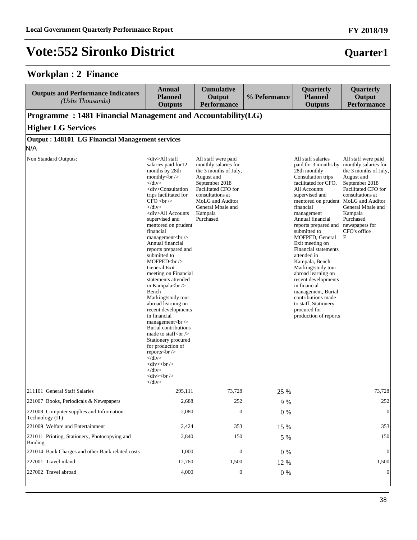#### **Workplan : 2 Finance**

| <b>Outputs and Performance Indicators</b><br>(Ushs Thousands) | Annual<br><b>Planned</b><br><b>Outputs</b>                                                                                                                                                                                                                                                                                                                                                                                                                                                                                                                                                                                                                                                                                                                                                                                                                                                                                                                                                                                                                                                                             | <b>Cumulative</b><br>Output<br><b>Performance</b> | % Peformance | Quarterly<br><b>Planned</b><br><b>Outputs</b> | Quarterly<br>Output<br><b>Performance</b> |
|---------------------------------------------------------------|------------------------------------------------------------------------------------------------------------------------------------------------------------------------------------------------------------------------------------------------------------------------------------------------------------------------------------------------------------------------------------------------------------------------------------------------------------------------------------------------------------------------------------------------------------------------------------------------------------------------------------------------------------------------------------------------------------------------------------------------------------------------------------------------------------------------------------------------------------------------------------------------------------------------------------------------------------------------------------------------------------------------------------------------------------------------------------------------------------------------|---------------------------------------------------|--------------|-----------------------------------------------|-------------------------------------------|
| Programme: 1481 Financial Management and Accountability(LG)   |                                                                                                                                                                                                                                                                                                                                                                                                                                                                                                                                                                                                                                                                                                                                                                                                                                                                                                                                                                                                                                                                                                                        |                                                   |              |                                               |                                           |
| <b>Higher LG Services</b>                                     |                                                                                                                                                                                                                                                                                                                                                                                                                                                                                                                                                                                                                                                                                                                                                                                                                                                                                                                                                                                                                                                                                                                        |                                                   |              |                                               |                                           |
| <b>Output: 148101 LG Financial Management services</b><br>N/A |                                                                                                                                                                                                                                                                                                                                                                                                                                                                                                                                                                                                                                                                                                                                                                                                                                                                                                                                                                                                                                                                                                                        |                                                   |              |                                               |                                           |
| Non Standard Outputs:                                         | <div>All staff<br/>salaries paid for 12<br/>months by 28th<br/>monthly<math>br&gt;</math><br/><math>\langle</math>div&gt;<br/><div>Consultation<br/>trips facilitated for<br/>CFO <sub>br</sub><br/><math>\langle</math>div<math>&gt;</math><br/><div>All Accounts<br/>supervised and<br/>mentored on prudent<br/>financial<br/>management<br/>br/&gt;<br/>Annual financial<br/>reports prepared and<br>submitted to<br/>MOFPED<br/><math>\triangleright</math><br/>General Exit<br/>meeting on Financial<br>statements attended<br/>in Kampala<br/>s<math>\frac{1}{2}</math><br/>Bench<br/>Marking/study tour<br>abroad learning on<br/>recent developments<br/>in financial<br/>management<br/>br/&gt;<br/>Burial contributions<br/>made to staff<math>&lt;</math>br<math>&gt;</math><br>Stationery procured<br/>for production of<br/>reports <math>\langle</math>br<math>\rangle</math><br/><math>\langle</math>div<math>&gt;</math><br/><div><br/><br/><math>\langle</math>div<math>&gt;</math><br/><div><br><br/><math>\langle</math>div<math>&gt;</math></br></div></div></br></br></br></br></div></div></div> |                                                   |              |                                               |                                           |

 All staff were paidmonthly salaries forthe 3 months of July,August andSeptember 2018Facilitated CFO forconsultations atMoLG and AuditorGeneral Mbale andKampalaPurchased |  | All staff salariespaid for 3 months by monthly salaries for28th monthlyConsultation tripsfacilitated for CFO,All Accountssupervised andmentored on prudent MoLG and AuditorfinancialmanagementAnnual financialreports prepared andsubmitted toMOFPED, GeneralExit meeting on**Financial statements**attended inKampala, BenchMarking/study tourabroad learning onrecent developmentsin financialmanagement, Burialcontributions madeto staff, Stationeryprocured forproduction of reports | All staff were paidthe 3 months of July,August andSeptember 2018Facilitated CFO forconsultations atGeneral Mbale andKampalaPurchasednewspapers forCFO's officeF || 211101 General Staff Salaries | 295,111 | 73,728 | 25 % |  | 73,728 |
| 221007 Books, Periodicals & Newspapers | 2,688 | 252 | 9 % |  | 252 |
| 221008 Computer supplies and InformationTechnology (IT) | 2,080 | $\boldsymbol{0}$ | $0\%$ |  | $\mathbf{0}$ |
| 221009 Welfare and Entertainment | 2,424 | 353 | 15 % |  | 353 |
| 221011 Printing, Stationery, Photocopying and**Binding** | 2,840 | 150 | 5 % |  | 150 |
| 221014 Bank Charges and other Bank related costs | 1,000 | $\boldsymbol{0}$ | 0% |  | $\boldsymbol{0}$ |
| 227001 Travel inland | 12,760 | 1,500 | 12 % |  | 1,500 |
| 227002 Travel abroad | 4,000 | $\boldsymbol{0}$ | $0\ \%$ |  | $\mathbf{0}$ |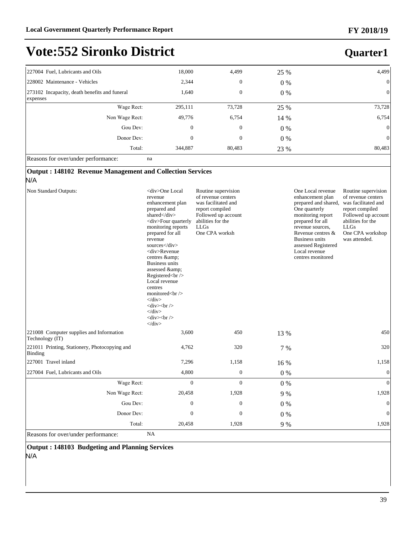**Quarter1**

## **Vote:552 Sironko District**

| 227004 Fuel, Lubricants and Oils                           | 18,000         | 4,499            | 25 %  | 4,499          |
|------------------------------------------------------------|----------------|------------------|-------|----------------|
| 228002 Maintenance - Vehicles                              | 2,344          | $\boldsymbol{0}$ | $0\%$ | $\mathbf{0}$   |
| [273102 Incapacity, death benefits and funeral<br>expenses | 1,640          | $\boldsymbol{0}$ | $0\%$ | $\mathbf{0}$   |
| Wage Rect:                                                 | 295,111        | 73,728           | 25 %  | 73,728         |
| Non Wage Rect:                                             | 49,776         | 6,754            | 14 %  | 6,754          |
| Gou Dev:                                                   | $\overline{0}$ | $\boldsymbol{0}$ | 0 %   | $\overline{0}$ |
| Donor Dev:                                                 | $\mathbf{0}$   | 0                | $0\%$ | $\mathbf{0}$   |
| Total:                                                     | 344,887        | 80,483           | 23 %  | 80,483         |
| $\sim$<br>$\sim$<br>. .<br>$\sim$                          |                |                  |       |                |

Reasons for over/under performance: na

#### **Output : 148102 Revenue Management and Collection Services**

#### N/A

| Non Standard Outputs:                                       | <div>One Local<br/>revenue<br/>enhancement plan<br/>prepared and<br/>shared</div><br><div>Four quarterly<br/>monitoring reports<br/>prepared for all<br/>revenue<br/>sources</div><br><div>Revenue<br/>centres &amp;<br/><b>Business units</b><br/>assessed &amp;:<br/>Registered<br/><br/>Local revenue<br/>centres<br>monitored<br/>br/&gt;<br/><math>\langle</math>div&gt;<br/><math>\langle</math>div<math>&gt;</math>br/<math>&gt;</math><br><math>\langle</math>div&gt;<br/><math>\langle</math>div<math>&gt;</math>br/<math>&gt;</math><br/><math>\langle</math>div&gt;</br></br></div> | Routine supervision<br>of revenue centers<br>was facilitated and<br>report compiled<br>Followed up account<br>abilities for the<br><b>LLGs</b><br>One CPA worksh |       | One Local revenue<br>enhancement plan<br>prepared and shared,<br>One quarterly<br>monitoring report<br>prepared for all<br>revenue sources,<br>Revenue centres &<br><b>Business units</b><br>assessed Registered<br>Local revenue<br>centres monitored | Routine supervision<br>of revenue centers<br>was facilitated and<br>report compiled<br>Followed up account<br>abilities for the<br><b>LLGs</b><br>One CPA workshop<br>was attended. |
|-------------------------------------------------------------|------------------------------------------------------------------------------------------------------------------------------------------------------------------------------------------------------------------------------------------------------------------------------------------------------------------------------------------------------------------------------------------------------------------------------------------------------------------------------------------------------------------------------------------------------------------------------------------------|------------------------------------------------------------------------------------------------------------------------------------------------------------------|-------|--------------------------------------------------------------------------------------------------------------------------------------------------------------------------------------------------------------------------------------------------------|-------------------------------------------------------------------------------------------------------------------------------------------------------------------------------------|
| 221008 Computer supplies and Information<br>Technology (IT) | 3,600                                                                                                                                                                                                                                                                                                                                                                                                                                                                                                                                                                                          | 450                                                                                                                                                              | 13 %  |                                                                                                                                                                                                                                                        | 450                                                                                                                                                                                 |
| 221011 Printing, Stationery, Photocopying and<br>Binding    | 4,762                                                                                                                                                                                                                                                                                                                                                                                                                                                                                                                                                                                          | 320                                                                                                                                                              | 7 %   |                                                                                                                                                                                                                                                        | 320                                                                                                                                                                                 |
| 227001 Travel inland                                        | 7,296                                                                                                                                                                                                                                                                                                                                                                                                                                                                                                                                                                                          | 1,158                                                                                                                                                            | 16 %  |                                                                                                                                                                                                                                                        | 1,158                                                                                                                                                                               |
| 227004 Fuel, Lubricants and Oils                            | 4,800                                                                                                                                                                                                                                                                                                                                                                                                                                                                                                                                                                                          | $\boldsymbol{0}$                                                                                                                                                 | $0\%$ |                                                                                                                                                                                                                                                        | $\overline{0}$                                                                                                                                                                      |
| Wage Rect:                                                  | $\overline{0}$                                                                                                                                                                                                                                                                                                                                                                                                                                                                                                                                                                                 | $\theta$                                                                                                                                                         | $0\%$ |                                                                                                                                                                                                                                                        | $\Omega$                                                                                                                                                                            |
| Non Wage Rect:                                              | 20,458                                                                                                                                                                                                                                                                                                                                                                                                                                                                                                                                                                                         | 1,928                                                                                                                                                            | 9 %   |                                                                                                                                                                                                                                                        | 1,928                                                                                                                                                                               |
| Gou Dev:                                                    | $\overline{0}$                                                                                                                                                                                                                                                                                                                                                                                                                                                                                                                                                                                 | $\mathbf{0}$                                                                                                                                                     | $0\%$ |                                                                                                                                                                                                                                                        | $\overline{0}$                                                                                                                                                                      |
| Donor Dev:                                                  | $\overline{0}$                                                                                                                                                                                                                                                                                                                                                                                                                                                                                                                                                                                 | $\mathbf{0}$                                                                                                                                                     | $0\%$ |                                                                                                                                                                                                                                                        | $\theta$                                                                                                                                                                            |
| Total:                                                      | 20,458                                                                                                                                                                                                                                                                                                                                                                                                                                                                                                                                                                                         | 1,928                                                                                                                                                            | 9 %   |                                                                                                                                                                                                                                                        | 1,928                                                                                                                                                                               |

Reasons for over/under performance: NA

**Output : 148103 Budgeting and Planning Services** N/A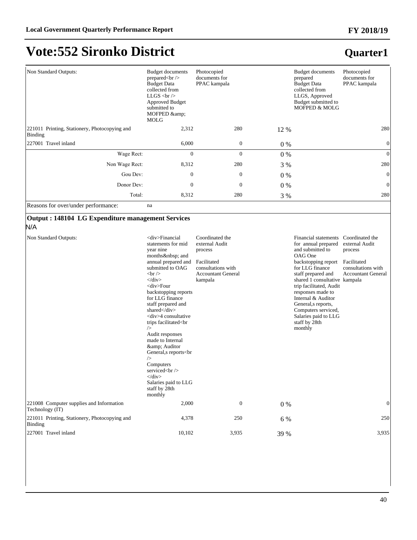**Quarter1**

## **Vote:552 Sironko District**

| Non Standard Outputs:                                    | <b>Budget documents</b><br>prepared $&>$<br><b>Budget Data</b><br>collected from<br>LLGS $br$<br><b>Approved Budget</b><br>submitted to<br>MOFPED &<br><b>MOLG</b> | Photocopied<br>documents for<br>PPAC kampala |       | <b>Budget documents</b><br>prepared<br><b>Budget Data</b><br>collected from<br>LLGS, Approved<br>Budget submitted to<br>MOFPED & MOLG | Photocopied<br>documents for<br>PPAC kampala |
|----------------------------------------------------------|--------------------------------------------------------------------------------------------------------------------------------------------------------------------|----------------------------------------------|-------|---------------------------------------------------------------------------------------------------------------------------------------|----------------------------------------------|
| 221011 Printing, Stationery, Photocopying and<br>Binding | 2,312                                                                                                                                                              | 280                                          | 12 %  |                                                                                                                                       | 280                                          |
| 227001 Travel inland                                     | 6,000                                                                                                                                                              | $\mathbf{0}$                                 | $0\%$ |                                                                                                                                       | $\overline{0}$                               |
| Wage Rect:                                               | $\Omega$                                                                                                                                                           | $\theta$                                     | $0\%$ |                                                                                                                                       | $\theta$                                     |
| Non Wage Rect:                                           | 8,312                                                                                                                                                              | 280                                          | 3 %   |                                                                                                                                       | 280                                          |
| Gou Dev:                                                 | $\theta$                                                                                                                                                           | $\mathbf{0}$                                 | $0\%$ |                                                                                                                                       | $\theta$                                     |
| Donor Dev:                                               | $\Omega$                                                                                                                                                           | $\theta$                                     | $0\%$ |                                                                                                                                       | $\mathbf{0}$                                 |
| Total:                                                   | 8,312                                                                                                                                                              | 280                                          | 3 %   |                                                                                                                                       | 280                                          |

Reasons for over/under performance: na

#### **Output : 148104 LG Expenditure management Services**

#### N/A

| Non Standard Outputs:                                       | <div>Financial<br/>statements for mid<br/>year nine<br/>months  and<br/>annual prepared and<br/>submitted to OAG<br/>br<br/><math>\langle</math>div&gt;<br/><div>Four<br/>backstopping reports<br/>for LLG finance<br/>staff prepared and<br/>shared &lt; /div &gt;<br/><div>4 consultative<br/>trips facilitated<br<br><math>\rightarrow</math><br/>Audit responses<br/>made to Internal<br/>&amp; Auditor<br/>General, s reports<br<br><math>\rightarrow</math><br/>Computers<br/>serviced<br/><br/><math>\langle</math>div&gt;<br/>Salaries paid to LLG<br>staff by 28th<br/>monthly</br></br<br></br<br></div></div></div> | Coordinated the<br>external Audit<br>process<br>Facilitated<br>consultations with<br><b>Accountant General</b><br>kampala |       | <b>Financial statements</b><br>for annual prepared<br>and submitted to<br>OAG One<br>backstopping report<br>for LLG finance<br>staff prepared and<br>shared 1 consultative kampala<br>trip facilitated, Audit<br>responses made to<br>Internal & Auditor<br>General, s reports,<br>Computers serviced,<br>Salaries paid to LLG<br>staff by 28th<br>monthly | Coordinated the<br>external Audit<br>process<br>Facilitated<br>consultations with<br><b>Accountant General</b> |
|-------------------------------------------------------------|--------------------------------------------------------------------------------------------------------------------------------------------------------------------------------------------------------------------------------------------------------------------------------------------------------------------------------------------------------------------------------------------------------------------------------------------------------------------------------------------------------------------------------------------------------------------------------------------------------------------------------|---------------------------------------------------------------------------------------------------------------------------|-------|------------------------------------------------------------------------------------------------------------------------------------------------------------------------------------------------------------------------------------------------------------------------------------------------------------------------------------------------------------|----------------------------------------------------------------------------------------------------------------|
| 221008 Computer supplies and Information<br>Technology (IT) | 2,000                                                                                                                                                                                                                                                                                                                                                                                                                                                                                                                                                                                                                          | $\mathbf{0}$                                                                                                              | $0\%$ |                                                                                                                                                                                                                                                                                                                                                            | $\vert 0 \vert$                                                                                                |
| 221011 Printing, Stationery, Photocopying and<br>Binding    | 4,378                                                                                                                                                                                                                                                                                                                                                                                                                                                                                                                                                                                                                          | 250                                                                                                                       | 6 %   |                                                                                                                                                                                                                                                                                                                                                            | 250                                                                                                            |
| 227001 Travel inland                                        | 10,102                                                                                                                                                                                                                                                                                                                                                                                                                                                                                                                                                                                                                         | 3,935                                                                                                                     | 39 %  |                                                                                                                                                                                                                                                                                                                                                            | 3,935                                                                                                          |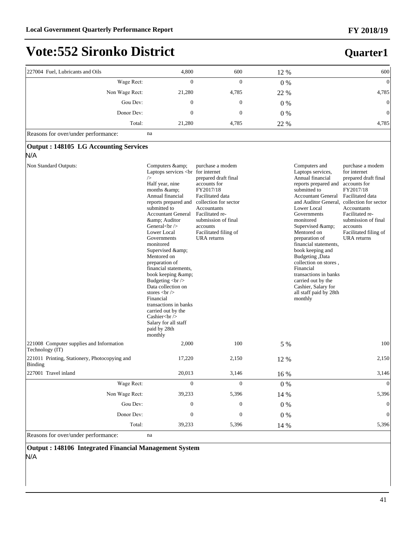**Quarter1**

## **Vote:552 Sironko District**

| 227004 Fuel, Lubricants and Oils                                | 4,800                                                                                                                                                                                                                                                                                                                                                                                                                                                                             | 600                                                                                                                                                                                                                                           | 12 %    | 600                                                                                                                                                                                                                                                                                                                                                                                                                                                                                                                                                                                                                                                                                                                   |
|-----------------------------------------------------------------|-----------------------------------------------------------------------------------------------------------------------------------------------------------------------------------------------------------------------------------------------------------------------------------------------------------------------------------------------------------------------------------------------------------------------------------------------------------------------------------|-----------------------------------------------------------------------------------------------------------------------------------------------------------------------------------------------------------------------------------------------|---------|-----------------------------------------------------------------------------------------------------------------------------------------------------------------------------------------------------------------------------------------------------------------------------------------------------------------------------------------------------------------------------------------------------------------------------------------------------------------------------------------------------------------------------------------------------------------------------------------------------------------------------------------------------------------------------------------------------------------------|
| Wage Rect:                                                      | $\overline{0}$                                                                                                                                                                                                                                                                                                                                                                                                                                                                    | $\overline{0}$                                                                                                                                                                                                                                |         | $\vert 0 \vert$                                                                                                                                                                                                                                                                                                                                                                                                                                                                                                                                                                                                                                                                                                       |
|                                                                 | 21,280                                                                                                                                                                                                                                                                                                                                                                                                                                                                            |                                                                                                                                                                                                                                               | $0\%$   | 4,785                                                                                                                                                                                                                                                                                                                                                                                                                                                                                                                                                                                                                                                                                                                 |
| Non Wage Rect:                                                  |                                                                                                                                                                                                                                                                                                                                                                                                                                                                                   | 4,785                                                                                                                                                                                                                                         | 22 %    |                                                                                                                                                                                                                                                                                                                                                                                                                                                                                                                                                                                                                                                                                                                       |
| Gou Dev:                                                        | $\overline{0}$                                                                                                                                                                                                                                                                                                                                                                                                                                                                    | $\boldsymbol{0}$                                                                                                                                                                                                                              | $0\%$   | $\vert 0 \vert$                                                                                                                                                                                                                                                                                                                                                                                                                                                                                                                                                                                                                                                                                                       |
| Donor Dev:                                                      | $\mathbf{0}$                                                                                                                                                                                                                                                                                                                                                                                                                                                                      | $\mathbf{0}$                                                                                                                                                                                                                                  | $0\%$   | $\vert 0 \vert$                                                                                                                                                                                                                                                                                                                                                                                                                                                                                                                                                                                                                                                                                                       |
| Total:                                                          | 21,280                                                                                                                                                                                                                                                                                                                                                                                                                                                                            | 4,785                                                                                                                                                                                                                                         | 22 %    | 4,785                                                                                                                                                                                                                                                                                                                                                                                                                                                                                                                                                                                                                                                                                                                 |
| Reasons for over/under performance:                             | na                                                                                                                                                                                                                                                                                                                                                                                                                                                                                |                                                                                                                                                                                                                                               |         |                                                                                                                                                                                                                                                                                                                                                                                                                                                                                                                                                                                                                                                                                                                       |
| <b>Output: 148105 LG Accounting Services</b><br>N/A             |                                                                                                                                                                                                                                                                                                                                                                                                                                                                                   |                                                                                                                                                                                                                                               |         |                                                                                                                                                                                                                                                                                                                                                                                                                                                                                                                                                                                                                                                                                                                       |
| Non Standard Outputs:                                           | Computers & amp;<br>Laptops services<br>$\rightarrow$<br>Half year, nine<br>months & amp;<br>Annual financial<br>reports prepared and<br>submitted to<br><b>Accountant General</b><br>& Auditor<br>General $\langle$ br $\rangle$<br>Lower Local<br>Governments<br>monitored<br>Supervised &<br>Mentored on<br>preparation of<br>financial statements,<br>book keeping &<br>Budgeting<br><br>br /><br>Data collection on<br>stores $br$<br>Financial<br>transactions in banks<br> | purchase a modem<br>prepared draft final<br>accounts for<br>FY2017/18<br>Facilitated data<br>collection for sector<br><b>Accountants</b><br>Facilitated re-<br>submission of final<br>accounts<br>Facilitated filing of<br><b>URA</b> returns |         | Computers and<br>purchase a modem<br>Laptops services,<br>for internet<br>Annual financial<br>prepared draft final<br>reports prepared and<br>accounts for<br>FY2017/18<br>submitted to<br><b>Accountant General</b><br>Facilitated data<br>and Auditor General, collection for sector<br>Lower Local<br>Accountants<br>Governments<br>Facilitated re-<br>monitored<br>submission of final<br>Supervised & amp;<br>accounts<br>Facilitated filing of<br>Mentored on<br>preparation of<br>URA returns<br>financial statements,<br>book keeping and<br>Budgeting, Data<br>collection on stores,<br>Financial<br>transactions in banks<br>carried out by the<br>Cashier, Salary for<br>all staff paid by 28th<br>monthly |
| 221008 Computer supplies and Information<br>Technology (IT)     | 2,000                                                                                                                                                                                                                                                                                                                                                                                                                                                                             | 100                                                                                                                                                                                                                                           | 5 %     | 100                                                                                                                                                                                                                                                                                                                                                                                                                                                                                                                                                                                                                                                                                                                   |
| 221011 Printing, Stationery, Photocopying and<br><b>Binding</b> | 17,220                                                                                                                                                                                                                                                                                                                                                                                                                                                                            | 2,150                                                                                                                                                                                                                                         | 12 %    | 2,150                                                                                                                                                                                                                                                                                                                                                                                                                                                                                                                                                                                                                                                                                                                 |
| 227001 Travel inland                                            | 20,013                                                                                                                                                                                                                                                                                                                                                                                                                                                                            | 3,146                                                                                                                                                                                                                                         | 16 %    | 3,146                                                                                                                                                                                                                                                                                                                                                                                                                                                                                                                                                                                                                                                                                                                 |
| Wage Rect:                                                      | $\boldsymbol{0}$                                                                                                                                                                                                                                                                                                                                                                                                                                                                  | $\boldsymbol{0}$                                                                                                                                                                                                                              | $0\ \%$ | $\vert 0 \vert$                                                                                                                                                                                                                                                                                                                                                                                                                                                                                                                                                                                                                                                                                                       |
| Non Wage Rect:                                                  | 39,233                                                                                                                                                                                                                                                                                                                                                                                                                                                                            | 5,396                                                                                                                                                                                                                                         | 14 %    | 5,396                                                                                                                                                                                                                                                                                                                                                                                                                                                                                                                                                                                                                                                                                                                 |
| Gou Dev:                                                        | $\boldsymbol{0}$                                                                                                                                                                                                                                                                                                                                                                                                                                                                  | $\boldsymbol{0}$                                                                                                                                                                                                                              | $0\%$   | $\vert 0 \vert$                                                                                                                                                                                                                                                                                                                                                                                                                                                                                                                                                                                                                                                                                                       |
| Donor Dev:                                                      | $\boldsymbol{0}$                                                                                                                                                                                                                                                                                                                                                                                                                                                                  | $\boldsymbol{0}$                                                                                                                                                                                                                              | $0\%$   | $\vert 0 \vert$                                                                                                                                                                                                                                                                                                                                                                                                                                                                                                                                                                                                                                                                                                       |
| Total:                                                          | 39,233                                                                                                                                                                                                                                                                                                                                                                                                                                                                            | 5,396                                                                                                                                                                                                                                         | 14 %    | 5,396                                                                                                                                                                                                                                                                                                                                                                                                                                                                                                                                                                                                                                                                                                                 |

Reasons for over/under performance: na

**Output : 148106 Integrated Financial Management System** N/A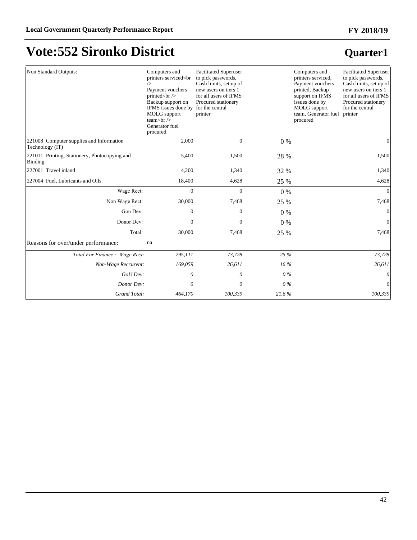# **Vote:552 Sironko District**

| Non Standard Outputs:                                           | Computers and<br>printers serviced <br<br>Payment vouchers<br/>printed<br/>ln /&gt;<br/>Backup support on<br/>IFMS issues done by for the central<br>MOLG support<br/>team<br/>shout&gt;<br/>Generator fuel<br/>procured</br></br<br> | <b>Facilitated Superuser</b><br>to pick passwords,<br>Cash limits, set up of<br>new users on tiers 1<br>for all users of IFMS<br>Procured stationery<br>printer |        | Computers and<br>printers serviced,<br>Payment vouchers<br>printed, Backup<br>support on IFMS<br>issues done by<br><b>MOLG</b> support<br>team, Generator fuel<br>procured | <b>Facilitated Superuser</b><br>to pick passwords,<br>Cash limits, set up of<br>new users on tiers 1<br>for all users of IFMS<br>Procured stationery<br>for the central<br>printer |
|-----------------------------------------------------------------|---------------------------------------------------------------------------------------------------------------------------------------------------------------------------------------------------------------------------------------|-----------------------------------------------------------------------------------------------------------------------------------------------------------------|--------|----------------------------------------------------------------------------------------------------------------------------------------------------------------------------|------------------------------------------------------------------------------------------------------------------------------------------------------------------------------------|
| 221008 Computer supplies and Information<br>Technology (IT)     | 2,000                                                                                                                                                                                                                                 | $\boldsymbol{0}$                                                                                                                                                | $0\%$  |                                                                                                                                                                            | $\overline{0}$                                                                                                                                                                     |
| 221011 Printing, Stationery, Photocopying and<br><b>Binding</b> | 5,400                                                                                                                                                                                                                                 | 1,500                                                                                                                                                           | 28 %   |                                                                                                                                                                            | 1,500                                                                                                                                                                              |
| 227001 Travel inland                                            | 4,200                                                                                                                                                                                                                                 | 1,340                                                                                                                                                           | 32 %   |                                                                                                                                                                            | 1,340                                                                                                                                                                              |
| 227004 Fuel, Lubricants and Oils                                | 18,400                                                                                                                                                                                                                                | 4,628                                                                                                                                                           | 25 %   |                                                                                                                                                                            | 4,628                                                                                                                                                                              |
| Wage Rect:                                                      | $\mathbf{0}$                                                                                                                                                                                                                          | $\overline{0}$                                                                                                                                                  | $0\%$  |                                                                                                                                                                            | $\vert 0 \vert$                                                                                                                                                                    |
| Non Wage Rect:                                                  | 30,000                                                                                                                                                                                                                                | 7,468                                                                                                                                                           | 25 %   |                                                                                                                                                                            | 7,468                                                                                                                                                                              |
| Gou Dev:                                                        | 0                                                                                                                                                                                                                                     | 0                                                                                                                                                               | $0\%$  |                                                                                                                                                                            | $\vert 0 \vert$                                                                                                                                                                    |
| Donor Dev:                                                      | $\overline{0}$                                                                                                                                                                                                                        | $\overline{0}$                                                                                                                                                  | $0\%$  |                                                                                                                                                                            | $\vert 0 \vert$                                                                                                                                                                    |
| Total:                                                          | 30,000                                                                                                                                                                                                                                | 7,468                                                                                                                                                           | 25 %   |                                                                                                                                                                            | 7,468                                                                                                                                                                              |
| Reasons for over/under performance:                             | na                                                                                                                                                                                                                                    |                                                                                                                                                                 |        |                                                                                                                                                                            |                                                                                                                                                                                    |
| Total For Finance: Wage Rect:                                   | 295,111                                                                                                                                                                                                                               | 73,728                                                                                                                                                          | 25 %   |                                                                                                                                                                            | 73,728                                                                                                                                                                             |
| Non-Wage Reccurent:                                             | 169,059                                                                                                                                                                                                                               | 26,611                                                                                                                                                          | $16\%$ |                                                                                                                                                                            | 26,611                                                                                                                                                                             |
| GoU Dev:                                                        | 0                                                                                                                                                                                                                                     | 0                                                                                                                                                               | $0\%$  |                                                                                                                                                                            | $\boldsymbol{\theta}$                                                                                                                                                              |
| Donor Dev:                                                      | 0                                                                                                                                                                                                                                     | $\theta$                                                                                                                                                        | $0\%$  |                                                                                                                                                                            | $\overline{0}$                                                                                                                                                                     |
| Grand Total:                                                    | 464,170                                                                                                                                                                                                                               | 100,339                                                                                                                                                         | 21.6%  |                                                                                                                                                                            | 100,339                                                                                                                                                                            |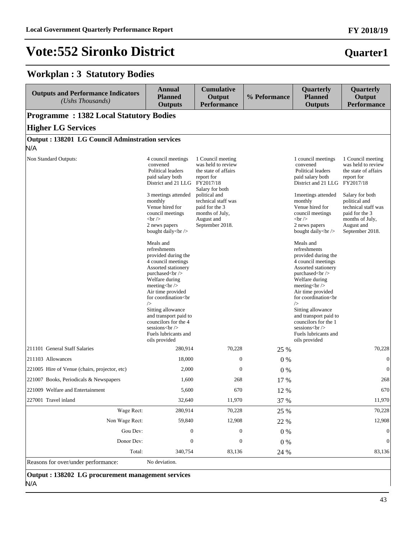### **Workplan : 3 Statutory Bodies**

| <b>Outputs and Performance Indicators</b><br>(Ushs Thousands)   | <b>Annual</b><br><b>Planned</b><br><b>Outputs</b>                                                                                                                                                                                                                                     | <b>Cumulative</b><br>Output<br><b>Performance</b>                                                                                                                                                              | % Peformance | Quarterly<br><b>Planned</b><br><b>Outputs</b>                                                                                                                                                                                                                                         | Quarterly<br>Output<br><b>Performance</b>                                                                                                                                                                      |
|-----------------------------------------------------------------|---------------------------------------------------------------------------------------------------------------------------------------------------------------------------------------------------------------------------------------------------------------------------------------|----------------------------------------------------------------------------------------------------------------------------------------------------------------------------------------------------------------|--------------|---------------------------------------------------------------------------------------------------------------------------------------------------------------------------------------------------------------------------------------------------------------------------------------|----------------------------------------------------------------------------------------------------------------------------------------------------------------------------------------------------------------|
| <b>Programme: 1382 Local Statutory Bodies</b>                   |                                                                                                                                                                                                                                                                                       |                                                                                                                                                                                                                |              |                                                                                                                                                                                                                                                                                       |                                                                                                                                                                                                                |
| <b>Higher LG Services</b>                                       |                                                                                                                                                                                                                                                                                       |                                                                                                                                                                                                                |              |                                                                                                                                                                                                                                                                                       |                                                                                                                                                                                                                |
| <b>Output : 138201 LG Council Adminstration services</b><br>N/A |                                                                                                                                                                                                                                                                                       |                                                                                                                                                                                                                |              |                                                                                                                                                                                                                                                                                       |                                                                                                                                                                                                                |
| Non Standard Outputs:                                           | 4 council meetings<br>convened<br>Political leaders<br>paid salary both<br>District and 21 LLG FY2017/18<br>3 meetings attended<br>monthly<br>Venue hired for<br>council meetings<br>$\braket{\text{br}}$<br>2 news papers<br>bought daily<br>>br /><br>Meals and<br>refreshments<br> | 1 Council meeting<br>was held to review<br>the state of affairs<br>report for<br>Salary for both<br>political and<br>technical staff was<br>paid for the 3<br>months of July,<br>August and<br>September 2018. |              | 1 council meetings<br>convened<br>Political leaders<br>paid salary both<br>District and 21 LLG FY2017/18<br>1 meetings attended<br>monthly<br>Venue hired for<br>council meetings<br>$\braket{\text{br}}$<br>2 news papers<br>bought daily<br>>br /><br>Meals and<br>refreshments<br> | 1 Council meeting<br>was held to review<br>the state of affairs<br>report for<br>Salary for both<br>political and<br>technical staff was<br>paid for the 3<br>months of July,<br>August and<br>September 2018. |
|                                                                 | sessions<br>br/><br>Fuels lubricants and<br>oils provided                                                                                                                                                                                                                             |                                                                                                                                                                                                                |              | sessions<br>>br /><br>Fuels lubricants and<br>oils provided                                                                                                                                                                                                                           |                                                                                                                                                                                                                |
| 211101 General Staff Salaries                                   | 280,914                                                                                                                                                                                                                                                                               | 70,228                                                                                                                                                                                                         | 25 %         |                                                                                                                                                                                                                                                                                       | 70.228                                                                                                                                                                                                         |
| 211103 Allowances                                               | 18,000                                                                                                                                                                                                                                                                                | $\boldsymbol{0}$                                                                                                                                                                                               | $0\%$        |                                                                                                                                                                                                                                                                                       | $\mathbf{0}$                                                                                                                                                                                                   |
| 221005 Hire of Venue (chairs, projector, etc)                   | 2,000                                                                                                                                                                                                                                                                                 | $\mathbf{0}$                                                                                                                                                                                                   | 0%           |                                                                                                                                                                                                                                                                                       | $\overline{0}$                                                                                                                                                                                                 |
| 221007 Books, Periodicals & Newspapers                          | 1,600                                                                                                                                                                                                                                                                                 | 268                                                                                                                                                                                                            | 17 %         |                                                                                                                                                                                                                                                                                       | 268                                                                                                                                                                                                            |
| 221009 Welfare and Entertainment                                | 5,600                                                                                                                                                                                                                                                                                 | 670                                                                                                                                                                                                            | 12 %         |                                                                                                                                                                                                                                                                                       | 670                                                                                                                                                                                                            |
| 227001 Travel inland                                            | 32,640                                                                                                                                                                                                                                                                                | 11,970                                                                                                                                                                                                         | 37 %         |                                                                                                                                                                                                                                                                                       | 11,970                                                                                                                                                                                                         |
| Wage Rect:                                                      | 280,914                                                                                                                                                                                                                                                                               | 70,228                                                                                                                                                                                                         | 25 %         |                                                                                                                                                                                                                                                                                       | 70,228                                                                                                                                                                                                         |
| Non Wage Rect:                                                  | 59,840                                                                                                                                                                                                                                                                                | 12,908                                                                                                                                                                                                         | 22 %         |                                                                                                                                                                                                                                                                                       | 12,908                                                                                                                                                                                                         |
| Gou Dev:                                                        | $\boldsymbol{0}$                                                                                                                                                                                                                                                                      | $\boldsymbol{0}$                                                                                                                                                                                               | $0\ \%$      |                                                                                                                                                                                                                                                                                       | $\mathbf{0}$                                                                                                                                                                                                   |
| Donor Dev:                                                      | $\boldsymbol{0}$                                                                                                                                                                                                                                                                      | $\boldsymbol{0}$                                                                                                                                                                                               | $0\ \%$      |                                                                                                                                                                                                                                                                                       | $\mathbf{0}$                                                                                                                                                                                                   |
| Total:                                                          | 340,754                                                                                                                                                                                                                                                                               | 83,136                                                                                                                                                                                                         | 24 %         |                                                                                                                                                                                                                                                                                       | 83,136                                                                                                                                                                                                         |
| Reasons for over/under performance:                             | No deviation.                                                                                                                                                                                                                                                                         |                                                                                                                                                                                                                |              |                                                                                                                                                                                                                                                                                       |                                                                                                                                                                                                                |

**Output : 138202 LG procurement management services** N/A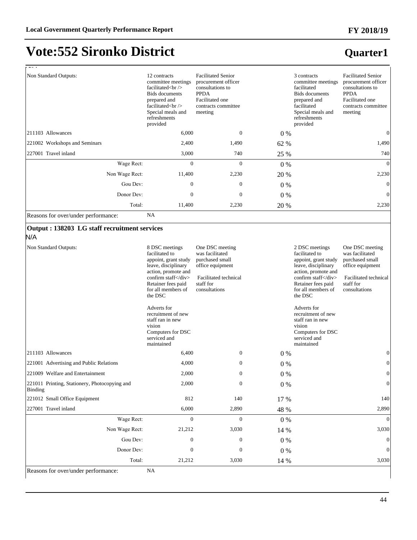## **Vote:552 Sironko District**

### **Quarter1**

| $\sim$ $\sim$ $\sim$                                            |                                                                                                                                                                                                                                                                                                      |                                                                                                                                          |         |                                                                                                                                                                                                                                                                                                      |                                                                                                                                          |
|-----------------------------------------------------------------|------------------------------------------------------------------------------------------------------------------------------------------------------------------------------------------------------------------------------------------------------------------------------------------------------|------------------------------------------------------------------------------------------------------------------------------------------|---------|------------------------------------------------------------------------------------------------------------------------------------------------------------------------------------------------------------------------------------------------------------------------------------------------------|------------------------------------------------------------------------------------------------------------------------------------------|
| Non Standard Outputs:                                           | 12 contracts<br>committee meetings<br>facilitated<br>br/><br><b>Bids</b> documents<br>prepared and<br>                                                                                                                                                                                               | <b>Facilitated Senior</b><br>procurement officer<br>consultations to<br><b>PPDA</b><br>Facilitated one<br>contracts committee<br>meeting |         | 3 contracts<br>committee meetings<br>facilitated<br><b>Bids</b> documents<br>prepared and<br>facilitated<br>Special meals and<br>refreshments<br>provided                                                                                                                                            | <b>Facilitated Senior</b><br>procurement officer<br>consultations to<br><b>PPDA</b><br>Facilitated one<br>contracts committee<br>meeting |
| 211103 Allowances                                               | 6,000                                                                                                                                                                                                                                                                                                | $\mathbf{0}$                                                                                                                             | $0\%$   |                                                                                                                                                                                                                                                                                                      | $\mathbf{0}$                                                                                                                             |
| 221002 Workshops and Seminars                                   | 2,400                                                                                                                                                                                                                                                                                                | 1,490                                                                                                                                    | 62 %    |                                                                                                                                                                                                                                                                                                      | 1,490                                                                                                                                    |
| 227001 Travel inland                                            | 3,000                                                                                                                                                                                                                                                                                                | 740                                                                                                                                      | 25 %    |                                                                                                                                                                                                                                                                                                      | 740                                                                                                                                      |
| Wage Rect:                                                      | $\boldsymbol{0}$                                                                                                                                                                                                                                                                                     | $\mathbf{0}$                                                                                                                             | 0 %     |                                                                                                                                                                                                                                                                                                      | $\overline{0}$                                                                                                                           |
| Non Wage Rect:                                                  | 11,400                                                                                                                                                                                                                                                                                               | 2,230                                                                                                                                    | 20 %    |                                                                                                                                                                                                                                                                                                      | 2,230                                                                                                                                    |
| Gou Dev:                                                        | $\overline{0}$                                                                                                                                                                                                                                                                                       | $\overline{0}$                                                                                                                           | $0\%$   |                                                                                                                                                                                                                                                                                                      | $\boldsymbol{0}$                                                                                                                         |
| Donor Dev:                                                      | $\boldsymbol{0}$                                                                                                                                                                                                                                                                                     | $\boldsymbol{0}$                                                                                                                         | $0\%$   |                                                                                                                                                                                                                                                                                                      | $\boldsymbol{0}$                                                                                                                         |
| Total:                                                          | 11,400                                                                                                                                                                                                                                                                                               | 2,230                                                                                                                                    | 20 %    |                                                                                                                                                                                                                                                                                                      | 2,230                                                                                                                                    |
| Reasons for over/under performance:                             | NA                                                                                                                                                                                                                                                                                                   |                                                                                                                                          |         |                                                                                                                                                                                                                                                                                                      |                                                                                                                                          |
| Output: 138203 LG staff recruitment services<br>N/A             |                                                                                                                                                                                                                                                                                                      |                                                                                                                                          |         |                                                                                                                                                                                                                                                                                                      |                                                                                                                                          |
| Non Standard Outputs:                                           | 8 DSC meetings<br>facilitated to<br>appoint, grant study<br>leave, disciplinary<br>action, promote and<br>confirm staff<br>Retainer fees paid<br>for all members of<br>the DSC<br>Adverts for<br>recruitment of new<br>staff ran in new<br>vision<br>Computers for DSC<br>serviced and<br>maintained | One DSC meeting<br>was facilitated<br>purchased small<br>office equipment<br>Facilitated technical<br>staff for<br>consultations         |         | 2 DSC meetings<br>facilitated to<br>appoint, grant study<br>leave, disciplinary<br>action, promote and<br>confirm staff<br>Retainer fees paid<br>for all members of<br>the DSC<br>Adverts for<br>recruitment of new<br>staff ran in new<br>vision<br>Computers for DSC<br>serviced and<br>maintained | One DSC meeting<br>was facilitated<br>purchased small<br>office equipment<br>Facilitated technical<br>staff for<br>consultations         |
| 211103 Allowances                                               | 6,400                                                                                                                                                                                                                                                                                                | $\boldsymbol{0}$                                                                                                                         | $0\%$   |                                                                                                                                                                                                                                                                                                      | $\mathbf{0}$                                                                                                                             |
| 221001 Advertising and Public Relations                         | 4,000                                                                                                                                                                                                                                                                                                | $\boldsymbol{0}$                                                                                                                         | $0\%$   |                                                                                                                                                                                                                                                                                                      | $\boldsymbol{0}$                                                                                                                         |
| 221009 Welfare and Entertainment                                | 2,000                                                                                                                                                                                                                                                                                                | $\boldsymbol{0}$                                                                                                                         | $0\ \%$ |                                                                                                                                                                                                                                                                                                      | $\boldsymbol{0}$                                                                                                                         |
| 221011 Printing, Stationery, Photocopying and<br><b>Binding</b> | 2,000                                                                                                                                                                                                                                                                                                | 0                                                                                                                                        | $0\%$   |                                                                                                                                                                                                                                                                                                      | $\boldsymbol{0}$                                                                                                                         |
| 221012 Small Office Equipment                                   | 812                                                                                                                                                                                                                                                                                                  | 140                                                                                                                                      | 17 %    |                                                                                                                                                                                                                                                                                                      | 140                                                                                                                                      |
| 227001 Travel inland                                            | 6,000                                                                                                                                                                                                                                                                                                | 2,890                                                                                                                                    | 48 %    |                                                                                                                                                                                                                                                                                                      | 2,890                                                                                                                                    |
| Wage Rect:                                                      | $\boldsymbol{0}$                                                                                                                                                                                                                                                                                     | $\boldsymbol{0}$                                                                                                                         | $0\%$   |                                                                                                                                                                                                                                                                                                      | $\mathbf{0}$                                                                                                                             |
| Non Wage Rect:                                                  | 21,212                                                                                                                                                                                                                                                                                               | 3,030                                                                                                                                    | 14 %    |                                                                                                                                                                                                                                                                                                      | 3,030                                                                                                                                    |
| Gou Dev:                                                        | 0                                                                                                                                                                                                                                                                                                    | $\boldsymbol{0}$                                                                                                                         | $0\%$   |                                                                                                                                                                                                                                                                                                      | $\overline{0}$                                                                                                                           |
| Donor Dev:                                                      | 0                                                                                                                                                                                                                                                                                                    | 0                                                                                                                                        | $0\%$   |                                                                                                                                                                                                                                                                                                      | 0                                                                                                                                        |
| Total:                                                          | 21,212                                                                                                                                                                                                                                                                                               | 3,030                                                                                                                                    | 14 %    |                                                                                                                                                                                                                                                                                                      | 3,030                                                                                                                                    |

Reasons for over/under performance: NA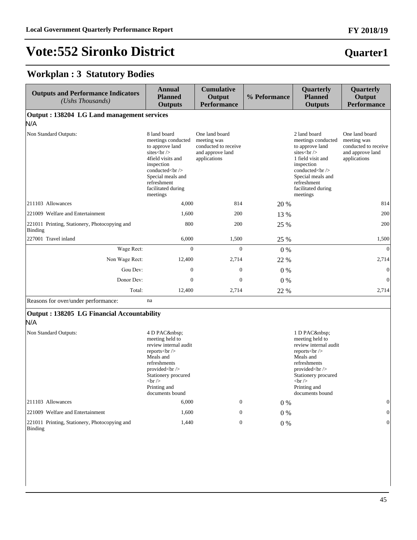### **Quarter1**

#### **Workplan : 3 Statutory Bodies**

221011 Printing, Stationery, Photocopying and

Binding

| <b>Outputs and Performance Indicators</b><br>(Ushs Thousands) | <b>Annual</b><br><b>Planned</b><br><b>Outputs</b>                                                                                                                          | <b>Cumulative</b><br>Output<br><b>Performance</b>                                         | % Peformance | Quarterly<br><b>Planned</b><br><b>Outputs</b>                                                                                                                                  | Quarterly<br>Output<br><b>Performance</b>                                                 |
|---------------------------------------------------------------|----------------------------------------------------------------------------------------------------------------------------------------------------------------------------|-------------------------------------------------------------------------------------------|--------------|--------------------------------------------------------------------------------------------------------------------------------------------------------------------------------|-------------------------------------------------------------------------------------------|
| Output: 138204 LG Land management services<br>N/A             |                                                                                                                                                                            |                                                                                           |              |                                                                                                                                                                                |                                                                                           |
| Non Standard Outputs:                                         | 8 land board<br>meetings conducted<br>to approve land<br>sites $\text{str}$ /><br>4field visits and<br>inspection<br>conducted<br><br>Special meals and<br>refreshment<br> | One land board<br>meeting was<br>conducted to receive<br>and approve land<br>applications |              | 2 land board<br>meetings conducted<br>to approve land<br>sites <sub>cr</sub><br>1 field visit and<br>inspection<br>conducted<br><br>Special meals and<br>refreshment<br>       | One land board<br>meeting was<br>conducted to receive<br>and approve land<br>applications |
| 211103 Allowances                                             | 4.000                                                                                                                                                                      | 814                                                                                       | 20 %         |                                                                                                                                                                                | 814                                                                                       |
| 221009 Welfare and Entertainment                              | 1,600                                                                                                                                                                      | 200                                                                                       | 13 %         |                                                                                                                                                                                | 200                                                                                       |
| 221011 Printing, Stationery, Photocopying and<br>Binding      | 800                                                                                                                                                                        | 200                                                                                       | 25 %         |                                                                                                                                                                                | 200                                                                                       |
| 227001 Travel inland                                          | 6,000                                                                                                                                                                      | 1,500                                                                                     | 25 %         |                                                                                                                                                                                | 1,500                                                                                     |
| Wage Rect:                                                    | $\overline{0}$                                                                                                                                                             | $\overline{0}$                                                                            | $0\%$        |                                                                                                                                                                                | $\vert 0 \vert$                                                                           |
| Non Wage Rect:                                                | 12,400                                                                                                                                                                     | 2,714                                                                                     | 22 %         |                                                                                                                                                                                | 2,714                                                                                     |
| Gou Dev:                                                      | $\theta$                                                                                                                                                                   | $\Omega$                                                                                  | $0\%$        |                                                                                                                                                                                | $\vert 0 \vert$                                                                           |
| Donor Dev:                                                    | $\boldsymbol{0}$                                                                                                                                                           | $\boldsymbol{0}$                                                                          | $0\%$        |                                                                                                                                                                                | $\vert 0 \vert$                                                                           |
| Total:                                                        | 12,400                                                                                                                                                                     | 2,714                                                                                     | 22 %         |                                                                                                                                                                                | 2,714                                                                                     |
| Reasons for over/under performance:                           | na                                                                                                                                                                         |                                                                                           |              |                                                                                                                                                                                |                                                                                           |
| Output: 138205 LG Financial Accountability<br>N/A             |                                                                                                                                                                            |                                                                                           |              |                                                                                                                                                                                |                                                                                           |
| Non Standard Outputs:                                         | 4 D PAC<br>meeting held to<br>review internal audit<br>reports $\langle$ br $\rangle$<br>Meals and<br>refreshments<br>provided<br><br>Stationery procured<br>$br$ /><br>   |                                                                                           |              | 1 D PAC<br>meeting held to<br>review internal audit<br>reports $\langle$ br $\rangle$<br>Meals and<br>refreshments<br>provided<br><br>Stationery procured<br>$str \rangle$<br> |                                                                                           |
| 211103 Allowances                                             | 6,000                                                                                                                                                                      | $\boldsymbol{0}$                                                                          | $0\%$        |                                                                                                                                                                                | $\vert 0 \vert$                                                                           |
| 221009 Welfare and Entertainment                              | 1,600                                                                                                                                                                      | $\overline{0}$                                                                            | $0\%$        |                                                                                                                                                                                | $\vert 0 \vert$                                                                           |

 $1,440$  0 0 % 0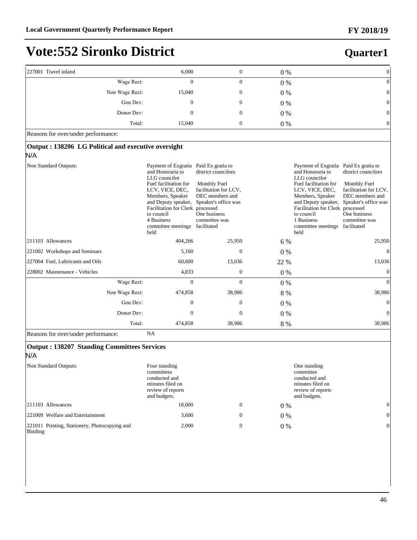| 227001 Travel inland                                       | 6,000                                                                                                                                                                                                                                                                       | $\mathbf{0}$                                                                                                                                    | $0\%$ |                                                                                                                                                                                                                                                                             | $\theta$                                                                                                                                 |
|------------------------------------------------------------|-----------------------------------------------------------------------------------------------------------------------------------------------------------------------------------------------------------------------------------------------------------------------------|-------------------------------------------------------------------------------------------------------------------------------------------------|-------|-----------------------------------------------------------------------------------------------------------------------------------------------------------------------------------------------------------------------------------------------------------------------------|------------------------------------------------------------------------------------------------------------------------------------------|
| Wage Rect:                                                 | $\mathbf{0}$                                                                                                                                                                                                                                                                | $\boldsymbol{0}$                                                                                                                                | $0\%$ |                                                                                                                                                                                                                                                                             | $\theta$                                                                                                                                 |
| Non Wage Rect:                                             | 15,040                                                                                                                                                                                                                                                                      | $\boldsymbol{0}$                                                                                                                                | $0\%$ |                                                                                                                                                                                                                                                                             | $\Omega$                                                                                                                                 |
| Gou Dev:                                                   | $\mathbf{0}$                                                                                                                                                                                                                                                                | $\mathbf{0}$                                                                                                                                    | $0\%$ |                                                                                                                                                                                                                                                                             |                                                                                                                                          |
| Donor Dev:                                                 | $\mathbf{0}$                                                                                                                                                                                                                                                                | $\boldsymbol{0}$                                                                                                                                | $0\%$ |                                                                                                                                                                                                                                                                             | 0                                                                                                                                        |
| Total:                                                     | 15,040                                                                                                                                                                                                                                                                      | $\mathbf{0}$                                                                                                                                    | $0\%$ |                                                                                                                                                                                                                                                                             | 0                                                                                                                                        |
| Reasons for over/under performance:                        |                                                                                                                                                                                                                                                                             |                                                                                                                                                 |       |                                                                                                                                                                                                                                                                             |                                                                                                                                          |
| Output: 138206 LG Political and executive oversight<br>N/A |                                                                                                                                                                                                                                                                             |                                                                                                                                                 |       |                                                                                                                                                                                                                                                                             |                                                                                                                                          |
| Non Standard Outputs:                                      | Payment of Exgratia Paid Ex gratia to<br>and Honoraria to<br>LLG councilor<br>Fuel facilitation for<br>LCV, VICE, DEC,<br>Members, Speaker<br>and Deputy speaker,<br>Facilitation for Clerk processed<br>to council<br>4 Business<br>committee meetings facilitated<br>held | district councilors<br><b>Monthly Fuel</b><br>facilitation for LCV,<br>DEC members and<br>Speaker's office was<br>One business<br>committee was |       | Payment of Exgratia Paid Ex gratia to<br>and Honoraria to<br>LLG councilor<br>Fuel facilitation for<br>LCV, VICE, DEC,<br>Members, Speaker<br>and Deputy speaker,<br>Facilitation for Clerk processed<br>to council<br>1 Business<br>committee meetings facilitated<br>held | district councilors<br>Monthly Fuel<br>facilitation for LCV,<br>DEC members and<br>Speaker's office was<br>One business<br>committee was |
| 211103 Allowances                                          | 404,266                                                                                                                                                                                                                                                                     | 25,950                                                                                                                                          | 6 %   |                                                                                                                                                                                                                                                                             | 25,950                                                                                                                                   |
| 221002 Workshops and Seminars                              | 5,160                                                                                                                                                                                                                                                                       | $\theta$                                                                                                                                        | $0\%$ |                                                                                                                                                                                                                                                                             | $\Omega$                                                                                                                                 |
| 227004 Fuel, Lubricants and Oils                           | 60,600                                                                                                                                                                                                                                                                      | 13,036                                                                                                                                          | 22 %  |                                                                                                                                                                                                                                                                             | 13,036                                                                                                                                   |
| 228002 Maintenance - Vehicles                              | 4,833                                                                                                                                                                                                                                                                       | $\mathbf{0}$                                                                                                                                    | $0\%$ |                                                                                                                                                                                                                                                                             | $\theta$                                                                                                                                 |
| Wage Rect:                                                 | $\mathbf{0}$                                                                                                                                                                                                                                                                | $\overline{0}$                                                                                                                                  | 0 %   |                                                                                                                                                                                                                                                                             | $\overline{0}$                                                                                                                           |
| Non Wage Rect:                                             | 474,858                                                                                                                                                                                                                                                                     | 38,986                                                                                                                                          | 8 %   |                                                                                                                                                                                                                                                                             | 38,986                                                                                                                                   |
| Gou Dev:                                                   | $\boldsymbol{0}$                                                                                                                                                                                                                                                            | $\mathbf{0}$                                                                                                                                    | $0\%$ |                                                                                                                                                                                                                                                                             | $\theta$                                                                                                                                 |
| Donor Dev:                                                 | $\mathbf{0}$                                                                                                                                                                                                                                                                | $\overline{0}$                                                                                                                                  | $0\%$ |                                                                                                                                                                                                                                                                             | $\Omega$                                                                                                                                 |
| Total:                                                     | 474,858                                                                                                                                                                                                                                                                     | 38,986                                                                                                                                          | 8 %   |                                                                                                                                                                                                                                                                             | 38,986                                                                                                                                   |
|                                                            |                                                                                                                                                                                                                                                                             |                                                                                                                                                 |       |                                                                                                                                                                                                                                                                             |                                                                                                                                          |

Reasons for over/under performance: NA

#### **Output : 138207 Standing Committees Services** N/A Non Standard Outputs: Four standing committees conducted and minutes filed on review of reports and budgets. One standing committee conducted and minutes filed on review of reports and budgets. 211103 Allowances **18,000** 0 0 0  $\%$  0 221009 Welfare and Entertainment 3,600 0 0 % 0 221011 Printing, Stationery, Photocopying and Binding 2,000 0 0 % 0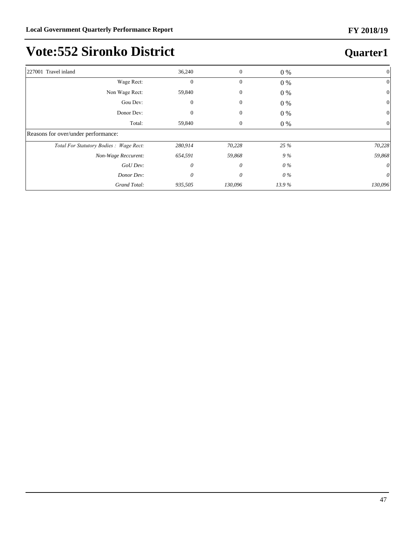| 227001 Travel inland                    | 36,240       | $\boldsymbol{0}$ | 0 %   | 0            |
|-----------------------------------------|--------------|------------------|-------|--------------|
| Wage Rect:                              | $\mathbf{0}$ | $\mathbf{0}$     | 0 %   | $\mathbf{0}$ |
| Non Wage Rect:                          | 59,840       | 0                | $0\%$ | 0            |
| Gou Dev:                                | 0            | $\mathbf{0}$     | 0 %   | 0            |
| Donor Dev:                              |              | $\mathbf{0}$     | 0 %   | $\theta$     |
| Total:                                  | 59,840       | 0                | 0 %   | 0            |
| Reasons for over/under performance:     |              |                  |       |              |
| Total For Statutory Bodies : Wage Rect: | 280,914      | 70,228           | 25 %  | 70,228       |
| Non-Wage Reccurent:                     | 654,591      | 59,868           | 9%    | 59,868       |
| GoU Dev:                                | 0            | 0                | 0%    |              |
| Donor Dev:                              | 0            | $\theta$         | 0%    | 0            |
| Grand Total:                            | 935,505      | 130,096          | 13.9% | 130,096      |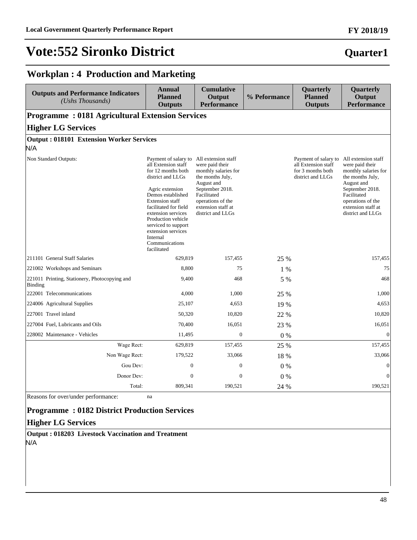### **Quarter1**

**FY 2018/19**

#### **Workplan : 4 Production and Marketing**

| <b>Outputs and Performance Indicators</b><br>(Ushs Thousands) | Annual<br><b>Planned</b><br><b>Outputs</b>                                                                                                                                                                                                                                                                              | <b>Cumulative</b><br>Output<br><b>Performance</b>                                                                                                                                                  | % Peformance | Quarterly<br><b>Planned</b><br><b>Outputs</b>                                         | Quarterly<br>Output<br><b>Performance</b>                                                                                                                                                          |  |  |  |
|---------------------------------------------------------------|-------------------------------------------------------------------------------------------------------------------------------------------------------------------------------------------------------------------------------------------------------------------------------------------------------------------------|----------------------------------------------------------------------------------------------------------------------------------------------------------------------------------------------------|--------------|---------------------------------------------------------------------------------------|----------------------------------------------------------------------------------------------------------------------------------------------------------------------------------------------------|--|--|--|
| <b>Programme: 0181 Agricultural Extension Services</b>        |                                                                                                                                                                                                                                                                                                                         |                                                                                                                                                                                                    |              |                                                                                       |                                                                                                                                                                                                    |  |  |  |
| <b>Higher LG Services</b>                                     |                                                                                                                                                                                                                                                                                                                         |                                                                                                                                                                                                    |              |                                                                                       |                                                                                                                                                                                                    |  |  |  |
| <b>Output: 018101 Extension Worker Services</b><br>N/A        |                                                                                                                                                                                                                                                                                                                         |                                                                                                                                                                                                    |              |                                                                                       |                                                                                                                                                                                                    |  |  |  |
| Non Standard Outputs:                                         | Payment of salary to<br>all Extension staff<br>for 12 months both<br>district and LLGs<br>Agric extension<br>Demos established<br><b>Extension staff</b><br>facilitated for field<br>extension services<br>Production vehicle<br>serviced to support<br>extension services<br>Internal<br>Communications<br>facilitated | All extension staff<br>were paid their<br>monthly salaries for<br>the months July,<br>August and<br>September 2018.<br>Facilitated<br>operations of the<br>extension staff at<br>district and LLGs |              | Payment of salary to<br>all Extension staff<br>for 3 months both<br>district and LLGs | All extension staff<br>were paid their<br>monthly salaries for<br>the months July,<br>August and<br>September 2018.<br>Facilitated<br>operations of the<br>extension staff at<br>district and LLGs |  |  |  |
| 211101 General Staff Salaries                                 | 629,819                                                                                                                                                                                                                                                                                                                 | 157,455                                                                                                                                                                                            | 25 %         |                                                                                       | 157,455                                                                                                                                                                                            |  |  |  |
| 221002 Workshops and Seminars                                 | 8,800                                                                                                                                                                                                                                                                                                                   | 75                                                                                                                                                                                                 | $1\%$        |                                                                                       | 75                                                                                                                                                                                                 |  |  |  |
| 221011 Printing, Stationery, Photocopying and<br>Binding      | 9,400                                                                                                                                                                                                                                                                                                                   | 468                                                                                                                                                                                                | 5 %          |                                                                                       | 468                                                                                                                                                                                                |  |  |  |
| 222001 Telecommunications                                     | 4,000                                                                                                                                                                                                                                                                                                                   | 1,000                                                                                                                                                                                              | 25 %         |                                                                                       | 1,000                                                                                                                                                                                              |  |  |  |
| 224006 Agricultural Supplies                                  | 25,107                                                                                                                                                                                                                                                                                                                  | 4,653                                                                                                                                                                                              | 19 %         |                                                                                       | 4,653                                                                                                                                                                                              |  |  |  |
| 227001 Travel inland                                          | 50,320                                                                                                                                                                                                                                                                                                                  | 10,820                                                                                                                                                                                             | 22 %         |                                                                                       | 10,820                                                                                                                                                                                             |  |  |  |
| 227004 Fuel, Lubricants and Oils                              | 70,400                                                                                                                                                                                                                                                                                                                  | 16,051                                                                                                                                                                                             | 23 %         |                                                                                       | 16,051                                                                                                                                                                                             |  |  |  |
| 228002 Maintenance - Vehicles                                 | 11,495                                                                                                                                                                                                                                                                                                                  | $\mathbf{0}$                                                                                                                                                                                       | $0\%$        |                                                                                       | $\theta$                                                                                                                                                                                           |  |  |  |
| Wage Rect:                                                    | 629,819                                                                                                                                                                                                                                                                                                                 | 157,455                                                                                                                                                                                            | 25 %         |                                                                                       | 157,455                                                                                                                                                                                            |  |  |  |
| Non Wage Rect:                                                | 179,522                                                                                                                                                                                                                                                                                                                 | 33,066                                                                                                                                                                                             | 18 %         |                                                                                       | 33,066                                                                                                                                                                                             |  |  |  |
| Gou Dev:                                                      | $\boldsymbol{0}$                                                                                                                                                                                                                                                                                                        | $\boldsymbol{0}$                                                                                                                                                                                   | $0\%$        |                                                                                       | $\theta$                                                                                                                                                                                           |  |  |  |
| Donor Dev:                                                    | $\mathbf{0}$                                                                                                                                                                                                                                                                                                            | $\mathbf{0}$                                                                                                                                                                                       | 0%           |                                                                                       | $\mathbf{0}$                                                                                                                                                                                       |  |  |  |
| Total:                                                        | 809,341                                                                                                                                                                                                                                                                                                                 | 190,521                                                                                                                                                                                            | 24 %         |                                                                                       | 190,521                                                                                                                                                                                            |  |  |  |

Reasons for over/under performance: na

#### **Programme : 0182 District Production Services**

#### **Higher LG Services**

**Output : 018203 Livestock Vaccination and Treatment** N/A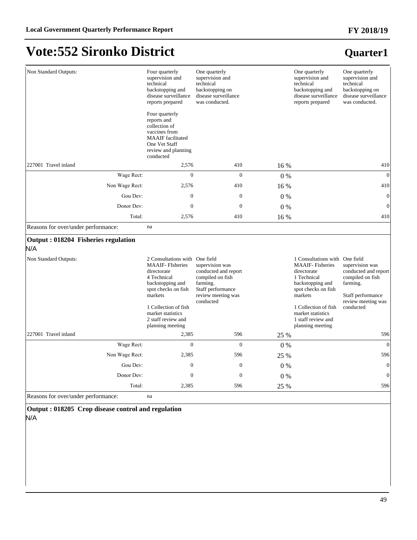#### Non Standard Outputs: Four quarterly supervision and technical backstopping and disease surveillance reports prepared Four quarterly reports and collection of vaccines from MAAIF facilitated One Vet Staff review and planning conducted One quarterly supervision and technical backstopping on disease surveillance was conducted. One quarterly supervision and technical backstopping and disease surveillance reports prepared One quarterly supervision and technical backstopping on disease surveillance was conducted. 227001 Travel inland  $2,576$  410  $16\%$  410  $16\%$  410 :DJH5HFW 0 0 0 % 0 Non Wage Rect: 2,576 410 16 % 410 Gou Dev:  $0 \t 0 \t 0 \t 0 \t 0$ Donor Dev:  $0 \t 0 \t 0 \t 0 \t 0$ Total: 2,576 410 16 % 410 Reasons for over/under performance: na **Output : 018204 Fisheries regulation** N/A Non Standard Outputs: MAAIF- FIsheries directorate 4 Technical backstopping and spot checks on fish markets 1 Collection of fish market statistics 2 staff review and planning meeting 2 Consultations with One field supervision was conducted and report compiled on fish farming. Staff performance review meeting was conducted 1 Consultations with One field MAAIF- Fisheries directorate 1 Technical backstopping and spot checks on fish markets 1 Collection of fish market statistics 1 staff review and planning meeting supervision was conducted and report compiled on fish farming. Staff performance review meeting was conducted 227001 Travel inland 2,385 596 25 % 596 :DJH5HFW 0 0 0 % 0 Non Wage Rect: 2,385 596 25 % 596 Gou Dev:  $0 \t 0 \t 0 \t 0 \t 0$ Donor Dev:  $0 \t 0 \t 0 \t 0 \t 0$ Total: 2,385 596 25 % 596

Reasons for over/under performance: na

**Output : 018205 Crop disease control and regulation** N/A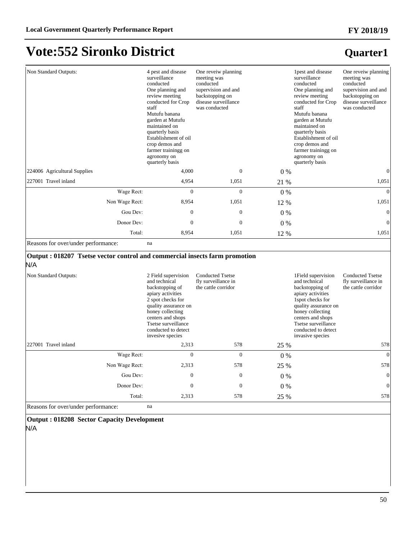### **Quarter1**

| Non Standard Outputs:                                                              | 4 pest and disease<br>surveillance<br>conducted<br>One planning and<br>review meeting<br>conducted for Crop<br>staff<br>Mutufu banana<br>garden at Mutufu<br>maintained on<br>quarterly basis<br>Establishment of oil<br>crop demos and<br>farmer trainingg on<br>agronomy on<br>quarterly basis | One reveiw planning<br>meeting was<br>conducted<br>supervision and and<br>backstopping on<br>disease surveillance<br>was conducted |       | 1 pest and disease<br>surveillance<br>conducted<br>One planning and<br>review meeting<br>conducted for Crop<br>staff<br>Mutufu banana<br>garden at Mutufu<br>maintained on<br>quarterly basis<br>Establishment of oil<br>crop demos and<br>farmer trainingg on<br>agronomy on<br>quarterly basis | One reveiw planning<br>meeting was<br>conducted<br>supervision and and<br>backstopping on<br>disease surveillance<br>was conducted |
|------------------------------------------------------------------------------------|--------------------------------------------------------------------------------------------------------------------------------------------------------------------------------------------------------------------------------------------------------------------------------------------------|------------------------------------------------------------------------------------------------------------------------------------|-------|--------------------------------------------------------------------------------------------------------------------------------------------------------------------------------------------------------------------------------------------------------------------------------------------------|------------------------------------------------------------------------------------------------------------------------------------|
| 224006 Agricultural Supplies                                                       | 4,000                                                                                                                                                                                                                                                                                            | $\overline{0}$                                                                                                                     | $0\%$ |                                                                                                                                                                                                                                                                                                  | $\vert 0 \vert$                                                                                                                    |
| 227001 Travel inland                                                               | 4.954                                                                                                                                                                                                                                                                                            | 1,051                                                                                                                              | 21 %  |                                                                                                                                                                                                                                                                                                  | 1,051                                                                                                                              |
| Wage Rect:                                                                         | $\Omega$                                                                                                                                                                                                                                                                                         | $\Omega$                                                                                                                           | 0 %   |                                                                                                                                                                                                                                                                                                  | $\vert 0 \vert$                                                                                                                    |
| Non Wage Rect:                                                                     | 8.954                                                                                                                                                                                                                                                                                            | 1,051                                                                                                                              | 12 %  |                                                                                                                                                                                                                                                                                                  | 1,051                                                                                                                              |
| Gou Dev:                                                                           | $\overline{0}$                                                                                                                                                                                                                                                                                   | $\overline{0}$                                                                                                                     | $0\%$ |                                                                                                                                                                                                                                                                                                  | $\vert 0 \vert$                                                                                                                    |
| Donor Dev:                                                                         | $\boldsymbol{0}$                                                                                                                                                                                                                                                                                 | $\boldsymbol{0}$                                                                                                                   | $0\%$ |                                                                                                                                                                                                                                                                                                  | $\vert 0 \vert$                                                                                                                    |
| Total:                                                                             | 8,954                                                                                                                                                                                                                                                                                            | 1,051                                                                                                                              | 12 %  |                                                                                                                                                                                                                                                                                                  | 1,051                                                                                                                              |
| Reasons for over/under performance:                                                | na                                                                                                                                                                                                                                                                                               |                                                                                                                                    |       |                                                                                                                                                                                                                                                                                                  |                                                                                                                                    |
| Output : 018207 Tsetse vector control and commercial insects farm promotion<br>N/A |                                                                                                                                                                                                                                                                                                  |                                                                                                                                    |       |                                                                                                                                                                                                                                                                                                  |                                                                                                                                    |
| Non Standard Outputs:                                                              | 2 Field supervision<br>and technical<br>backstopping of<br>apiary activities<br>2 spot checks for<br>quality assurance on<br>honey collecting<br>centers and shops<br>Tsetse surveillance<br>conducted to detect<br>invesive species                                                             | <b>Conducted Tsetse</b><br>fly surveillance in<br>the cattle corridor                                                              |       | 1 Field supervision<br>and technical<br>backstopping of<br>apiary activities<br>1spot checks for<br>quality assurance on<br>honey collecting<br>centers and shops<br>Tsetse surveillance<br>conducted to detect<br>invasive species                                                              | <b>Conducted Tsetse</b><br>fly surveillance in<br>the cattle corridor                                                              |
| 227001 Travel inland                                                               | 2,313                                                                                                                                                                                                                                                                                            | 578                                                                                                                                | 25 %  |                                                                                                                                                                                                                                                                                                  | 578                                                                                                                                |
| Wage Rect:                                                                         | $\overline{0}$                                                                                                                                                                                                                                                                                   | $\overline{0}$                                                                                                                     | 0%    |                                                                                                                                                                                                                                                                                                  | $\vert 0 \vert$                                                                                                                    |
| Non Wage Rect:                                                                     | 2,313                                                                                                                                                                                                                                                                                            | 578                                                                                                                                | 25 %  |                                                                                                                                                                                                                                                                                                  | 578                                                                                                                                |
| Gou Dev:                                                                           | $\overline{0}$                                                                                                                                                                                                                                                                                   | $\mathbf{0}$                                                                                                                       | $0\%$ |                                                                                                                                                                                                                                                                                                  | $\vert 0 \vert$                                                                                                                    |
| Donor Dev:                                                                         | $\boldsymbol{0}$                                                                                                                                                                                                                                                                                 | $\boldsymbol{0}$                                                                                                                   | $0\%$ |                                                                                                                                                                                                                                                                                                  | $\vert 0 \vert$                                                                                                                    |
| Total:                                                                             | 2,313                                                                                                                                                                                                                                                                                            | 578                                                                                                                                | 25 %  |                                                                                                                                                                                                                                                                                                  | 578                                                                                                                                |
| Reasons for over/under performance:                                                | na                                                                                                                                                                                                                                                                                               |                                                                                                                                    |       |                                                                                                                                                                                                                                                                                                  |                                                                                                                                    |

**Output : 018208 Sector Capacity Development**

N/A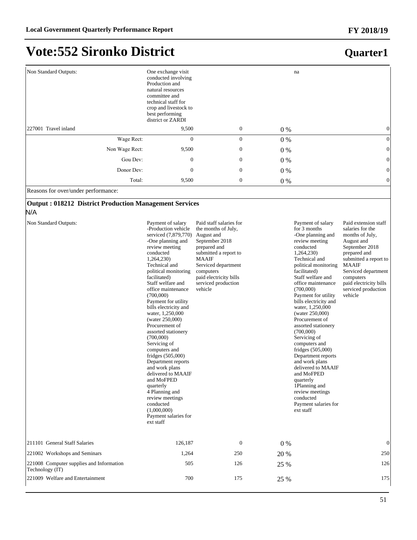## **Vote:552 Sironko District**

### **Quarter1**

| Non Standard Outputs: | One exchange visit<br>na<br>conducted involving<br>Production and<br>natural resources<br>committee and<br>technical staff for<br>crop and livestock to<br>best performing<br>district or ZARDI |                  |       |                 |
|-----------------------|-------------------------------------------------------------------------------------------------------------------------------------------------------------------------------------------------|------------------|-------|-----------------|
| 227001 Travel inland  | 9,500                                                                                                                                                                                           | $\mathbf{0}$     | 0 %   | 0               |
| Wage Rect:            | $\overline{0}$                                                                                                                                                                                  | $\mathbf{0}$     | $0\%$ | $\overline{0}$  |
| Non Wage Rect:        | 9,500                                                                                                                                                                                           | $\boldsymbol{0}$ | $0\%$ | $\vert 0 \vert$ |
| Gou Dev:              | $\boldsymbol{0}$                                                                                                                                                                                | $\boldsymbol{0}$ | $0\%$ | 0               |
| Donor Dev:            | $\mathbf{0}$                                                                                                                                                                                    | $\mathbf{0}$     | $0\%$ | $\overline{0}$  |
| Total:                | 9,500                                                                                                                                                                                           | $\boldsymbol{0}$ | 0 %   | $\overline{0}$  |

Reasons for over/under performance:

#### **Output : 018212 District Production Management Services**

N/A

| Non Standard Outputs:                                       | Payment of salary<br>-Production vehicle<br>serviced (7,879,770)<br>-One planning and<br>review meeting<br>conducted<br>1,264,230)<br>Technical and<br>political monitoring<br>facilitated)<br>Staff welfare and<br>office maintenance<br>(700,000)<br>Payment for utility<br>bills electricity and<br>water, 1,250,000<br>(water 250,000)<br>Procurement of<br>assorted stationery<br>(700,000)<br>Servicing of<br>computers and<br>fridges $(505,000)$<br>Department reports<br>and work plans<br>delivered to MAAIF<br>and MoFPED<br>quarterly<br>4 Planning and<br>review meetings<br>conducted<br>(1,000,000)<br>Payment salaries for<br>ext staff | Paid staff salaries for<br>the months of July,<br>August and<br>September 2018<br>prepared and<br>submitted a report to<br><b>MAAIF</b><br>Serviced department<br>computers<br>paid electricity bills<br>serviced production<br>vehicle |       | Payment of salary<br>for 3 months<br>-One planning and<br>review meeting<br>conducted<br>1,264,230)<br>Technical and<br>political monitoring<br>facilitated)<br>Staff welfare and<br>office maintenance<br>(700,000)<br>Payment for utility<br>bills electricity and<br>water, 1,250,000<br>(water 250,000)<br>Procurement of<br>assorted stationery<br>(700,000)<br>Servicing of<br>computers and<br>fridges $(505,000)$<br>Department reports<br>and work plans<br>delivered to MAAIF<br>and MoFPED<br>quarterly<br>1Planning and<br>review meetings<br>conducted<br>Payment salaries for<br>ext staff | Paid extension staff<br>salaries for the<br>months of July,<br>August and<br>September 2018<br>prepared and<br>submitted a report to<br><b>MAAIF</b><br>Serviced department<br>computers<br>paid electricity bills<br>serviced production<br>vehicle |
|-------------------------------------------------------------|---------------------------------------------------------------------------------------------------------------------------------------------------------------------------------------------------------------------------------------------------------------------------------------------------------------------------------------------------------------------------------------------------------------------------------------------------------------------------------------------------------------------------------------------------------------------------------------------------------------------------------------------------------|-----------------------------------------------------------------------------------------------------------------------------------------------------------------------------------------------------------------------------------------|-------|----------------------------------------------------------------------------------------------------------------------------------------------------------------------------------------------------------------------------------------------------------------------------------------------------------------------------------------------------------------------------------------------------------------------------------------------------------------------------------------------------------------------------------------------------------------------------------------------------------|------------------------------------------------------------------------------------------------------------------------------------------------------------------------------------------------------------------------------------------------------|
| 211101 General Staff Salaries                               | 126,187                                                                                                                                                                                                                                                                                                                                                                                                                                                                                                                                                                                                                                                 | $\boldsymbol{0}$                                                                                                                                                                                                                        | $0\%$ |                                                                                                                                                                                                                                                                                                                                                                                                                                                                                                                                                                                                          | 0                                                                                                                                                                                                                                                    |
| 221002 Workshops and Seminars                               | 1,264                                                                                                                                                                                                                                                                                                                                                                                                                                                                                                                                                                                                                                                   | 250                                                                                                                                                                                                                                     | 20 %  |                                                                                                                                                                                                                                                                                                                                                                                                                                                                                                                                                                                                          | 250                                                                                                                                                                                                                                                  |
| 221008 Computer supplies and Information<br>Technology (IT) | 505                                                                                                                                                                                                                                                                                                                                                                                                                                                                                                                                                                                                                                                     | 126                                                                                                                                                                                                                                     | 25 %  |                                                                                                                                                                                                                                                                                                                                                                                                                                                                                                                                                                                                          | 126                                                                                                                                                                                                                                                  |
| 221009 Welfare and Entertainment                            | 700                                                                                                                                                                                                                                                                                                                                                                                                                                                                                                                                                                                                                                                     | 175                                                                                                                                                                                                                                     | 25 %  |                                                                                                                                                                                                                                                                                                                                                                                                                                                                                                                                                                                                          | 175                                                                                                                                                                                                                                                  |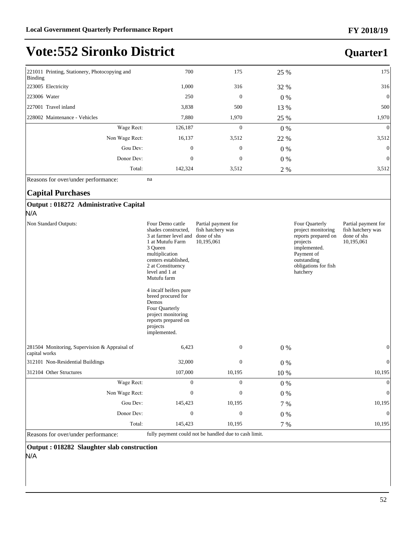#### 221011 Printing, Stationery, Photocopying and Binding 700 175 25 % 175 223005 Electricity **1,000** 316 32 % 316 223006 Water 250 0 0 % 0 227001 Travel inland 3,838 500 13 % 500 228002 Maintenance - Vehicles 7,880 1,970 25 % 1,970 1,970 1,970 Wage Rect: 126,187 0 0 % 0 % Non Wage Rect: 16,137 3,512 22 % 3,512 Gou Dev:  $0 \t 0 \t 0 \t 0 \t 0$ Donor Dev:  $0 \t 0 \t 0 \t 0 \t 0$ Total: 142,324 3,512 2 % 3,512 **Quarter1**

Reasons for over/under performance: na

#### **Capital Purchases**

#### **Output : 018272 Administrative Capital**

N/A

|                                                                | 4 incalf heifers pure<br>breed procured for<br>Demos<br>Four Quarterly<br>project monitoring<br>reports prepared on<br>projects<br>implemented. |              |       |              |
|----------------------------------------------------------------|-------------------------------------------------------------------------------------------------------------------------------------------------|--------------|-------|--------------|
| 281504 Monitoring, Supervision & Appraisal of<br>capital works | 6,423                                                                                                                                           | $\theta$     | $0\%$ | $\mathbf{0}$ |
| 312101 Non-Residential Buildings                               | 32,000                                                                                                                                          | $\mathbf{0}$ | $0\%$ | $\Omega$     |
| 312104 Other Structures                                        | 107,000                                                                                                                                         | 10,195       | 10 %  | 10,195       |
| Wage Rect:                                                     | $\Omega$                                                                                                                                        | $\mathbf{0}$ | $0\%$ | $\mathbf{0}$ |
| Non Wage Rect:                                                 | 0                                                                                                                                               | $\Omega$     | $0\%$ | $\Omega$     |
| Gou Dev:                                                       | 145,423                                                                                                                                         | 10,195       | 7 %   | 10,195       |
| Donor Dev:                                                     | $\mathbf{0}$                                                                                                                                    | $\mathbf{0}$ | $0\%$ | $\Omega$     |
| Total:                                                         | 145,423                                                                                                                                         | 10,195       | 7 %   | 10,195       |

Reasons for over/under performance:

**Output : 018282 Slaughter slab construction**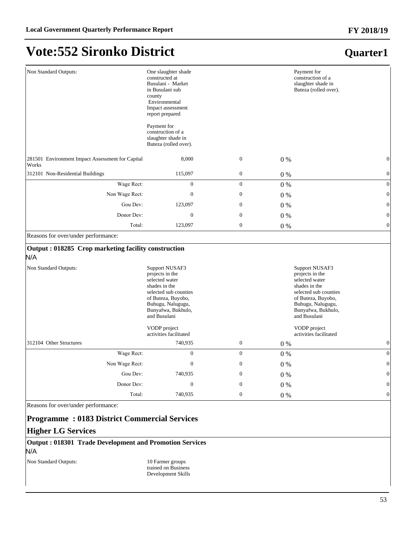## **Vote:552 Sironko District**

### **Quarter1**

| Non Standard Outputs:                                      | One slaughter shade<br>constructed at<br>Busulani - Market<br>in Busulani sub<br>county<br>Environmental<br>Impact assessment<br>report prepared<br>Payment for                |                  |       | Payment for<br>construction of a<br>slaughter shade in<br>Buteza (rolled over).                                                                                                |
|------------------------------------------------------------|--------------------------------------------------------------------------------------------------------------------------------------------------------------------------------|------------------|-------|--------------------------------------------------------------------------------------------------------------------------------------------------------------------------------|
|                                                            | construction of a<br>slaughter shade in<br>Buteza (rolled over).                                                                                                               |                  |       |                                                                                                                                                                                |
| 281501 Environment Impact Assessment for Capital<br>Works  | 8,000                                                                                                                                                                          | $\boldsymbol{0}$ | $0\%$ | $\boldsymbol{0}$                                                                                                                                                               |
| 312101 Non-Residential Buildings                           | 115,097                                                                                                                                                                        | $\boldsymbol{0}$ | $0\%$ | $\boldsymbol{0}$                                                                                                                                                               |
| Wage Rect:                                                 | $\boldsymbol{0}$                                                                                                                                                               | $\boldsymbol{0}$ | $0\%$ | $\vert 0 \vert$                                                                                                                                                                |
| Non Wage Rect:                                             | $\boldsymbol{0}$                                                                                                                                                               | $\boldsymbol{0}$ | $0\%$ | $\boldsymbol{0}$                                                                                                                                                               |
| Gou Dev:                                                   | 123,097                                                                                                                                                                        | $\mathbf{0}$     | $0\%$ | $\vert 0 \vert$                                                                                                                                                                |
| Donor Dev:                                                 | $\boldsymbol{0}$                                                                                                                                                               | $\mathbf{0}$     | $0\%$ | 0                                                                                                                                                                              |
| Total:                                                     | 123,097                                                                                                                                                                        | $\boldsymbol{0}$ | $0\%$ | $\boldsymbol{0}$                                                                                                                                                               |
| Reasons for over/under performance:                        |                                                                                                                                                                                |                  |       |                                                                                                                                                                                |
| Output: 018285 Crop marketing facility construction<br>N/A |                                                                                                                                                                                |                  |       |                                                                                                                                                                                |
| Non Standard Outputs:                                      | Support NUSAF3<br>projects in the<br>selected water<br>shades in the<br>selected sub counties<br>of Buteza, Buyobo,<br>Buhugu, Nalugugu,<br>Bunyafwa, Bukhulo,<br>and Busulani |                  |       | Support NUSAF3<br>projects in the<br>selected water<br>shades in the<br>selected sub counties<br>of Buteza, Buyobo,<br>Buhugu, Nalugugu,<br>Bunyafwa, Bukhulo,<br>and Busulani |
|                                                            | VODP project<br>activities facilitated                                                                                                                                         |                  |       | VODP project<br>activities facilitated                                                                                                                                         |
| 312104 Other Structures                                    | 740,935                                                                                                                                                                        | $\boldsymbol{0}$ | $0\%$ | $\mathbf{0}$                                                                                                                                                                   |
| Wage Rect:                                                 | $\boldsymbol{0}$                                                                                                                                                               | $\boldsymbol{0}$ | $0\%$ | $\vert 0 \vert$                                                                                                                                                                |
| Non Wage Rect:                                             | $\boldsymbol{0}$                                                                                                                                                               | $\boldsymbol{0}$ | $0\%$ | $\boldsymbol{0}$                                                                                                                                                               |
| Gou Dev:                                                   | 740,935                                                                                                                                                                        | $\boldsymbol{0}$ | $0\%$ | $\vert 0 \vert$                                                                                                                                                                |
| Donor Dev:                                                 | $\boldsymbol{0}$                                                                                                                                                               | $\boldsymbol{0}$ | $0\%$ | $\vert 0 \vert$                                                                                                                                                                |
| Total:                                                     | 740,935                                                                                                                                                                        | $\boldsymbol{0}$ | $0\%$ | $\vert 0 \vert$                                                                                                                                                                |

Reasons for over/under performance:

#### **Programme : 0183 District Commercial Services**

#### **Higher LG Services**

#### **Output : 018301 Trade Development and Promotion Services** N/A

Non Standard Outputs: 10 Farmer groups

trained on Business Development Skills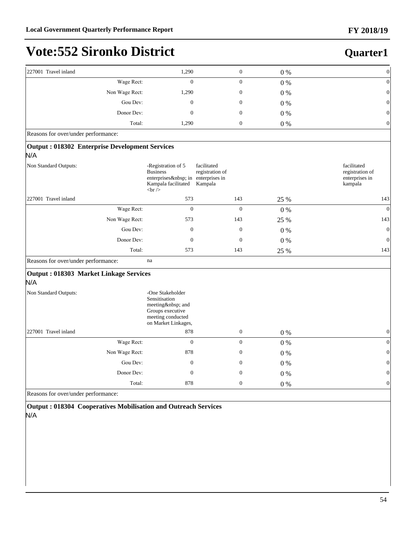### **Quarter1**

| 227001 Travel inland                                         | 1,290                                                                                                                | $\boldsymbol{0}$                          | 0%      | $\boldsymbol{0}$                                            |
|--------------------------------------------------------------|----------------------------------------------------------------------------------------------------------------------|-------------------------------------------|---------|-------------------------------------------------------------|
| Wage Rect:                                                   | $\Omega$                                                                                                             | $\mathbf{0}$                              | $0\ \%$ | $\boldsymbol{0}$                                            |
| Non Wage Rect:                                               | 1,290                                                                                                                | $\boldsymbol{0}$                          | $0\ \%$ | $\boldsymbol{0}$                                            |
| Gou Dev:                                                     | $\boldsymbol{0}$                                                                                                     | $\boldsymbol{0}$                          | 0%      | $\boldsymbol{0}$                                            |
| Donor Dev:                                                   | $\boldsymbol{0}$                                                                                                     | $\boldsymbol{0}$                          | 0%      | $\boldsymbol{0}$                                            |
| Total:                                                       | 1,290                                                                                                                | $\boldsymbol{0}$                          | $0\ \%$ | $\boldsymbol{0}$                                            |
| Reasons for over/under performance:                          |                                                                                                                      |                                           |         |                                                             |
| <b>Output: 018302 Enterprise Development Services</b><br>N/A |                                                                                                                      |                                           |         |                                                             |
| Non Standard Outputs:                                        | -Registration of 5<br><b>Business</b><br>enterprises  in enterprises in<br>Kampala facilitated<br><br>2 <sub>r</sub> | facilitated<br>registration of<br>Kampala |         | facilitated<br>registration of<br>enterprises in<br>kampala |
| 227001 Travel inland                                         | 573                                                                                                                  | 143                                       | 25 %    | 143                                                         |
| Wage Rect:                                                   | $\boldsymbol{0}$                                                                                                     | $\boldsymbol{0}$                          | $0\ \%$ | $\boldsymbol{0}$                                            |
| Non Wage Rect:                                               | 573                                                                                                                  | 143                                       | 25 %    | 143                                                         |
| Gou Dev:                                                     | $\mathbf{0}$                                                                                                         | $\boldsymbol{0}$                          | $0\%$   | $\boldsymbol{0}$                                            |
| Donor Dev:                                                   | $\mathbf{0}$                                                                                                         | $\mathbf{0}$                              | $0\%$   | $\mathbf{0}$                                                |
| Total:                                                       | 573                                                                                                                  | 143                                       | 25 %    | 143                                                         |
| Reasons for over/under performance:                          | na                                                                                                                   |                                           |         |                                                             |
| <b>Output: 018303 Market Linkage Services</b><br>N/A         |                                                                                                                      |                                           |         |                                                             |
| Non Standard Outputs:                                        | -One Stakeholder<br>Sensitisation<br>meeting  and<br>Groups executive<br>meeting conducted<br>on Market Linkages,    |                                           |         |                                                             |
| 227001 Travel inland                                         | 878                                                                                                                  | $\boldsymbol{0}$                          | $0\%$   | $\boldsymbol{0}$                                            |
| Wage Rect:                                                   | $\overline{0}$                                                                                                       | $\boldsymbol{0}$                          | $0\ \%$ | $\boldsymbol{0}$                                            |
| Non Wage Rect:                                               | 878                                                                                                                  | $\boldsymbol{0}$                          | 0%      | $\boldsymbol{0}$                                            |
| Gou Dev:                                                     | $\boldsymbol{0}$                                                                                                     | $\boldsymbol{0}$                          | $0\ \%$ | $\mathbf{0}$                                                |
| Donor Dev:                                                   | $\boldsymbol{0}$                                                                                                     | $\boldsymbol{0}$                          | 0%      | $\boldsymbol{0}$                                            |
|                                                              |                                                                                                                      |                                           |         |                                                             |

**Output : 018304 Cooperatives Mobilisation and Outreach Services** N/A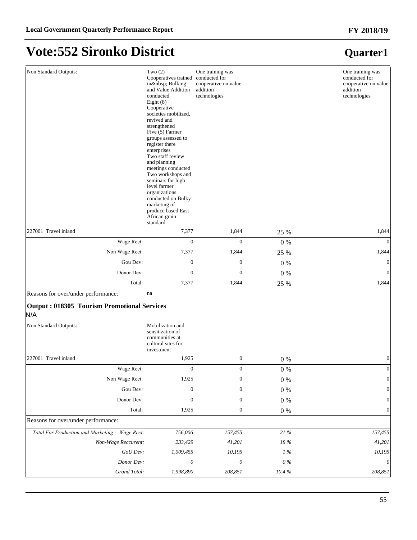## **Vote:552 Sironko District**

| Non Standard Outputs:                                     | Two $(2)$<br>Cooperatives trained<br>in  Bulking<br>and Value Addition<br>conducted<br>Eight $(8)$<br>Cooperative<br>societies mobilized,<br>revived and<br>strengthened<br>Five (5) Farmer<br>groups assessed to<br>register there<br>enterprises<br>Two staff review<br>and planning<br>meetings conducted<br>Two workshops and<br>seminars for high<br>level farmer<br>organizations<br>conducted on Bulky<br>marketing of<br>produce based East<br>African grain<br>standard | One training was<br>conducted for<br>cooperative on value<br>addition<br>technologies |            | One training was<br>conducted for<br>cooperative on value<br>addition<br>technologies |
|-----------------------------------------------------------|----------------------------------------------------------------------------------------------------------------------------------------------------------------------------------------------------------------------------------------------------------------------------------------------------------------------------------------------------------------------------------------------------------------------------------------------------------------------------------|---------------------------------------------------------------------------------------|------------|---------------------------------------------------------------------------------------|
| 227001 Travel inland                                      | 7,377                                                                                                                                                                                                                                                                                                                                                                                                                                                                            | 1,844                                                                                 | 25 %       | 1,844                                                                                 |
| Wage Rect:                                                | $\mathbf{0}$                                                                                                                                                                                                                                                                                                                                                                                                                                                                     | $\mathbf{0}$                                                                          | $0\%$      | $\Omega$                                                                              |
| Non Wage Rect:                                            | 7,377                                                                                                                                                                                                                                                                                                                                                                                                                                                                            | 1,844                                                                                 | 25 %       | 1,844                                                                                 |
| Gou Dev:                                                  | $\mathbf{0}$                                                                                                                                                                                                                                                                                                                                                                                                                                                                     | $\mathbf{0}$                                                                          | $0\ \%$    | $\boldsymbol{0}$                                                                      |
| Donor Dev:                                                | $\boldsymbol{0}$                                                                                                                                                                                                                                                                                                                                                                                                                                                                 | $\mathbf{0}$                                                                          | $0\%$      | $\mathbf{0}$                                                                          |
| Total:                                                    | 7,377                                                                                                                                                                                                                                                                                                                                                                                                                                                                            | 1,844                                                                                 | 25 %       | 1,844                                                                                 |
| Reasons for over/under performance:                       | na                                                                                                                                                                                                                                                                                                                                                                                                                                                                               |                                                                                       |            |                                                                                       |
| <b>Output: 018305 Tourism Promotional Services</b><br>N/A |                                                                                                                                                                                                                                                                                                                                                                                                                                                                                  |                                                                                       |            |                                                                                       |
| Non Standard Outputs:                                     | Mobilization and<br>sensitization of<br>communities at<br>cultural sites for<br>investment                                                                                                                                                                                                                                                                                                                                                                                       |                                                                                       |            |                                                                                       |
| 227001 Travel inland                                      | 1,925                                                                                                                                                                                                                                                                                                                                                                                                                                                                            | $\boldsymbol{0}$                                                                      | $0\%$      | $\boldsymbol{0}$                                                                      |
| Wage Rect:                                                | $\boldsymbol{0}$                                                                                                                                                                                                                                                                                                                                                                                                                                                                 | $\boldsymbol{0}$                                                                      | $0\ \%$    | $\boldsymbol{0}$                                                                      |
| Non Wage Rect:                                            | 1,925                                                                                                                                                                                                                                                                                                                                                                                                                                                                            | $\boldsymbol{0}$                                                                      | $0\ \%$    | $\boldsymbol{0}$                                                                      |
| Gou Dev:                                                  | $\boldsymbol{0}$                                                                                                                                                                                                                                                                                                                                                                                                                                                                 | $\boldsymbol{0}$                                                                      | $0\ \%$    | $\mathbf{0}$                                                                          |
| Donor Dev:                                                | $\boldsymbol{0}$                                                                                                                                                                                                                                                                                                                                                                                                                                                                 | $\boldsymbol{0}$                                                                      | $0\ \%$    | $\boldsymbol{0}$                                                                      |
| Total:                                                    | 1,925                                                                                                                                                                                                                                                                                                                                                                                                                                                                            | $\boldsymbol{0}$                                                                      | $0\ \%$    | $\boldsymbol{0}$                                                                      |
| Reasons for over/under performance:                       |                                                                                                                                                                                                                                                                                                                                                                                                                                                                                  |                                                                                       |            |                                                                                       |
| Total For Production and Marketing: Wage Rect:            | 756,006                                                                                                                                                                                                                                                                                                                                                                                                                                                                          | 157,455                                                                               | $21\,\%$   | 157,455                                                                               |
| Non-Wage Reccurent:                                       | 233,429                                                                                                                                                                                                                                                                                                                                                                                                                                                                          | 41,201                                                                                | $18\,\%$   | 41,201                                                                                |
| GoU Dev:                                                  | 1,009,455                                                                                                                                                                                                                                                                                                                                                                                                                                                                        | 10,195                                                                                | $1\,\%$    | 10,195                                                                                |
| Donor Dev:                                                | $\theta$                                                                                                                                                                                                                                                                                                                                                                                                                                                                         | $\theta$                                                                              | $0\,\%$    | $\theta$                                                                              |
| Grand Total:                                              | 1,998,890                                                                                                                                                                                                                                                                                                                                                                                                                                                                        | 208,851                                                                               | $10.4\ \%$ | 208,851                                                                               |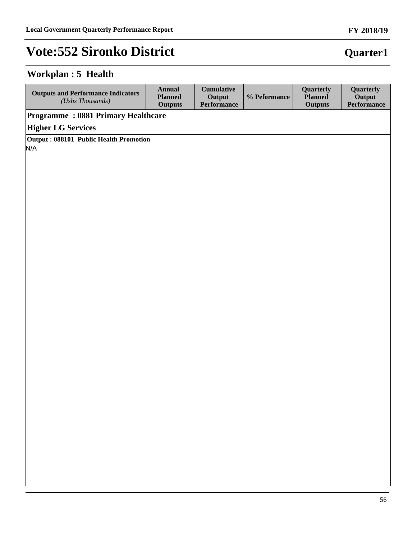### **Workplan : 5 Health**

| <b>Outputs and Performance Indicators</b><br>$(Ushs$ Thousands) | Annual<br><b>Planned</b><br><b>Outputs</b> | <b>Cumulative</b><br>Output<br><b>Performance</b> | % Peformance | <b>Ouarterly</b><br><b>Planned</b><br><b>Outputs</b> | Quarterly<br>Output<br><b>Performance</b> |  |
|-----------------------------------------------------------------|--------------------------------------------|---------------------------------------------------|--------------|------------------------------------------------------|-------------------------------------------|--|
| <b>Programme: 0881 Primary Healthcare</b>                       |                                            |                                                   |              |                                                      |                                           |  |
| <b>Higher LG Services</b>                                       |                                            |                                                   |              |                                                      |                                           |  |
| Output: 088101 Public Health Promotion                          |                                            |                                                   |              |                                                      |                                           |  |
| N/A                                                             |                                            |                                                   |              |                                                      |                                           |  |
|                                                                 |                                            |                                                   |              |                                                      |                                           |  |
|                                                                 |                                            |                                                   |              |                                                      |                                           |  |

## **Quarter1**

**FY 2018/19**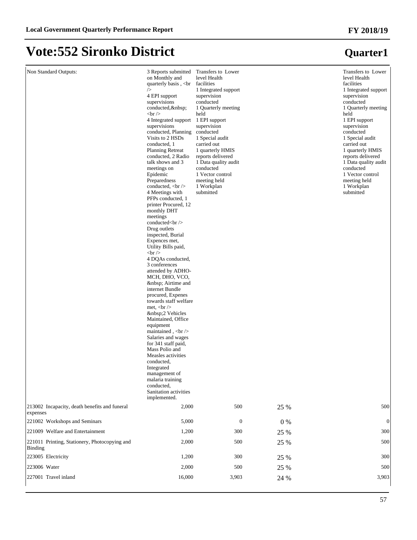## **Vote:552 Sironko District**

| Non Standard Outputs:<br>213002 Incapacity, death benefits and funeral | 3 Reports submitted<br>on Monthly and<br>quarterly basis, <br<br>/&gt;<br/>4 EPI support<br/>supervisions<br/>conducted,  <br/><math>str <math>\rangle</math></math><br/>4 Integrated support<br/>supervisions<br/>conducted, Planning<br/>Visits to 2 HSDs<br/>conducted, 1<br/><b>Planning Retreat</b><br/>conducted, 2 Radio<br/>talk shows and 3<br/>meetings on<br/>Epidemic<br/>Preparedness<br/>conducted, <br/>br /&gt;<br/>4 Meetings with<br/>PFPs conducted, 1<br>printer Procured, 12<br/>monthly DHT<br/>meetings<br/>conducted<br/><br/>Drug outlets<br/>inspected, Burial<br>Expences met.<br/>Utility Bills paid,<br/><math>str <math>\rangle</math></math><br/>4 DQAs conducted,<br/>3 conferences<br/>attended by ADHO-<br/>MCH, DHO, VCO,<br/>  Airtime and<br/>internet Bundle<br/>procured, Expenes<br/>towards staff welfare<br/>met, <math>\langle</math>br <math>\rangle</math><br/> 2 Vehicles<br/>Maintained, Office<br/>equipment<br/>maintained, <math>kr</math><br/>Salaries and wages<br/>for 341 staff paid,<br/>Mass Polio and<br/>Measles activities<br/>conducted,<br/>Integrated<br/>management of<br/>malaria training<br/>conducted,<br/>Sanitation activities<br/>implemented.</br></br></br<br> | Transfers to Lower<br>level Health<br>facilities<br>1 Integrated support<br>supervision<br>conducted<br>1 Quarterly meeting<br>held<br>1 EPI support<br>supervision<br>conducted<br>1 Special audit<br>carried out<br>1 quarterly HMIS<br>reports delivered<br>1 Data quality audit<br>conducted<br>1 Vector control<br>meeting held<br>1 Workplan<br>submitted |       | Transfers to Lower<br>level Health<br>facilities<br>1 Integrated support<br>supervision<br>conducted<br>1 Quarterly meeting<br>held<br>1 EPI support<br>supervision<br>conducted<br>1 Special audit<br>carried out<br>1 quarterly HMIS<br>reports delivered<br>1 Data quality audit<br>conducted<br>1 Vector control<br>meeting held<br>1 Workplan<br>submitted |
|------------------------------------------------------------------------|----------------------------------------------------------------------------------------------------------------------------------------------------------------------------------------------------------------------------------------------------------------------------------------------------------------------------------------------------------------------------------------------------------------------------------------------------------------------------------------------------------------------------------------------------------------------------------------------------------------------------------------------------------------------------------------------------------------------------------------------------------------------------------------------------------------------------------------------------------------------------------------------------------------------------------------------------------------------------------------------------------------------------------------------------------------------------------------------------------------------------------------------------------------------------------------------------------------------------------------|-----------------------------------------------------------------------------------------------------------------------------------------------------------------------------------------------------------------------------------------------------------------------------------------------------------------------------------------------------------------|-------|-----------------------------------------------------------------------------------------------------------------------------------------------------------------------------------------------------------------------------------------------------------------------------------------------------------------------------------------------------------------|
| expenses                                                               | 2,000                                                                                                                                                                                                                                                                                                                                                                                                                                                                                                                                                                                                                                                                                                                                                                                                                                                                                                                                                                                                                                                                                                                                                                                                                                  | 500                                                                                                                                                                                                                                                                                                                                                             | 25 %  | 500                                                                                                                                                                                                                                                                                                                                                             |
| 221002 Workshops and Seminars                                          | 5,000                                                                                                                                                                                                                                                                                                                                                                                                                                                                                                                                                                                                                                                                                                                                                                                                                                                                                                                                                                                                                                                                                                                                                                                                                                  | $\mathbf{0}$                                                                                                                                                                                                                                                                                                                                                    | $0\%$ | $\mathbf{0}$                                                                                                                                                                                                                                                                                                                                                    |
| 221009 Welfare and Entertainment                                       | 1,200                                                                                                                                                                                                                                                                                                                                                                                                                                                                                                                                                                                                                                                                                                                                                                                                                                                                                                                                                                                                                                                                                                                                                                                                                                  | 300                                                                                                                                                                                                                                                                                                                                                             | 25 %  | 300                                                                                                                                                                                                                                                                                                                                                             |
| 221011 Printing, Stationery, Photocopying and<br>Binding               | 2,000                                                                                                                                                                                                                                                                                                                                                                                                                                                                                                                                                                                                                                                                                                                                                                                                                                                                                                                                                                                                                                                                                                                                                                                                                                  | 500                                                                                                                                                                                                                                                                                                                                                             | 25 %  | 500                                                                                                                                                                                                                                                                                                                                                             |
| 223005 Electricity<br>223006 Water                                     | 1,200                                                                                                                                                                                                                                                                                                                                                                                                                                                                                                                                                                                                                                                                                                                                                                                                                                                                                                                                                                                                                                                                                                                                                                                                                                  | 300                                                                                                                                                                                                                                                                                                                                                             | 25 %  | 300                                                                                                                                                                                                                                                                                                                                                             |
|                                                                        | 2,000                                                                                                                                                                                                                                                                                                                                                                                                                                                                                                                                                                                                                                                                                                                                                                                                                                                                                                                                                                                                                                                                                                                                                                                                                                  | 500                                                                                                                                                                                                                                                                                                                                                             | 25 %  | 500                                                                                                                                                                                                                                                                                                                                                             |
| 227001 Travel inland                                                   | 16,000                                                                                                                                                                                                                                                                                                                                                                                                                                                                                                                                                                                                                                                                                                                                                                                                                                                                                                                                                                                                                                                                                                                                                                                                                                 | 3,903                                                                                                                                                                                                                                                                                                                                                           | 24 %  | 3,903                                                                                                                                                                                                                                                                                                                                                           |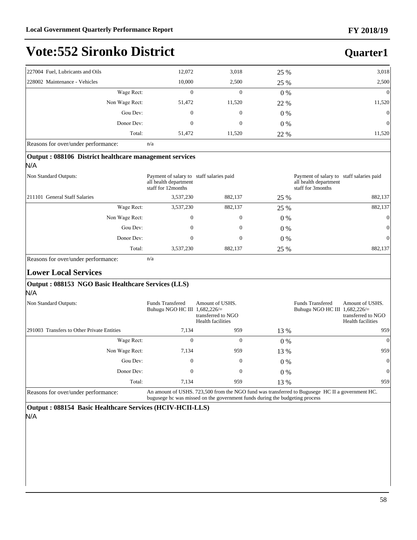| ko District |        |       |      | <b>Quarter1</b> |
|-------------|--------|-------|------|-----------------|
|             | 12,072 | 3,018 | 25 % | 3,018           |
|             | 10,000 | 2,500 | 25 % | 2,500           |
| Wage Rect:  |        |       | 0 %  |                 |

| $$ who recover                             | $\sim$ | $\sim$ | $U$ /0 | $\sim$ 1       |  |  |  |
|--------------------------------------------|--------|--------|--------|----------------|--|--|--|
| Non Wage Rect:                             | 51,472 | 11,520 | 22 %   | 11,520         |  |  |  |
| Gou Dev:                                   |        |        | 0 %    | $\overline{0}$ |  |  |  |
| Donor Dev:                                 |        |        | $0\%$  | $\overline{0}$ |  |  |  |
| Total:                                     | 51,472 | 11,520 | 22 %   | 11,520         |  |  |  |
| Reasons for over/under performance:<br>n/a |        |        |        |                |  |  |  |

Reasons for over/under performance: n/a

227004 Fuel, Lubricants and Oils 228002 Maintenance - Vehicles

| Output: 088106 District healthcare management services<br>N/A                                   |                                                                                         |                                                                                                                                                                                |       |                                                                                        |                                                                   |
|-------------------------------------------------------------------------------------------------|-----------------------------------------------------------------------------------------|--------------------------------------------------------------------------------------------------------------------------------------------------------------------------------|-------|----------------------------------------------------------------------------------------|-------------------------------------------------------------------|
| Non Standard Outputs:                                                                           | Payment of salary to staff salaries paid<br>all health department<br>staff for 12months |                                                                                                                                                                                |       | Payment of salary to staff salaries paid<br>all health department<br>staff for 3months |                                                                   |
| 211101 General Staff Salaries                                                                   | 3,537,230                                                                               | 882,137                                                                                                                                                                        | 25 %  |                                                                                        | 882,137                                                           |
| Wage Rect:                                                                                      | 3,537,230                                                                               | 882,137                                                                                                                                                                        | 25 %  |                                                                                        | 882,137                                                           |
| Non Wage Rect:                                                                                  | $\overline{0}$                                                                          | $\overline{0}$                                                                                                                                                                 | $0\%$ |                                                                                        | $\vert 0 \vert$                                                   |
| Gou Dev:                                                                                        | $\overline{0}$                                                                          | $\Omega$                                                                                                                                                                       | $0\%$ |                                                                                        | $\vert 0 \vert$                                                   |
| Donor Dev:                                                                                      | $\overline{0}$                                                                          | $\overline{0}$                                                                                                                                                                 | $0\%$ |                                                                                        | $\vert 0 \vert$                                                   |
| Total:                                                                                          | 3,537,230                                                                               | 882,137                                                                                                                                                                        | 25 %  |                                                                                        | 882,137                                                           |
| <b>Lower Local Services</b><br><b>Output: 088153 NGO Basic Healthcare Services (LLS)</b><br>N/A |                                                                                         |                                                                                                                                                                                |       |                                                                                        |                                                                   |
| Non Standard Outputs:                                                                           | <b>Funds Transfered</b><br>Buhugu NGO HC III 1,682,226/=                                | Amount of USHS.<br>transferred to NGO<br>Health facilities                                                                                                                     |       | <b>Funds Transfered</b><br>Buhugu NGO HC III 1,682,226/=                               | Amount of USHS.<br>transferred to NGO<br><b>Health facilities</b> |
| 291003 Transfers to Other Private Entities                                                      | 7,134                                                                                   | 959                                                                                                                                                                            | 13 %  |                                                                                        | 959                                                               |
| Wage Rect:                                                                                      | $\mathbf{0}$                                                                            | $\mathbf{0}$                                                                                                                                                                   | $0\%$ |                                                                                        | $\Omega$                                                          |
| Non Wage Rect:                                                                                  | 7,134                                                                                   | 959                                                                                                                                                                            | 13 %  |                                                                                        | 959                                                               |
| Gou Dev:                                                                                        | $\Omega$                                                                                | $\mathbf{0}$                                                                                                                                                                   | $0\%$ |                                                                                        | $\vert 0 \vert$                                                   |
| Donor Dev:                                                                                      | $\mathbf{0}$                                                                            | $\mathbf{0}$                                                                                                                                                                   | $0\%$ |                                                                                        | $\vert 0 \vert$                                                   |
| Total:                                                                                          | 7,134                                                                                   | 959                                                                                                                                                                            | 13 %  |                                                                                        | 959                                                               |
| Reasons for over/under performance:                                                             |                                                                                         | An amount of USHS. 723,500 from the NGO fund was transferred to Bugusege HC II a government HC.<br>bugusege hc was missed on the government funds during the budgeting process |       |                                                                                        |                                                                   |

**Output : 088154 Basic Healthcare Services (HCIV-HCII-LLS)** N/A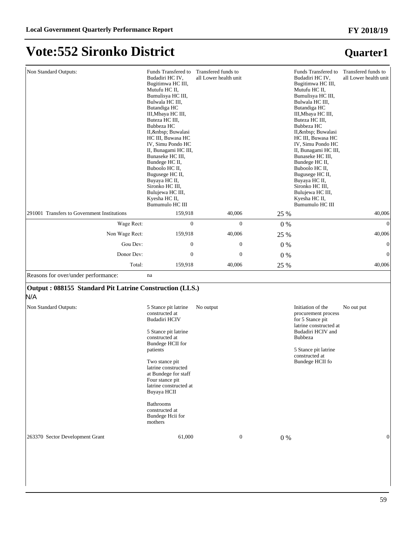## **Vote:552 Sironko District**

| Non Standard Outputs:                                          | Funds Transfered to<br>Budadiri HC IV,<br>Bugitimwa HC III,<br>Mutufu HC II,<br>Bumulisya HC III,<br>Bulwala HC III,<br>Butandiga HC<br>III, Mbaya HC III,<br>Buteza HC III,<br>Bubbeza HC<br>II,   Buwalasi<br>HC III, Buwasa HC<br>IV, Simu Pondo HC<br>II, Bunagami HC III,<br>Bunaseke HC III,<br>Bundege HC II,<br>Buboolo HC II,<br>Bugusege HC II,<br>Buyaya HC II,<br>Sironko HC III,<br>Bulujewa HC III,<br>Kyesha HC II,<br>Bumumulo HC III | Transfered funds to<br>all Lower health unit |         | Funds Transfered to<br>Budadiri HC IV,<br>Bugitimwa HC III,<br>Mutufu HC II,<br>Bumulisya HC III,<br>Bulwala HC III,<br>Butandiga HC<br>III, Mbaya HC III,<br>Buteza HC III,<br>Bubbeza HC<br>II,   Buwalasi<br>HC III, Buwasa HC<br>IV, Simu Pondo HC<br>II, Bunagami HC III,<br>Bunaseke HC III,<br>Bundege HC II,<br>Buboolo HC II,<br>Bugusege HC II,<br>Buyaya HC II,<br>Sironko HC III,<br>Bulujewa HC III,<br>Kyesha HC II,<br>Bumumulo HC III | Transfered funds to<br>all Lower health unit |
|----------------------------------------------------------------|-------------------------------------------------------------------------------------------------------------------------------------------------------------------------------------------------------------------------------------------------------------------------------------------------------------------------------------------------------------------------------------------------------------------------------------------------------|----------------------------------------------|---------|-------------------------------------------------------------------------------------------------------------------------------------------------------------------------------------------------------------------------------------------------------------------------------------------------------------------------------------------------------------------------------------------------------------------------------------------------------|----------------------------------------------|
| 291001 Transfers to Government Institutions                    | 159,918                                                                                                                                                                                                                                                                                                                                                                                                                                               | 40,006                                       | 25 %    |                                                                                                                                                                                                                                                                                                                                                                                                                                                       | 40,006                                       |
| Wage Rect:                                                     | $\mathbf{0}$                                                                                                                                                                                                                                                                                                                                                                                                                                          | $\mathbf{0}$                                 | $0\ \%$ |                                                                                                                                                                                                                                                                                                                                                                                                                                                       | $\theta$                                     |
| Non Wage Rect:                                                 | 159,918                                                                                                                                                                                                                                                                                                                                                                                                                                               | 40,006                                       | 25 %    |                                                                                                                                                                                                                                                                                                                                                                                                                                                       | 40,006                                       |
| Gou Dev:                                                       | $\boldsymbol{0}$                                                                                                                                                                                                                                                                                                                                                                                                                                      | $\boldsymbol{0}$                             | $0\%$   |                                                                                                                                                                                                                                                                                                                                                                                                                                                       | $\mathbf{0}$                                 |
| Donor Dev:                                                     | $\boldsymbol{0}$                                                                                                                                                                                                                                                                                                                                                                                                                                      | $\boldsymbol{0}$                             | 0%      |                                                                                                                                                                                                                                                                                                                                                                                                                                                       | $\boldsymbol{0}$                             |
| Total:                                                         | 159,918                                                                                                                                                                                                                                                                                                                                                                                                                                               | 40,006                                       | 25 %    |                                                                                                                                                                                                                                                                                                                                                                                                                                                       | 40,006                                       |
| Reasons for over/under performance:                            | na                                                                                                                                                                                                                                                                                                                                                                                                                                                    |                                              |         |                                                                                                                                                                                                                                                                                                                                                                                                                                                       |                                              |
| Output: 088155 Standard Pit Latrine Construction (LLS.)<br>N/A |                                                                                                                                                                                                                                                                                                                                                                                                                                                       |                                              |         |                                                                                                                                                                                                                                                                                                                                                                                                                                                       |                                              |
| Non Standard Outputs:                                          | 5 Stance pit latrine<br>constructed at<br>Budadiri HCIV<br>5 Stance pit latrine<br>constructed at<br>Bundege HCII for<br>patients<br>Two stance pit<br>latrine constructed<br>at Bundege for staff<br>Four stance pit<br>latrine constructed at<br>Buyaya HCII<br><b>Bathrooms</b><br>constructed at<br>Bundege Hcii for<br>mothers                                                                                                                   | No output                                    |         | Initiation of the<br>procurement process<br>for 5 Stance pit<br>latrine constructed at<br>Budadiri HCIV and<br><b>Bubbeza</b><br>5 Stance pit latrine<br>constructed at<br>Bundege HCII fo                                                                                                                                                                                                                                                            | No out put                                   |
| 263370 Sector Development Grant                                | 61,000                                                                                                                                                                                                                                                                                                                                                                                                                                                | $\boldsymbol{0}$                             | $0\ \%$ |                                                                                                                                                                                                                                                                                                                                                                                                                                                       | $\mathbf{0}$                                 |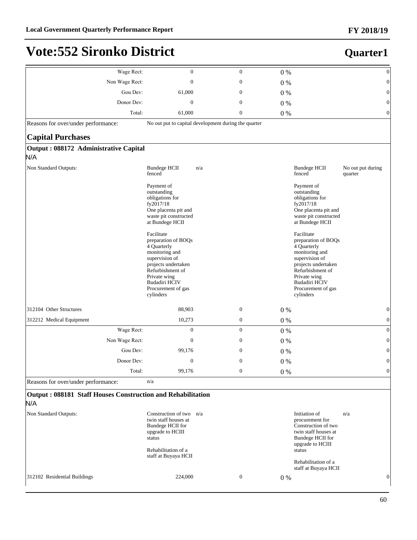| Wage Rect:                                                         | $\boldsymbol{0}$                                                                                                                                                                                                                                                                                                                            | $\boldsymbol{0}$                                     | $0\%$ |                                                                                                                                                                                                                                                                                                                                             | $\boldsymbol{0}$             |
|--------------------------------------------------------------------|---------------------------------------------------------------------------------------------------------------------------------------------------------------------------------------------------------------------------------------------------------------------------------------------------------------------------------------------|------------------------------------------------------|-------|---------------------------------------------------------------------------------------------------------------------------------------------------------------------------------------------------------------------------------------------------------------------------------------------------------------------------------------------|------------------------------|
| Non Wage Rect:                                                     | $\boldsymbol{0}$                                                                                                                                                                                                                                                                                                                            | $\boldsymbol{0}$                                     | $0\%$ |                                                                                                                                                                                                                                                                                                                                             | $\boldsymbol{0}$             |
| Gou Dev:                                                           | 61,000                                                                                                                                                                                                                                                                                                                                      | $\boldsymbol{0}$                                     | $0\%$ |                                                                                                                                                                                                                                                                                                                                             | $\boldsymbol{0}$             |
| Donor Dev:                                                         | $\boldsymbol{0}$                                                                                                                                                                                                                                                                                                                            | $\boldsymbol{0}$                                     | $0\%$ |                                                                                                                                                                                                                                                                                                                                             | $\boldsymbol{0}$             |
| Total:                                                             | 61,000                                                                                                                                                                                                                                                                                                                                      | $\boldsymbol{0}$                                     | $0\%$ |                                                                                                                                                                                                                                                                                                                                             | $\boldsymbol{0}$             |
| Reasons for over/under performance:                                |                                                                                                                                                                                                                                                                                                                                             | No out put to capital development during the quarter |       |                                                                                                                                                                                                                                                                                                                                             |                              |
| <b>Capital Purchases</b>                                           |                                                                                                                                                                                                                                                                                                                                             |                                                      |       |                                                                                                                                                                                                                                                                                                                                             |                              |
| Output: 088172 Administrative Capital                              |                                                                                                                                                                                                                                                                                                                                             |                                                      |       |                                                                                                                                                                                                                                                                                                                                             |                              |
| N/A                                                                |                                                                                                                                                                                                                                                                                                                                             |                                                      |       |                                                                                                                                                                                                                                                                                                                                             |                              |
| Non Standard Outputs:                                              | <b>Bundege HCII</b><br>fenced                                                                                                                                                                                                                                                                                                               | n/a                                                  |       | <b>Bundege HCII</b><br>fenced                                                                                                                                                                                                                                                                                                               | No out put during<br>quarter |
|                                                                    | Payment of<br>outstanding<br>obligations for<br>fy2017/18<br>One placenta pit and<br>waste pit constructed<br>at Bundege HCII<br>Facilitate<br>preparation of BOQs<br>4 Quarterly<br>monitoring and<br>supervision of<br>projects undertaken<br>Refurbishment of<br>Private wing<br><b>Budadiri HCIV</b><br>Procurement of gas<br>cylinders |                                                      |       | Payment of<br>outstanding<br>obligations for<br>fy2017/18<br>One placenta pit and<br>waste pit constructed<br>at Bundege HCII<br>Facilitate<br>preparation of BOQs<br>4 Quarterly<br>monitoring and<br>supervision of<br>projects undertaken<br>Refurbishment of<br>Private wing<br><b>Budadiri HCIV</b><br>Procurement of gas<br>cylinders |                              |
| 312104 Other Structures                                            | 88,903                                                                                                                                                                                                                                                                                                                                      | $\boldsymbol{0}$                                     | $0\%$ |                                                                                                                                                                                                                                                                                                                                             | $\boldsymbol{0}$             |
| 312212 Medical Equipment                                           | 10,273                                                                                                                                                                                                                                                                                                                                      | $\boldsymbol{0}$                                     | $0\%$ |                                                                                                                                                                                                                                                                                                                                             | $\boldsymbol{0}$             |
| Wage Rect:                                                         | $\boldsymbol{0}$                                                                                                                                                                                                                                                                                                                            | $\boldsymbol{0}$                                     | $0\%$ |                                                                                                                                                                                                                                                                                                                                             | $\boldsymbol{0}$             |
| Non Wage Rect:                                                     | $\mathbf{0}$                                                                                                                                                                                                                                                                                                                                | $\boldsymbol{0}$                                     | $0\%$ |                                                                                                                                                                                                                                                                                                                                             | $\boldsymbol{0}$             |
| Gou Dev:                                                           | 99,176                                                                                                                                                                                                                                                                                                                                      | $\boldsymbol{0}$                                     |       |                                                                                                                                                                                                                                                                                                                                             | $\boldsymbol{0}$             |
| Donor Dev:                                                         | $\boldsymbol{0}$                                                                                                                                                                                                                                                                                                                            | $\mathbf{0}$                                         | $0\%$ |                                                                                                                                                                                                                                                                                                                                             | $\boldsymbol{0}$             |
| Total:                                                             |                                                                                                                                                                                                                                                                                                                                             | $\boldsymbol{0}$                                     | $0\%$ |                                                                                                                                                                                                                                                                                                                                             |                              |
| Reasons for over/under performance:                                | 99,176<br>n/a                                                                                                                                                                                                                                                                                                                               |                                                      | $0\%$ |                                                                                                                                                                                                                                                                                                                                             | $\boldsymbol{0}$             |
|                                                                    |                                                                                                                                                                                                                                                                                                                                             |                                                      |       |                                                                                                                                                                                                                                                                                                                                             |                              |
| Output: 088181 Staff Houses Construction and Rehabilitation<br>N/A |                                                                                                                                                                                                                                                                                                                                             |                                                      |       |                                                                                                                                                                                                                                                                                                                                             |                              |
| Non Standard Outputs:                                              | Construction of two<br>twin staff houses at<br>Bundege HCII for<br>upgrade to HCIII<br>status<br>Rehabilitation of a<br>staff at Buyaya HCII                                                                                                                                                                                                | n/a                                                  |       | Initiation of<br>procurement for<br>Construction of two<br>twin staff houses at<br>Bundege HCII for<br>upgrade to HCIII<br>status<br>Rehabilitation of a<br>staff at Buyaya HCII                                                                                                                                                            | n/a                          |
| 312102 Residential Buildings                                       | 224,000                                                                                                                                                                                                                                                                                                                                     | $\boldsymbol{0}$                                     | $0\%$ |                                                                                                                                                                                                                                                                                                                                             | $\boldsymbol{0}$             |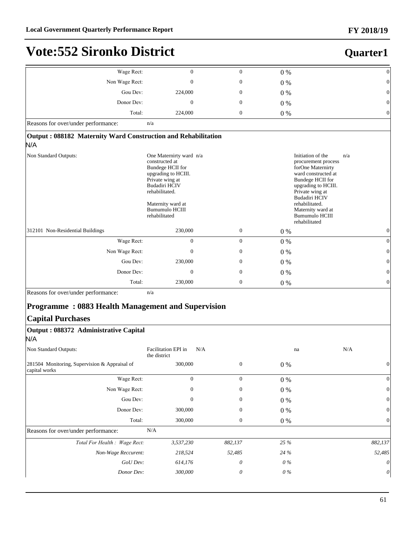| Wage Rect:                                                           | $\overline{0}$                                                                                                                                                                                            | $\mathbf{0}$     | 0%                                                                                                                                                                                                                                                          | $\mathbf{0}$   |
|----------------------------------------------------------------------|-----------------------------------------------------------------------------------------------------------------------------------------------------------------------------------------------------------|------------------|-------------------------------------------------------------------------------------------------------------------------------------------------------------------------------------------------------------------------------------------------------------|----------------|
| Non Wage Rect:                                                       | $\theta$                                                                                                                                                                                                  | $\mathbf{0}$     | 0%                                                                                                                                                                                                                                                          | $\theta$       |
| Gou Dev:                                                             | 224,000                                                                                                                                                                                                   | $\mathbf{0}$     | $0\%$                                                                                                                                                                                                                                                       | $\Omega$       |
| Donor Dev:                                                           | $\overline{0}$                                                                                                                                                                                            | $\mathbf{0}$     | $0\%$                                                                                                                                                                                                                                                       | $\Omega$       |
| Total:                                                               | 224,000                                                                                                                                                                                                   | $\boldsymbol{0}$ | $0\%$                                                                                                                                                                                                                                                       | $\theta$       |
| Reasons for over/under performance:                                  | n/a                                                                                                                                                                                                       |                  |                                                                                                                                                                                                                                                             |                |
| Output: 088182 Maternity Ward Construction and Rehabilitation<br>N/A |                                                                                                                                                                                                           |                  |                                                                                                                                                                                                                                                             |                |
| Non Standard Outputs:                                                | One Maternirty ward n/a<br>constructed at<br>Bundege HCII for<br>upgrading to HCIII.<br>Private wing at<br>Budadiri HCIV<br>rehabilitated.<br>Maternity ward at<br><b>Bumumulo HCIII</b><br>rehabilitated |                  | Initiation of the<br>n/a<br>procurement process<br>forOne Maternirty<br>ward constructed at<br>Bundege HCII for<br>upgrading to HCIII.<br>Private wing at<br>Budadiri HCIV<br>rehabilitated.<br>Maternity ward at<br><b>Bumumulo HCIII</b><br>rehabilitated |                |
| 312101 Non-Residential Buildings                                     | 230,000                                                                                                                                                                                                   | $\boldsymbol{0}$ | $0\%$                                                                                                                                                                                                                                                       | $\overline{0}$ |
| Wage Rect:                                                           | $\Omega$                                                                                                                                                                                                  | $\mathbf{0}$     | $0\%$                                                                                                                                                                                                                                                       | $\Omega$       |
| Non Wage Rect:                                                       | $\overline{0}$                                                                                                                                                                                            | $\mathbf{0}$     | $0\%$                                                                                                                                                                                                                                                       | $\theta$       |
| Gou Dev:                                                             | 230,000                                                                                                                                                                                                   | $\mathbf{0}$     | $0\%$                                                                                                                                                                                                                                                       | $\theta$       |
| Donor Dev:                                                           | $\Omega$                                                                                                                                                                                                  | $\mathbf{0}$     | $0\%$                                                                                                                                                                                                                                                       | $\Omega$       |
| Total:                                                               | 230,000                                                                                                                                                                                                   | $\boldsymbol{0}$ | $0\%$                                                                                                                                                                                                                                                       | $\Omega$       |
| Reasons for over/under performance:                                  | n/a                                                                                                                                                                                                       |                  |                                                                                                                                                                                                                                                             |                |
| <b>Programme: 0883 Health Management and Supervision</b>             |                                                                                                                                                                                                           |                  |                                                                                                                                                                                                                                                             |                |
| <b>Capital Purchases</b>                                             |                                                                                                                                                                                                           |                  |                                                                                                                                                                                                                                                             |                |
| Output: 088372 Administrative Capital                                |                                                                                                                                                                                                           |                  |                                                                                                                                                                                                                                                             |                |
| N/A                                                                  |                                                                                                                                                                                                           |                  |                                                                                                                                                                                                                                                             |                |

| Non Standard Outputs:                                          | Facilitation EPI in<br>the district | N/A              | na    | N/A                   |
|----------------------------------------------------------------|-------------------------------------|------------------|-------|-----------------------|
| 281504 Monitoring, Supervision & Appraisal of<br>capital works | 300,000                             | $\mathbf{0}$     | 0 %   | $\overline{0}$        |
| Wage Rect:                                                     | $\mathbf{0}$                        | $\boldsymbol{0}$ | $0\%$ | $\vert 0 \vert$       |
| Non Wage Rect:                                                 | $\overline{0}$                      | $\mathbf{0}$     | 0 %   | $\vert 0 \vert$       |
| Gou Dev:                                                       | 0                                   | $\overline{0}$   | 0 %   | $\vert 0 \vert$       |
| Donor Dev:                                                     | 300,000                             | $\overline{0}$   | 0 %   | $\vert 0 \vert$       |
| Total:                                                         | 300,000                             | 0                | 0 %   | $\vert 0 \vert$       |
| Reasons for over/under performance:                            | N/A                                 |                  |       |                       |
| Total For Health : Wage Rect:                                  | 3,537,230                           | 882,137          | 25 %  | 882,137               |
| Non-Wage Reccurent:                                            | 218,524                             | 52,485           | 24 %  | 52,485                |
| GoU Dev:                                                       | 614,176                             | 0                | 0 %   | $\theta$              |
| Donor Dev:                                                     | 300,000                             | 0                | 0 %   | $\boldsymbol{\theta}$ |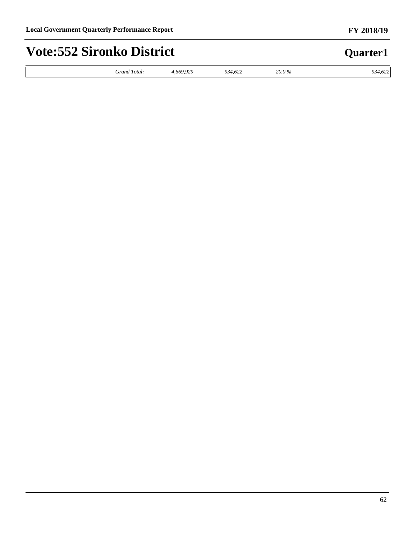#### *Grand Total: 4,669,929 934,622 20.0 % 934,622* **Quarter1 Vote:552 Sironko District**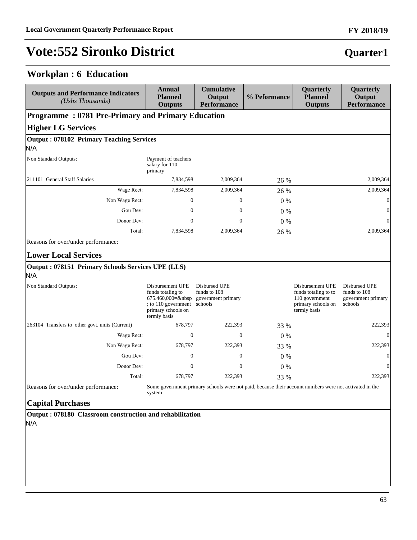#### **Workplan : 6 Education**

| <b>Outputs and Performance Indicators</b><br>(Ushs Thousands)                           | <b>Annual</b><br><b>Planned</b><br><b>Outputs</b>                                                                   | <b>Cumulative</b><br>Output<br><b>Performance</b>                                                      | % Peformance | Quarterly<br><b>Planned</b><br><b>Outputs</b>                                                    | Quarterly<br>Output<br><b>Performance</b>                      |  |  |  |  |  |
|-----------------------------------------------------------------------------------------|---------------------------------------------------------------------------------------------------------------------|--------------------------------------------------------------------------------------------------------|--------------|--------------------------------------------------------------------------------------------------|----------------------------------------------------------------|--|--|--|--|--|
| <b>Programme: 0781 Pre-Primary and Primary Education</b>                                |                                                                                                                     |                                                                                                        |              |                                                                                                  |                                                                |  |  |  |  |  |
| <b>Higher LG Services</b>                                                               |                                                                                                                     |                                                                                                        |              |                                                                                                  |                                                                |  |  |  |  |  |
| <b>Output: 078102 Primary Teaching Services</b>                                         |                                                                                                                     |                                                                                                        |              |                                                                                                  |                                                                |  |  |  |  |  |
| N/A                                                                                     |                                                                                                                     |                                                                                                        |              |                                                                                                  |                                                                |  |  |  |  |  |
| Non Standard Outputs:                                                                   | Payment of teachers<br>salary for 110<br>primary                                                                    |                                                                                                        |              |                                                                                                  |                                                                |  |  |  |  |  |
| 211101 General Staff Salaries                                                           | 7,834,598                                                                                                           | 2,009,364                                                                                              | 26 %         |                                                                                                  | 2,009,364                                                      |  |  |  |  |  |
| Wage Rect:                                                                              | 7,834,598                                                                                                           | 2,009,364                                                                                              | 26 %         |                                                                                                  | 2,009,364                                                      |  |  |  |  |  |
| Non Wage Rect:                                                                          | $\overline{0}$                                                                                                      | $\mathbf{0}$                                                                                           | $0\%$        |                                                                                                  | $\overline{0}$                                                 |  |  |  |  |  |
| Gou Dev:                                                                                | $\theta$                                                                                                            | $\mathbf{0}$                                                                                           | $0\%$        |                                                                                                  | $\mathbf{0}$                                                   |  |  |  |  |  |
| Donor Dev:                                                                              | $\theta$                                                                                                            | $\mathbf{0}$                                                                                           | 0%           |                                                                                                  | $\overline{0}$                                                 |  |  |  |  |  |
| Total:                                                                                  | 7,834,598                                                                                                           | 2,009,364                                                                                              | 26 %         |                                                                                                  | 2,009,364                                                      |  |  |  |  |  |
| <b>Lower Local Services</b><br>Output: 078151 Primary Schools Services UPE (LLS)<br>N/A |                                                                                                                     |                                                                                                        |              |                                                                                                  |                                                                |  |  |  |  |  |
| Non Standard Outputs:                                                                   | Disbursement UPE<br>funds totaling to<br>$675.460,000 =$<br>to 110 government<br>primary schools on<br>termly basis | Disbursed UPE<br>funds to 108<br>government primary<br>schools                                         |              | Disbursement UPE<br>funds totaling to to<br>110 government<br>primary schools on<br>termly basis | Disbursed UPE<br>funds to 108<br>government primary<br>schools |  |  |  |  |  |
| 263104 Transfers to other govt. units (Current)                                         | 678,797                                                                                                             | 222,393                                                                                                | 33 %         |                                                                                                  | 222,393                                                        |  |  |  |  |  |
| Wage Rect:                                                                              | $\boldsymbol{0}$                                                                                                    | $\boldsymbol{0}$                                                                                       | $0\%$        |                                                                                                  | $\theta$                                                       |  |  |  |  |  |
| Non Wage Rect:                                                                          | 678,797                                                                                                             | 222,393                                                                                                | 33 %         |                                                                                                  | 222,393                                                        |  |  |  |  |  |
| Gou Dev:                                                                                | $\overline{0}$                                                                                                      | $\mathbf{0}$                                                                                           | $0\%$        |                                                                                                  | $\mathbf{0}$                                                   |  |  |  |  |  |
| Donor Dev:                                                                              | $\Omega$                                                                                                            | $\Omega$                                                                                               | 0%           |                                                                                                  | $\Omega$                                                       |  |  |  |  |  |
| Total:                                                                                  | 678,797                                                                                                             | 222,393                                                                                                | 33 %         |                                                                                                  | 222,393                                                        |  |  |  |  |  |
| Reasons for over/under performance:<br><b>Capital Purchases</b>                         | system                                                                                                              | Some government primary schools were not paid, because their account numbers were not activated in the |              |                                                                                                  |                                                                |  |  |  |  |  |

**Output : 078180 Classroom construction and rehabilitation** N/A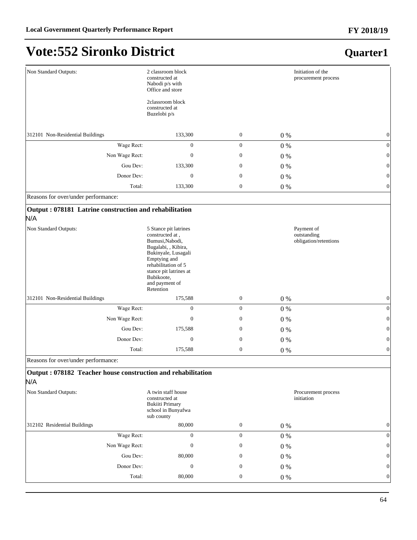| Non Standard Outputs:                                               | 2 classroom block<br>constructed at<br>Nabodi p/s with<br>Office and store                                                                                                                                              |                  | Initiation of the<br>procurement process           |              |
|---------------------------------------------------------------------|-------------------------------------------------------------------------------------------------------------------------------------------------------------------------------------------------------------------------|------------------|----------------------------------------------------|--------------|
|                                                                     | 2classroom block<br>constructed at<br>Buzelobi p/s                                                                                                                                                                      |                  |                                                    |              |
| 312101 Non-Residential Buildings                                    | 133,300                                                                                                                                                                                                                 | $\mathbf{0}$     | $0\%$                                              | $\mathbf{0}$ |
| Wage Rect:                                                          | $\boldsymbol{0}$                                                                                                                                                                                                        | $\mathbf{0}$     | $0\%$                                              | $\mathbf{0}$ |
| Non Wage Rect:                                                      | $\boldsymbol{0}$                                                                                                                                                                                                        | $\mathbf{0}$     | $0\%$                                              | $\theta$     |
| Gou Dev:                                                            | 133,300                                                                                                                                                                                                                 | $\boldsymbol{0}$ | $0\%$                                              | $\theta$     |
| Donor Dev:                                                          | $\boldsymbol{0}$                                                                                                                                                                                                        | $\mathbf{0}$     | $0\%$                                              | $\theta$     |
| Total:                                                              | 133,300                                                                                                                                                                                                                 | $\mathbf{0}$     | $0\%$                                              | $\theta$     |
| Reasons for over/under performance:                                 |                                                                                                                                                                                                                         |                  |                                                    |              |
| Output: 078181 Latrine construction and rehabilitation<br>N/A       |                                                                                                                                                                                                                         |                  |                                                    |              |
| Non Standard Outputs:                                               | 5 Stance pit latrines<br>constructed at,<br>Bumusi, Nabodi,<br>Bugalabi, , Kibira,<br>Bukinyale, Lusagali<br>Emptying and<br>rehabilitation of 5<br>stance pit latrines at<br>Bubikoote,<br>and payment of<br>Retention |                  | Payment of<br>outstanding<br>obligation/retentions |              |
| 312101 Non-Residential Buildings                                    | 175,588                                                                                                                                                                                                                 | $\mathbf{0}$     | $0\%$                                              | $\mathbf{0}$ |
| Wage Rect:                                                          | $\boldsymbol{0}$                                                                                                                                                                                                        | $\mathbf{0}$     | $0\%$                                              | $\mathbf{0}$ |
| Non Wage Rect:                                                      | $\boldsymbol{0}$                                                                                                                                                                                                        | $\mathbf{0}$     | $0\%$                                              | $\theta$     |
| Gou Dev:                                                            | 175,588                                                                                                                                                                                                                 | $\boldsymbol{0}$ | $0\%$                                              | $\mathbf{0}$ |
| Donor Dev:                                                          | $\mathbf{0}$                                                                                                                                                                                                            | $\mathbf{0}$     | $0\%$                                              | $\theta$     |
| Total:                                                              | 175,588                                                                                                                                                                                                                 | $\mathbf{0}$     | $0\%$                                              | $\mathbf{0}$ |
| Reasons for over/under performance:                                 |                                                                                                                                                                                                                         |                  |                                                    |              |
| Output: 078182 Teacher house construction and rehabilitation<br>N/A |                                                                                                                                                                                                                         |                  |                                                    |              |
| Non Standard Outputs:                                               | A twin staff house<br>constructed at<br><b>Bukiiti Primary</b><br>school in Bunyafwa<br>sub county                                                                                                                      |                  | Procurement process<br>initiation                  |              |
| 312102 Residential Buildings                                        | 80,000                                                                                                                                                                                                                  | $\boldsymbol{0}$ | $0\ \%$                                            | $\mathbf{0}$ |
| Wage Rect:                                                          | $\boldsymbol{0}$                                                                                                                                                                                                        | $\mathbf{0}$     | $0\%$                                              | $\mathbf{0}$ |
| Non Wage Rect:                                                      | $\boldsymbol{0}$                                                                                                                                                                                                        | $\mathbf{0}$     | $0\ \%$                                            | $\theta$     |
| Gou Dev:                                                            | 80,000                                                                                                                                                                                                                  | $\mathbf{0}$     | $0\%$                                              | $\mathbf{0}$ |
| Donor Dev:                                                          | $\boldsymbol{0}$                                                                                                                                                                                                        | $\mathbf{0}$     | $0\%$                                              | $\mathbf{0}$ |
| Total:                                                              | 80,000                                                                                                                                                                                                                  | $\mathbf{0}$     | $0\%$                                              | $\mathbf{0}$ |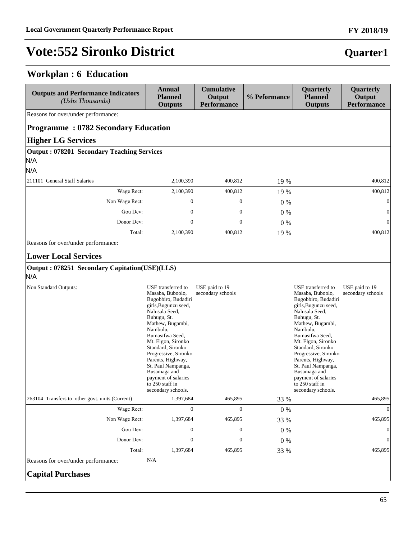### **Workplan : 6 Education**

| <b>Outputs and Performance Indicators</b><br>(Ushs Thousands)                                                | <b>Annual</b><br><b>Planned</b><br><b>Outputs</b>                                                                                                                                                                                                                                                                                                                       | <b>Cumulative</b><br>Output<br><b>Performance</b> | % Peformance    | Quarterly<br><b>Planned</b><br><b>Outputs</b>                                                                                                                                                                                                                                                                                                                           | Quarterly<br>Output<br><b>Performance</b> |
|--------------------------------------------------------------------------------------------------------------|-------------------------------------------------------------------------------------------------------------------------------------------------------------------------------------------------------------------------------------------------------------------------------------------------------------------------------------------------------------------------|---------------------------------------------------|-----------------|-------------------------------------------------------------------------------------------------------------------------------------------------------------------------------------------------------------------------------------------------------------------------------------------------------------------------------------------------------------------------|-------------------------------------------|
| Reasons for over/under performance:                                                                          |                                                                                                                                                                                                                                                                                                                                                                         |                                                   |                 |                                                                                                                                                                                                                                                                                                                                                                         |                                           |
| <b>Programme: 0782 Secondary Education</b>                                                                   |                                                                                                                                                                                                                                                                                                                                                                         |                                                   |                 |                                                                                                                                                                                                                                                                                                                                                                         |                                           |
| <b>Higher LG Services</b>                                                                                    |                                                                                                                                                                                                                                                                                                                                                                         |                                                   |                 |                                                                                                                                                                                                                                                                                                                                                                         |                                           |
| Output: 078201 Secondary Teaching Services<br>N/A<br>N/A                                                     |                                                                                                                                                                                                                                                                                                                                                                         |                                                   |                 |                                                                                                                                                                                                                                                                                                                                                                         |                                           |
| 211101 General Staff Salaries                                                                                | 2,100,390                                                                                                                                                                                                                                                                                                                                                               | 400,812                                           | 19 %            |                                                                                                                                                                                                                                                                                                                                                                         | 400,812                                   |
| Wage Rect:                                                                                                   | 2,100,390                                                                                                                                                                                                                                                                                                                                                               | 400,812                                           | 19 %            |                                                                                                                                                                                                                                                                                                                                                                         | 400,812                                   |
| Non Wage Rect:                                                                                               | 0                                                                                                                                                                                                                                                                                                                                                                       | $\boldsymbol{0}$                                  | $0\%$           |                                                                                                                                                                                                                                                                                                                                                                         | $\mathbf{0}$                              |
| Gou Dev:                                                                                                     | $\boldsymbol{0}$                                                                                                                                                                                                                                                                                                                                                        | $\boldsymbol{0}$                                  | $0\%$           |                                                                                                                                                                                                                                                                                                                                                                         | $\boldsymbol{0}$                          |
| Donor Dev:                                                                                                   | $\boldsymbol{0}$                                                                                                                                                                                                                                                                                                                                                        | $\boldsymbol{0}$                                  | $0\%$           |                                                                                                                                                                                                                                                                                                                                                                         | $\boldsymbol{0}$                          |
| Total:                                                                                                       | 2,100,390                                                                                                                                                                                                                                                                                                                                                               | 400,812                                           | 19 %            |                                                                                                                                                                                                                                                                                                                                                                         | 400,812                                   |
| <b>Lower Local Services</b><br>Output: 078251 Secondary Capitation(USE)(LLS)<br>N/A<br>Non Standard Outputs: | USE transferred to<br>Masaba, Buboolo,<br>Bugobbiro, Budadiri<br>girls, Bugunzu seed,<br>Nalusala Seed,<br>Buhugu, St.<br>Mathew, Bugambi,<br>Nambulu,<br>Bumasifwa Seed,<br>Mt. Elgon, Sironko<br>Standard, Sironko<br>Progressive, Sironko<br>Parents, Highway,<br>St. Paul Nampanga,<br>Busamaga and<br>payment of salaries<br>to 250 staff in<br>secondary schools. | USE paid to 19<br>secondary schools               |                 | USE transferred to<br>Masaba, Buboolo,<br>Bugobbiro, Budadiri<br>girls, Bugunzu seed,<br>Nalusala Seed,<br>Buhugu, St.<br>Mathew, Bugambi,<br>Nambulu,<br>Bumasifwa Seed,<br>Mt. Elgon, Sironko<br>Standard, Sironko<br>Progressive, Sironko<br>Parents, Highway,<br>St. Paul Nampanga,<br>Busamaga and<br>payment of salaries<br>to 250 staff in<br>secondary schools. | USE paid to 19<br>secondary schools       |
| 263104 Transfers to other govt. units (Current)                                                              | 1,397,684                                                                                                                                                                                                                                                                                                                                                               | 465,895                                           | 33 %            |                                                                                                                                                                                                                                                                                                                                                                         | 465,895                                   |
| Wage Rect:                                                                                                   | $\boldsymbol{0}$                                                                                                                                                                                                                                                                                                                                                        | $\boldsymbol{0}$                                  | $0\%$           |                                                                                                                                                                                                                                                                                                                                                                         | $\boldsymbol{0}$                          |
| Non Wage Rect:<br>Gou Dev:                                                                                   | 1,397,684<br>$\boldsymbol{0}$                                                                                                                                                                                                                                                                                                                                           | 465,895<br>$\boldsymbol{0}$                       | 33 %            |                                                                                                                                                                                                                                                                                                                                                                         | 465,895<br>$\boldsymbol{0}$               |
| Donor Dev:                                                                                                   | $\boldsymbol{0}$                                                                                                                                                                                                                                                                                                                                                        | $\boldsymbol{0}$                                  | $0\%$           |                                                                                                                                                                                                                                                                                                                                                                         | $\boldsymbol{0}$                          |
| Total:                                                                                                       | 1,397,684                                                                                                                                                                                                                                                                                                                                                               | 465,895                                           | $0\ \%$<br>33 % |                                                                                                                                                                                                                                                                                                                                                                         | 465,895                                   |
|                                                                                                              |                                                                                                                                                                                                                                                                                                                                                                         |                                                   |                 |                                                                                                                                                                                                                                                                                                                                                                         |                                           |

Reasons for over/under performance: N/A

#### **Capital Purchases**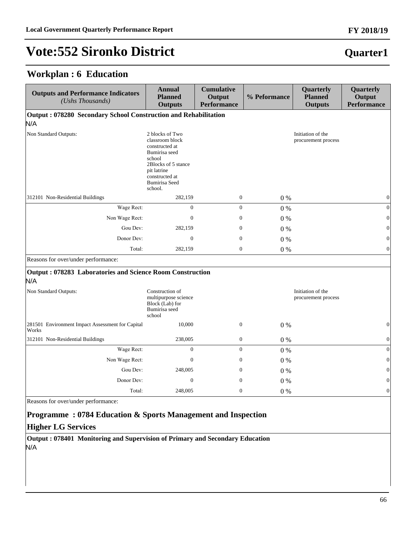#### **Workplan : 6 Education**

| <b>Outputs and Performance Indicators</b><br>(Ushs Thousands)    | <b>Annual</b><br><b>Planned</b><br><b>Outputs</b>                                                                                                                          | <b>Cumulative</b><br>Output<br><b>Performance</b> | % Peformance                             | Quarterly<br><b>Planned</b><br><b>Outputs</b> | Quarterly<br>Output<br><b>Performance</b> |
|------------------------------------------------------------------|----------------------------------------------------------------------------------------------------------------------------------------------------------------------------|---------------------------------------------------|------------------------------------------|-----------------------------------------------|-------------------------------------------|
| Output: 078280 Secondary School Construction and Rehabilitation  |                                                                                                                                                                            |                                                   |                                          |                                               |                                           |
| N/A                                                              |                                                                                                                                                                            |                                                   |                                          |                                               |                                           |
| Non Standard Outputs:                                            | 2 blocks of Two<br>classroom block<br>constructed at<br>Bumirisa seed<br>school<br>2Blocks of 5 stance<br>pit latrine<br>constructed at<br><b>Bumirisa</b> Seed<br>school. |                                                   |                                          | Initiation of the<br>procurement process      |                                           |
| 312101 Non-Residential Buildings                                 | 282,159                                                                                                                                                                    | $\boldsymbol{0}$                                  | $0\%$                                    |                                               | $\boldsymbol{0}$                          |
| Wage Rect:                                                       | $\Omega$                                                                                                                                                                   | $\mathbf{0}$                                      | $0\%$                                    |                                               | $\vert 0 \vert$                           |
| Non Wage Rect:                                                   | $\Omega$                                                                                                                                                                   | $\mathbf{0}$                                      | $0\%$                                    |                                               | $\vert 0 \vert$                           |
| Gou Dev:                                                         | 282,159                                                                                                                                                                    | $\mathbf{0}$                                      | $0\%$                                    |                                               | $\vert 0 \vert$                           |
| Donor Dev:                                                       | $\boldsymbol{0}$                                                                                                                                                           | $\boldsymbol{0}$                                  | $0\%$                                    |                                               | $\boldsymbol{0}$                          |
| Total:                                                           | 282,159                                                                                                                                                                    | $\boldsymbol{0}$                                  | $0\%$                                    |                                               | $\boldsymbol{0}$                          |
| Reasons for over/under performance:                              |                                                                                                                                                                            |                                                   |                                          |                                               |                                           |
| Output: 078283 Laboratories and Science Room Construction<br>N/A |                                                                                                                                                                            |                                                   |                                          |                                               |                                           |
| Non Standard Outputs:                                            | Construction of<br>multipurpose science<br>Block (Lab) for<br>Bumirisa seed<br>school                                                                                      |                                                   | Initiation of the<br>procurement process |                                               |                                           |
| 281501 Environment Impact Assessment for Capital<br>Works        | 10,000                                                                                                                                                                     | $\boldsymbol{0}$                                  | $0\%$                                    |                                               | $\boldsymbol{0}$                          |
| 312101 Non-Residential Buildings                                 | 238,005                                                                                                                                                                    | $\boldsymbol{0}$                                  | $0\%$                                    |                                               | $\boldsymbol{0}$                          |
| Wage Rect:                                                       | $\mathbf{0}$                                                                                                                                                               | $\mathbf{0}$                                      | $0\%$                                    |                                               | $\vert 0 \vert$                           |
| Non Wage Rect:                                                   | $\mathbf{0}$                                                                                                                                                               | $\mathbf{0}$                                      | $0\%$                                    |                                               | $\boldsymbol{0}$                          |
| Gou Dev:                                                         | 248,005                                                                                                                                                                    | $\mathbf{0}$                                      | $0\%$                                    |                                               | $\vert 0 \vert$                           |
| Donor Dev:                                                       | $\mathbf{0}$                                                                                                                                                               | $\mathbf{0}$                                      | $0\%$                                    |                                               | $\vert 0 \vert$                           |
| Total:                                                           | 248,005                                                                                                                                                                    | $\boldsymbol{0}$                                  | 0%                                       |                                               | $\boldsymbol{0}$                          |
| Reasons for over/under performance:                              |                                                                                                                                                                            |                                                   |                                          |                                               |                                           |

#### **Programme : 0784 Education & Sports Management and Inspection**

#### **Higher LG Services**

**Output : 078401 Monitoring and Supervision of Primary and Secondary Education** N/A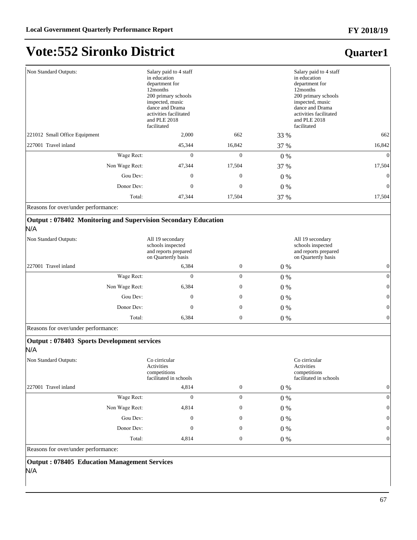**Quarter1**

## **Vote:552 Sironko District**

| Salary paid to 4 staff<br>in education<br>department for<br>12 months<br>200 primary schools<br>inspected, music<br>dance and Drama<br>activities facilitated<br>and PLE 2018 |                  |                  | Salary paid to 4 staff<br>in education<br>department for<br>12 months<br>200 primary schools<br>inspected, music<br>dance and Drama<br>activities facilitated<br>and PLE 2018<br>facilitated |                                                     |
|-------------------------------------------------------------------------------------------------------------------------------------------------------------------------------|------------------|------------------|----------------------------------------------------------------------------------------------------------------------------------------------------------------------------------------------|-----------------------------------------------------|
|                                                                                                                                                                               | 2,000            | 662              |                                                                                                                                                                                              | 662                                                 |
|                                                                                                                                                                               | 45,344           | 16,842           |                                                                                                                                                                                              | 16,842                                              |
| Wage Rect:                                                                                                                                                                    | $\mathbf{0}$     | $\mathbf{0}$     |                                                                                                                                                                                              | $\Omega$                                            |
| Non Wage Rect:                                                                                                                                                                | 47,344           | 17,504           |                                                                                                                                                                                              | 17,504                                              |
| Gou Dev:                                                                                                                                                                      | $\boldsymbol{0}$ | $\boldsymbol{0}$ |                                                                                                                                                                                              | $\mathbf{0}$                                        |
| Donor Dev:                                                                                                                                                                    | $\mathbf{0}$     | $\mathbf{0}$     |                                                                                                                                                                                              | $\theta$                                            |
| Total:                                                                                                                                                                        | 47,344           | 17,504           |                                                                                                                                                                                              | 17,504                                              |
|                                                                                                                                                                               |                  | facilitated      |                                                                                                                                                                                              | 33 %<br>37 %<br>$0\%$<br>37 %<br>0 %<br>0 %<br>37 % |

Reasons for over/under performance:

#### **Output : 078402 Monitoring and Supervision Secondary Education**

#### N/A

| Non Standard Outputs: | All 19 secondary<br>All 19 secondary<br>schools inspected<br>schools inspected<br>and reports prepared<br>and reports prepared<br>on Quartertly basis<br>on Quartertly basis |                |                  |       |                 |
|-----------------------|------------------------------------------------------------------------------------------------------------------------------------------------------------------------------|----------------|------------------|-------|-----------------|
| 227001 Travel inland  |                                                                                                                                                                              | 6,384          | $\overline{0}$   | $0\%$ | $\Omega$        |
|                       | Wage Rect:                                                                                                                                                                   | $\overline{0}$ | $\boldsymbol{0}$ | 0 %   | 0               |
|                       | Non Wage Rect:                                                                                                                                                               | 6,384          | $\overline{0}$   | 0 %   | $\vert 0 \vert$ |
|                       | Gou Dev:                                                                                                                                                                     | 0              | $\overline{0}$   | 0 %   | $\vert 0 \vert$ |
|                       | Donor Dev:                                                                                                                                                                   | 0              | $\boldsymbol{0}$ | 0 %   | $\vert 0 \vert$ |
|                       | Total:                                                                                                                                                                       | 6,384          | $\overline{0}$   | $0\%$ | $\vert 0 \vert$ |

Reasons for over/under performance:

| Output: 078403 Sports Development services<br>N/A |                                                                       |                  |       |                                                                       |              |
|---------------------------------------------------|-----------------------------------------------------------------------|------------------|-------|-----------------------------------------------------------------------|--------------|
| Non Standard Outputs:                             | Co cirricular<br>Activities<br>competitions<br>facilitated in schools |                  |       | Co cirricular<br>Activities<br>competitions<br>facilitated in schools |              |
| 227001 Travel inland                              | 4,814                                                                 | $\mathbf{0}$     | $0\%$ |                                                                       | $\mathbf{0}$ |
| Wage Rect:                                        | $\mathbf{0}$                                                          | $\boldsymbol{0}$ | $0\%$ |                                                                       | $\mathbf{0}$ |
| Non Wage Rect:                                    | 4,814                                                                 | $\boldsymbol{0}$ | $0\%$ |                                                                       | $\mathbf{0}$ |
| Gou Dev:                                          | $\mathbf{0}$                                                          | $\boldsymbol{0}$ | $0\%$ |                                                                       | $\mathbf{0}$ |
| Donor Dev:                                        | $\mathbf{0}$                                                          | $\boldsymbol{0}$ | $0\%$ |                                                                       | $\mathbf{0}$ |
| Total:                                            | 4,814                                                                 | $\boldsymbol{0}$ | $0\%$ |                                                                       | $\mathbf{0}$ |
|                                                   |                                                                       |                  |       |                                                                       |              |

Reasons for over/under performance:

**Output : 078405 Education Management Services** N/A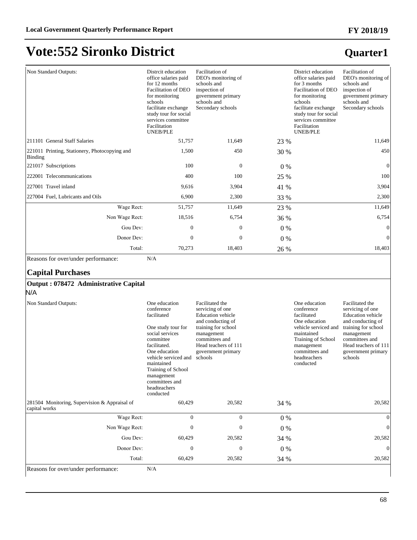**Quarter1**

## **Vote:552 Sironko District**

#### Non Standard Outputs: Distrcit education office salaries paid for 12 months Facilitation of DEO for monitoring schools facilitate exchange study tour for social services committee Facilitation UNEB/PLE Facilitation of DEO's monitoring of schools and inspection of government primary schools and Secondary schools District education office salaries paid for 3 months Facilitation of DEO for monitoring schools facilitate exchange study tour for social services committee Facilitation UNEB/PLE Facilitation of DEO's monitoring of schools and inspection of government primary schools and Secondary schools 211101 General Staff Salaries 61,757 11,649 23 % 11,649 11,649 221011 Printing, Stationery, Photocopying and Binding 1,500 450 30 % 450 221017 Subscriptions 100 0 0 % 0 222001 Telecommunications 6 100 100 25 % 100 227001 Travel inland 3,904 5,904 41 % 3,904 5,904 5,904 3,904 227004 Fuel, Lubricants and Oils 6,900 2,300 33 % 2,300 33 % 2,300 Wage Rect: 51,757 11,649 23 % 11,649 Non Wage Rect: 18,516 6,754 36 % 6,754 6,754 \*RX'HY 0 0 0 % 0 Donor Dev:  $0 \t 0 \t 0 \t 0 \t 0$ Total: 70,273 18,403 26 % 18,403

Reasons for over/under performance: N/A

#### **Capital Purchases**

#### **Output : 078472 Administrative Capital**

N/A

| Non Standard Outputs:                                          | One education<br>conference<br>facilitated<br>One study tour for<br>social services<br>committee<br>facilitated.<br>One education<br>vehicle serviced and<br>maintained<br>Training of School<br>management<br>committees and<br>headteachers<br>conducted | Facilitated the<br>servicing of one<br><b>Education</b> vehicle<br>and conducting of<br>training for school<br>management<br>committees and<br>Head teachers of 111<br>government primary<br>schools |       | One education<br>conference<br>facilitated<br>One education<br>vehicle serviced and<br>maintained<br>Training of School<br>management<br>committees and<br>headteachers<br>conducted | Facilitated the<br>servicing of one<br><b>Education</b> vehicle<br>and conducting of<br>training for school<br>management<br>committees and<br>Head teachers of 111<br>government primary<br>schools |
|----------------------------------------------------------------|------------------------------------------------------------------------------------------------------------------------------------------------------------------------------------------------------------------------------------------------------------|------------------------------------------------------------------------------------------------------------------------------------------------------------------------------------------------------|-------|--------------------------------------------------------------------------------------------------------------------------------------------------------------------------------------|------------------------------------------------------------------------------------------------------------------------------------------------------------------------------------------------------|
| 281504 Monitoring, Supervision & Appraisal of<br>capital works | 60,429                                                                                                                                                                                                                                                     | 20,582                                                                                                                                                                                               | 34 %  |                                                                                                                                                                                      | 20,582                                                                                                                                                                                               |
| Wage Rect:                                                     | $\mathbf{0}$                                                                                                                                                                                                                                               | $\mathbf{0}$                                                                                                                                                                                         | $0\%$ |                                                                                                                                                                                      | $\Omega$                                                                                                                                                                                             |
| Non Wage Rect:                                                 | $\Omega$                                                                                                                                                                                                                                                   | $\Omega$                                                                                                                                                                                             | $0\%$ |                                                                                                                                                                                      | $\theta$                                                                                                                                                                                             |
| Gou Dev:                                                       | 60,429                                                                                                                                                                                                                                                     | 20,582                                                                                                                                                                                               | 34 %  |                                                                                                                                                                                      | 20,582                                                                                                                                                                                               |
| Donor Dev:                                                     | $\theta$                                                                                                                                                                                                                                                   | $\theta$                                                                                                                                                                                             | $0\%$ |                                                                                                                                                                                      | $\Omega$                                                                                                                                                                                             |
| Total:                                                         | 60,429                                                                                                                                                                                                                                                     | 20,582                                                                                                                                                                                               | 34 %  |                                                                                                                                                                                      | 20,582                                                                                                                                                                                               |
| N/A<br>Reasons for over/under performance:                     |                                                                                                                                                                                                                                                            |                                                                                                                                                                                                      |       |                                                                                                                                                                                      |                                                                                                                                                                                                      |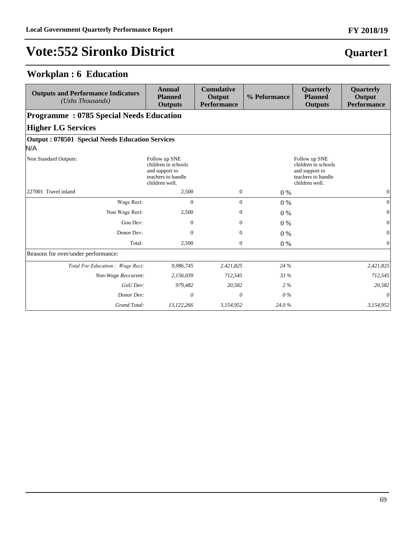### **Workplan : 6 Education**

| <b>Outputs and Performance Indicators</b><br>(Ushs Thousands) | <b>Annual</b><br><b>Planned</b><br><b>Outputs</b>                                              | <b>Cumulative</b><br>Output<br><b>Performance</b> | % Peformance | Quarterly<br><b>Planned</b><br><b>Outputs</b>                                                  | Quarterly<br>Output<br><b>Performance</b> |  |  |  |
|---------------------------------------------------------------|------------------------------------------------------------------------------------------------|---------------------------------------------------|--------------|------------------------------------------------------------------------------------------------|-------------------------------------------|--|--|--|
| <b>Programme: 0785 Special Needs Education</b>                |                                                                                                |                                                   |              |                                                                                                |                                           |  |  |  |
| <b>Higher LG Services</b>                                     |                                                                                                |                                                   |              |                                                                                                |                                           |  |  |  |
| <b>Output: 078501 Special Needs Education Services</b><br>N/A |                                                                                                |                                                   |              |                                                                                                |                                           |  |  |  |
| Non Standard Outputs:                                         | Follow up SNE<br>children in schools<br>and support to<br>teachers to handle<br>children well. |                                                   |              | Follow up SNE<br>children in schools<br>and support to<br>teachers to handle<br>children well. |                                           |  |  |  |
| 227001 Travel inland                                          | 2,500                                                                                          | $\mathbf{0}$                                      | $0\%$        |                                                                                                | $\overline{0}$                            |  |  |  |
| Wage Rect:                                                    | $\Omega$                                                                                       | $\overline{0}$                                    | $0\%$        |                                                                                                | 0                                         |  |  |  |
| Non Wage Rect:                                                | 2,500                                                                                          | $\overline{0}$                                    | $0\%$        |                                                                                                | $\vert 0 \vert$                           |  |  |  |
| Gou Dev:                                                      | $\Omega$                                                                                       | $\overline{0}$                                    | $0\%$        |                                                                                                | $\vert 0 \vert$                           |  |  |  |
| Donor Dev:                                                    | $\Omega$                                                                                       | $\overline{0}$                                    | $0\%$        |                                                                                                | $\vert 0 \vert$                           |  |  |  |
| Total:                                                        | 2,500                                                                                          | $\overline{0}$                                    | $0\%$        |                                                                                                | $\Omega$                                  |  |  |  |
| Reasons for over/under performance:                           |                                                                                                |                                                   |              |                                                                                                |                                           |  |  |  |
| Total For Education : Wage Rect:                              | 9,986,745                                                                                      | 2,421,825                                         | 24 %         |                                                                                                | 2,421,825                                 |  |  |  |
| Non-Wage Reccurent:                                           | 2,156,039                                                                                      | 712,545                                           | 33 %         |                                                                                                | 712,545                                   |  |  |  |
| GoU Dev:                                                      | 979,482                                                                                        | 20,582                                            | $2\%$        |                                                                                                | 20,582                                    |  |  |  |
| Donor Dev:                                                    | 0                                                                                              | 0                                                 | $0\%$        |                                                                                                | 0                                         |  |  |  |
| Grand Total:                                                  | 13,122,266                                                                                     | 3,154,952                                         | 24.0%        |                                                                                                | 3,154,952                                 |  |  |  |

# **Quarter1**

**FY 2018/19**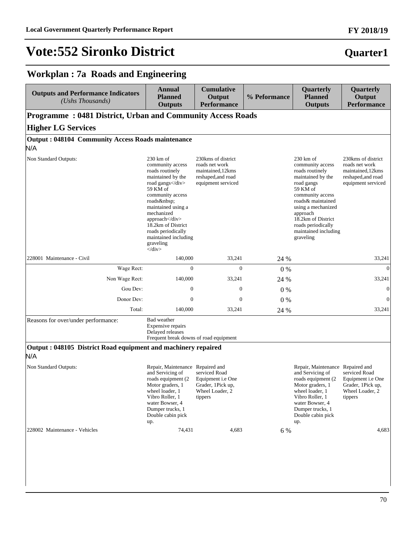#### **FY 2018/19**

### **Quarter1**

### **Workplan : 7a Roads and Engineering**

| <b>Outputs and Performance Indicators</b><br>(Ushs Thousands)        | <b>Annual</b><br><b>Planned</b><br><b>Outputs</b>                                                                                                                                                                                                                                            | <b>Cumulative</b><br>Output<br><b>Performance</b>                                                      | % Peformance | Quarterly<br><b>Planned</b><br><b>Outputs</b>                                                                                                                                                                                                                         | Quarterly<br>Output<br><b>Performance</b>                                                             |
|----------------------------------------------------------------------|----------------------------------------------------------------------------------------------------------------------------------------------------------------------------------------------------------------------------------------------------------------------------------------------|--------------------------------------------------------------------------------------------------------|--------------|-----------------------------------------------------------------------------------------------------------------------------------------------------------------------------------------------------------------------------------------------------------------------|-------------------------------------------------------------------------------------------------------|
| <b>Programme: 0481 District, Urban and Community Access Roads</b>    |                                                                                                                                                                                                                                                                                              |                                                                                                        |              |                                                                                                                                                                                                                                                                       |                                                                                                       |
| <b>Higher LG Services</b>                                            |                                                                                                                                                                                                                                                                                              |                                                                                                        |              |                                                                                                                                                                                                                                                                       |                                                                                                       |
| <b>Output: 048104 Community Access Roads maintenance</b>             |                                                                                                                                                                                                                                                                                              |                                                                                                        |              |                                                                                                                                                                                                                                                                       |                                                                                                       |
| N/A                                                                  |                                                                                                                                                                                                                                                                                              |                                                                                                        |              |                                                                                                                                                                                                                                                                       |                                                                                                       |
| Non Standard Outputs:                                                | $230 \text{ km of}$<br>community access<br>roads routinely<br>maintained by the<br>road gangs<br>59 KM of<br>community access<br>roads<br>maintained using a<br>mechanized<br>approach<br>18.2km of District<br>roads periodically<br>maintained including<br>graveling<br>$\langle$ div $>$ | 230 kms of district<br>roads net work<br>maintained, 12kms<br>reshaped, and road<br>equipment serviced |              | $230 \text{ km of}$<br>community access<br>roads routinely<br>maintained by the<br>road gangs<br>59 KM of<br>community access<br>roads& maintained<br>using a mechanized<br>approach<br>18.2km of District<br>roads periodically<br>maintained including<br>graveling | 230kms of district<br>roads net work<br>maintained, 12kms<br>reshaped, and road<br>equipment serviced |
| 228001 Maintenance - Civil                                           | 140,000                                                                                                                                                                                                                                                                                      | 33,241                                                                                                 | 24 %         |                                                                                                                                                                                                                                                                       | 33,241                                                                                                |
| Wage Rect:                                                           | $\overline{0}$                                                                                                                                                                                                                                                                               | $\overline{0}$                                                                                         | $0\%$        |                                                                                                                                                                                                                                                                       | $\mathbf{0}$                                                                                          |
| Non Wage Rect:                                                       | 140,000                                                                                                                                                                                                                                                                                      | 33,241                                                                                                 | 24 %         |                                                                                                                                                                                                                                                                       | 33,241                                                                                                |
| Gou Dev:                                                             | $\boldsymbol{0}$                                                                                                                                                                                                                                                                             | $\boldsymbol{0}$                                                                                       | 0%           |                                                                                                                                                                                                                                                                       | $\mathbf{0}$                                                                                          |
| Donor Dev:                                                           | $\mathbf{0}$                                                                                                                                                                                                                                                                                 | $\boldsymbol{0}$                                                                                       | 0%           |                                                                                                                                                                                                                                                                       | $\theta$                                                                                              |
| Total:                                                               | 140,000                                                                                                                                                                                                                                                                                      | 33,241                                                                                                 | 24 %         |                                                                                                                                                                                                                                                                       | 33,241                                                                                                |
| Reasons for over/under performance:                                  | Bad weather<br>Expensive repairs<br>Delayed releases<br>Frequent break downs of road equipment                                                                                                                                                                                               |                                                                                                        |              |                                                                                                                                                                                                                                                                       |                                                                                                       |
| Output: 048105 District Road equipment and machinery repaired<br>N/A |                                                                                                                                                                                                                                                                                              |                                                                                                        |              |                                                                                                                                                                                                                                                                       |                                                                                                       |
| Non Standard Outputs:                                                | Repair, Maintenance Repaired and<br>and Servicing of<br>roads equipment (2)<br>Motor graders, 1<br>wheel loader, 1<br>Vibro Roller, 1<br>water Bowser, 4<br>Dumper trucks, 1<br>Double cabin pick<br>up.                                                                                     | serviced Road<br>Equipment <i>i.e</i> One<br>Grader, 1Pick up,<br>Wheel Loader, 2<br>tippers           |              | Repair, Maintenance Repaired and<br>and Servicing of<br>roads equipment (2)<br>Motor graders, 1<br>wheel loader, 1<br>Vibro Roller, 1<br>water Bowser, 4<br>Dumper trucks, 1<br>Double cabin pick<br>up.                                                              | serviced Road<br>Equipment <i>i.e</i> One<br>Grader, 1Pick up,<br>Wheel Loader, 2<br>tippers          |
| 228002 Maintenance - Vehicles                                        | 74,431                                                                                                                                                                                                                                                                                       | 4,683                                                                                                  | 6 %          |                                                                                                                                                                                                                                                                       | 4,683                                                                                                 |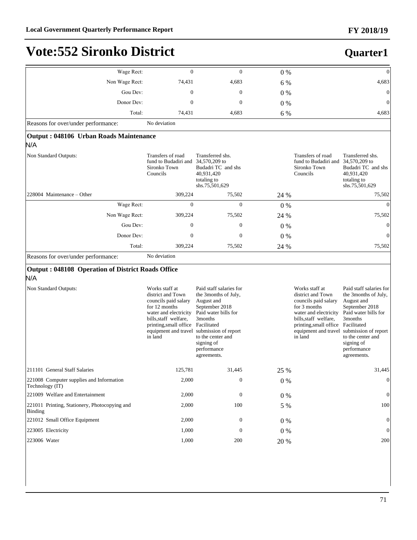**Quarter1**

### **Vote:552 Sironko District**

#### :DJH5HFW 0 0 0 % 0 Non Wage Rect: 274,431 4,683 6 % 4,683 4,683 Gou Dev:  $0 \t 0 \t 0 \t 0 \t 0$ Donor Dev:  $0 \t 0 \t 0 \t 0 \t 0$ Total: 74,431 4,683 6 % 4,683 Reasons for over/under performance: No deviation **Output : 048106 Urban Roads Maintenance** N/A Non Standard Outputs: Transfers of road fund to Budadiri and 34,570,209 to Sironko Town Councils Transferred shs. Budadri TC and shs 40,931,420 totaling to shs.75,501,629 Transfers of road fund to Budadiri and Sironko Town Councils Transferred shs. 34,570,209 to Budadri TC and shs 40,931,420 totaling to shs.75,501,629 228004 Maintenance – Other 309,224 75,502 24 % 75,502 75,502 75,502 :DJH5HFW 0 0 0 % 0 Non Wage Rect: 309,224 75,502 24 % 75,502 75,502 \*RX'HY 0 0 0 % 0 Donor Dev:  $0 \t 0 \t 0 \t 0 \t 0$ Total: 309,224 75,502 24 % 75,502 75,502 Reasons for over/under performance: No deviation **Output : 048108 Operation of District Roads Office** N/A Non Standard Outputs: Works staff at district and Town councils paid salary for 12 months water and electricity bills,staff welfare, printing,small office Facilitated equipment and travel submission of report in land Paid staff salaries for the 3months of July, August and September 2018 Paid water bills for 3months to the center and signing of performance agreements. Works staff at district and Town councils paid salary for 3 months water and electricity bills,staff welfare, printing,small office Facilitated equipment and travel in land Paid staff salaries for the 3months of July, August and September 2018 Paid water bills for 3months submission of report to the center and signing of performance agreements. 211101 General Staff Salaries 125,781 31,445 25 % 31,445 31,445 221008 Computer supplies and Information Technology (IT) 2,000 0 0 % 0 221009 Welfare and Entertainment 2,000 0 0 % 0 221011 Printing, Stationery, Photocopying and Binding 2,000 100 5 % 100 221012 Small Office Equipment 2,000 0 0 % 0 223005 Electricity **1,000** 0 0 0 % 0 0 0 0 0 0 0 0 0 0 m 223006 Water 1,000 200 20 % 200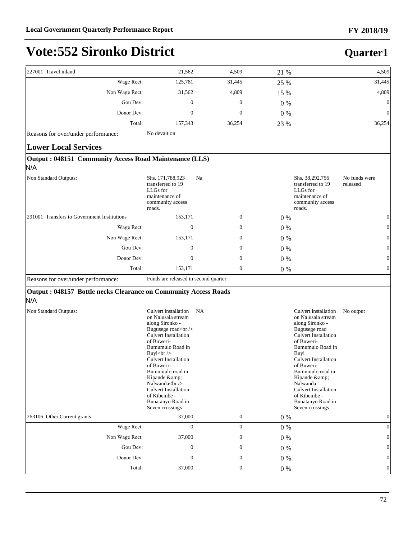**Quarter1**

## **Vote:552 Sironko District**

| 227001 Travel inland                                                 | 21,562                                                                                                                              | 4,509            | 21 %    | 4,509                                                                                                                                                                                                                                                                                                                                                 |
|----------------------------------------------------------------------|-------------------------------------------------------------------------------------------------------------------------------------|------------------|---------|-------------------------------------------------------------------------------------------------------------------------------------------------------------------------------------------------------------------------------------------------------------------------------------------------------------------------------------------------------|
| Wage Rect:                                                           | 125,781                                                                                                                             | 31,445           | 25 %    | 31,445                                                                                                                                                                                                                                                                                                                                                |
| Non Wage Rect:                                                       | 31,562                                                                                                                              | 4,809            | 15 %    | 4,809                                                                                                                                                                                                                                                                                                                                                 |
| Gou Dev:                                                             | $\mathbf{0}$                                                                                                                        | $\theta$         | $0\%$   | $\mathbf{0}$                                                                                                                                                                                                                                                                                                                                          |
| Donor Dev:                                                           | $\mathbf{0}$                                                                                                                        | $\mathbf{0}$     | $0\%$   | $\overline{0}$                                                                                                                                                                                                                                                                                                                                        |
| Total:                                                               | 157,343                                                                                                                             | 36,254           | 23 %    | 36,254                                                                                                                                                                                                                                                                                                                                                |
| Reasons for over/under performance:                                  | No devaition                                                                                                                        |                  |         |                                                                                                                                                                                                                                                                                                                                                       |
| <b>Lower Local Services</b>                                          |                                                                                                                                     |                  |         |                                                                                                                                                                                                                                                                                                                                                       |
| <b>Output: 048151 Community Access Road Maintenance (LLS)</b><br>N/A |                                                                                                                                     |                  |         |                                                                                                                                                                                                                                                                                                                                                       |
| Non Standard Outputs:                                                | Shs. 171,788,923<br>transferred to 19<br>LLGs for<br>maintenance of<br>community access<br>roads.                                   | Na               |         | Shs. 38,292,756<br>No funds were<br>transferred to 19<br>released<br>LLGs for<br>maintenance of<br>community access<br>roads.                                                                                                                                                                                                                         |
| 291001 Transfers to Government Institutions                          | 153,171                                                                                                                             | $\boldsymbol{0}$ | 0%      | $\mathbf{0}$                                                                                                                                                                                                                                                                                                                                          |
| Wage Rect:                                                           | $\mathbf{0}$                                                                                                                        | $\mathbf{0}$     | 0%      | $\overline{0}$                                                                                                                                                                                                                                                                                                                                        |
| Non Wage Rect:                                                       | 153,171                                                                                                                             | $\mathbf{0}$     | 0%      |                                                                                                                                                                                                                                                                                                                                                       |
| Gou Dev:                                                             | $\mathbf{0}$                                                                                                                        | $\boldsymbol{0}$ | $0\%$   |                                                                                                                                                                                                                                                                                                                                                       |
| Donor Dev:                                                           | $\mathbf{0}$                                                                                                                        | $\boldsymbol{0}$ | 0%      | 0                                                                                                                                                                                                                                                                                                                                                     |
| Total:                                                               | 153,171                                                                                                                             | $\mathbf{0}$     | 0%      | $\overline{0}$                                                                                                                                                                                                                                                                                                                                        |
| Reasons for over/under performance:                                  | Funds are released in second quarter                                                                                                |                  |         |                                                                                                                                                                                                                                                                                                                                                       |
| Output: 048157 Bottle necks Clearance on Community Access Roads      |                                                                                                                                     |                  |         |                                                                                                                                                                                                                                                                                                                                                       |
| N/A                                                                  |                                                                                                                                     |                  |         |                                                                                                                                                                                                                                                                                                                                                       |
| Non Standard Outputs:                                                | Culvert installation<br>on Nalusala stream<br>along Sironko -<br>Bugusege road<br><br><b>Culvert Installation</b><br>of Buweri-<br> | NA               |         | Culvert installation<br>No output<br>on Nalusala stream<br>along Sironko -<br>Bugusege road<br><b>Culvert Installation</b><br>of Buweri-<br>Bumumulo Road in<br>Buyi<br><b>Culvert Installation</b><br>of Buweri-<br>Bumumulo road in<br>Kipande &<br>Nalwanda<br><b>Culvert Installation</b><br>of Kibembe -<br>Bunatanyo Road in<br>Seven crossings |
| 263106 Other Current grants                                          | 37,000                                                                                                                              | $\mathbf{0}$     | 0%      | $\Omega$                                                                                                                                                                                                                                                                                                                                              |
| Wage Rect:                                                           | $\boldsymbol{0}$                                                                                                                    | $\overline{0}$   | $0\ \%$ | $\mathbf{0}$                                                                                                                                                                                                                                                                                                                                          |
| Non Wage Rect:                                                       | 37,000                                                                                                                              | $\boldsymbol{0}$ | $0\ \%$ | ∩                                                                                                                                                                                                                                                                                                                                                     |
| Gou Dev:                                                             | $\mathbf{0}$                                                                                                                        | $\boldsymbol{0}$ | $0\ \%$ |                                                                                                                                                                                                                                                                                                                                                       |
| Donor Dev:                                                           | $\mathbf{0}$                                                                                                                        | $\mathbf{0}$     | $0\ \%$ |                                                                                                                                                                                                                                                                                                                                                       |
| Total:                                                               | 37,000                                                                                                                              | $\boldsymbol{0}$ | $0\ \%$ | $\mathbf{0}$                                                                                                                                                                                                                                                                                                                                          |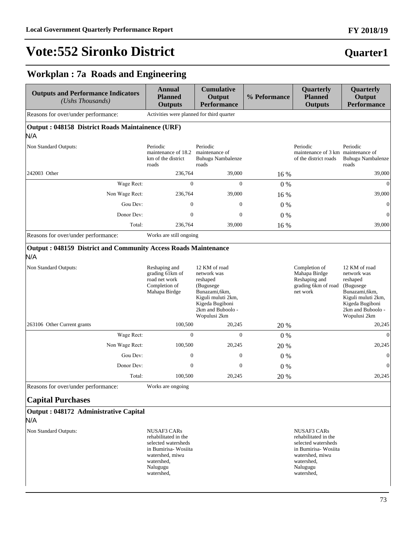# **FY 2018/19**

#### **Workplan : 7a Roads and Engineering**

| <b>Outputs and Performance Indicators</b><br>(Ushs Thousands)                | <b>Annual</b><br><b>Planned</b><br><b>Outputs</b>                                                                                                    | <b>Cumulative</b><br>Output<br><b>Performance</b>                                                                                                     | % Peformance | Quarterly<br><b>Planned</b><br><b>Outputs</b>                                                                                                        | Quarterly<br>Output<br><b>Performance</b>                                                                                                              |
|------------------------------------------------------------------------------|------------------------------------------------------------------------------------------------------------------------------------------------------|-------------------------------------------------------------------------------------------------------------------------------------------------------|--------------|------------------------------------------------------------------------------------------------------------------------------------------------------|--------------------------------------------------------------------------------------------------------------------------------------------------------|
| Reasons for over/under performance:                                          | Activities were planned for third quarter                                                                                                            |                                                                                                                                                       |              |                                                                                                                                                      |                                                                                                                                                        |
| Output: 048158 District Roads Maintainence (URF)                             |                                                                                                                                                      |                                                                                                                                                       |              |                                                                                                                                                      |                                                                                                                                                        |
| N/A                                                                          |                                                                                                                                                      |                                                                                                                                                       |              |                                                                                                                                                      |                                                                                                                                                        |
| Non Standard Outputs:                                                        | Periodic<br>maintenance of 18.2<br>km of the district<br>roads                                                                                       | Periodic<br>maintenance of<br>Buhugu Nambalenze<br>roads                                                                                              |              | Periodic<br>maintenance of 3 km maintenance of<br>of the district roads                                                                              | Periodic<br>Buhugu Nambalenze<br>roads                                                                                                                 |
| 242003 Other                                                                 | 236,764                                                                                                                                              | 39,000                                                                                                                                                | 16 %         |                                                                                                                                                      | 39,000                                                                                                                                                 |
| Wage Rect:                                                                   | $\mathbf{0}$                                                                                                                                         | $\overline{0}$                                                                                                                                        | $0\%$        |                                                                                                                                                      | $\Omega$                                                                                                                                               |
| Non Wage Rect:                                                               | 236,764                                                                                                                                              | 39,000                                                                                                                                                | 16 %         |                                                                                                                                                      | 39,000                                                                                                                                                 |
| Gou Dev:                                                                     | $\boldsymbol{0}$                                                                                                                                     | $\boldsymbol{0}$                                                                                                                                      | $0\%$        |                                                                                                                                                      | 0                                                                                                                                                      |
| Donor Dev:                                                                   | $\mathbf{0}$                                                                                                                                         | $\mathbf{0}$                                                                                                                                          | $0\%$        |                                                                                                                                                      | $\mathbf{0}$                                                                                                                                           |
| Total:                                                                       | 236,764                                                                                                                                              | 39,000                                                                                                                                                | 16 %         |                                                                                                                                                      | 39,000                                                                                                                                                 |
| Reasons for over/under performance:                                          | Works are still ongoing                                                                                                                              |                                                                                                                                                       |              |                                                                                                                                                      |                                                                                                                                                        |
| <b>Output: 048159 District and Community Access Roads Maintenance</b><br>N/A |                                                                                                                                                      |                                                                                                                                                       |              |                                                                                                                                                      |                                                                                                                                                        |
| Non Standard Outputs:                                                        | Reshaping and<br>grading 61km of<br>road net work<br>Completion of<br>Mahapa Birdge                                                                  | 12 KM of road<br>network was<br>reshaped<br>(Bugusege<br>Bunazami, 6km,<br>Kiguli muluti 2km,<br>Kigeda Bugiboni<br>2km and Buboolo -<br>Wopulusi 2km |              | Completion of<br>Mahapa Birdge<br>Reshaping and<br>grading 6km of road<br>net work                                                                   | 12 KM of road<br>network was<br>reshaped<br>(Bugusege)<br>Bunazami, 6km,<br>Kiguli muluti 2km,<br>Kigeda Bugiboni<br>2km and Buboolo -<br>Wopulusi 2km |
| 263106 Other Current grants                                                  | 100,500                                                                                                                                              | 20,245                                                                                                                                                | 20 %         |                                                                                                                                                      | 20,245                                                                                                                                                 |
| Wage Rect:                                                                   | $\overline{0}$                                                                                                                                       | $\boldsymbol{0}$                                                                                                                                      | $0\%$        |                                                                                                                                                      | $\theta$                                                                                                                                               |
| Non Wage Rect:                                                               | 100,500                                                                                                                                              | 20,245                                                                                                                                                | 20 %         |                                                                                                                                                      | 20,245                                                                                                                                                 |
| Gou Dev:                                                                     | $\mathbf{0}$                                                                                                                                         | $\boldsymbol{0}$                                                                                                                                      | $0\%$        |                                                                                                                                                      | $\mathbf{0}$                                                                                                                                           |
| Donor Dev:                                                                   | $\mathbf{0}$                                                                                                                                         | $\mathbf{0}$                                                                                                                                          | $0\%$        |                                                                                                                                                      | $\mathbf{0}$                                                                                                                                           |
| Total:                                                                       | 100,500                                                                                                                                              | 20,245                                                                                                                                                | 20 %         |                                                                                                                                                      | 20,245                                                                                                                                                 |
| Reasons for over/under performance:                                          | Works are ongoing                                                                                                                                    |                                                                                                                                                       |              |                                                                                                                                                      |                                                                                                                                                        |
| <b>Capital Purchases</b>                                                     |                                                                                                                                                      |                                                                                                                                                       |              |                                                                                                                                                      |                                                                                                                                                        |
| Output: 048172 Administrative Capital<br>N/A                                 |                                                                                                                                                      |                                                                                                                                                       |              |                                                                                                                                                      |                                                                                                                                                        |
| Non Standard Outputs:                                                        | <b>NUSAF3 CARs</b><br>rehabilitated in the<br>selected watersheds<br>in Bumirisa- Wosiita<br>watershed, miwu<br>watershed,<br>Nalugugu<br>watershed, |                                                                                                                                                       |              | <b>NUSAF3 CARs</b><br>rehabilitated in the<br>selected watersheds<br>in Bumirisa- Wosiita<br>watershed, miwu<br>watershed,<br>Nalugugu<br>watershed, |                                                                                                                                                        |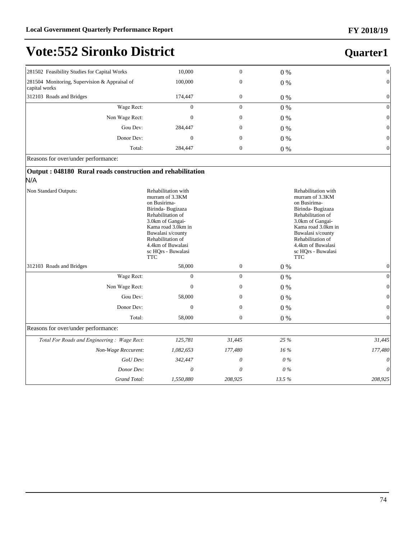# **Quarter1**

| 281502 Feasibility Studies for Capital Works                   | 10,000   | $\boldsymbol{0}$ | 0 %   | $\overline{0}$ |  |  |  |  |
|----------------------------------------------------------------|----------|------------------|-------|----------------|--|--|--|--|
| 281504 Monitoring, Supervision & Appraisal of<br>capital works | 100,000  | $\boldsymbol{0}$ | $0\%$ | $\mathbf{0}$   |  |  |  |  |
| 312103 Roads and Bridges                                       | 174,447  | $\boldsymbol{0}$ | $0\%$ | $\mathbf{0}$   |  |  |  |  |
| Wage Rect:                                                     | $\theta$ | $\boldsymbol{0}$ | $0\%$ | $\mathbf{0}$   |  |  |  |  |
| Non Wage Rect:                                                 | $\theta$ | $\boldsymbol{0}$ | $0\%$ | $\overline{0}$ |  |  |  |  |
| Gou Dev:                                                       | 284,447  | $\boldsymbol{0}$ | $0\%$ | $\theta$       |  |  |  |  |
| Donor Dev:                                                     | $\theta$ | $\boldsymbol{0}$ | $0\%$ | $\overline{0}$ |  |  |  |  |
| Total:                                                         | 284,447  | $\boldsymbol{0}$ | 0 %   | $\theta$       |  |  |  |  |
| Reasons for over/under performance:                            |          |                  |       |                |  |  |  |  |

#### **Output : 048180 Rural roads construction and rehabilitation** N/A

| Rehabilitation with<br>Non Standard Outputs:<br>murram of 3.3KM<br>on Busirima-<br>Birinda-Bugizaza<br>Rehabilitation of<br>3.0km of Gangai-<br>Kama road 3.0km in<br>Buwalasi s/county<br>Rehabilitation of<br>4.4km of Buwalasi<br>sc HQrs - Buwalasi<br><b>TTC</b> |                  |                  |        | Rehabilitation with<br>murram of 3.3KM<br>on Busirima-<br>Birinda- Bugizaza<br>Rehabilitation of<br>3.0km of Gangai-<br>Kama road 3.0km in<br>Buwalasi s/county<br>Rehabilitation of<br>4.4km of Buwalasi<br>sc HQrs - Buwalasi<br><b>TTC</b> |
|-----------------------------------------------------------------------------------------------------------------------------------------------------------------------------------------------------------------------------------------------------------------------|------------------|------------------|--------|-----------------------------------------------------------------------------------------------------------------------------------------------------------------------------------------------------------------------------------------------|
| 312103 Roads and Bridges                                                                                                                                                                                                                                              | 58,000           | 0                | $0\%$  | $\vert 0 \vert$                                                                                                                                                                                                                               |
| Wage Rect:                                                                                                                                                                                                                                                            | $\overline{0}$   | $\overline{0}$   | $0\%$  | $\vert 0 \vert$                                                                                                                                                                                                                               |
| Non Wage Rect:                                                                                                                                                                                                                                                        | $\boldsymbol{0}$ | $\overline{0}$   | $0\%$  | $\vert 0 \vert$                                                                                                                                                                                                                               |
| Gou Dev:                                                                                                                                                                                                                                                              | 58,000           | 0                | $0\%$  | $\vert 0 \vert$                                                                                                                                                                                                                               |
| Donor Dev:                                                                                                                                                                                                                                                            | 0                | $\boldsymbol{0}$ | $0\%$  | $\vert 0 \vert$                                                                                                                                                                                                                               |
| Total:                                                                                                                                                                                                                                                                | 58,000           | $\boldsymbol{0}$ | $0\%$  | $\Omega$                                                                                                                                                                                                                                      |
| Reasons for over/under performance:                                                                                                                                                                                                                                   |                  |                  |        |                                                                                                                                                                                                                                               |
| Total For Roads and Engineering: Wage Rect:                                                                                                                                                                                                                           | 125,781          | 31,445           | 25 %   | 31,445                                                                                                                                                                                                                                        |
| Non-Wage Reccurent:                                                                                                                                                                                                                                                   | 1,082,653        | 177,480          | $16\%$ | 177,480                                                                                                                                                                                                                                       |
| GoU Dev:                                                                                                                                                                                                                                                              | 342,447          | 0                | $0\%$  | $\theta$                                                                                                                                                                                                                                      |
| Donor Dev:                                                                                                                                                                                                                                                            | 0                | $\theta$         | $0\%$  | $\theta$                                                                                                                                                                                                                                      |
| Grand Total:                                                                                                                                                                                                                                                          | 1,550,880        | 208,925          | 13.5%  | 208,925                                                                                                                                                                                                                                       |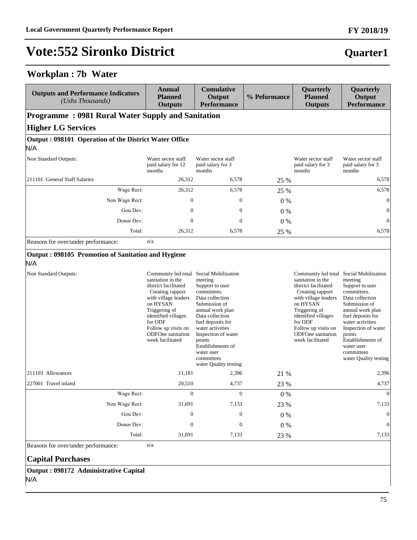#### **Workplan : 7b Water**

| <b>Outputs and Performance Indicators</b><br>(Ushs Thousands) | <b>Annual</b><br><b>Planned</b><br><b>Outputs</b>                                                                                                                                                                                                                      | <b>Cumulative</b><br>Output<br><b>Performance</b>                                                                                                                                                                                                                        | % Peformance | Quarterly<br><b>Planned</b><br><b>Outputs</b>                                                                                                                                                                                                                          | Quarterly<br>Output<br><b>Performance</b>                                                                                                                                                                                                             |
|---------------------------------------------------------------|------------------------------------------------------------------------------------------------------------------------------------------------------------------------------------------------------------------------------------------------------------------------|--------------------------------------------------------------------------------------------------------------------------------------------------------------------------------------------------------------------------------------------------------------------------|--------------|------------------------------------------------------------------------------------------------------------------------------------------------------------------------------------------------------------------------------------------------------------------------|-------------------------------------------------------------------------------------------------------------------------------------------------------------------------------------------------------------------------------------------------------|
| <b>Programme: 0981 Rural Water Supply and Sanitation</b>      |                                                                                                                                                                                                                                                                        |                                                                                                                                                                                                                                                                          |              |                                                                                                                                                                                                                                                                        |                                                                                                                                                                                                                                                       |
| <b>Higher LG Services</b>                                     |                                                                                                                                                                                                                                                                        |                                                                                                                                                                                                                                                                          |              |                                                                                                                                                                                                                                                                        |                                                                                                                                                                                                                                                       |
| Output: 098101 Operation of the District Water Office         |                                                                                                                                                                                                                                                                        |                                                                                                                                                                                                                                                                          |              |                                                                                                                                                                                                                                                                        |                                                                                                                                                                                                                                                       |
| N/A                                                           |                                                                                                                                                                                                                                                                        |                                                                                                                                                                                                                                                                          |              |                                                                                                                                                                                                                                                                        |                                                                                                                                                                                                                                                       |
| Non Standard Outputs:                                         | Water sector staff<br>paid salary for 12<br>months                                                                                                                                                                                                                     | Water sector staff<br>paid salary for 3<br>months                                                                                                                                                                                                                        |              | Water sector staff<br>paid salary for 3<br>months                                                                                                                                                                                                                      | Water sector staff<br>paid salary for 3<br>months                                                                                                                                                                                                     |
| 211101 General Staff Salaries                                 | 26,312                                                                                                                                                                                                                                                                 | 6,578                                                                                                                                                                                                                                                                    | 25 %         |                                                                                                                                                                                                                                                                        | 6,578                                                                                                                                                                                                                                                 |
| Wage Rect:                                                    | 26,312                                                                                                                                                                                                                                                                 | 6,578                                                                                                                                                                                                                                                                    | 25 %         |                                                                                                                                                                                                                                                                        | 6,578                                                                                                                                                                                                                                                 |
| Non Wage Rect:                                                | $\boldsymbol{0}$                                                                                                                                                                                                                                                       | $\mathbf{0}$                                                                                                                                                                                                                                                             | 0%           |                                                                                                                                                                                                                                                                        | $\vert 0 \vert$                                                                                                                                                                                                                                       |
| Gou Dev:                                                      | $\theta$                                                                                                                                                                                                                                                               | $\theta$                                                                                                                                                                                                                                                                 | $0\%$        |                                                                                                                                                                                                                                                                        | $\boldsymbol{0}$                                                                                                                                                                                                                                      |
| Donor Dev:                                                    | $\theta$                                                                                                                                                                                                                                                               | $\boldsymbol{0}$                                                                                                                                                                                                                                                         | 0%           |                                                                                                                                                                                                                                                                        | $\overline{0}$                                                                                                                                                                                                                                        |
| Total:                                                        | 26,312                                                                                                                                                                                                                                                                 | 6,578                                                                                                                                                                                                                                                                    | 25 %         |                                                                                                                                                                                                                                                                        | 6,578                                                                                                                                                                                                                                                 |
| Reasons for over/under performance:                           | n/a                                                                                                                                                                                                                                                                    |                                                                                                                                                                                                                                                                          |              |                                                                                                                                                                                                                                                                        |                                                                                                                                                                                                                                                       |
| Output: 098105 Promotion of Sanitation and Hygiene<br>N/A     |                                                                                                                                                                                                                                                                        |                                                                                                                                                                                                                                                                          |              |                                                                                                                                                                                                                                                                        |                                                                                                                                                                                                                                                       |
| Non Standard Outputs:                                         | Community led total Social Mobilization<br>sanitation in the<br>district facilitated<br>Creating rapport<br>with village leaders<br>on HYSAN<br>Triggering of<br>identified villages<br>for ODF<br>Follow up visits on<br><b>ODFOne</b> sanitation<br>week facilitated | meeting<br>Support to user<br>committees.<br>Data collection<br>Submission of<br>annual work plan<br>Data collection<br>fuel deposits for<br>water activities<br>Inspection of water<br>points<br>Establishments of<br>water user<br>committees<br>water Quality testing |              | Community led total Social Mobilization<br>sanitation in the<br>district facilitated<br>Creating rapport<br>with village leaders<br>on HYSAN<br>Triggering of<br>identified villages<br>for ODF<br>Follow up visits on<br><b>ODFOne</b> sanitation<br>week facilitated | meeting<br>Support to user<br>committees.<br>Data collection<br>Submission of<br>annual work plan<br>fuel deposits for<br>water activities<br>Inspection of water<br>points<br>Establishments of<br>water user<br>committees<br>water Quality testing |
| 211103 Allowances                                             | 11,181                                                                                                                                                                                                                                                                 | 2,396                                                                                                                                                                                                                                                                    | 21 %         |                                                                                                                                                                                                                                                                        | 2,396                                                                                                                                                                                                                                                 |
| 227001 Travel inland                                          | 20,510                                                                                                                                                                                                                                                                 | 4,737                                                                                                                                                                                                                                                                    | 23 %         |                                                                                                                                                                                                                                                                        | 4,737                                                                                                                                                                                                                                                 |
| Wage Rect:                                                    | $\boldsymbol{0}$                                                                                                                                                                                                                                                       | $\boldsymbol{0}$                                                                                                                                                                                                                                                         | $0\%$        |                                                                                                                                                                                                                                                                        | $\boldsymbol{0}$                                                                                                                                                                                                                                      |
| Non Wage Rect:                                                | 31,691                                                                                                                                                                                                                                                                 | 7,133                                                                                                                                                                                                                                                                    | 23 %         |                                                                                                                                                                                                                                                                        | 7,133                                                                                                                                                                                                                                                 |
| Gou Dev:                                                      | $\boldsymbol{0}$                                                                                                                                                                                                                                                       | $\boldsymbol{0}$                                                                                                                                                                                                                                                         | 0%           |                                                                                                                                                                                                                                                                        | $\mathbf{0}$                                                                                                                                                                                                                                          |
| Donor Dev:                                                    | $\boldsymbol{0}$                                                                                                                                                                                                                                                       | $\boldsymbol{0}$                                                                                                                                                                                                                                                         | $0\ \%$      |                                                                                                                                                                                                                                                                        | $\mathbf{0}$                                                                                                                                                                                                                                          |
| Total:                                                        | 31,691                                                                                                                                                                                                                                                                 | 7,133                                                                                                                                                                                                                                                                    | 23 %         |                                                                                                                                                                                                                                                                        | 7,133                                                                                                                                                                                                                                                 |

Reasons for over/under performance: n/a

#### **Capital Purchases**

**Output : 098172 Administrative Capital** N/A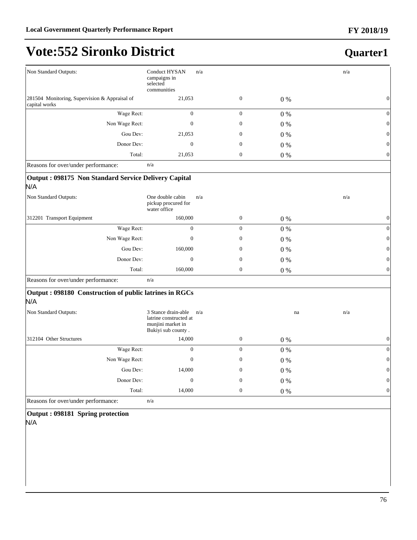#### **FY 2018/19**

## **Vote:552 Sironko District**

### **Quarter1**

| Non Standard Outputs:                                          | <b>Conduct HYSAN</b><br>campaigns in<br>selected<br>communities                          | n/a              |       | n/a              |
|----------------------------------------------------------------|------------------------------------------------------------------------------------------|------------------|-------|------------------|
| 281504 Monitoring, Supervision & Appraisal of<br>capital works | 21,053                                                                                   | $\boldsymbol{0}$ | $0\%$ | $\boldsymbol{0}$ |
| Wage Rect:                                                     | $\boldsymbol{0}$                                                                         | $\boldsymbol{0}$ | $0\%$ | $\boldsymbol{0}$ |
| Non Wage Rect:                                                 | $\mathbf{0}$                                                                             | $\mathbf{0}$     | $0\%$ | $\boldsymbol{0}$ |
| Gou Dev:                                                       | 21,053                                                                                   | $\mathbf{0}$     | $0\%$ | $\boldsymbol{0}$ |
| Donor Dev:                                                     | $\boldsymbol{0}$                                                                         | $\mathbf{0}$     | $0\%$ | $\boldsymbol{0}$ |
| Total:                                                         | 21,053                                                                                   | $\boldsymbol{0}$ | $0\%$ | $\boldsymbol{0}$ |
| Reasons for over/under performance:                            | n/a                                                                                      |                  |       |                  |
| Output: 098175 Non Standard Service Delivery Capital<br>N/A    |                                                                                          |                  |       |                  |
| Non Standard Outputs:                                          | One double cabin<br>pickup procured for<br>water office                                  | n/a              |       | n/a              |
| 312201 Transport Equipment                                     | 160,000                                                                                  | $\boldsymbol{0}$ | $0\%$ | $\boldsymbol{0}$ |
| Wage Rect:                                                     | $\overline{0}$                                                                           | $\overline{0}$   | $0\%$ | $\boldsymbol{0}$ |
| Non Wage Rect:                                                 | $\boldsymbol{0}$                                                                         | $\mathbf{0}$     | $0\%$ | $\boldsymbol{0}$ |
| Gou Dev:                                                       | 160,000                                                                                  | $\mathbf{0}$     | $0\%$ | $\mathbf{0}$     |
| Donor Dev:                                                     | $\mathbf{0}$                                                                             | $\mathbf{0}$     | $0\%$ | $\boldsymbol{0}$ |
| Total:                                                         | 160,000                                                                                  | $\boldsymbol{0}$ | $0\%$ | $\boldsymbol{0}$ |
| Reasons for over/under performance:                            | n/a                                                                                      |                  |       |                  |
| Output: 098180 Construction of public latrines in RGCs<br>N/A  |                                                                                          |                  |       |                  |
| Non Standard Outputs:                                          | 3 Stance drain-able<br>latrine constructed at<br>munjini market in<br>Bukiyi sub county. | n/a              | na    | n/a              |
| 312104 Other Structures                                        | 14,000                                                                                   | $\boldsymbol{0}$ | $0\%$ | $\mathbf{0}$     |
| Wage Rect:                                                     | $\boldsymbol{0}$                                                                         | $\boldsymbol{0}$ | $0\%$ | $\boldsymbol{0}$ |
| Non Wage Rect:                                                 | $\boldsymbol{0}$                                                                         | $\mathbf{0}$     | $0\%$ | $\boldsymbol{0}$ |
| Gou Dev:                                                       | 14,000                                                                                   | $\mathbf{0}$     | $0\%$ | $\boldsymbol{0}$ |
| Donor Dev:                                                     | $\mathbf{0}$                                                                             | $\mathbf{0}$     | $0\%$ | $\boldsymbol{0}$ |
| Total:                                                         | 14,000                                                                                   | $\boldsymbol{0}$ | $0\%$ | $\boldsymbol{0}$ |
| Reasons for over/under performance:                            | n/a                                                                                      |                  |       |                  |

**Output : 098181 Spring protection** N/A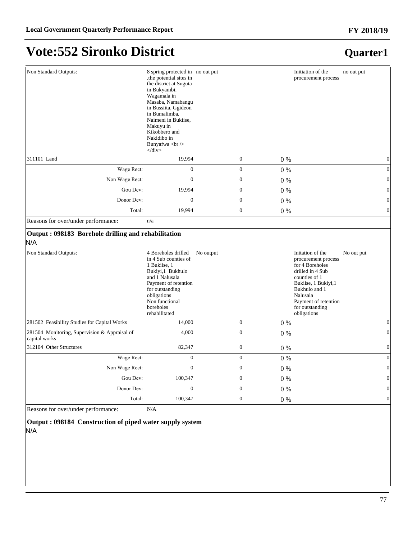#### **Quarter1**

| Non Standard Outputs:                                                                                                               | 8 spring protected in no out put<br>.the potential sites in<br>the district at Suguta<br>in Bukyambi.<br>Wagamala in<br>Masaba, Namabangu<br>in Bussiita, Ggideon<br>in Bumalimba,<br>Naimeni in Bukiise,<br>Makuyu in<br>Kikobbero and<br>Nakidibo in<br>Bunyafwa<br><br>$\langle$ div> |           |                  | Initiation of the<br>no out put<br>procurement process                                                                                                                                                                       |                  |
|-------------------------------------------------------------------------------------------------------------------------------------|------------------------------------------------------------------------------------------------------------------------------------------------------------------------------------------------------------------------------------------------------------------------------------------|-----------|------------------|------------------------------------------------------------------------------------------------------------------------------------------------------------------------------------------------------------------------------|------------------|
| 311101 Land                                                                                                                         | 19,994                                                                                                                                                                                                                                                                                   |           | $\boldsymbol{0}$ | $0\%$                                                                                                                                                                                                                        | $\boldsymbol{0}$ |
| Wage Rect:                                                                                                                          | $\boldsymbol{0}$                                                                                                                                                                                                                                                                         |           | $\boldsymbol{0}$ | $0\%$                                                                                                                                                                                                                        | $\vert 0 \vert$  |
| Non Wage Rect:                                                                                                                      | $\overline{0}$                                                                                                                                                                                                                                                                           |           | $\mathbf{0}$     | $0\%$                                                                                                                                                                                                                        | $\boldsymbol{0}$ |
| Gou Dev:                                                                                                                            | 19,994                                                                                                                                                                                                                                                                                   |           | $\mathbf{0}$     | $0\%$                                                                                                                                                                                                                        | $\vert 0 \vert$  |
| Donor Dev:                                                                                                                          | $\boldsymbol{0}$                                                                                                                                                                                                                                                                         |           | $\mathbf{0}$     | $0\%$                                                                                                                                                                                                                        | $\vert 0 \vert$  |
| Total:                                                                                                                              | 19,994                                                                                                                                                                                                                                                                                   |           | $\boldsymbol{0}$ | $0\%$                                                                                                                                                                                                                        | $\vert 0 \vert$  |
| Reasons for over/under performance:                                                                                                 | n/a                                                                                                                                                                                                                                                                                      |           |                  |                                                                                                                                                                                                                              |                  |
| Output: 098183 Borehole drilling and rehabilitation<br>N/A<br>Non Standard Outputs:<br>281502 Feasibility Studies for Capital Works | 4 Boreholes drilled<br>in 4 Sub counties of<br>1 Bukiise, 1<br>Bukiyi,1 Bukhulo<br>and 1 Nalusala<br>Payment of retention<br>for outstanding<br>obligations<br>Non functional<br>boreholes<br>rehabilitated<br>14,000                                                                    | No output | $\mathbf{0}$     | Initation of the<br>No out put<br>procurement process<br>for 4 Boreholes<br>drilled in 4 Sub<br>counties of 1<br>Bukiise, 1 Bukiyi, 1<br>Bukhulo and 1<br>Nalusala<br>Payment of retention<br>for outstanding<br>obligations | $\mathbf{0}$     |
|                                                                                                                                     |                                                                                                                                                                                                                                                                                          |           |                  | 0 %                                                                                                                                                                                                                          |                  |
| 281504 Monitoring, Supervision & Appraisal of<br>capital works                                                                      | 4,000                                                                                                                                                                                                                                                                                    |           | $\boldsymbol{0}$ | $0\%$                                                                                                                                                                                                                        | $\boldsymbol{0}$ |
| 312104 Other Structures                                                                                                             | 82,347                                                                                                                                                                                                                                                                                   |           | $\boldsymbol{0}$ | $0\%$                                                                                                                                                                                                                        | $\boldsymbol{0}$ |
| Wage Rect:                                                                                                                          | $\overline{0}$                                                                                                                                                                                                                                                                           |           | $\overline{0}$   | 0%                                                                                                                                                                                                                           | $\boldsymbol{0}$ |
| Non Wage Rect:                                                                                                                      | $\boldsymbol{0}$                                                                                                                                                                                                                                                                         |           | $\mathbf{0}$     | $0\%$                                                                                                                                                                                                                        | $\vert 0 \vert$  |
| Gou Dev:                                                                                                                            | 100,347                                                                                                                                                                                                                                                                                  |           | $\overline{0}$   | $0\%$                                                                                                                                                                                                                        | $\overline{0}$   |
| Donor Dev:                                                                                                                          | $\boldsymbol{0}$                                                                                                                                                                                                                                                                         |           | $\mathbf{0}$     | $0\%$                                                                                                                                                                                                                        | $\boldsymbol{0}$ |
| Total:                                                                                                                              | 100,347                                                                                                                                                                                                                                                                                  |           | $\boldsymbol{0}$ | $0\%$                                                                                                                                                                                                                        | $\boldsymbol{0}$ |
| Reasons for over/under performance:                                                                                                 | N/A                                                                                                                                                                                                                                                                                      |           |                  |                                                                                                                                                                                                                              |                  |

**Output : 098184 Construction of piped water supply system** N/A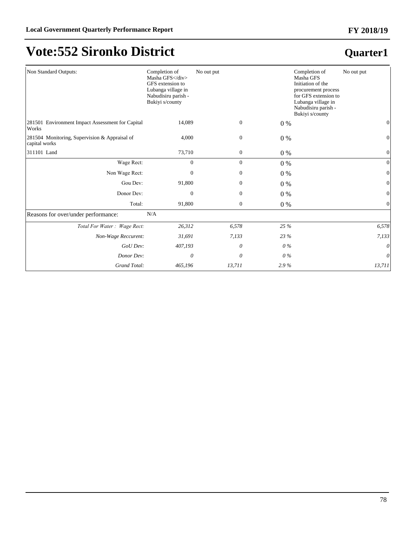#### **FY 2018/19**

## **Vote:552 Sironko District**

| Non Standard Outputs:                                          | Completion of<br>Masha GFS<br>GFS extension to<br>Lubanga village in<br>Nabudisiru parish -<br>Bukiyi s/county | No out put       |       | Completion of<br>No out put<br>Masha GFS<br>Initiation of the<br>procurement process<br>for GFS extension to<br>Lubanga village in<br>Nabudisiru parish -<br>Bukiyi s/county |                  |
|----------------------------------------------------------------|----------------------------------------------------------------------------------------------------------------|------------------|-------|------------------------------------------------------------------------------------------------------------------------------------------------------------------------------|------------------|
| 281501 Environment Impact Assessment for Capital<br>Works      | 14,089                                                                                                         | $\boldsymbol{0}$ | $0\%$ |                                                                                                                                                                              | 0                |
| 281504 Monitoring, Supervision & Appraisal of<br>capital works | 4,000                                                                                                          | $\mathbf{0}$     | $0\%$ |                                                                                                                                                                              | $\mathbf{0}$     |
| 311101 Land                                                    | 73,710                                                                                                         | $\mathbf{0}$     | $0\%$ |                                                                                                                                                                              | $\mathbf{0}$     |
| Wage Rect:                                                     | $\overline{0}$                                                                                                 | $\mathbf{0}$     | $0\%$ |                                                                                                                                                                              | $\boldsymbol{0}$ |
| Non Wage Rect:                                                 | 0                                                                                                              | $\boldsymbol{0}$ | $0\%$ |                                                                                                                                                                              | $\boldsymbol{0}$ |
| Gou Dev:                                                       | 91,800                                                                                                         | $\mathbf{0}$     | $0\%$ |                                                                                                                                                                              | $\mathbf{0}$     |
| Donor Dev:                                                     | $\mathbf{0}$                                                                                                   | $\overline{0}$   | $0\%$ |                                                                                                                                                                              | $\overline{0}$   |
| Total:                                                         | 91,800                                                                                                         | $\overline{0}$   | $0\%$ |                                                                                                                                                                              | $\mathbf{0}$     |
| Reasons for over/under performance:                            | N/A                                                                                                            |                  |       |                                                                                                                                                                              |                  |
| Total For Water: Wage Rect:                                    | 26,312                                                                                                         | 6,578            | 25 %  |                                                                                                                                                                              | 6,578            |
| Non-Wage Reccurent:                                            | 31,691                                                                                                         | 7,133            | 23 %  |                                                                                                                                                                              | 7,133            |
| GoU Dev:                                                       | 407,193                                                                                                        | $\theta$         | $0\%$ |                                                                                                                                                                              | 0                |
| Donor Dev:                                                     | 0                                                                                                              | $\theta$         | $0\%$ |                                                                                                                                                                              | 0                |
| Grand Total:                                                   | 465,196                                                                                                        | 13,711           | 2.9%  |                                                                                                                                                                              | 13,711           |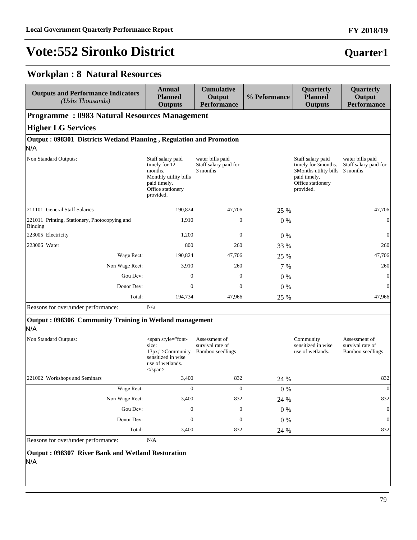#### **FY 2018/19**

#### **Quarter1**

#### **Workplan : 8 Natural Resources**

| <b>Outputs and Performance Indicators</b><br>(Ushs Thousands)       | <b>Annual</b><br><b>Planned</b><br><b>Outputs</b>                                                                                                               | <b>Cumulative</b><br>Output<br><b>Performance</b>     | % Peformance | Quarterly<br><b>Planned</b><br><b>Outputs</b>                                                                                | Quarterly<br>Output<br><b>Performance</b>             |
|---------------------------------------------------------------------|-----------------------------------------------------------------------------------------------------------------------------------------------------------------|-------------------------------------------------------|--------------|------------------------------------------------------------------------------------------------------------------------------|-------------------------------------------------------|
| <b>Programme: 0983 Natural Resources Management</b>                 |                                                                                                                                                                 |                                                       |              |                                                                                                                              |                                                       |
| <b>Higher LG Services</b>                                           |                                                                                                                                                                 |                                                       |              |                                                                                                                              |                                                       |
| Output: 098301 Districts Wetland Planning, Regulation and Promotion |                                                                                                                                                                 |                                                       |              |                                                                                                                              |                                                       |
| N/A                                                                 |                                                                                                                                                                 |                                                       |              |                                                                                                                              |                                                       |
| Non Standard Outputs:                                               | Staff salary paid<br>timely for 12<br>months.<br>Monthly utility bills<br>paid timely.<br>Office stationery<br>provided.                                        | water bills paid<br>Staff salary paid for<br>3 months |              | Staff salary paid<br>timely for 3months.<br>3Months utility bills 3 months<br>paid timely.<br>Office stationery<br>provided. | water bills paid<br>Staff salary paid for             |
| 211101 General Staff Salaries                                       | 190,824                                                                                                                                                         | 47,706                                                | 25 %         |                                                                                                                              | 47,706                                                |
| 221011 Printing, Stationery, Photocopying and<br>Binding            | 1,910                                                                                                                                                           | 0                                                     | $0\%$        |                                                                                                                              | $\boldsymbol{0}$                                      |
| 223005 Electricity                                                  | 1,200                                                                                                                                                           | $\boldsymbol{0}$                                      | $0\%$        |                                                                                                                              | $\boldsymbol{0}$                                      |
| 223006 Water                                                        | 800                                                                                                                                                             | 260                                                   | 33 %         |                                                                                                                              | 260                                                   |
| Wage Rect:                                                          | 190,824                                                                                                                                                         | 47,706                                                | 25 %         |                                                                                                                              | 47,706                                                |
| Non Wage Rect:                                                      | 3,910                                                                                                                                                           | 260                                                   | 7 %          |                                                                                                                              | 260                                                   |
| Gou Dev:                                                            | $\mathbf{0}$                                                                                                                                                    | $\boldsymbol{0}$                                      | $0\%$        |                                                                                                                              | $\mathbf{0}$                                          |
| Donor Dev:                                                          | $\boldsymbol{0}$                                                                                                                                                | 0                                                     | $0\%$        |                                                                                                                              | $\boldsymbol{0}$                                      |
| Total:                                                              | 194,734                                                                                                                                                         | 47,966                                                | 25 %         |                                                                                                                              | 47,966                                                |
| Reasons for over/under performance:                                 | N/a                                                                                                                                                             |                                                       |              |                                                                                                                              |                                                       |
| Output: 098306 Community Training in Wetland management<br>N/A      |                                                                                                                                                                 |                                                       |              |                                                                                                                              |                                                       |
| Non Standard Outputs:                                               | <span style="font-&lt;br&gt;size:&lt;br&gt;13px;">Community<br/>sensitized in wise<br/>use of wetlands.<br/><math>\langle</math>span<math>\rangle</math></span> | Assessment of<br>survival rate of<br>Bamboo seedlings |              | Community<br>sensitized in wise<br>use of wetlands.                                                                          | Assessment of<br>survival rate of<br>Bamboo seedlings |
| 221002 Workshops and Seminars                                       | 3,400                                                                                                                                                           | 832                                                   | 24 %         |                                                                                                                              | 832                                                   |
| Wage Rect:                                                          | 0                                                                                                                                                               | $\boldsymbol{0}$                                      | 0%           |                                                                                                                              | $\boldsymbol{0}$                                      |
| Non Wage Rect:                                                      | 3,400                                                                                                                                                           | 832                                                   | 24 %         |                                                                                                                              | 832                                                   |
| Gou Dev:                                                            | $\boldsymbol{0}$                                                                                                                                                | $\boldsymbol{0}$                                      | $0\%$        |                                                                                                                              | $\boldsymbol{0}$                                      |
| Donor Dev:                                                          | $\boldsymbol{0}$                                                                                                                                                | $\boldsymbol{0}$                                      | $0\%$        |                                                                                                                              | $\boldsymbol{0}$                                      |
| Total:                                                              | 3,400                                                                                                                                                           | 832                                                   | 24 %         |                                                                                                                              | 832                                                   |
| Reasons for over/under performance:                                 | N/A                                                                                                                                                             |                                                       |              |                                                                                                                              |                                                       |

**Output : 098307 River Bank and Wetland Restoration**  N/A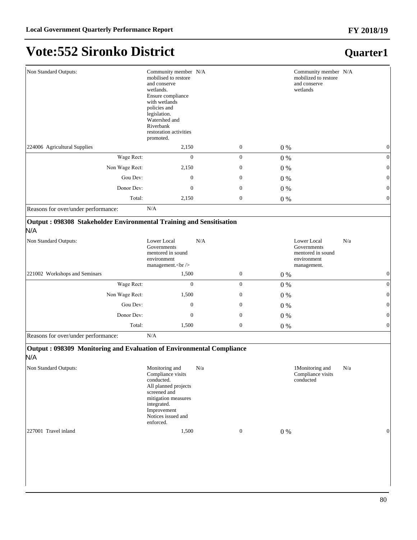| Non Standard Outputs:                                                                               | Community member N/A<br>mobilised to restore<br>and conserve<br>wetlands.<br>Ensure compliance<br>with wetlands<br>policies and<br>legislation.<br>Watershed and<br>Riverbank<br>restoration activities<br>promoted. |     |                  | Community member N/A<br>mobilized to restore<br>and conserve<br>wetlands |                  |
|-----------------------------------------------------------------------------------------------------|----------------------------------------------------------------------------------------------------------------------------------------------------------------------------------------------------------------------|-----|------------------|--------------------------------------------------------------------------|------------------|
| 224006 Agricultural Supplies                                                                        | 2,150                                                                                                                                                                                                                |     | $\boldsymbol{0}$ | $0\%$                                                                    | $\boldsymbol{0}$ |
| Wage Rect:                                                                                          | $\mathbf{0}$                                                                                                                                                                                                         |     | $\overline{0}$   | $0\%$                                                                    | $\mathbf{0}$     |
| Non Wage Rect:                                                                                      | 2,150                                                                                                                                                                                                                |     | $\theta$         | $0\%$                                                                    | $\boldsymbol{0}$ |
| Gou Dev:                                                                                            | $\boldsymbol{0}$                                                                                                                                                                                                     |     | $\mathbf{0}$     | $0\%$                                                                    | $\boldsymbol{0}$ |
| Donor Dev:                                                                                          | $\mathbf{0}$                                                                                                                                                                                                         |     | $\mathbf{0}$     | $0\%$                                                                    | $\boldsymbol{0}$ |
| Total:                                                                                              | 2,150                                                                                                                                                                                                                |     | $\boldsymbol{0}$ | $0\%$                                                                    | $\boldsymbol{0}$ |
| Reasons for over/under performance:                                                                 | N/A                                                                                                                                                                                                                  |     |                  |                                                                          |                  |
| Output: 098308 Stakeholder Environmental Training and Sensitisation<br>N/A<br>Non Standard Outputs: | Lower Local<br>Governments<br>mentored in sound<br>environment                                                                                                                                                       | N/A |                  | Lower Local<br>Governments<br>mentored in sound<br>environment           | N/a              |
|                                                                                                     | management.<br>br/>                                                                                                                                                                                                  |     |                  | management.                                                              |                  |
| 221002 Workshops and Seminars                                                                       | 1,500                                                                                                                                                                                                                |     | $\boldsymbol{0}$ | $0\%$                                                                    | $\boldsymbol{0}$ |
| Wage Rect:                                                                                          | $\mathbf{0}$                                                                                                                                                                                                         |     | $\mathbf{0}$     | $0\%$                                                                    | $\boldsymbol{0}$ |
| Non Wage Rect:                                                                                      | 1,500                                                                                                                                                                                                                |     | $\mathbf{0}$     | $0\%$                                                                    | $\boldsymbol{0}$ |
| Gou Dev:                                                                                            | $\mathbf{0}$                                                                                                                                                                                                         |     | $\boldsymbol{0}$ | $0\%$                                                                    | $\boldsymbol{0}$ |
| Donor Dev:                                                                                          | $\mathbf{0}$                                                                                                                                                                                                         |     | $\mathbf{0}$     | $0\%$                                                                    | $\mathbf{0}$     |
| Total:                                                                                              | 1,500                                                                                                                                                                                                                |     | $\boldsymbol{0}$ | $0\%$                                                                    | $\boldsymbol{0}$ |
| Reasons for over/under performance:                                                                 | N/A                                                                                                                                                                                                                  |     |                  |                                                                          |                  |
| Output: 098309 Monitoring and Evaluation of Environmental Compliance<br>N/A                         |                                                                                                                                                                                                                      |     |                  |                                                                          |                  |
| Non Standard Outputs:                                                                               | Monitoring and<br>Compliance visits<br>conducted.<br>All planned projects<br>screened and<br>mitigation measures<br>integrated.<br>Improvement<br>Notices issued and<br>enforced.                                    | N/a |                  | 1Monitoring and<br>Compliance visits<br>conducted                        | N/a              |
| 227001 Travel inland                                                                                | 1,500                                                                                                                                                                                                                |     | $\boldsymbol{0}$ | $0\ \%$                                                                  | $\boldsymbol{0}$ |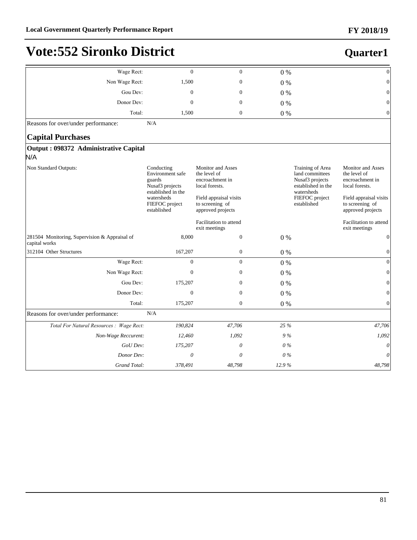| Wage Rect:                                                     | $\mathbf{0}$                                                                                                                     | $\boldsymbol{0}$                                                                                                                                | $0\%$ |                                                                                                                             | $\boldsymbol{0}$                                                                                                                                |
|----------------------------------------------------------------|----------------------------------------------------------------------------------------------------------------------------------|-------------------------------------------------------------------------------------------------------------------------------------------------|-------|-----------------------------------------------------------------------------------------------------------------------------|-------------------------------------------------------------------------------------------------------------------------------------------------|
| Non Wage Rect:                                                 | 1,500                                                                                                                            | $\boldsymbol{0}$                                                                                                                                | $0\%$ |                                                                                                                             | $\boldsymbol{0}$                                                                                                                                |
| Gou Dev:                                                       | $\mathbf{0}$                                                                                                                     | $\mathbf{0}$                                                                                                                                    | $0\%$ |                                                                                                                             | $\mathbf{0}$                                                                                                                                    |
| Donor Dev:                                                     | $\Omega$                                                                                                                         | $\mathbf{0}$                                                                                                                                    | $0\%$ |                                                                                                                             | $\mathbf{0}$                                                                                                                                    |
| Total:                                                         | 1,500                                                                                                                            | $\boldsymbol{0}$                                                                                                                                | $0\%$ |                                                                                                                             | $\boldsymbol{0}$                                                                                                                                |
| Reasons for over/under performance:                            | N/A                                                                                                                              |                                                                                                                                                 |       |                                                                                                                             |                                                                                                                                                 |
| <b>Capital Purchases</b>                                       |                                                                                                                                  |                                                                                                                                                 |       |                                                                                                                             |                                                                                                                                                 |
| Output: 098372 Administrative Capital                          |                                                                                                                                  |                                                                                                                                                 |       |                                                                                                                             |                                                                                                                                                 |
| N/A                                                            |                                                                                                                                  |                                                                                                                                                 |       |                                                                                                                             |                                                                                                                                                 |
| Non Standard Outputs:                                          | Conducting<br>Environment safe<br>guards<br>Nusaf3 projects<br>established in the<br>watersheds<br>FIEFOC project<br>established | <b>Monitor</b> and Asses<br>the level of<br>encroachment in<br>local forests.<br>Field appraisal visits<br>to screening of<br>approved projects |       | Training of Area<br>land committees<br>Nusaf3 projects<br>established in the<br>watersheds<br>FIEFOC project<br>established | <b>Monitor and Asses</b><br>the level of<br>encroachment in<br>local forests.<br>Field appraisal visits<br>to screening of<br>approved projects |
|                                                                |                                                                                                                                  | Facilitation to attend<br>exit meetings                                                                                                         |       |                                                                                                                             | Facilitation to attend<br>exit meetings                                                                                                         |
| 281504 Monitoring, Supervision & Appraisal of<br>capital works | 8,000                                                                                                                            | $\mathbf{0}$                                                                                                                                    | $0\%$ |                                                                                                                             | $\boldsymbol{0}$                                                                                                                                |
| 312104 Other Structures                                        | 167,207                                                                                                                          | $\boldsymbol{0}$                                                                                                                                | $0\%$ |                                                                                                                             | $\boldsymbol{0}$                                                                                                                                |
| Wage Rect:                                                     | $\overline{0}$                                                                                                                   | $\overline{0}$                                                                                                                                  | $0\%$ |                                                                                                                             | $\overline{0}$                                                                                                                                  |
| Non Wage Rect:                                                 | $\mathbf{0}$                                                                                                                     | $\mathbf{0}$                                                                                                                                    | $0\%$ |                                                                                                                             | $\mathbf{0}$                                                                                                                                    |
| Gou Dev:                                                       | 175,207                                                                                                                          | $\mathbf{0}$                                                                                                                                    | $0\%$ |                                                                                                                             | $\Omega$                                                                                                                                        |
| Donor Dev:                                                     | $\boldsymbol{0}$                                                                                                                 | $\boldsymbol{0}$                                                                                                                                | $0\%$ |                                                                                                                             | $\boldsymbol{0}$                                                                                                                                |
| Total:                                                         | 175,207                                                                                                                          | $\boldsymbol{0}$                                                                                                                                | $0\%$ |                                                                                                                             | $\boldsymbol{0}$                                                                                                                                |
| Reasons for over/under performance:                            | N/A                                                                                                                              |                                                                                                                                                 |       |                                                                                                                             |                                                                                                                                                 |
| Total For Natural Resources : Wage Rect:                       | 190,824                                                                                                                          | 47,706                                                                                                                                          | 25 %  |                                                                                                                             | 47,706                                                                                                                                          |
| Non-Wage Reccurent:                                            | 12,460                                                                                                                           | 1,092                                                                                                                                           | 9%    |                                                                                                                             | 1,092                                                                                                                                           |
| GoU Dev:                                                       | 175,207                                                                                                                          | $\theta$                                                                                                                                        | $0\%$ |                                                                                                                             | $\theta$                                                                                                                                        |
| Donor Dev:                                                     | $\theta$                                                                                                                         | $\theta$                                                                                                                                        | $0\%$ |                                                                                                                             | $\theta$                                                                                                                                        |
| Grand Total:                                                   | 378,491                                                                                                                          | 48,798                                                                                                                                          | 12.9% |                                                                                                                             | 48,798                                                                                                                                          |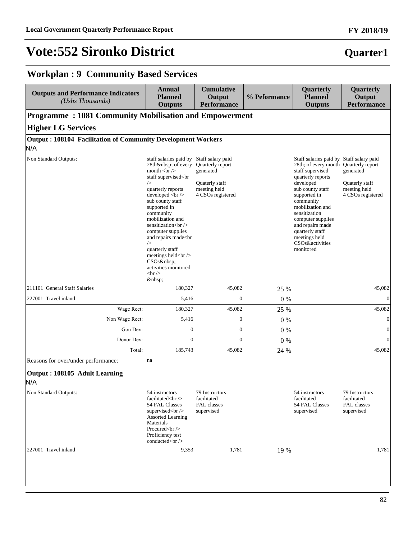#### **FY 2018/19**

#### **Quarter1**

### **Workplan : 9 Community Based Services**

| <b>Outputs and Performance Indicators</b><br>(Ushs Thousands) | <b>Annual</b><br><b>Planned</b><br><b>Outputs</b>                                                                                                                                                                                                                                                                                                                                                                                                                                                                                                         | <b>Cumulative</b><br>Output<br><b>Performance</b>                                                         | % Peformance | Quarterly<br><b>Planned</b><br><b>Outputs</b>                                                                                                                                                                                                                                                                                              | Quarterly<br>Output<br><b>Performance</b>                        |
|---------------------------------------------------------------|-----------------------------------------------------------------------------------------------------------------------------------------------------------------------------------------------------------------------------------------------------------------------------------------------------------------------------------------------------------------------------------------------------------------------------------------------------------------------------------------------------------------------------------------------------------|-----------------------------------------------------------------------------------------------------------|--------------|--------------------------------------------------------------------------------------------------------------------------------------------------------------------------------------------------------------------------------------------------------------------------------------------------------------------------------------------|------------------------------------------------------------------|
| Programme: 1081 Community Mobilisation and Empowerment        |                                                                                                                                                                                                                                                                                                                                                                                                                                                                                                                                                           |                                                                                                           |              |                                                                                                                                                                                                                                                                                                                                            |                                                                  |
| <b>Higher LG Services</b>                                     |                                                                                                                                                                                                                                                                                                                                                                                                                                                                                                                                                           |                                                                                                           |              |                                                                                                                                                                                                                                                                                                                                            |                                                                  |
| Output: 108104 Facilitation of Community Development Workers  |                                                                                                                                                                                                                                                                                                                                                                                                                                                                                                                                                           |                                                                                                           |              |                                                                                                                                                                                                                                                                                                                                            |                                                                  |
| N/A                                                           |                                                                                                                                                                                                                                                                                                                                                                                                                                                                                                                                                           |                                                                                                           |              |                                                                                                                                                                                                                                                                                                                                            |                                                                  |
| Non Standard Outputs:                                         | staff salaries paid by<br>28th  of every<br>month $tr$<br>staff supervised <br<br><math>\rightarrow</math><br/>quarterly reports<br/>developed <br/> <br/>br /&gt;<br/>sub county staff<br/>supported in<br/>community<br/>mobilization and<br>sensitization<br><br/>computer supplies<br/>and repairs made<br>&gt;br<br/><math>\rightarrow</math><br/>quarterly staff<br>meetings held<br/> <math display="inline">\llap/</math><br/>CSO<sub>s</sub> <br/>activities monitored<br><math>\braket{\text{br}}</math><br/> </br></br></br></br></br></br<br> | Staff salary paid<br>Quarterly report<br>generated<br>Quaterly staff<br>meeting held<br>4 CSOs registered |              | Staff salaries paid by Staff salary paid<br>28th; of every month Quarterly report<br>staff supervised<br>quarterly reports<br>developed<br>sub county staff<br>supported in<br>community<br>mobilization and<br>sensitization<br>computer supplies<br>and repairs made<br>quarterly staff<br>meetings held<br>CSOs&activities<br>monitored | generated<br>Quaterly staff<br>meeting held<br>4 CSOs registered |
| 211101 General Staff Salaries                                 | 180,327                                                                                                                                                                                                                                                                                                                                                                                                                                                                                                                                                   | 45,082                                                                                                    | 25 %         |                                                                                                                                                                                                                                                                                                                                            | 45,082                                                           |
| 227001 Travel inland                                          | 5,416                                                                                                                                                                                                                                                                                                                                                                                                                                                                                                                                                     | $\mathbf{0}$                                                                                              | $0\ \%$      |                                                                                                                                                                                                                                                                                                                                            | $\mathbf{0}$                                                     |
| Wage Rect:                                                    | 180,327                                                                                                                                                                                                                                                                                                                                                                                                                                                                                                                                                   | 45,082                                                                                                    | 25 %         |                                                                                                                                                                                                                                                                                                                                            | 45,082                                                           |
| Non Wage Rect:                                                | 5,416                                                                                                                                                                                                                                                                                                                                                                                                                                                                                                                                                     | $\boldsymbol{0}$                                                                                          | $0\%$        |                                                                                                                                                                                                                                                                                                                                            | $\boldsymbol{0}$                                                 |
| Gou Dev:                                                      | $\mathbf{0}$                                                                                                                                                                                                                                                                                                                                                                                                                                                                                                                                              | $\boldsymbol{0}$                                                                                          | $0\%$        |                                                                                                                                                                                                                                                                                                                                            | $\boldsymbol{0}$                                                 |
| Donor Dev:                                                    | $\mathbf{0}$                                                                                                                                                                                                                                                                                                                                                                                                                                                                                                                                              | $\overline{0}$                                                                                            | $0\%$        |                                                                                                                                                                                                                                                                                                                                            | $\mathbf{0}$                                                     |
| Total:                                                        | 185,743                                                                                                                                                                                                                                                                                                                                                                                                                                                                                                                                                   | 45,082                                                                                                    | 24 %         |                                                                                                                                                                                                                                                                                                                                            | 45,082                                                           |
| Reasons for over/under performance:                           | na                                                                                                                                                                                                                                                                                                                                                                                                                                                                                                                                                        |                                                                                                           |              |                                                                                                                                                                                                                                                                                                                                            |                                                                  |
| Output: 108105 Adult Learning<br>N/A                          |                                                                                                                                                                                                                                                                                                                                                                                                                                                                                                                                                           |                                                                                                           |              |                                                                                                                                                                                                                                                                                                                                            |                                                                  |
| Non Standard Outputs:                                         | 54 instructors<br>facilitated<br>br/><br>54 FAL Classes<br>supervised<br>                                                                                                                                                                                                                                                                                                                                                                                                                                                                                 | 79 Instructors<br>facilitated<br>FAL classes<br>supervised                                                |              | 54 instructors<br>facilitated<br>54 FAL Classes<br>supervised                                                                                                                                                                                                                                                                              | 79 Instructors<br>facilitated<br>FAL classes<br>supervised       |
| 227001 Travel inland                                          | 9,353                                                                                                                                                                                                                                                                                                                                                                                                                                                                                                                                                     | 1,781                                                                                                     | 19 %         |                                                                                                                                                                                                                                                                                                                                            | 1,781                                                            |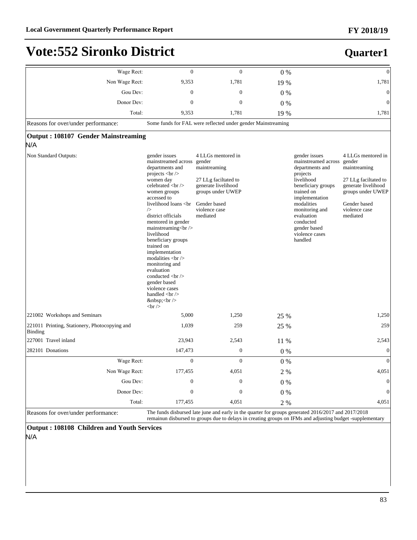#### **FY 2018/19**

### **Vote:552 Sironko District**

#### **Quarter1**

| Wage Rect:                                                      | $\Omega$                                                                                                                                   | $\Omega$                                                                                                                                                      | $0\%$ |                                                                                                                                                                                                                                                 | $\boldsymbol{0}$                                                                                                                                              |
|-----------------------------------------------------------------|--------------------------------------------------------------------------------------------------------------------------------------------|---------------------------------------------------------------------------------------------------------------------------------------------------------------|-------|-------------------------------------------------------------------------------------------------------------------------------------------------------------------------------------------------------------------------------------------------|---------------------------------------------------------------------------------------------------------------------------------------------------------------|
| Non Wage Rect:                                                  | 9.353                                                                                                                                      | 1,781                                                                                                                                                         | 19 %  |                                                                                                                                                                                                                                                 | 1,781                                                                                                                                                         |
| Gou Dev:                                                        | $\mathbf{0}$                                                                                                                               | $\boldsymbol{0}$                                                                                                                                              | $0\%$ |                                                                                                                                                                                                                                                 | $\boldsymbol{0}$                                                                                                                                              |
| Donor Dev:                                                      | $\overline{0}$                                                                                                                             | $\overline{0}$                                                                                                                                                | $0\%$ |                                                                                                                                                                                                                                                 | $\overline{0}$                                                                                                                                                |
| Total:                                                          | 9,353                                                                                                                                      | 1,781                                                                                                                                                         | 19 %  |                                                                                                                                                                                                                                                 | 1,781                                                                                                                                                         |
| Reasons for over/under performance:                             |                                                                                                                                            | Some funds for FAL were reflected under gender Mainstreaming                                                                                                  |       |                                                                                                                                                                                                                                                 |                                                                                                                                                               |
| <b>Output: 108107 Gender Mainstreaming</b><br>N/A               |                                                                                                                                            |                                                                                                                                                               |       |                                                                                                                                                                                                                                                 |                                                                                                                                                               |
| Non Standard Outputs:                                           | gender issues<br>mainstreamed across<br>departments and<br>projects $br$<br>women day<br>celebrated<br><br>women groups<br>accessed to<br> | 4 LLGs mentored in<br>gender<br>maintreaming<br>27 LLg faciltated to<br>generate livelihood<br>groups under UWEP<br>Gender based<br>violence case<br>mediated |       | gender issues<br>mainstreamed across<br>departments and<br>projects<br>livelihood<br>beneficiary groups<br>trained on<br>implementation<br>modalities<br>monitoring and<br>evaluation<br>conducted<br>gender based<br>violence cases<br>handled | 4 LLGs mentored in<br>gender<br>maintreaming<br>27 LLg faciltated to<br>generate livelihood<br>groups under UWEP<br>Gender based<br>violence case<br>mediated |
| 221002 Workshops and Seminars                                   | 5,000                                                                                                                                      | 1,250                                                                                                                                                         | 25 %  |                                                                                                                                                                                                                                                 | 1,250                                                                                                                                                         |
| 221011 Printing, Stationery, Photocopying and<br><b>Binding</b> | 1,039                                                                                                                                      | 259                                                                                                                                                           | 25 %  |                                                                                                                                                                                                                                                 | 259                                                                                                                                                           |
| 227001 Travel inland                                            | 23,943                                                                                                                                     | 2,543                                                                                                                                                         | 11 %  |                                                                                                                                                                                                                                                 | 2,543                                                                                                                                                         |
| 282101 Donations                                                | 147,473                                                                                                                                    | $\boldsymbol{0}$                                                                                                                                              | $0\%$ |                                                                                                                                                                                                                                                 | $\boldsymbol{0}$                                                                                                                                              |
| Wage Rect:                                                      | $\mathbf{0}$                                                                                                                               | $\mathbf{0}$                                                                                                                                                  | $0\%$ |                                                                                                                                                                                                                                                 | $\overline{0}$                                                                                                                                                |
| Non Wage Rect:                                                  | 177,455                                                                                                                                    | 4,051                                                                                                                                                         | 2%    |                                                                                                                                                                                                                                                 | 4,051                                                                                                                                                         |
| Gou Dev:                                                        | $\boldsymbol{0}$                                                                                                                           | $\boldsymbol{0}$                                                                                                                                              | $0\%$ |                                                                                                                                                                                                                                                 | $\boldsymbol{0}$                                                                                                                                              |
| Donor Dev:                                                      | $\overline{0}$                                                                                                                             | $\overline{0}$                                                                                                                                                | $0\%$ |                                                                                                                                                                                                                                                 | $\overline{0}$                                                                                                                                                |
| Total:                                                          | 177,455                                                                                                                                    | 4,051                                                                                                                                                         | 2 %   |                                                                                                                                                                                                                                                 | 4,051                                                                                                                                                         |

Reasons for over/under performance:<br>The funds disbursed late june and early in the quarter for groups generated 2016/2017 and 2017/2018<br>remainun disbursed to groups due to delays in creating groups on IFMs and adjusting bu

**Output : 108108 Children and Youth Services** N/A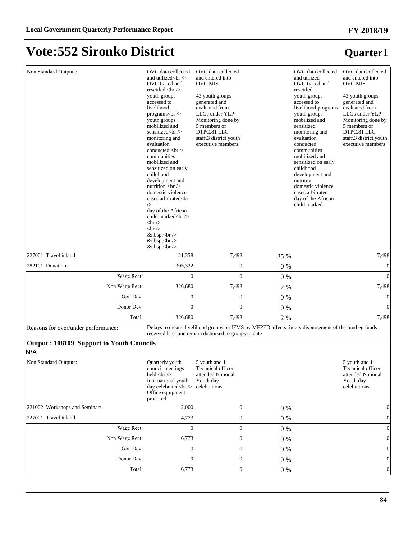| Non Standard Outputs:                           | OVC data collected<br>and utilized $\langle$ br $\rangle$<br>OVC traced and<br>resettled $\langle$ br $\rangle$<br>youth groups<br>accessed to<br>livelihood<br>programs $kr$<br>youth groups<br>mobilized and<br>sensitized<br><br>monitoring and<br>evaluation<br> | OVC data collected<br>and entered into<br><b>OVC MIS</b><br>43 youth groups<br>generated and<br>evaluated from<br>LLGs under YLP<br>Monitoring done by<br>5 members of<br>DTPC,81 LLG<br>staff,3 district youth<br>executive members |       | OVC data collected<br>and utilized<br>OVC traced and<br>resettled<br>youth groups<br>accessed to<br>livelihood programs<br>youth groups<br>mobilized and<br>sensitized<br>monitoring and<br>evaluation<br>conducted<br>communities<br>mobilized and<br>sensitized on early<br>childhood<br>development and<br>nutrition<br>domestic violence<br>cases arbitrated<br>day of the African<br>child marked | OVC data collected<br>and entered into<br><b>OVC MIS</b><br>43 youth groups<br>generated and<br>evaluated from<br>LLGs under YLP<br>Monitoring done by<br>5 members of<br>DTPC,81 LLG<br>staff,3 district youth<br>executive members |
|-------------------------------------------------|----------------------------------------------------------------------------------------------------------------------------------------------------------------------------------------------------------------------------------------------------------------------|--------------------------------------------------------------------------------------------------------------------------------------------------------------------------------------------------------------------------------------|-------|--------------------------------------------------------------------------------------------------------------------------------------------------------------------------------------------------------------------------------------------------------------------------------------------------------------------------------------------------------------------------------------------------------|--------------------------------------------------------------------------------------------------------------------------------------------------------------------------------------------------------------------------------------|
| 227001 Travel inland                            | $\langle$ br $\rangle$<br>21,358                                                                                                                                                                                                                                     | 7,498                                                                                                                                                                                                                                | 35 %  |                                                                                                                                                                                                                                                                                                                                                                                                        | 7,498                                                                                                                                                                                                                                |
| 282101 Donations                                | 305,322                                                                                                                                                                                                                                                              | $\boldsymbol{0}$                                                                                                                                                                                                                     | 0%    |                                                                                                                                                                                                                                                                                                                                                                                                        | $\boldsymbol{0}$                                                                                                                                                                                                                     |
| Wage Rect:                                      | $\overline{0}$                                                                                                                                                                                                                                                       | $\overline{0}$                                                                                                                                                                                                                       | $0\%$ |                                                                                                                                                                                                                                                                                                                                                                                                        | $\overline{0}$                                                                                                                                                                                                                       |
| Non Wage Rect:                                  | 326,680                                                                                                                                                                                                                                                              | 7,498                                                                                                                                                                                                                                | 2 %   |                                                                                                                                                                                                                                                                                                                                                                                                        | 7,498                                                                                                                                                                                                                                |
| Gou Dev:                                        | $\mathbf{0}$                                                                                                                                                                                                                                                         | $\mathbf{0}$                                                                                                                                                                                                                         | $0\%$ |                                                                                                                                                                                                                                                                                                                                                                                                        | $\mathbf{0}$                                                                                                                                                                                                                         |
| Donor Dev:                                      | $\mathbf{0}$                                                                                                                                                                                                                                                         | $\mathbf{0}$                                                                                                                                                                                                                         | 0%    |                                                                                                                                                                                                                                                                                                                                                                                                        | $\theta$                                                                                                                                                                                                                             |
| Total:                                          | 326,680                                                                                                                                                                                                                                                              | 7,498                                                                                                                                                                                                                                | 2 %   |                                                                                                                                                                                                                                                                                                                                                                                                        | 7,498                                                                                                                                                                                                                                |
| Reasons for over/under performance:             |                                                                                                                                                                                                                                                                      | Delays to create livelihood groups on IFMS by MFPED affects timely disbursement of the fund eg funds<br>received late june remain disbursed to groups to date                                                                        |       |                                                                                                                                                                                                                                                                                                                                                                                                        |                                                                                                                                                                                                                                      |
| Output: 108109 Support to Youth Councils<br>N/A |                                                                                                                                                                                                                                                                      |                                                                                                                                                                                                                                      |       |                                                                                                                                                                                                                                                                                                                                                                                                        |                                                                                                                                                                                                                                      |
| Non Standard Outputs:                           | Quarterly youth<br>council meetings<br>held $\langle$ br $\rangle$<br>International youth<br>day celebrated<br>celebrations<br>Office equipment<br>procured                                                                                                          | 5 youth and 1<br>Technical officer<br>attended National<br>Youth day                                                                                                                                                                 |       |                                                                                                                                                                                                                                                                                                                                                                                                        | 5 youth and 1<br>Technical officer<br>attended National<br>Youth day<br>celebrations                                                                                                                                                 |
| 221002 Workshops and Seminars                   | 2,000                                                                                                                                                                                                                                                                | $\boldsymbol{0}$                                                                                                                                                                                                                     | $0\%$ |                                                                                                                                                                                                                                                                                                                                                                                                        | 0                                                                                                                                                                                                                                    |
| 227001 Travel inland                            | 4,773                                                                                                                                                                                                                                                                | $\boldsymbol{0}$                                                                                                                                                                                                                     | $0\%$ |                                                                                                                                                                                                                                                                                                                                                                                                        | $\mathbf{0}$                                                                                                                                                                                                                         |
| Wage Rect:                                      | $\mathbf{0}$                                                                                                                                                                                                                                                         | $\boldsymbol{0}$                                                                                                                                                                                                                     | $0\%$ |                                                                                                                                                                                                                                                                                                                                                                                                        | $\Omega$                                                                                                                                                                                                                             |
| Non Wage Rect:                                  | 6,773                                                                                                                                                                                                                                                                | 0                                                                                                                                                                                                                                    | $0\%$ |                                                                                                                                                                                                                                                                                                                                                                                                        | $\theta$                                                                                                                                                                                                                             |
| Gou Dev:                                        | 0                                                                                                                                                                                                                                                                    | 0                                                                                                                                                                                                                                    | $0\%$ |                                                                                                                                                                                                                                                                                                                                                                                                        | $\mathbf{0}$                                                                                                                                                                                                                         |
| Donor Dev:                                      | $\mathbf{0}$                                                                                                                                                                                                                                                         | 0                                                                                                                                                                                                                                    | $0\%$ |                                                                                                                                                                                                                                                                                                                                                                                                        | $\mathbf{0}$                                                                                                                                                                                                                         |
| Total:                                          | 6,773                                                                                                                                                                                                                                                                | $\boldsymbol{0}$                                                                                                                                                                                                                     | $0\%$ |                                                                                                                                                                                                                                                                                                                                                                                                        | $\boldsymbol{0}$                                                                                                                                                                                                                     |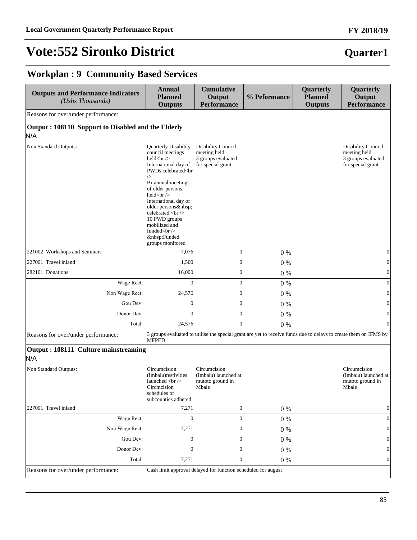# **Quarter1**

### **Workplan : 9 Community Based Services**

| Output: 108110 Support to Disabled and the Elderly<br>Quarterly Disability<br>council meetings |                                                                               |         |                                                               |                                                                                                                  |
|------------------------------------------------------------------------------------------------|-------------------------------------------------------------------------------|---------|---------------------------------------------------------------|------------------------------------------------------------------------------------------------------------------|
|                                                                                                |                                                                               |         |                                                               |                                                                                                                  |
|                                                                                                |                                                                               |         |                                                               |                                                                                                                  |
|                                                                                                |                                                                               |         |                                                               |                                                                                                                  |
| held<br><br>International day of                                                               | Disability Council<br>meeting held<br>3 groups evaluated<br>for special grant |         |                                                               | <b>Disability Council</b><br>meeting held<br>3 groups evaluated<br>for special grant                             |
| 7,076                                                                                          | $\boldsymbol{0}$                                                              | $0\%$   |                                                               | $\mathbf{0}$                                                                                                     |
| 1,500                                                                                          | $\boldsymbol{0}$                                                              | 0%      |                                                               | $\boldsymbol{0}$                                                                                                 |
| 16,000                                                                                         | $\boldsymbol{0}$                                                              | $0\%$   |                                                               | $\boldsymbol{0}$                                                                                                 |
| $\mathbf{0}$                                                                                   | $\mathbf{0}$                                                                  | 0%      |                                                               | $\boldsymbol{0}$                                                                                                 |
| 24,576                                                                                         | $\mathbf{0}$                                                                  | $0\%$   |                                                               | $\boldsymbol{0}$                                                                                                 |
| $\mathbf{0}$                                                                                   | $\boldsymbol{0}$                                                              | $0\%$   |                                                               | $\mathbf{0}$                                                                                                     |
| $\theta$                                                                                       | $\mathbf{0}$                                                                  | 0%      |                                                               | $\boldsymbol{0}$                                                                                                 |
| 24,576                                                                                         | $\mathbf{0}$                                                                  | $0\%$   |                                                               | $\mathbf{0}$                                                                                                     |
|                                                                                                |                                                                               |         |                                                               |                                                                                                                  |
|                                                                                                |                                                                               |         |                                                               |                                                                                                                  |
|                                                                                                | Circumcision<br>(Imbalu) launched at<br>mutoto ground in<br>Mbale             |         |                                                               | Circumcision<br>(Imbalu) launched at<br>mutoto ground in<br>Mbale                                                |
| 7,271                                                                                          | $\boldsymbol{0}$                                                              | 0%      |                                                               | $\boldsymbol{0}$                                                                                                 |
| $\boldsymbol{0}$                                                                               | $\boldsymbol{0}$                                                              | $0\ \%$ |                                                               | $\mathbf{0}$                                                                                                     |
| 7,271                                                                                          | $\mathbf{0}$                                                                  | $0\ \%$ |                                                               | $\mathbf{0}$                                                                                                     |
| $\mathbf{0}$                                                                                   | $\boldsymbol{0}$                                                              | $0\ \%$ |                                                               | $\boldsymbol{0}$                                                                                                 |
| $\mathbf{0}$                                                                                   | $\mathbf{0}$                                                                  | $0\ \%$ |                                                               | $\mathbf{0}$                                                                                                     |
| 7,271                                                                                          | $\boldsymbol{0}$                                                              | $0\%$   |                                                               | $\boldsymbol{0}$                                                                                                 |
|                                                                                                | PWDs celebrated<br>>br<br>Bi-annual meetings<br>of older persons<br>          |         | Cash limit approval delayed for function scheduled for august | 3 groups evaluated to utilise the special grant are yet to receive funds due to delays to create them on IFMS by |

#### **FY 2018/19**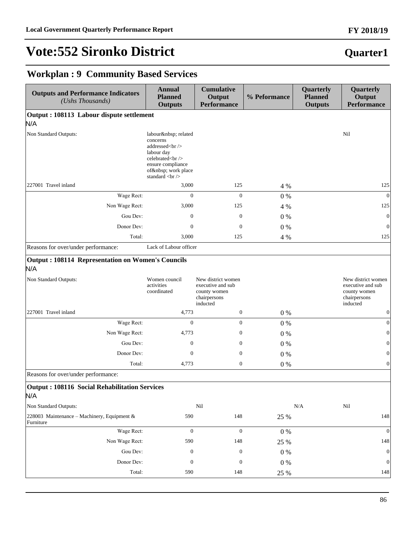### **Quarter1**

### **Workplan : 9 Community Based Services**

| <b>Outputs and Performance Indicators</b><br>(Ushs Thousands)   | <b>Annual</b><br><b>Planned</b><br><b>Outputs</b>                            | <b>Cumulative</b><br>Output<br><b>Performance</b>                                   | % Peformance | Quarterly<br><b>Planned</b><br><b>Outputs</b> | Quarterly<br>Output<br>Performance                                                  |
|-----------------------------------------------------------------|------------------------------------------------------------------------------|-------------------------------------------------------------------------------------|--------------|-----------------------------------------------|-------------------------------------------------------------------------------------|
| Output: 108113 Labour dispute settlement                        |                                                                              |                                                                                     |              |                                               |                                                                                     |
| N/A                                                             |                                                                              |                                                                                     |              |                                               |                                                                                     |
| Non Standard Outputs:                                           | labour  related<br>concerns<br>addressed<br><br>labour day<br>celebrated<br> |                                                                                     |              |                                               | Nil                                                                                 |
| 227001 Travel inland                                            | 3,000                                                                        | 125                                                                                 | 4 %          |                                               | 125                                                                                 |
| Wage Rect:                                                      | $\mathbf{0}$                                                                 | $\mathbf{0}$                                                                        | $0\%$        |                                               | $\mathbf{0}$                                                                        |
| Non Wage Rect:                                                  | 3,000                                                                        | 125                                                                                 | 4 %          |                                               | 125                                                                                 |
| Gou Dev:                                                        | $\mathbf{0}$                                                                 | $\mathbf{0}$                                                                        | $0\%$        |                                               | $\mathbf{0}$                                                                        |
| Donor Dev:                                                      | $\theta$                                                                     | $\theta$                                                                            | $0\%$        |                                               | 0                                                                                   |
| Total:                                                          | 3,000                                                                        | 125                                                                                 | 4 %          |                                               | 125                                                                                 |
| Reasons for over/under performance:                             | Lack of Labour officer                                                       |                                                                                     |              |                                               |                                                                                     |
| <b>Output: 108114 Representation on Women's Councils</b><br>N/A |                                                                              |                                                                                     |              |                                               |                                                                                     |
| Non Standard Outputs:                                           | Women council<br>activities<br>coordinated                                   | New district women<br>executive and sub<br>county women<br>chairpersons<br>inducted |              |                                               | New district women<br>executive and sub<br>county women<br>chairpersons<br>inducted |
| 227001 Travel inland                                            | 4,773                                                                        | $\boldsymbol{0}$                                                                    | $0\%$        |                                               | 0                                                                                   |
| Wage Rect:                                                      | $\mathbf{0}$                                                                 | $\overline{0}$                                                                      | $0\%$        |                                               | $\vert 0 \vert$                                                                     |
| Non Wage Rect:                                                  | 4,773                                                                        | 0                                                                                   | $0\%$        |                                               | 0                                                                                   |
| Gou Dev:                                                        | $\mathbf{0}$                                                                 | 0                                                                                   | $0\%$        |                                               | $\vert 0 \vert$                                                                     |
| Donor Dev:                                                      | $\mathbf{0}$                                                                 | $\boldsymbol{0}$                                                                    | $0\%$        |                                               | 0                                                                                   |
| Total:                                                          | 4,773                                                                        | $\mathbf{0}$                                                                        | $0\%$        |                                               | $\boldsymbol{0}$                                                                    |
| Reasons for over/under performance:                             |                                                                              |                                                                                     |              |                                               |                                                                                     |
| <b>Output: 108116 Social Rehabilitation Services</b><br>N/A     |                                                                              |                                                                                     |              |                                               |                                                                                     |
| Non Standard Outputs:                                           |                                                                              | Nil                                                                                 |              | N/A                                           | Nil                                                                                 |
| 228003 Maintenance - Machinery, Equipment &<br>Furniture        | 590                                                                          | 148                                                                                 | 25 %         |                                               | 148                                                                                 |
| Wage Rect:                                                      | $\mathbf{0}$                                                                 | $\mathbf{0}$                                                                        | $0\ \%$      |                                               | $\boldsymbol{0}$                                                                    |
| Non Wage Rect:                                                  | 590                                                                          | 148                                                                                 | 25 %         |                                               | 148                                                                                 |
| Gou Dev:                                                        | $\boldsymbol{0}$                                                             | $\boldsymbol{0}$                                                                    | $0\ \%$      |                                               | $\vert 0 \vert$                                                                     |
| Donor Dev:                                                      | $\boldsymbol{0}$                                                             | $\boldsymbol{0}$                                                                    | 0%           |                                               | $\boldsymbol{0}$                                                                    |
| Total:                                                          | 590                                                                          | 148                                                                                 | 25 %         |                                               | 148                                                                                 |

#### **FY 2018/19**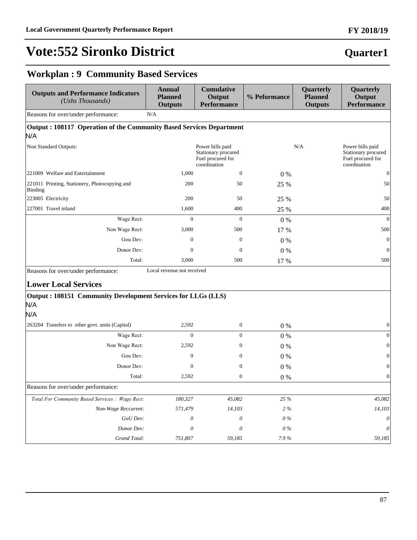### **Quarter1**

### **Workplan : 9 Community Based Services**

| <b>Outputs and Performance Indicators</b><br>(Ushs Thousands)              | <b>Annual</b><br><b>Planned</b><br><b>Outputs</b> | <b>Cumulative</b><br>Output<br><b>Performance</b>                            | % Peformance | Quarterly<br><b>Planned</b><br><b>Outputs</b> | Quarterly<br>Output<br><b>Performance</b>                                    |
|----------------------------------------------------------------------------|---------------------------------------------------|------------------------------------------------------------------------------|--------------|-----------------------------------------------|------------------------------------------------------------------------------|
| Reasons for over/under performance:                                        | N/A                                               |                                                                              |              |                                               |                                                                              |
| Output: 108117 Operation of the Community Based Services Department<br>N/A |                                                   |                                                                              |              |                                               |                                                                              |
| Non Standard Outputs:                                                      |                                                   | Power bills paid<br>Stationary procured<br>Fuel procured for<br>coordination |              | N/A                                           | Power bills paid<br>Stationary procured<br>Fuel procured for<br>coordination |
| 221009 Welfare and Entertainment                                           | 1,000                                             | $\mathbf{0}$                                                                 | $0\%$        |                                               | 0                                                                            |
| 221011 Printing, Stationery, Photocopying and<br><b>Binding</b>            | 200                                               | 50                                                                           | 25 %         |                                               | 50                                                                           |
| 223005 Electricity                                                         | 200                                               | 50                                                                           | 25 %         |                                               | 50                                                                           |
| 227001 Travel inland                                                       | 1,600                                             | 400                                                                          | 25 %         |                                               | 400                                                                          |
| Wage Rect:                                                                 | $\mathbf{0}$                                      | $\mathbf{0}$                                                                 | $0\%$        |                                               | $\theta$                                                                     |
| Non Wage Rect:                                                             | 3,000                                             | 500                                                                          | 17 %         |                                               | 500                                                                          |
| Gou Dev:                                                                   | $\mathbf{0}$                                      | $\boldsymbol{0}$                                                             | $0\%$        |                                               | $\mathbf{0}$                                                                 |
| Donor Dev:                                                                 | $\mathbf{0}$                                      | $\mathbf{0}$                                                                 | $0\%$        |                                               | 0                                                                            |
| Total:                                                                     | 3,000                                             | 500                                                                          | 17 %         |                                               | 500                                                                          |
| Reasons for over/under performance:                                        | Local revenue not received                        |                                                                              |              |                                               |                                                                              |
| <b>Lower Local Services</b>                                                |                                                   |                                                                              |              |                                               |                                                                              |
| Output: 108151 Community Development Services for LLGs (LLS)<br>N/A        |                                                   |                                                                              |              |                                               |                                                                              |
| N/A                                                                        |                                                   |                                                                              |              |                                               |                                                                              |
| 263204 Transfers to other govt. units (Capital)                            | 2,592                                             | $\boldsymbol{0}$                                                             | $0\%$        |                                               | 0                                                                            |
| Wage Rect:                                                                 | $\mathbf{0}$                                      | $\theta$                                                                     | $0\ \%$      |                                               | 0                                                                            |
| Non Wage Rect:                                                             | 2,592                                             | $\boldsymbol{0}$                                                             | 0%           |                                               | 0                                                                            |
| Gou Dev:                                                                   | $\mathbf{0}$                                      | $\boldsymbol{0}$                                                             | $0\%$        |                                               | 0                                                                            |
| Donor Dev:                                                                 | $\theta$                                          | $\boldsymbol{0}$                                                             | $0\%$        |                                               | $\vert 0 \vert$                                                              |
| Total:                                                                     | 2,592                                             | $\boldsymbol{0}$                                                             | $0\%$        |                                               | $\mathbf{0}$                                                                 |
| Reasons for over/under performance:                                        |                                                   |                                                                              |              |                                               |                                                                              |
| Total For Community Based Services : Wage Rect:                            | 180,327                                           | 45,082                                                                       | 25 %         |                                               | 45,082                                                                       |
| Non-Wage Reccurent:                                                        | 571,479                                           | 14,103                                                                       | $2\ \%$      |                                               | 14,103                                                                       |
| GoU Dev:                                                                   | $\theta$                                          | $\boldsymbol{\theta}$                                                        | 0%           |                                               | $\theta$                                                                     |
| Donor Dev:                                                                 | 0                                                 | 0                                                                            | $0\,\%$      |                                               | 0                                                                            |
| Grand Total:                                                               | 751,807                                           | 59,185                                                                       | 7.9%         |                                               | 59,185                                                                       |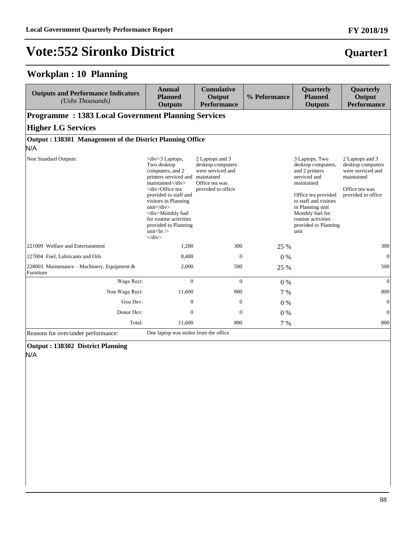#### **Workplan : 10 Planning**

| <b>Outputs and Performance Indicators</b><br>(Ushs Thousands)    | <b>Annual</b><br><b>Planned</b><br><b>Outputs</b>                                                                                                                                                                                                                                                                                                                                                | <b>Cumulative</b><br>Output<br><b>Performance</b>                                                 | % Peformance | Quarterly<br><b>Planned</b><br><b>Outputs</b>                                                                                                                                                                                      | Quarterly<br>Output<br><b>Performance</b>                                                                       |
|------------------------------------------------------------------|--------------------------------------------------------------------------------------------------------------------------------------------------------------------------------------------------------------------------------------------------------------------------------------------------------------------------------------------------------------------------------------------------|---------------------------------------------------------------------------------------------------|--------------|------------------------------------------------------------------------------------------------------------------------------------------------------------------------------------------------------------------------------------|-----------------------------------------------------------------------------------------------------------------|
| <b>Programme: 1383 Local Government Planning Services</b>        |                                                                                                                                                                                                                                                                                                                                                                                                  |                                                                                                   |              |                                                                                                                                                                                                                                    |                                                                                                                 |
| <b>Higher LG Services</b>                                        |                                                                                                                                                                                                                                                                                                                                                                                                  |                                                                                                   |              |                                                                                                                                                                                                                                    |                                                                                                                 |
| Output: 138301 Management of the District Planning Office<br>N/A |                                                                                                                                                                                                                                                                                                                                                                                                  |                                                                                                   |              |                                                                                                                                                                                                                                    |                                                                                                                 |
| Non Standard Outputs:                                            | $\langle \text{div} \rangle$ Laptops.<br>Two desktop<br>computers, and 2<br>printers serviced and maintained<br>maintained<br><div>Office tea<br/>provided to staff and<br/>visitors in Planning<br/><math>unit &lt;</math>/div&gt;<br/><div>Monthly fuel<br/>for routine activities<br/>provided to Planning<br/>unit<br/>s<math>\frac{1}{2}</math><br/><math>\langle</math>div&gt;</div></div> | 2 Laptops and 3<br>desktop computers<br>were serviced and<br>Office tea was<br>provided to office |              | 3 Laptops, Two<br>desktop computers,<br>and 2 printers<br>serviced and<br>maintained<br>Office tea provided<br>to staff and visitors<br>in Planning unit<br>Monthly fuel for<br>routine activities<br>provided to Planning<br>unit | 2 Laptops and 3<br>desktop computers<br>were serviced and<br>maintained<br>Office tea was<br>provided to office |
| 221009 Welfare and Entertainment                                 | 1,200                                                                                                                                                                                                                                                                                                                                                                                            | 300                                                                                               | 25 %         |                                                                                                                                                                                                                                    | 300                                                                                                             |
| 227004 Fuel, Lubricants and Oils                                 | 8,400                                                                                                                                                                                                                                                                                                                                                                                            | $\mathbf{0}$                                                                                      | 0%           |                                                                                                                                                                                                                                    | $\mathbf{0}$                                                                                                    |
| 228003 Maintenance – Machinery, Equipment &<br>Furniture         | 2,000                                                                                                                                                                                                                                                                                                                                                                                            | 500                                                                                               | 25 %         |                                                                                                                                                                                                                                    | 500                                                                                                             |
| Wage Rect:                                                       | $\overline{0}$                                                                                                                                                                                                                                                                                                                                                                                   | $\overline{0}$                                                                                    | $0\%$        |                                                                                                                                                                                                                                    | $\mathbf{0}$                                                                                                    |
| Non Wage Rect:                                                   | 11,600                                                                                                                                                                                                                                                                                                                                                                                           | 800                                                                                               | 7 %          |                                                                                                                                                                                                                                    | 800                                                                                                             |
| Gou Dev:                                                         | $\overline{0}$                                                                                                                                                                                                                                                                                                                                                                                   | $\overline{0}$                                                                                    | $0\%$        |                                                                                                                                                                                                                                    | $\mathbf{0}$                                                                                                    |
| Donor Dev:                                                       | $\mathbf{0}$                                                                                                                                                                                                                                                                                                                                                                                     | $\mathbf{0}$                                                                                      | 0%           |                                                                                                                                                                                                                                    | $\mathbf{0}$                                                                                                    |
| Total:                                                           | 11,600                                                                                                                                                                                                                                                                                                                                                                                           | 800                                                                                               | 7 %          |                                                                                                                                                                                                                                    | 800                                                                                                             |

Reasons for over/under performance: One laptop was stolen from the office

**Output : 138302 District Planning**

N/A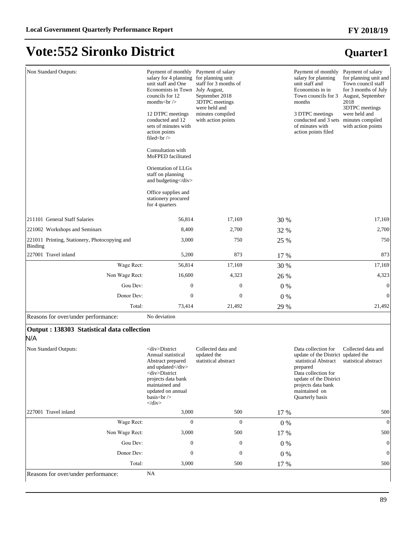#### **FY 2018/19**

## **Vote:552 Sironko District**

| Non Standard Outputs:                                                       | Payment of monthly<br>salary for 4 planning<br>unit staff and One<br>Economists in Town<br>councils for 12<br>months $<$ br $>$<br>12 DTPC meetings<br>conducted and 12<br>sets of minutes with<br>action points<br>filed $\langle$ br $\rangle$<br>Consultation with<br>MoFPED facilitated<br>Orientation of LLGs<br>staff on planning<br>and budgeting<br>Office supplies and<br>stationery procured<br>for 4 quarters | Payment of salary<br>for planning unit<br>staff for 3 months of<br>July August,<br>September 2018<br>3DTPC meetings<br>were held and<br>minutes compiled<br>with action points |       | Payment of monthly<br>salary for planning<br>unit staff and<br>Economists in in<br>Town councils for 3<br>months<br>3 DTPC meetings<br>conducted and 3 sets minutes compiled<br>of minutes with<br>action points filed | Payment of salary<br>for planning unit and<br>Town council staff<br>for 3 months of July<br>August, September<br>2018<br>3DTPC meetings<br>were held and<br>with action points |
|-----------------------------------------------------------------------------|--------------------------------------------------------------------------------------------------------------------------------------------------------------------------------------------------------------------------------------------------------------------------------------------------------------------------------------------------------------------------------------------------------------------------|--------------------------------------------------------------------------------------------------------------------------------------------------------------------------------|-------|------------------------------------------------------------------------------------------------------------------------------------------------------------------------------------------------------------------------|--------------------------------------------------------------------------------------------------------------------------------------------------------------------------------|
| 211101 General Staff Salaries                                               | 56,814                                                                                                                                                                                                                                                                                                                                                                                                                   | 17.169                                                                                                                                                                         | 30 %  |                                                                                                                                                                                                                        | 17,169                                                                                                                                                                         |
| 221002 Workshops and Seminars                                               | 8,400                                                                                                                                                                                                                                                                                                                                                                                                                    | 2,700                                                                                                                                                                          | 32 %  |                                                                                                                                                                                                                        | 2,700                                                                                                                                                                          |
| 221011 Printing, Stationery, Photocopying and<br>Binding                    | 3,000                                                                                                                                                                                                                                                                                                                                                                                                                    | 750                                                                                                                                                                            | 25 %  |                                                                                                                                                                                                                        | 750                                                                                                                                                                            |
| 227001 Travel inland                                                        | 5,200                                                                                                                                                                                                                                                                                                                                                                                                                    | 873                                                                                                                                                                            | 17 %  |                                                                                                                                                                                                                        | 873                                                                                                                                                                            |
| Wage Rect:                                                                  | 56,814                                                                                                                                                                                                                                                                                                                                                                                                                   | 17,169                                                                                                                                                                         | 30 %  |                                                                                                                                                                                                                        | 17,169                                                                                                                                                                         |
| Non Wage Rect:                                                              | 16,600                                                                                                                                                                                                                                                                                                                                                                                                                   | 4,323                                                                                                                                                                          | 26 %  |                                                                                                                                                                                                                        | 4,323                                                                                                                                                                          |
| Gou Dev:                                                                    | $\boldsymbol{0}$                                                                                                                                                                                                                                                                                                                                                                                                         | $\boldsymbol{0}$                                                                                                                                                               | $0\%$ |                                                                                                                                                                                                                        | $\mathbf{0}$                                                                                                                                                                   |
| Donor Dev:                                                                  | $\boldsymbol{0}$                                                                                                                                                                                                                                                                                                                                                                                                         | $\boldsymbol{0}$                                                                                                                                                               | 0%    |                                                                                                                                                                                                                        | $\mathbf{0}$                                                                                                                                                                   |
| Total:                                                                      | 73,414                                                                                                                                                                                                                                                                                                                                                                                                                   | 21,492                                                                                                                                                                         | 29 %  |                                                                                                                                                                                                                        | 21,492                                                                                                                                                                         |
| Reasons for over/under performance:                                         | No deviation                                                                                                                                                                                                                                                                                                                                                                                                             |                                                                                                                                                                                |       |                                                                                                                                                                                                                        |                                                                                                                                                                                |
| Output : 138303 Statistical data collection<br>N/A<br>Non Standard Outputs: | <div>District<br/>Annual statistical<br/>Abstract prepared<br/>and updated</div><br><div>District<br/>projects data bank<br/>maintained and<br/>updated on annual<br/>basis<math>r</math><br/><math>\langle</math>div&gt;</div>                                                                                                                                                                                          | Collected data and<br>updated the<br>statistical abstract                                                                                                                      |       | Data collection for<br>update of the District updated the<br>statistical Abstract<br>prepared<br>Data collection for<br>update of the District<br>projects data bank<br>maintained on<br>Quarterly basis               | Collected data and<br>statistical abstract                                                                                                                                     |
| 227001 Travel inland                                                        | 3,000                                                                                                                                                                                                                                                                                                                                                                                                                    | 500                                                                                                                                                                            | 17 %  |                                                                                                                                                                                                                        | 500                                                                                                                                                                            |
| Wage Rect:                                                                  | $\overline{0}$                                                                                                                                                                                                                                                                                                                                                                                                           | $\mathbf{0}$                                                                                                                                                                   | $0\%$ |                                                                                                                                                                                                                        | $\theta$                                                                                                                                                                       |
| Non Wage Rect:                                                              | 3,000                                                                                                                                                                                                                                                                                                                                                                                                                    | 500                                                                                                                                                                            | 17 %  |                                                                                                                                                                                                                        | 500                                                                                                                                                                            |
| Gou Dev:                                                                    | $\boldsymbol{0}$                                                                                                                                                                                                                                                                                                                                                                                                         | $\boldsymbol{0}$                                                                                                                                                               | $0\%$ |                                                                                                                                                                                                                        | $\mathbf{0}$                                                                                                                                                                   |
| Donor Dev:                                                                  | $\boldsymbol{0}$                                                                                                                                                                                                                                                                                                                                                                                                         | $\boldsymbol{0}$                                                                                                                                                               | $0\%$ |                                                                                                                                                                                                                        | $\mathbf{0}$                                                                                                                                                                   |
| Total:                                                                      | 3,000                                                                                                                                                                                                                                                                                                                                                                                                                    | 500                                                                                                                                                                            | 17 %  |                                                                                                                                                                                                                        | 500                                                                                                                                                                            |
| Reasons for over/under performance:                                         | NA                                                                                                                                                                                                                                                                                                                                                                                                                       |                                                                                                                                                                                |       |                                                                                                                                                                                                                        |                                                                                                                                                                                |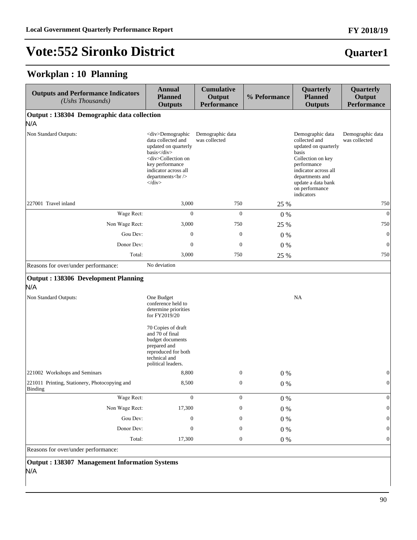**Quarter1**

## **Vote:552 Sironko District**

#### **Workplan : 10 Planning**

| <b>Outputs and Performance Indicators</b><br>(Ushs Thousands) | <b>Annual</b><br><b>Planned</b><br><b>Outputs</b>                                                                                                                                                                    | <b>Cumulative</b><br>Output<br><b>Performance</b> | % Peformance | Quarterly<br><b>Planned</b><br><b>Outputs</b>                                                                                                                                                           | Quarterly<br>Output<br><b>Performance</b> |
|---------------------------------------------------------------|----------------------------------------------------------------------------------------------------------------------------------------------------------------------------------------------------------------------|---------------------------------------------------|--------------|---------------------------------------------------------------------------------------------------------------------------------------------------------------------------------------------------------|-------------------------------------------|
| Output : 138304 Demographic data collection                   |                                                                                                                                                                                                                      |                                                   |              |                                                                                                                                                                                                         |                                           |
| N/A<br>Non Standard Outputs:                                  | <div>Demographic<br/>data collected and<br/>updated on quarterly<br/>basis</div><br><div>Collection on<br/>key performance<br/>indicator across all<br/>departments<br/><br/><math>\langle</math>div&gt;</div>       | Demographic data<br>was collected                 |              | Demographic data<br>collected and<br>updated on quarterly<br>basis<br>Collection on key<br>performance<br>indicator across all<br>departments and<br>update a data bank<br>on performance<br>indicators | Demographic data<br>was collected         |
| 227001 Travel inland                                          | 3,000                                                                                                                                                                                                                | 750                                               | 25 %         |                                                                                                                                                                                                         | 750                                       |
| Wage Rect:                                                    | $\boldsymbol{0}$                                                                                                                                                                                                     | $\mathbf{0}$                                      | $0\%$        |                                                                                                                                                                                                         | $\mathbf{0}$                              |
| Non Wage Rect:                                                | 3,000                                                                                                                                                                                                                | 750                                               | 25 %         |                                                                                                                                                                                                         | 750                                       |
| Gou Dev:                                                      | $\boldsymbol{0}$                                                                                                                                                                                                     | $\mathbf{0}$                                      | $0\%$        |                                                                                                                                                                                                         | $\mathbf{0}$                              |
| Donor Dev:                                                    | $\boldsymbol{0}$                                                                                                                                                                                                     | $\mathbf{0}$                                      | $0\%$        |                                                                                                                                                                                                         | $\mathbf{0}$                              |
| Total:                                                        | 3,000                                                                                                                                                                                                                | 750                                               | 25 %         |                                                                                                                                                                                                         | 750                                       |
| Reasons for over/under performance:                           | No deviation                                                                                                                                                                                                         |                                                   |              |                                                                                                                                                                                                         |                                           |
| Output: 138306 Development Planning<br>N/A                    |                                                                                                                                                                                                                      |                                                   |              |                                                                                                                                                                                                         |                                           |
| Non Standard Outputs:                                         | One Budget<br>conference held to<br>determine priorities<br>for FY2019/20<br>70 Copies of draft<br>and 70 of final<br>budget documents<br>prepared and<br>reproduced for both<br>technical and<br>political leaders. |                                                   |              | <b>NA</b>                                                                                                                                                                                               |                                           |
| 221002 Workshops and Seminars                                 | 8,800                                                                                                                                                                                                                | $\mathbf{0}$                                      | 0%           |                                                                                                                                                                                                         | $\theta$                                  |
| 221011 Printing, Stationery, Photocopying and<br>  Binding    | 8,500                                                                                                                                                                                                                | $\boldsymbol{0}$                                  | $0\%$        |                                                                                                                                                                                                         | $\mathbf{0}$                              |
| Wage Rect:                                                    | $\mathbf{0}$                                                                                                                                                                                                         | $\boldsymbol{0}$                                  | $0\%$        |                                                                                                                                                                                                         | $\mathbf{0}$                              |
| Non Wage Rect:                                                | 17,300                                                                                                                                                                                                               | $\boldsymbol{0}$                                  | $0\%$        |                                                                                                                                                                                                         | $\theta$                                  |
| Gou Dev:                                                      | $\boldsymbol{0}$                                                                                                                                                                                                     | 0                                                 | $0\%$        |                                                                                                                                                                                                         |                                           |
| Donor Dev:                                                    | $\boldsymbol{0}$                                                                                                                                                                                                     | $\boldsymbol{0}$                                  | $0\%$        |                                                                                                                                                                                                         | $\Omega$                                  |
| Total:                                                        | 17,300                                                                                                                                                                                                               | $\boldsymbol{0}$                                  | $0\ \%$      |                                                                                                                                                                                                         | $\boldsymbol{0}$                          |
| Reasons for over/under performance:                           |                                                                                                                                                                                                                      |                                                   |              |                                                                                                                                                                                                         |                                           |

**Output : 138307 Management Information Systems** N/A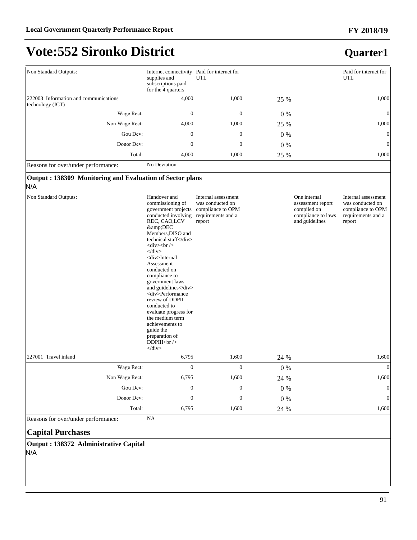#### **FY 2018/19**

## **Vote:552 Sironko District**

#### **Quarter1**

| Non Standard Outputs:                                     | Internet connectivity<br>supplies and<br>subscriptions paid<br>for the 4 quarters | Paid for internet for<br>UTL |       | Paid for internet for<br><b>UTL</b> |
|-----------------------------------------------------------|-----------------------------------------------------------------------------------|------------------------------|-------|-------------------------------------|
| 222003 Information and communications<br>technology (ICT) | 4,000                                                                             | 1,000                        | 25 %  | 1,000                               |
| Wage Rect:                                                | $\Omega$                                                                          | 0                            | $0\%$ | $\Omega$                            |
| Non Wage Rect:                                            | 4,000                                                                             | 1,000                        | 25 %  | 1,000                               |
| Gou Dev:                                                  | $\mathbf{0}$                                                                      | $\mathbf{0}$                 | $0\%$ | $\overline{0}$                      |
| Donor Dev:                                                | $\mathbf{0}$                                                                      | $\mathbf{0}$                 | $0\%$ | $\vert 0 \vert$                     |
| Total:                                                    | 4,000<br>Mc Davistica                                                             | 1,000                        | 25 %  | 1,000                               |

Reasons for over/under performance: No Deviation

#### **Output : 138309 Monitoring and Evaluation of Sector plans**

N/A

| Non Standard Outputs: | Handover and<br>commissioning of<br>government projects<br>conducted involving<br>RDC, CAO,LCV<br>&DEC<br>Members, DISO and<br>technical staff<br>$\langle$ div $>$ br/ $>$<br>$\langle$ div $\rangle$<br><div>Internal<br/>Assessment<br/>conducted on<br/>compliance to<br/>government laws<br/>and guidelines</div><br><div>Performance<br/>review of DDPII<br/>conducted to<br/>evaluate progress for<br/>the medium term<br/>achievements to<br/>guide the<br/>preparation of<br/>DDPIII<math>br/&gt;</math><br/><math>\langle</math>div&gt;</div> | Internal assessment<br>was conducted on<br>compliance to OPM<br>requirements and a<br>report |       | One internal<br>assessment report<br>compiled on<br>compliance to laws<br>and guidelines | Internal assessment<br>was conducted on<br>compliance to OPM<br>requirements and a<br>report |
|-----------------------|---------------------------------------------------------------------------------------------------------------------------------------------------------------------------------------------------------------------------------------------------------------------------------------------------------------------------------------------------------------------------------------------------------------------------------------------------------------------------------------------------------------------------------------------------------|----------------------------------------------------------------------------------------------|-------|------------------------------------------------------------------------------------------|----------------------------------------------------------------------------------------------|
| 227001 Travel inland  | 6,795                                                                                                                                                                                                                                                                                                                                                                                                                                                                                                                                                   | 1,600                                                                                        | 24 %  |                                                                                          | 1,600                                                                                        |
| Wage Rect:            | $\mathbf{0}$                                                                                                                                                                                                                                                                                                                                                                                                                                                                                                                                            | $\mathbf{0}$                                                                                 | $0\%$ |                                                                                          | $\Omega$                                                                                     |
| Non Wage Rect:        | 6,795                                                                                                                                                                                                                                                                                                                                                                                                                                                                                                                                                   | 1,600                                                                                        | 24 %  |                                                                                          | 1,600                                                                                        |
| Gou Dev:              | $\boldsymbol{0}$                                                                                                                                                                                                                                                                                                                                                                                                                                                                                                                                        | $\mathbf{0}$                                                                                 | $0\%$ |                                                                                          | $\Omega$                                                                                     |
| Donor Dev:            | $\mathbf{0}$                                                                                                                                                                                                                                                                                                                                                                                                                                                                                                                                            | $\mathbf{0}$                                                                                 | $0\%$ |                                                                                          | $\theta$                                                                                     |
| Total:                | 6,795                                                                                                                                                                                                                                                                                                                                                                                                                                                                                                                                                   | 1,600                                                                                        | 24 %  |                                                                                          | 1,600                                                                                        |

Reasons for over/under performance: NA

#### **Capital Purchases**

**Output : 138372 Administrative Capital** N/A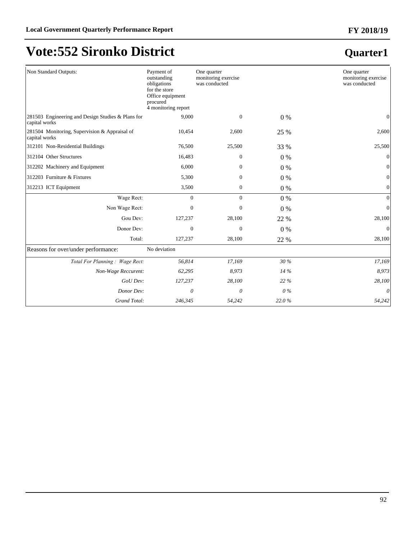| Non Standard Outputs:                                              | Payment of<br>outstanding<br>obligations<br>for the store<br>Office equipment<br>procured<br>4 monitoring report | One quarter<br>monitoring exercise<br>was conducted |       | One quarter<br>monitoring exercise<br>was conducted |
|--------------------------------------------------------------------|------------------------------------------------------------------------------------------------------------------|-----------------------------------------------------|-------|-----------------------------------------------------|
| 281503 Engineering and Design Studies & Plans for<br>capital works | 9,000                                                                                                            | $\boldsymbol{0}$                                    | $0\%$ | 0                                                   |
| 281504 Monitoring, Supervision & Appraisal of<br>capital works     | 10,454                                                                                                           | 2,600                                               | 25 %  | 2,600                                               |
| 312101 Non-Residential Buildings                                   | 76,500                                                                                                           | 25,500                                              | 33 %  | 25,500                                              |
| 312104 Other Structures                                            | 16,483                                                                                                           | $\boldsymbol{0}$                                    | $0\%$ | $\mathbf{0}$                                        |
| 312202 Machinery and Equipment                                     | 6,000                                                                                                            | $\mathbf{0}$                                        | $0\%$ | $\mathbf{0}$                                        |
| 312203 Furniture & Fixtures                                        | 5,300                                                                                                            | $\mathbf{0}$                                        | $0\%$ | $\overline{0}$                                      |
| 312213 ICT Equipment                                               | 3,500                                                                                                            | $\mathbf{0}$                                        | $0\%$ | $\boldsymbol{0}$                                    |
| Wage Rect:                                                         | $\overline{0}$                                                                                                   | $\overline{0}$                                      | $0\%$ | $\mathbf{0}$                                        |
| Non Wage Rect:                                                     | $\theta$                                                                                                         | $\overline{0}$                                      | $0\%$ | $\mathbf{0}$                                        |
| Gou Dev:                                                           | 127,237                                                                                                          | 28,100                                              | 22 %  | 28,100                                              |
| Donor Dev:                                                         | $\overline{0}$                                                                                                   | $\overline{0}$                                      | $0\%$ | $\Omega$                                            |
| Total:                                                             | 127,237                                                                                                          | 28,100                                              | 22 %  | 28,100                                              |
| Reasons for over/under performance:                                | No deviation                                                                                                     |                                                     |       |                                                     |
| Total For Planning: Wage Rect:                                     | 56,814                                                                                                           | 17,169                                              | 30 %  | 17,169                                              |
| Non-Wage Reccurent:                                                | 62,295                                                                                                           | 8,973                                               | 14 %  | 8,973                                               |
| GoU Dev:                                                           | 127,237                                                                                                          | 28,100                                              | 22 %  | 28,100                                              |
| Donor Dev:                                                         | 0                                                                                                                | 0                                                   | $0\%$ | 0                                                   |
| Grand Total:                                                       | 246,345                                                                                                          | 54,242                                              | 22.0% | 54,242                                              |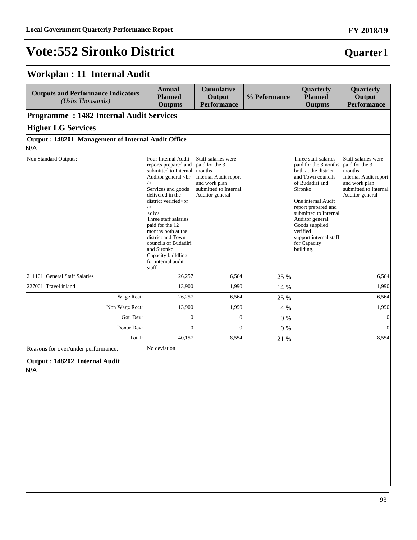#### **Workplan : 11 Internal Audit**

| <b>Outputs and Performance Indicators</b><br>(Ushs Thousands) | <b>Annual</b><br><b>Planned</b><br><b>Outputs</b>                                                                                                                                                                                                                                                                                                                                                                                                                             | <b>Cumulative</b><br>Output<br><b>Performance</b>                                                                           | % Peformance | Quarterly<br><b>Planned</b><br><b>Outputs</b>                                                                                                                                                                                                                                                                        | Quarterly<br>Output<br><b>Performance</b>                                                                           |
|---------------------------------------------------------------|-------------------------------------------------------------------------------------------------------------------------------------------------------------------------------------------------------------------------------------------------------------------------------------------------------------------------------------------------------------------------------------------------------------------------------------------------------------------------------|-----------------------------------------------------------------------------------------------------------------------------|--------------|----------------------------------------------------------------------------------------------------------------------------------------------------------------------------------------------------------------------------------------------------------------------------------------------------------------------|---------------------------------------------------------------------------------------------------------------------|
| <b>Programme: 1482 Internal Audit Services</b>                |                                                                                                                                                                                                                                                                                                                                                                                                                                                                               |                                                                                                                             |              |                                                                                                                                                                                                                                                                                                                      |                                                                                                                     |
| <b>Higher LG Services</b>                                     |                                                                                                                                                                                                                                                                                                                                                                                                                                                                               |                                                                                                                             |              |                                                                                                                                                                                                                                                                                                                      |                                                                                                                     |
| Output: 148201 Management of Internal Audit Office            |                                                                                                                                                                                                                                                                                                                                                                                                                                                                               |                                                                                                                             |              |                                                                                                                                                                                                                                                                                                                      |                                                                                                                     |
| N/A                                                           |                                                                                                                                                                                                                                                                                                                                                                                                                                                                               |                                                                                                                             |              |                                                                                                                                                                                                                                                                                                                      |                                                                                                                     |
| Non Standard Outputs:                                         | Four Internal Audit<br>reports prepared and<br>submitted to Internal months<br>Auditor general<br><br>br<br>$\rightarrow$<br>Services and goods<br>delivered in the<br>district verified <br<br><math>\rightarrow</math><br><math>&lt;</math>div<math>&gt;</math><br>Three staff salaries<br/>paid for the 12<br/>months both at the<br/>district and Town<br/>councils of Budadiri<br/>and Sironko<br/>Capacity buildling<br/>for internal audit<br/>staff</br></br></br<br> | Staff salaries were<br>paid for the 3<br>Internal Audit report<br>and work plan<br>submitted to Internal<br>Auditor general |              | Three staff salaries<br>paid for the 3months paid for the 3<br>both at the district<br>and Town councils<br>of Budadiri and<br>Sironko<br>One internal Audit<br>report prepared and<br>submitted to Internal<br>Auditor general<br>Goods supplied<br>verified<br>support internal staff<br>for Capacity<br>building. | Staff salaries were<br>months<br>Internal Audit report<br>and work plan<br>submitted to Internal<br>Auditor general |
| 211101 General Staff Salaries                                 | 26,257                                                                                                                                                                                                                                                                                                                                                                                                                                                                        | 6,564                                                                                                                       | 25 %         |                                                                                                                                                                                                                                                                                                                      | 6,564                                                                                                               |
| 227001 Travel inland                                          | 13,900                                                                                                                                                                                                                                                                                                                                                                                                                                                                        | 1,990                                                                                                                       | 14 %         |                                                                                                                                                                                                                                                                                                                      | 1,990                                                                                                               |
| Wage Rect:                                                    | 26,257                                                                                                                                                                                                                                                                                                                                                                                                                                                                        | 6,564                                                                                                                       | 25 %         |                                                                                                                                                                                                                                                                                                                      | 6,564                                                                                                               |
| Non Wage Rect:                                                | 13,900                                                                                                                                                                                                                                                                                                                                                                                                                                                                        | 1,990                                                                                                                       | 14 %         |                                                                                                                                                                                                                                                                                                                      | 1,990                                                                                                               |
| Gou Dev:                                                      | $\overline{0}$                                                                                                                                                                                                                                                                                                                                                                                                                                                                | $\mathbf{0}$                                                                                                                | 0%           |                                                                                                                                                                                                                                                                                                                      | $\mathbf{0}$                                                                                                        |
| Donor Dev:                                                    | $\Omega$                                                                                                                                                                                                                                                                                                                                                                                                                                                                      | $\mathbf{0}$                                                                                                                | 0%           |                                                                                                                                                                                                                                                                                                                      | $\Omega$                                                                                                            |
| Total:                                                        | 40.157                                                                                                                                                                                                                                                                                                                                                                                                                                                                        | 8,554                                                                                                                       | 21 %         |                                                                                                                                                                                                                                                                                                                      | 8.554                                                                                                               |

Reasons for over/under performance: No deviation

**Output : 148202 Internal Audit**

N/A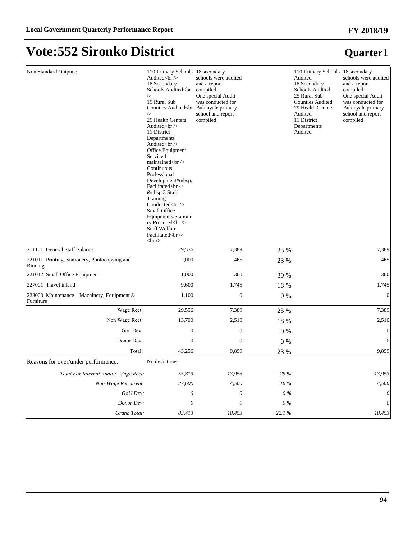| Non Standard Outputs:                                    | 110 Primary Schools 18 secondary<br>Audited<br><br>18 Secondary<br>Schools Audited <br<br><math>\rightarrow</math><br>19 Rural Sub<br/>Counties Audited<br bukinyale="" primary<br=""/><math>\rightarrow</math><br/>29 Health Centers<br/>Audited<br/><br/>11 District<br/>Departments<br>Audited<br/><br/>Office Equipment<br/>Serviced<br>maintained<br/><br/>Continuous<br/>Professional<br>Development <br/>Facilitated<br/><br/> 3 Staff<br/>Training<br>Conducted<br/><br/>Small Office<br/>Equipments, Statione<br>ry Procured<br/><br/><b>Staff Welfare</b><br/>Facilitated<br><br/><math>str <math>\rangle</math></math></br></br></br></br></br></br></br></br<br> | schools were audited<br>and a report<br>compiled<br>One special Audit<br>was conducted for<br>school and report<br>compiled |       | 110 Primary Schools 18 secondary<br>Audited<br>18 Secondary<br>Schools Audited<br>25 Rural Sub<br><b>Counties Audited</b><br>29 Health Centers<br>Audited<br>11 District<br>Departments<br>Audited | schools were audited<br>and a report<br>compiled<br>One special Audit<br>was conducted for<br>Bukinyale primary<br>school and report<br>compiled |
|----------------------------------------------------------|------------------------------------------------------------------------------------------------------------------------------------------------------------------------------------------------------------------------------------------------------------------------------------------------------------------------------------------------------------------------------------------------------------------------------------------------------------------------------------------------------------------------------------------------------------------------------------------------------------------------------------------------------------------------------|-----------------------------------------------------------------------------------------------------------------------------|-------|----------------------------------------------------------------------------------------------------------------------------------------------------------------------------------------------------|--------------------------------------------------------------------------------------------------------------------------------------------------|
| 211101 General Staff Salaries                            | 29,556                                                                                                                                                                                                                                                                                                                                                                                                                                                                                                                                                                                                                                                                       | 7,389                                                                                                                       | 25 %  |                                                                                                                                                                                                    | 7,389                                                                                                                                            |
| 221011 Printing, Stationery, Photocopying and<br>Binding | 2,000                                                                                                                                                                                                                                                                                                                                                                                                                                                                                                                                                                                                                                                                        | 465                                                                                                                         | 23 %  |                                                                                                                                                                                                    | 465                                                                                                                                              |
| 221012 Small Office Equipment                            | 1,000                                                                                                                                                                                                                                                                                                                                                                                                                                                                                                                                                                                                                                                                        | 300                                                                                                                         | 30 %  |                                                                                                                                                                                                    | 300                                                                                                                                              |
| 227001 Travel inland                                     | 9,600                                                                                                                                                                                                                                                                                                                                                                                                                                                                                                                                                                                                                                                                        | 1,745                                                                                                                       | 18 %  |                                                                                                                                                                                                    | 1,745                                                                                                                                            |
| 228003 Maintenance - Machinery, Equipment &<br>Furniture | 1,100                                                                                                                                                                                                                                                                                                                                                                                                                                                                                                                                                                                                                                                                        | $\boldsymbol{0}$                                                                                                            | $0\%$ |                                                                                                                                                                                                    | $\boldsymbol{0}$                                                                                                                                 |
| Wage Rect:                                               | 29,556                                                                                                                                                                                                                                                                                                                                                                                                                                                                                                                                                                                                                                                                       | 7,389                                                                                                                       | 25 %  |                                                                                                                                                                                                    | 7,389                                                                                                                                            |
| Non Wage Rect:                                           | 13,700                                                                                                                                                                                                                                                                                                                                                                                                                                                                                                                                                                                                                                                                       | 2,510                                                                                                                       | 18 %  |                                                                                                                                                                                                    | 2,510                                                                                                                                            |
| Gou Dev:                                                 | $\boldsymbol{0}$                                                                                                                                                                                                                                                                                                                                                                                                                                                                                                                                                                                                                                                             | $\boldsymbol{0}$                                                                                                            | $0\%$ |                                                                                                                                                                                                    | $\overline{0}$                                                                                                                                   |
| Donor Dev:                                               | $\boldsymbol{0}$                                                                                                                                                                                                                                                                                                                                                                                                                                                                                                                                                                                                                                                             | $\boldsymbol{0}$                                                                                                            | $0\%$ |                                                                                                                                                                                                    | $\boldsymbol{0}$                                                                                                                                 |
| Total:                                                   | 43,256                                                                                                                                                                                                                                                                                                                                                                                                                                                                                                                                                                                                                                                                       | 9,899                                                                                                                       | 23 %  |                                                                                                                                                                                                    | 9,899                                                                                                                                            |
| Reasons for over/under performance:                      | No deviations.                                                                                                                                                                                                                                                                                                                                                                                                                                                                                                                                                                                                                                                               |                                                                                                                             |       |                                                                                                                                                                                                    |                                                                                                                                                  |
| Total For Internal Audit: Wage Rect:                     | 55,813                                                                                                                                                                                                                                                                                                                                                                                                                                                                                                                                                                                                                                                                       | 13,953                                                                                                                      | 25 %  |                                                                                                                                                                                                    | 13,953                                                                                                                                           |
| Non-Wage Reccurent:                                      | 27,600                                                                                                                                                                                                                                                                                                                                                                                                                                                                                                                                                                                                                                                                       | 4,500                                                                                                                       | 16 %  |                                                                                                                                                                                                    | 4,500                                                                                                                                            |
| GoU Dev:                                                 | $\theta$                                                                                                                                                                                                                                                                                                                                                                                                                                                                                                                                                                                                                                                                     | $\theta$                                                                                                                    | $0\%$ |                                                                                                                                                                                                    | $\theta$                                                                                                                                         |
| Donor Dev:                                               | 0                                                                                                                                                                                                                                                                                                                                                                                                                                                                                                                                                                                                                                                                            | $\theta$                                                                                                                    | $0\%$ |                                                                                                                                                                                                    | $\theta$                                                                                                                                         |
| Grand Total:                                             | 83,413                                                                                                                                                                                                                                                                                                                                                                                                                                                                                                                                                                                                                                                                       | 18,453                                                                                                                      | 22.1% |                                                                                                                                                                                                    | 18,453                                                                                                                                           |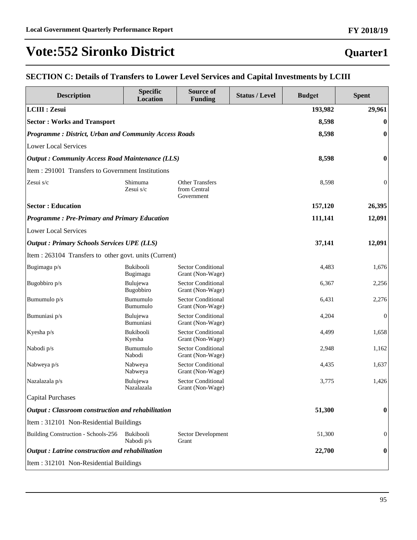#### **Quarter1**

#### **SECTION C: Details of Transfers to Lower Level Services and Capital Investments by LCIII**

| <b>Description</b>                                           | <b>Specific</b><br><b>Location</b> | Source of<br><b>Funding</b>                          | <b>Status / Level</b> | <b>Budget</b> | <b>Spent</b>     |
|--------------------------------------------------------------|------------------------------------|------------------------------------------------------|-----------------------|---------------|------------------|
| <b>LCIII : Zesui</b>                                         |                                    |                                                      |                       | 193,982       | 29,961           |
| <b>Sector: Works and Transport</b>                           |                                    |                                                      |                       | 8,598         | $\bf{0}$         |
| <b>Programme: District, Urban and Community Access Roads</b> |                                    |                                                      |                       | 8,598         | $\bf{0}$         |
| <b>Lower Local Services</b>                                  |                                    |                                                      |                       |               |                  |
| <b>Output: Community Access Road Maintenance (LLS)</b>       |                                    |                                                      |                       | 8,598         | $\bf{0}$         |
| Item: 291001 Transfers to Government Institutions            |                                    |                                                      |                       |               |                  |
| Zesui s/c                                                    | Shimuma<br>Zesui s/c               | <b>Other Transfers</b><br>from Central<br>Government |                       | 8,598         | $\boldsymbol{0}$ |
| <b>Sector: Education</b>                                     |                                    |                                                      |                       | 157,120       | 26,395           |
| <b>Programme: Pre-Primary and Primary Education</b>          |                                    |                                                      |                       | 111,141       | 12,091           |
| <b>Lower Local Services</b>                                  |                                    |                                                      |                       |               |                  |
| <b>Output : Primary Schools Services UPE (LLS)</b>           |                                    |                                                      |                       | 37,141        | 12,091           |
| Item : 263104 Transfers to other govt. units (Current)       |                                    |                                                      |                       |               |                  |
| Bugimagu p/s                                                 | Bukibooli<br>Bugimagu              | <b>Sector Conditional</b><br>Grant (Non-Wage)        |                       | 4,483         | 1,676            |
| Bugobbiro p/s                                                | Bulujewa<br>Bugobbiro              | <b>Sector Conditional</b><br>Grant (Non-Wage)        |                       | 6,367         | 2,256            |
| Bumumulo p/s                                                 | Bumumulo<br>Bumumulo               | <b>Sector Conditional</b><br>Grant (Non-Wage)        |                       | 6,431         | 2,276            |
| Bumuniasi p/s                                                | Bulujewa<br>Bumuniasi              | <b>Sector Conditional</b><br>Grant (Non-Wage)        |                       | 4,204         | $\boldsymbol{0}$ |
| Kyesha p/s                                                   | Bukibooli<br>Kyesha                | <b>Sector Conditional</b><br>Grant (Non-Wage)        |                       | 4,499         | 1,658            |
| Nabodi p/s                                                   | Bumumulo<br>Nabodi                 | <b>Sector Conditional</b><br>Grant (Non-Wage)        |                       | 2,948         | 1,162            |
| Nabweya p/s                                                  | Nabweya<br>Nabweya                 | <b>Sector Conditional</b><br>Grant (Non-Wage)        |                       | 4,435         | 1,637            |
| Nazalazala p/s                                               | Bulujewa<br>Nazalazala             | <b>Sector Conditional</b><br>Grant (Non-Wage)        |                       | 3,775         | 1,426            |
| <b>Capital Purchases</b>                                     |                                    |                                                      |                       |               |                  |
| <b>Output: Classroom construction and rehabilitation</b>     |                                    |                                                      |                       | 51,300        | $\bf{0}$         |
| Item: 312101 Non-Residential Buildings                       |                                    |                                                      |                       |               |                  |
| Building Construction - Schools-256                          | Bukibooli<br>Nabodi p/s            | Sector Development<br>Grant                          |                       | 51,300        | $\mathbf{0}$     |
| <b>Output</b> : Latrine construction and rehabilitation      |                                    |                                                      |                       | 22,700        | $\bf{0}$         |
| Item: 312101 Non-Residential Buildings                       |                                    |                                                      |                       |               |                  |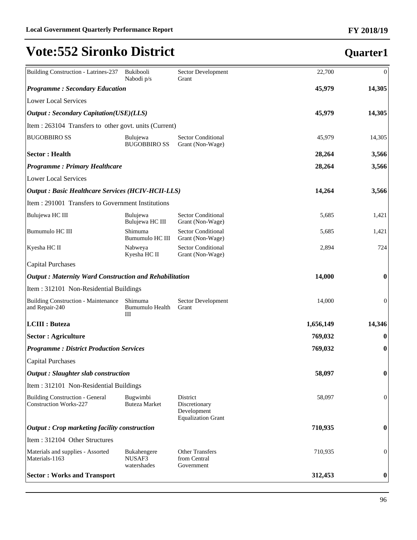| Building Construction - Latrines-237                          | <b>Bukibooli</b><br>Nabodi p/s       | Sector Development<br>Grant                                           | 22,700    | $\theta$         |
|---------------------------------------------------------------|--------------------------------------|-----------------------------------------------------------------------|-----------|------------------|
| <b>Programme: Secondary Education</b>                         |                                      |                                                                       | 45,979    | 14,305           |
| <b>Lower Local Services</b>                                   |                                      |                                                                       |           |                  |
| <b>Output: Secondary Capitation(USE)(LLS)</b>                 |                                      |                                                                       | 45,979    | 14,305           |
| Item : 263104 Transfers to other govt. units (Current)        |                                      |                                                                       |           |                  |
| <b>BUGOBBIRO SS</b>                                           | Bulujewa<br><b>BUGOBBIRO SS</b>      | <b>Sector Conditional</b><br>Grant (Non-Wage)                         | 45,979    | 14,305           |
| <b>Sector: Health</b>                                         |                                      |                                                                       | 28,264    | 3,566            |
| <b>Programme: Primary Healthcare</b>                          |                                      |                                                                       | 28,264    | 3,566            |
| Lower Local Services                                          |                                      |                                                                       |           |                  |
| <b>Output: Basic Healthcare Services (HCIV-HCII-LLS)</b>      |                                      |                                                                       | 14,264    | 3,566            |
| Item : 291001 Transfers to Government Institutions            |                                      |                                                                       |           |                  |
| Bulujewa HC III                                               | Bulujewa<br>Bulujewa HC III          | <b>Sector Conditional</b><br>Grant (Non-Wage)                         | 5,685     | 1,421            |
| Bumumulo HC III                                               | Shimuma<br>Bumumulo HC III           | <b>Sector Conditional</b><br>Grant (Non-Wage)                         | 5,685     | 1,421            |
| Kyesha HC II                                                  | Nabweya<br>Kyesha HC II              | <b>Sector Conditional</b><br>Grant (Non-Wage)                         | 2,894     | 724              |
| Capital Purchases                                             |                                      |                                                                       |           |                  |
| <b>Output: Maternity Ward Construction and Rehabilitation</b> |                                      |                                                                       | 14,000    | $\boldsymbol{0}$ |
| Item : 312101 Non-Residential Buildings                       |                                      |                                                                       |           |                  |
| <b>Building Construction - Maintenance</b><br>and Repair-240  | Shimuma<br>Bumumulo Health<br>Ш      | Sector Development<br>Grant                                           | 14,000    | $\boldsymbol{0}$ |
| <b>LCIII</b> : Buteza                                         |                                      |                                                                       | 1,656,149 | 14,346           |
| <b>Sector : Agriculture</b>                                   |                                      |                                                                       | 769,032   | $\boldsymbol{0}$ |
| <b>Programme: District Production Services</b>                |                                      |                                                                       | 769,032   | $\boldsymbol{0}$ |
| Capital Purchases                                             |                                      |                                                                       |           |                  |
| Output : Slaughter slab construction                          |                                      |                                                                       | 58,097    | $\boldsymbol{0}$ |
| Item: 312101 Non-Residential Buildings                        |                                      |                                                                       |           |                  |
| Building Construction - General<br>Construction Works-227     | Bugwimbi<br><b>Buteza Market</b>     | District<br>Discretionary<br>Development<br><b>Equalization Grant</b> | 58,097    | $\boldsymbol{0}$ |
| $\vert$ Output : Crop marketing facility construction         |                                      |                                                                       | 710,935   | $\boldsymbol{0}$ |
| Item: 312104 Other Structures                                 |                                      |                                                                       |           |                  |
| Materials and supplies - Assorted<br>Materials-1163           | Bukahengere<br>NUSAF3<br>watershades | <b>Other Transfers</b><br>from Central<br>Government                  | 710,935   | $\boldsymbol{0}$ |
| <b>Sector: Works and Transport</b>                            |                                      |                                                                       | 312,453   | $\boldsymbol{0}$ |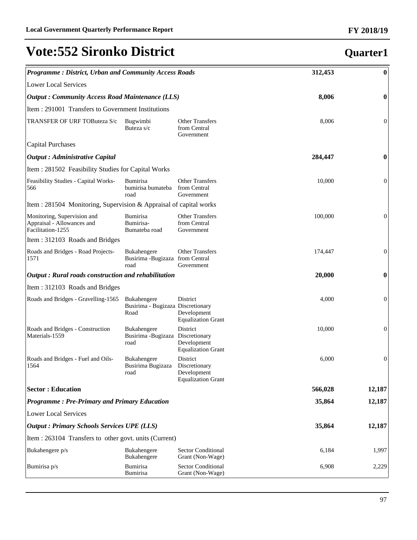#### *Programme : District, Urban and Community Access Roads* **312,453 0** Lower Local Services *Output : Community Access Road Maintenance (LLS)* **8,006 0** Item : 291001 Transfers to Government Institutions TRANSFER OF URF TOButeza S/c Bugwimbi Buteza s/c Other Transfers from Central Government 8,006 0 Capital Purchases *Output : Administrative Capital* **284,447 0** Item : 281502 Feasibility Studies for Capital Works Feasibility Studies - Capital Works-566 Bumirisa bumirisa bumateba road Other Transfers from Central Government 10,000 0 Item : 281504 Monitoring, Supervision & Appraisal of capital works Monitoring, Supervision and Appraisal - Allowances and Facilitation-1255 Bumirisa Bumirisa-Bumateba road Other Transfers from Central Government 100,000 0 Item : 312103 Roads and Bridges Roads and Bridges - Road Projects-1571 Bukahengere Busirima -Bugizaza from Central road Other Transfers Government 174,447 0 *Output : Rural roads construction and rehabilitation* **20,000 0** Item : 312103 Roads and Bridges Roads and Bridges - Gravelling-1565 Bukahengere Busirima - Bugizaza Discretionary Road District Development Equalization Grant 4,000 0 Roads and Bridges - Construction Materials-1559 Bukahengere Busirima -Bugizaza Discretionary road District Development Equalization Grant 10,000 0 Roads and Bridges - Fuel and Oils-1564 Bukahengere Busirima Bugizaza road District Discretionary Development Equalization Grant 6,000 0 **Sector : Education 566,028 12,187** *Programme : Pre-Primary and Primary Education* **35,864 12,187** Lower Local Services *Output : Primary Schools Services UPE (LLS)* **35,864 12,187** Item : 263104 Transfers to other govt. units (Current) Bukahengere p/s Bukahengere Bukahengere Sector Conditional Grant (Non-Wage) 6,184 1,997 Bumirisa p/s Bumirisa Bumirisa Sector Conditional Grant (Non-Wage) 6,908 2,229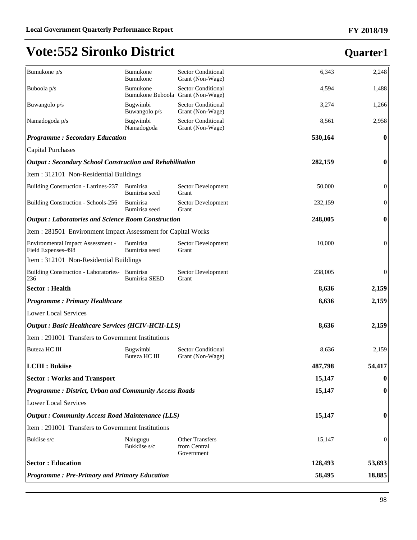# **Quarter1**

**FY 2018/19**

| Bumukone p/s                                                    | Bumukone<br>Bumukone                                 | <b>Sector Conditional</b><br>Grant (Non-Wage)        | 6,343   | 2,248            |
|-----------------------------------------------------------------|------------------------------------------------------|------------------------------------------------------|---------|------------------|
| Buboola p/s                                                     | <b>Bumukone</b><br>Bumukone Buboola Grant (Non-Wage) | <b>Sector Conditional</b>                            | 4,594   | 1,488            |
| Buwangolo p/s                                                   | Bugwimbi<br>Buwangolo p/s                            | <b>Sector Conditional</b><br>Grant (Non-Wage)        | 3,274   | 1,266            |
| Namadogoda p/s                                                  | Bugwimbi<br>Namadogoda                               | <b>Sector Conditional</b><br>Grant (Non-Wage)        | 8,561   | 2,958            |
| <b>Programme: Secondary Education</b>                           |                                                      |                                                      | 530,164 | $\bf{0}$         |
| Capital Purchases                                               |                                                      |                                                      |         |                  |
| <b>Output: Secondary School Construction and Rehabilitation</b> |                                                      |                                                      | 282,159 | $\boldsymbol{0}$ |
| Item : 312101 Non-Residential Buildings                         |                                                      |                                                      |         |                  |
| Building Construction - Latrines-237                            | <b>Bumirisa</b><br>Bumirisa seed                     | Sector Development<br>Grant                          | 50,000  | $\boldsymbol{0}$ |
| Building Construction - Schools-256                             | Bumirisa<br>Bumirisa seed                            | Sector Development<br>Grant                          | 232,159 | $\boldsymbol{0}$ |
| <b>Output: Laboratories and Science Room Construction</b>       |                                                      |                                                      | 248,005 | $\boldsymbol{0}$ |
| Item : 281501 Environment Impact Assessment for Capital Works   |                                                      |                                                      |         |                  |
| Environmental Impact Assessment -<br>Field Expenses-498         | <b>Bumirisa</b><br>Bumirisa seed                     | Sector Development<br>Grant                          | 10,000  | $\boldsymbol{0}$ |
| Item : 312101 Non-Residential Buildings                         |                                                      |                                                      |         |                  |
| Building Construction - Laboratories-<br>236                    | Bumirisa<br><b>Bumirisa SEED</b>                     | Sector Development<br>Grant                          | 238,005 | $\boldsymbol{0}$ |
| <b>Sector: Health</b>                                           |                                                      |                                                      | 8,636   | 2,159            |
| <b>Programme: Primary Healthcare</b>                            |                                                      |                                                      | 8,636   | 2,159            |
| Lower Local Services                                            |                                                      |                                                      |         |                  |
| <b>Output: Basic Healthcare Services (HCIV-HCII-LLS)</b>        |                                                      |                                                      | 8,636   | 2,159            |
| Item : 291001 Transfers to Government Institutions              |                                                      |                                                      |         |                  |
| Buteza HC III                                                   | Bugwimbi<br>Buteza HC III                            | <b>Sector Conditional</b><br>Grant (Non-Wage)        | 8,636   | 2,159            |
| <b>LCIII</b> : Bukiise                                          |                                                      |                                                      | 487,798 | 54,417           |
| <b>Sector: Works and Transport</b>                              |                                                      |                                                      | 15,147  | $\boldsymbol{0}$ |
| <b>Programme: District, Urban and Community Access Roads</b>    |                                                      |                                                      | 15,147  | 0                |
| Lower Local Services                                            |                                                      |                                                      |         |                  |
| <b>Output: Community Access Road Maintenance (LLS)</b>          |                                                      |                                                      | 15,147  | 0                |
| Item : 291001 Transfers to Government Institutions              |                                                      |                                                      |         |                  |
| Bukiise s/c                                                     | Nalugugu<br>Bukkiise s/c                             | <b>Other Transfers</b><br>from Central<br>Government | 15,147  | $\boldsymbol{0}$ |
| <b>Sector: Education</b>                                        |                                                      |                                                      | 128,493 | 53,693           |
| <b>Programme: Pre-Primary and Primary Education</b>             |                                                      |                                                      | 58,495  | 18,885           |
|                                                                 |                                                      |                                                      |         |                  |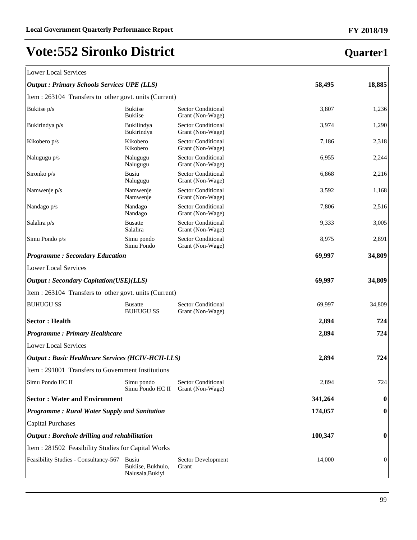#### **FY 2018/19**

**Quarter1**

## **Vote:552 Sironko District**

#### Lower Local Services

| <b>Output: Primary Schools Services UPE (LLS)</b> | 58,495 | 18,885 |
|---------------------------------------------------|--------|--------|
|---------------------------------------------------|--------|--------|

| Item : 263104 Transfers to other govt. units (Current)    |                                                       |                                               |         |          |
|-----------------------------------------------------------|-------------------------------------------------------|-----------------------------------------------|---------|----------|
| Bukiise p/s                                               | <b>Bukiise</b><br><b>Bukiise</b>                      | <b>Sector Conditional</b><br>Grant (Non-Wage) | 3,807   | 1,236    |
| Bukirindya p/s                                            | Bukilindya<br>Bukirindya                              | <b>Sector Conditional</b><br>Grant (Non-Wage) | 3,974   | 1,290    |
| Kikobero p/s                                              | Kikobero<br>Kikobero                                  | <b>Sector Conditional</b><br>Grant (Non-Wage) | 7,186   | 2,318    |
| Nalugugu p/s                                              | Nalugugu<br>Nalugugu                                  | <b>Sector Conditional</b><br>Grant (Non-Wage) | 6,955   | 2,244    |
| Sironko p/s                                               | <b>Busiu</b><br>Nalugugu                              | <b>Sector Conditional</b><br>Grant (Non-Wage) | 6,868   | 2,216    |
| Namwenje p/s                                              | Namwenje<br>Namwenje                                  | <b>Sector Conditional</b><br>Grant (Non-Wage) | 3,592   | 1,168    |
| Nandago p/s                                               | Nandago<br>Nandago                                    | <b>Sector Conditional</b><br>Grant (Non-Wage) | 7,806   | 2,516    |
| Salalira p/s                                              | <b>Busatte</b><br>Salalira                            | <b>Sector Conditional</b><br>Grant (Non-Wage) | 9,333   | 3,005    |
| Simu Pondo p/s                                            | Simu pondo<br>Simu Pondo                              | <b>Sector Conditional</b><br>Grant (Non-Wage) | 8,975   | 2,891    |
| <b>Programme: Secondary Education</b>                     |                                                       |                                               | 69,997  | 34,809   |
| <b>Lower Local Services</b>                               |                                                       |                                               |         |          |
| <b>Output: Secondary Capitation(USE)(LLS)</b>             |                                                       |                                               | 69,997  | 34,809   |
| Item : 263104 Transfers to other govt. units (Current)    |                                                       |                                               |         |          |
| <b>BUHUGU SS</b>                                          | <b>Busatte</b><br><b>BUHUGU SS</b>                    | <b>Sector Conditional</b><br>Grant (Non-Wage) | 69,997  | 34,809   |
| <b>Sector: Health</b>                                     |                                                       |                                               | 2,894   | 724      |
| <b>Programme: Primary Healthcare</b>                      |                                                       |                                               | 2,894   | 724      |
| <b>Lower Local Services</b>                               |                                                       |                                               |         |          |
| <b>Output : Basic Healthcare Services (HCIV-HCII-LLS)</b> |                                                       |                                               | 2,894   | 724      |
| Item : 291001 Transfers to Government Institutions        |                                                       |                                               |         |          |
| Simu Pondo HC II                                          | Simu pondo<br>Simu Pondo HC II                        | <b>Sector Conditional</b><br>Grant (Non-Wage) | 2,894   | 724      |
| <b>Sector: Water and Environment</b>                      |                                                       |                                               | 341,264 | $\bf{0}$ |
| Programme: Rural Water Supply and Sanitation              |                                                       |                                               | 174,057 | 0        |
| <b>Capital Purchases</b>                                  |                                                       |                                               |         |          |
| Output: Borehole drilling and rehabilitation              |                                                       |                                               | 100,347 | 0        |
| Item: 281502 Feasibility Studies for Capital Works        |                                                       |                                               |         |          |
| Feasibility Studies - Consultancy-567                     | <b>Busiu</b><br>Bukiise, Bukhulo,<br>Nalusala, Bukiyi | Sector Development<br>Grant                   | 14,000  | 0        |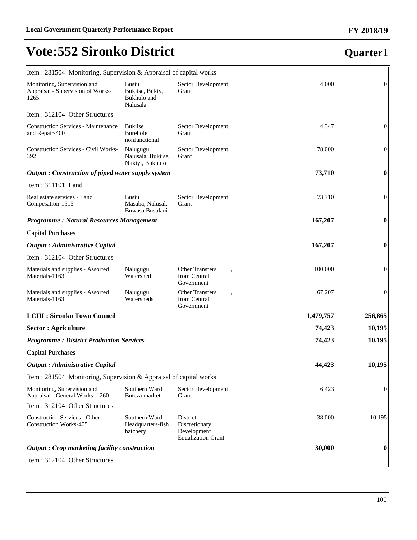## **Quarter1**

**FY 2018/19**

| Item : 281504 Monitoring, Supervision & Appraisal of capital works       |                                                            |                                                                       |           |                  |
|--------------------------------------------------------------------------|------------------------------------------------------------|-----------------------------------------------------------------------|-----------|------------------|
| Monitoring, Supervision and<br>Appraisal - Supervision of Works-<br>1265 | <b>Busiu</b><br>Bukiise, Bukiy,<br>Bukhulo and<br>Nalusala | Sector Development<br>Grant                                           | 4,000     | $\overline{0}$   |
| Item: 312104 Other Structures                                            |                                                            |                                                                       |           |                  |
| <b>Construction Services - Maintenance</b><br>and Repair-400             | <b>Bukiise</b><br><b>Borehole</b><br>nonfunctional         | Sector Development<br>Grant                                           | 4,347     | $\boldsymbol{0}$ |
| <b>Construction Services - Civil Works-</b><br>392                       | Nalugugu<br>Nalusala, Bukiise,<br>Nukiyi, Bukhulo          | Sector Development<br>Grant                                           | 78,000    | $\overline{0}$   |
| Output: Construction of piped water supply system                        |                                                            |                                                                       | 73,710    | $\boldsymbol{0}$ |
| Item: 311101 Land                                                        |                                                            |                                                                       |           |                  |
| Real estate services - Land<br>Compesation-1515                          | Busiu<br>Masaba, Nalusal,<br>Buwasa Busulani               | Sector Development<br>Grant                                           | 73,710    | $\boldsymbol{0}$ |
| <b>Programme: Natural Resources Management</b>                           |                                                            |                                                                       | 167,207   | $\boldsymbol{0}$ |
| <b>Capital Purchases</b>                                                 |                                                            |                                                                       |           |                  |
| <b>Output</b> : Administrative Capital                                   |                                                            |                                                                       | 167,207   | $\boldsymbol{0}$ |
| Item: 312104 Other Structures                                            |                                                            |                                                                       |           |                  |
| Materials and supplies - Assorted<br>Materials-1163                      | Nalugugu<br>Watershed                                      | <b>Other Transfers</b><br>from Central<br>Government                  | 100,000   | $\boldsymbol{0}$ |
| Materials and supplies - Assorted<br>Materials-1163                      | Nalugugu<br>Watersheds                                     | <b>Other Transfers</b><br>,<br>from Central<br>Government             | 67,207    | $\boldsymbol{0}$ |
| <b>LCIII : Sironko Town Council</b>                                      |                                                            |                                                                       | 1,479,757 | 256,865          |
| <b>Sector : Agriculture</b>                                              |                                                            |                                                                       | 74,423    | 10,195           |
| <b>Programme: District Production Services</b>                           |                                                            |                                                                       | 74,423    | 10,195           |
| <b>Capital Purchases</b>                                                 |                                                            |                                                                       |           |                  |
| <b>Output</b> : Administrative Capital                                   |                                                            |                                                                       | 44,423    | 10,195           |
| Item : 281504 Monitoring, Supervision & Appraisal of capital works       |                                                            |                                                                       |           |                  |
| Monitoring, Supervision and<br>Appraisal - General Works -1260           | Southern Ward<br>Buteza market                             | Sector Development<br>Grant                                           | 6,423     | $\boldsymbol{0}$ |
| Item: 312104 Other Structures                                            |                                                            |                                                                       |           |                  |
| <b>Construction Services - Other</b><br><b>Construction Works-405</b>    | Southern Ward<br>Headquarters-fish<br>hatchery             | District<br>Discretionary<br>Development<br><b>Equalization Grant</b> | 38,000    | 10,195           |
| Output: Crop marketing facility construction                             |                                                            |                                                                       | 30,000    | $\boldsymbol{0}$ |
| Item: 312104 Other Structures                                            |                                                            |                                                                       |           |                  |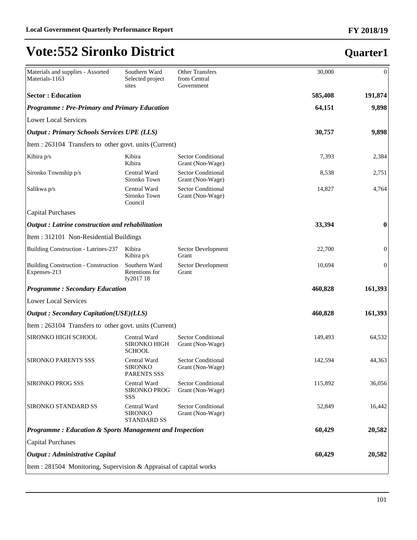| Materials and supplies - Assorted<br>Materials-1163                | Southern Ward<br>Selected project<br>sites           | <b>Other Transfers</b><br>from Central<br>Government | 30,000  | $\boldsymbol{0}$ |
|--------------------------------------------------------------------|------------------------------------------------------|------------------------------------------------------|---------|------------------|
| <b>Sector : Education</b>                                          |                                                      |                                                      | 585,408 | 191,874          |
| <b>Programme: Pre-Primary and Primary Education</b>                |                                                      |                                                      | 64,151  | 9,898            |
| <b>Lower Local Services</b>                                        |                                                      |                                                      |         |                  |
| <b>Output : Primary Schools Services UPE (LLS)</b>                 |                                                      |                                                      | 30,757  | 9,898            |
| Item : 263104 Transfers to other govt. units (Current)             |                                                      |                                                      |         |                  |
| Kibira p/s                                                         | Kibira<br>Kibira                                     | <b>Sector Conditional</b><br>Grant (Non-Wage)        | 7,393   | 2,384            |
| Sironko Township p/s                                               | Central Ward<br>Sironko Town                         | <b>Sector Conditional</b><br>Grant (Non-Wage)        | 8,538   | 2,751            |
| Salikwa p/s                                                        | Central Ward<br>Sironko Town<br>Council              | <b>Sector Conditional</b><br>Grant (Non-Wage)        | 14,827  | 4,764            |
| Capital Purchases                                                  |                                                      |                                                      |         |                  |
| $\vert$ Output : Latrine construction and rehabilitation           |                                                      |                                                      | 33,394  | $\bf{0}$         |
| Item : 312101 Non-Residential Buildings                            |                                                      |                                                      |         |                  |
| Building Construction - Latrines-237                               | Kibira<br>Kibira p/s                                 | Sector Development<br>Grant                          | 22,700  | $\boldsymbol{0}$ |
| Building Construction - Construction<br>Expenses-213               | Southern Ward<br>Retentions for<br>fy2017 18         | Sector Development<br>Grant                          | 10,694  | $\boldsymbol{0}$ |
| <b>Programme: Secondary Education</b>                              |                                                      |                                                      | 460,828 | 161,393          |
| Lower Local Services                                               |                                                      |                                                      |         |                  |
| <b>Output: Secondary Capitation(USE)(LLS)</b>                      |                                                      |                                                      | 460,828 | 161,393          |
| Item : 263104 Transfers to other govt. units (Current)             |                                                      |                                                      |         |                  |
| <b>SIRONKO HIGH SCHOOL</b>                                         | Central Ward<br><b>SIRONKO HIGH</b><br><b>SCHOOL</b> | <b>Sector Conditional</b><br>Grant (Non-Wage)        | 149,493 | 64,532           |
| <b>SIRONKO PARENTS SSS</b>                                         | Central Ward<br><b>SIRONKO</b><br>PARENTS SSS        | <b>Sector Conditional</b><br>Grant (Non-Wage)        | 142,594 | 44,363           |
| <b>SIRONKO PROG SSS</b>                                            | Central Ward<br>SIRONKO PROG<br>SSS                  | <b>Sector Conditional</b><br>Grant (Non-Wage)        | 115,892 | 36,056           |
| <b>SIRONKO STANDARD SS</b>                                         | Central Ward<br><b>SIRONKO</b><br><b>STANDARD SS</b> | <b>Sector Conditional</b><br>Grant (Non-Wage)        | 52,849  | 16,442           |
| <b>Programme: Education &amp; Sports Management and Inspection</b> |                                                      |                                                      | 60,429  | 20,582           |
| Capital Purchases                                                  |                                                      |                                                      |         |                  |
| Output : Administrative Capital                                    |                                                      |                                                      | 60,429  | 20,582           |
| Item : 281504 Monitoring, Supervision & Appraisal of capital works |                                                      |                                                      |         |                  |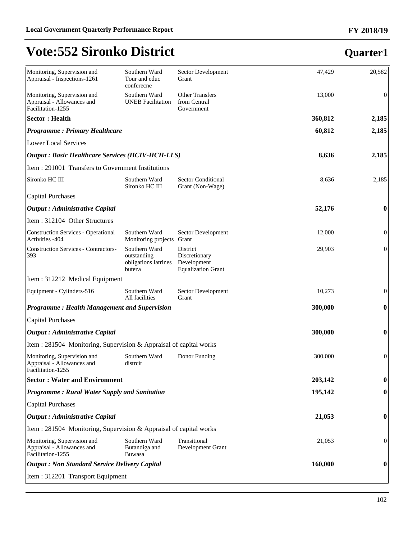| Monitoring, Supervision and<br>Appraisal - Inspections-1261                    | Southern Ward<br>Tour and educ<br>conferecne                   | Sector Development<br>Grant                                           | 47,429  | 20,582           |
|--------------------------------------------------------------------------------|----------------------------------------------------------------|-----------------------------------------------------------------------|---------|------------------|
| Monitoring, Supervision and<br>Appraisal - Allowances and<br>Facilitation-1255 | Southern Ward<br><b>UNEB</b> Facilitation                      | <b>Other Transfers</b><br>from Central<br>Government                  | 13,000  | $\boldsymbol{0}$ |
| <b>Sector: Health</b>                                                          |                                                                |                                                                       | 360,812 | 2,185            |
| <b>Programme: Primary Healthcare</b>                                           |                                                                |                                                                       | 60,812  | 2,185            |
| <b>Lower Local Services</b>                                                    |                                                                |                                                                       |         |                  |
| <b>Output : Basic Healthcare Services (HCIV-HCII-LLS)</b>                      |                                                                |                                                                       | 8,636   | 2,185            |
| Item: 291001 Transfers to Government Institutions                              |                                                                |                                                                       |         |                  |
| Sironko HC III                                                                 | Southern Ward<br>Sironko HC III                                | <b>Sector Conditional</b><br>Grant (Non-Wage)                         | 8,636   | 2,185            |
| <b>Capital Purchases</b>                                                       |                                                                |                                                                       |         |                  |
| <b>Output : Administrative Capital</b>                                         |                                                                |                                                                       | 52,176  | $\bf{0}$         |
| Item: 312104 Other Structures                                                  |                                                                |                                                                       |         |                  |
| <b>Construction Services - Operational</b><br>Activities -404                  | Southern Ward<br>Monitoring projects Grant                     | Sector Development                                                    | 12,000  | $\boldsymbol{0}$ |
| <b>Construction Services - Contractors-</b><br>393                             | Southern Ward<br>outstanding<br>obligations latrines<br>buteza | District<br>Discretionary<br>Development<br><b>Equalization Grant</b> | 29,903  | $\boldsymbol{0}$ |
| Item: 312212 Medical Equipment                                                 |                                                                |                                                                       |         |                  |
| Equipment - Cylinders-516                                                      | Southern Ward<br>All facilities                                | Sector Development<br>Grant                                           | 10,273  | $\mathbf{0}$     |
| <b>Programme: Health Management and Supervision</b>                            |                                                                |                                                                       | 300,000 | $\bf{0}$         |
| <b>Capital Purchases</b>                                                       |                                                                |                                                                       |         |                  |
| <b>Output</b> : Administrative Capital                                         |                                                                |                                                                       | 300,000 | $\bf{0}$         |
| Item: 281504 Monitoring, Supervision & Appraisal of capital works              |                                                                |                                                                       |         |                  |
| Monitoring, Supervision and<br>Appraisal - Allowances and<br>Facilitation-1255 | Southern Ward<br>distrcit                                      | Donor Funding                                                         | 300,000 | $\boldsymbol{0}$ |
| <b>Sector: Water and Environment</b>                                           |                                                                |                                                                       | 203,142 | $\boldsymbol{0}$ |
| Programme: Rural Water Supply and Sanitation                                   |                                                                |                                                                       | 195,142 | $\bf{0}$         |
| <b>Capital Purchases</b>                                                       |                                                                |                                                                       |         |                  |
| <b>Output : Administrative Capital</b>                                         |                                                                |                                                                       | 21,053  | $\bf{0}$         |
| Item : 281504 Monitoring, Supervision & Appraisal of capital works             |                                                                |                                                                       |         |                  |
| Monitoring, Supervision and<br>Appraisal - Allowances and<br>Facilitation-1255 | Southern Ward<br>Butandiga and<br>Buwasa                       | Transitional<br>Development Grant                                     | 21,053  | $\boldsymbol{0}$ |
| <b>Output : Non Standard Service Delivery Capital</b>                          |                                                                |                                                                       | 160,000 | $\bf{0}$         |
| Item: 312201 Transport Equipment                                               |                                                                |                                                                       |         |                  |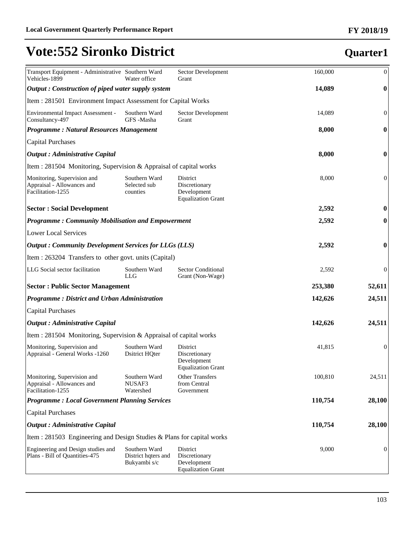| Transport Equipment - Administrative Southern Ward<br>Vehicles-1899            | Water office                                         | Sector Development<br>Grant                                           | 160,000 | $\boldsymbol{0}$ |
|--------------------------------------------------------------------------------|------------------------------------------------------|-----------------------------------------------------------------------|---------|------------------|
| Output: Construction of piped water supply system                              |                                                      |                                                                       | 14,089  | $\boldsymbol{0}$ |
| Item: 281501 Environment Impact Assessment for Capital Works                   |                                                      |                                                                       |         |                  |
| Environmental Impact Assessment -<br>Consultancy-497                           | Southern Ward<br>GFS-Masha                           | Sector Development<br>Grant                                           | 14,089  | $\boldsymbol{0}$ |
| <b>Programme: Natural Resources Management</b>                                 |                                                      |                                                                       | 8,000   | $\boldsymbol{0}$ |
| <b>Capital Purchases</b>                                                       |                                                      |                                                                       |         |                  |
| <b>Output</b> : Administrative Capital                                         |                                                      |                                                                       | 8,000   | $\bf{0}$         |
| Item : 281504 Monitoring, Supervision & Appraisal of capital works             |                                                      |                                                                       |         |                  |
| Monitoring, Supervision and<br>Appraisal - Allowances and<br>Facilitation-1255 | Southern Ward<br>Selected sub<br>counties            | District<br>Discretionary<br>Development<br><b>Equalization Grant</b> | 8,000   | $\boldsymbol{0}$ |
| <b>Sector : Social Development</b>                                             |                                                      |                                                                       | 2,592   | $\boldsymbol{0}$ |
| <b>Programme: Community Mobilisation and Empowerment</b>                       |                                                      |                                                                       | 2,592   | $\bf{0}$         |
| <b>Lower Local Services</b>                                                    |                                                      |                                                                       |         |                  |
| <b>Output: Community Development Services for LLGs (LLS)</b>                   |                                                      |                                                                       | 2,592   | $\bf{0}$         |
| Item : 263204 Transfers to other govt. units (Capital)                         |                                                      |                                                                       |         |                  |
| LLG Social sector facilitation                                                 | Southern Ward<br><b>LLG</b>                          | <b>Sector Conditional</b><br>Grant (Non-Wage)                         | 2,592   | $\boldsymbol{0}$ |
| <b>Sector: Public Sector Management</b>                                        |                                                      |                                                                       | 253,380 | 52,611           |
| <b>Programme: District and Urban Administration</b>                            |                                                      |                                                                       | 142,626 | 24,511           |
| <b>Capital Purchases</b>                                                       |                                                      |                                                                       |         |                  |
| <b>Output</b> : Administrative Capital                                         |                                                      |                                                                       | 142,626 | 24,511           |
| Item : 281504 Monitoring, Supervision & Appraisal of capital works             |                                                      |                                                                       |         |                  |
| Monitoring, Supervision and<br>Appraisal - General Works -1260                 | Southern Ward<br><b>Dsitrict HOter</b>               | District<br>Discretionary<br>Development<br><b>Equalization Grant</b> | 41,815  | $\boldsymbol{0}$ |
| Monitoring, Supervision and<br>Appraisal - Allowances and<br>Facilitation-1255 | Southern Ward<br>NUSAF3<br>Watershed                 | <b>Other Transfers</b><br>from Central<br>Government                  | 100,810 | 24,511           |
| <b>Programme: Local Government Planning Services</b>                           |                                                      |                                                                       | 110,754 | 28,100           |
| <b>Capital Purchases</b>                                                       |                                                      |                                                                       |         |                  |
| <b>Output</b> : Administrative Capital                                         |                                                      |                                                                       | 110,754 | 28,100           |
| Item: 281503 Engineering and Design Studies & Plans for capital works          |                                                      |                                                                       |         |                  |
| Engineering and Design studies and<br>Plans - Bill of Quantities-475           | Southern Ward<br>District hqters and<br>Bukyambi s/c | District<br>Discretionary<br>Development<br><b>Equalization Grant</b> | 9,000   | $\mathbf{0}$     |
|                                                                                |                                                      |                                                                       |         |                  |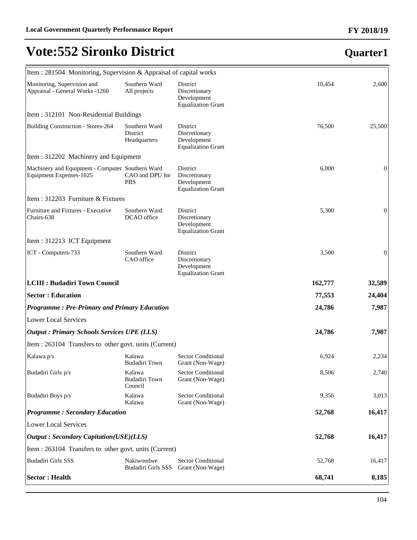# **Quarter1**

| Item : 281504 Monitoring, Supervision & Appraisal of capital works          |                                           |                                                                       |         |                  |
|-----------------------------------------------------------------------------|-------------------------------------------|-----------------------------------------------------------------------|---------|------------------|
| Monitoring, Supervision and<br>Appraisal - General Works -1260              | Southern Ward<br>All projects             | District<br>Discretionary<br>Development<br><b>Equalization Grant</b> | 10,454  | 2,600            |
| Item: 312101 Non-Residential Buildings                                      |                                           |                                                                       |         |                  |
| Building Construction - Stores-264                                          | Southern Ward<br>District<br>Headquarters | District<br>Discretionary<br>Development<br><b>Equalization Grant</b> | 76,500  | 25,500           |
| Item: 312202 Machinery and Equipment                                        |                                           |                                                                       |         |                  |
| Machinery and Equipment - Computer Southern Ward<br>Equipment Expenses-1025 | CAO and DPU for<br><b>PBS</b>             | District<br>Discretionary<br>Development<br><b>Equalization Grant</b> | 6,000   | $\overline{0}$   |
| Item: 312203 Furniture & Fixtures                                           |                                           |                                                                       |         |                  |
| Furniture and Fixtures - Executive<br>Chairs-638                            | Southern Ward<br>DCAO office              | District<br>Discretionary<br>Development<br><b>Equalization Grant</b> | 5,300   | 0                |
| Item: 312213 ICT Equipment                                                  |                                           |                                                                       |         |                  |
| ICT - Computers-733                                                         | Southern Ward<br>CAO office               | District<br>Discretionary<br>Development<br><b>Equalization Grant</b> | 3,500   | $\boldsymbol{0}$ |
|                                                                             |                                           |                                                                       |         |                  |
| <b>LCIII : Budadiri Town Council</b>                                        |                                           |                                                                       | 162,777 | 32,589           |
| <b>Sector: Education</b>                                                    |                                           |                                                                       | 77,553  | 24,404           |
| <b>Programme: Pre-Primary and Primary Education</b>                         |                                           |                                                                       | 24,786  | 7,987            |
| <b>Lower Local Services</b>                                                 |                                           |                                                                       |         |                  |
| <b>Output: Primary Schools Services UPE (LLS)</b>                           |                                           |                                                                       | 24,786  | 7,987            |
| Item : 263104 Transfers to other govt. units (Current)                      |                                           |                                                                       |         |                  |
| Kalawa p/s                                                                  | Kalawa<br><b>Budadiri Town</b>            | <b>Sector Conditional</b><br>Grant (Non-Wage)                         | 6,924   | 2,234            |
| Budadiri Girls p/s                                                          | Kalawa<br><b>Budadiri Town</b><br>Council | Sector Conditional<br>Grant (Non-Wage)                                | 8,506   | 2,740            |
| Budadiri Boys p/s                                                           | Kalawa<br>Kalawa                          | Sector Conditional<br>Grant (Non-Wage)                                | 9,356   | 3,013            |
| <b>Programme: Secondary Education</b>                                       |                                           |                                                                       | 52,768  | 16,417           |
| <b>Lower Local Services</b>                                                 |                                           |                                                                       |         |                  |
| <b>Output: Secondary Capitation(USE)(LLS)</b>                               |                                           |                                                                       | 52,768  | 16,417           |
| Item : 263104 Transfers to other govt. units (Current)                      |                                           |                                                                       |         |                  |
| Budadiri Girls SSS                                                          | Nakiwondwe<br>Budadiri Girls SSS          | <b>Sector Conditional</b><br>Grant (Non-Wage)                         | 52,768  | 16,417           |

#### **FY 2018/19**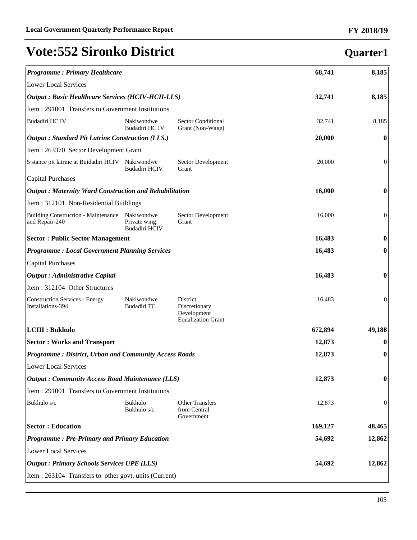| <b>Programme: Primary Healthcare</b>                          |                                                    |                                                                       | 68,741  | 8,185            |
|---------------------------------------------------------------|----------------------------------------------------|-----------------------------------------------------------------------|---------|------------------|
| <b>Lower Local Services</b>                                   |                                                    |                                                                       |         |                  |
| <b>Output : Basic Healthcare Services (HCIV-HCII-LLS)</b>     |                                                    | 32,741                                                                | 8,185   |                  |
|                                                               | Item : 291001 Transfers to Government Institutions |                                                                       |         |                  |
| Budadiri HC IV                                                | Nakiwondwe<br>Budadiri HC IV                       | <b>Sector Conditional</b><br>Grant (Non-Wage)                         | 32,741  | 8,185            |
| Output: Standard Pit Latrine Construction (LLS.)              |                                                    |                                                                       | 20,000  | $\bf{0}$         |
| Item: 263370 Sector Development Grant                         |                                                    |                                                                       |         |                  |
| 5 stance pit latrine at Buidadiri HCIV                        | Nakiwondwe<br><b>Budadiri HCIV</b>                 | Sector Development<br>Grant                                           | 20,000  | $\boldsymbol{0}$ |
| <b>Capital Purchases</b>                                      |                                                    |                                                                       |         |                  |
| <b>Output: Maternity Ward Construction and Rehabilitation</b> |                                                    |                                                                       | 16,000  | $\bf{0}$         |
| Item: 312101 Non-Residential Buildings                        |                                                    |                                                                       |         |                  |
| <b>Building Construction - Maintenance</b><br>and Repair-240  | Nakiwondwe<br>Private wing<br><b>Budadiri HCIV</b> | Sector Development<br>Grant                                           | 16,000  | $\boldsymbol{0}$ |
| <b>Sector: Public Sector Management</b>                       |                                                    |                                                                       | 16,483  | $\bf{0}$         |
| <b>Programme: Local Government Planning Services</b>          |                                                    |                                                                       | 16,483  | $\bf{0}$         |
| <b>Capital Purchases</b>                                      |                                                    |                                                                       |         |                  |
| <b>Output</b> : Administrative Capital                        |                                                    |                                                                       | 16,483  | $\bf{0}$         |
| Item: 312104 Other Structures                                 |                                                    |                                                                       |         |                  |
| <b>Construction Services - Energy</b><br>Installations-394    | Nakiwondwe<br>Budadiri TC                          | District<br>Discretionary<br>Development<br><b>Equalization Grant</b> | 16,483  | $\boldsymbol{0}$ |
| LCIII : Bukhulo                                               |                                                    |                                                                       | 672,894 | 49,188           |
| <b>Sector: Works and Transport</b>                            |                                                    |                                                                       | 12,873  | $\bf{0}$         |
| <b>Programme: District, Urban and Community Access Roads</b>  |                                                    |                                                                       | 12,873  | $\boldsymbol{0}$ |
| <b>Lower Local Services</b>                                   |                                                    |                                                                       |         |                  |
| <b>Output: Community Access Road Maintenance (LLS)</b>        |                                                    |                                                                       | 12,873  | $\boldsymbol{0}$ |
| Item : 291001 Transfers to Government Institutions            |                                                    |                                                                       |         |                  |
| Bukhulo s/c                                                   | Bukhulo<br>Bukhulo s/c                             | <b>Other Transfers</b><br>from Central<br>Government                  | 12,873  | $\boldsymbol{0}$ |
| <b>Sector: Education</b>                                      |                                                    |                                                                       | 169,127 | 48,465           |
| <b>Programme: Pre-Primary and Primary Education</b>           |                                                    |                                                                       | 54,692  | 12,862           |
| <b>Lower Local Services</b>                                   |                                                    |                                                                       |         |                  |
| <b>Output : Primary Schools Services UPE (LLS)</b>            |                                                    |                                                                       | 54,692  | 12,862           |
| Item : 263104 Transfers to other govt. units (Current)        |                                                    |                                                                       |         |                  |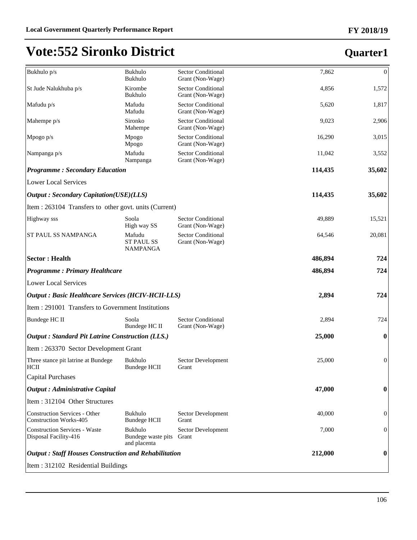| Bukhulo p/s                                                           | Bukhulo<br>Bukhulo                             | <b>Sector Conditional</b><br>Grant (Non-Wage) | 7,862   | $\boldsymbol{0}$ |
|-----------------------------------------------------------------------|------------------------------------------------|-----------------------------------------------|---------|------------------|
| St Jude Nalukhuba p/s                                                 | Kirombe<br>Bukhulo                             | <b>Sector Conditional</b><br>Grant (Non-Wage) | 4,856   | 1,572            |
| Mafudu p/s                                                            | Mafudu<br>Mafudu                               | <b>Sector Conditional</b><br>Grant (Non-Wage) | 5,620   | 1,817            |
| Mahempe p/s                                                           | Sironko<br>Mahempe                             | <b>Sector Conditional</b><br>Grant (Non-Wage) | 9,023   | 2,906            |
| Mpogo $p/s$                                                           | Mpogo<br>Mpogo                                 | <b>Sector Conditional</b><br>Grant (Non-Wage) | 16,290  | 3,015            |
| Nampanga p/s                                                          | Mafudu<br>Nampanga                             | <b>Sector Conditional</b><br>Grant (Non-Wage) | 11,042  | 3,552            |
| <b>Programme: Secondary Education</b>                                 |                                                |                                               | 114,435 | 35,602           |
| <b>Lower Local Services</b>                                           |                                                |                                               |         |                  |
| <b>Output: Secondary Capitation(USE)(LLS)</b>                         |                                                |                                               | 114,435 | 35,602           |
| Item : 263104 Transfers to other govt. units (Current)                |                                                |                                               |         |                  |
| Highway sss                                                           | Soola<br>High way SS                           | <b>Sector Conditional</b><br>Grant (Non-Wage) | 49,889  | 15,521           |
| ST PAUL SS NAMPANGA                                                   | Mafudu<br><b>ST PAUL SS</b><br><b>NAMPANGA</b> | <b>Sector Conditional</b><br>Grant (Non-Wage) | 64,546  | 20,081           |
| <b>Sector: Health</b>                                                 |                                                |                                               | 486,894 | 724              |
| <b>Programme: Primary Healthcare</b>                                  |                                                |                                               | 486,894 | 724              |
| <b>Lower Local Services</b>                                           |                                                |                                               |         |                  |
| <b>Output: Basic Healthcare Services (HCIV-HCII-LLS)</b>              |                                                |                                               | 2,894   | 724              |
| Item : 291001 Transfers to Government Institutions                    |                                                |                                               |         |                  |
| Bundege HC II                                                         | Soola<br>Bundege HC II                         | <b>Sector Conditional</b><br>Grant (Non-Wage) | 2,894   | 724              |
| <b>Output: Standard Pit Latrine Construction (LLS.)</b>               |                                                |                                               | 25,000  | $\boldsymbol{0}$ |
| Item: 263370 Sector Development Grant                                 |                                                |                                               |         |                  |
| Three stance pit latrine at Bundege<br>HCII                           | Bukhulo<br><b>Bundege HCII</b>                 | Sector Development<br>Grant                   | 25,000  | $\boldsymbol{0}$ |
| <b>Capital Purchases</b>                                              |                                                |                                               |         |                  |
| <b>Output: Administrative Capital</b>                                 |                                                |                                               | 47,000  | 0                |
| Item: 312104 Other Structures                                         |                                                |                                               |         |                  |
| <b>Construction Services - Other</b><br><b>Construction Works-405</b> | Bukhulo<br><b>Bundege HCII</b>                 | Sector Development<br>Grant                   | 40,000  | $\boldsymbol{0}$ |
| <b>Construction Services - Waste</b><br>Disposal Facility-416         | Bukhulo<br>Bundege waste pits<br>and placenta  | Sector Development<br>Grant                   | 7,000   | $\boldsymbol{0}$ |
| <b>Output: Staff Houses Construction and Rehabilitation</b>           |                                                |                                               | 212,000 | 0                |
| Item: 312102 Residential Buildings                                    |                                                |                                               |         |                  |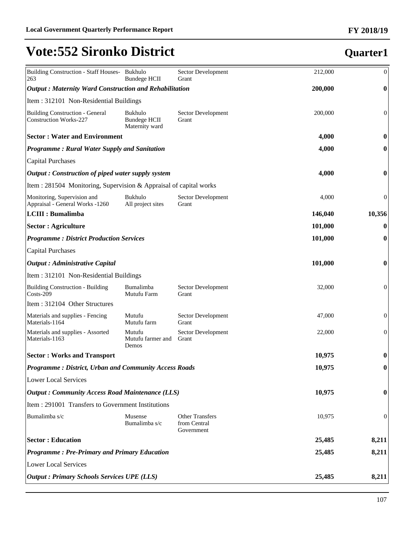| Building Construction - Staff Houses- Bukhulo<br>263                    | Bundege HCII                                     | Sector Development<br>Grant                          | 212,000 | $\boldsymbol{0}$ |
|-------------------------------------------------------------------------|--------------------------------------------------|------------------------------------------------------|---------|------------------|
| <b>Output: Maternity Ward Construction and Rehabilitation</b>           | 200,000                                          | $\boldsymbol{0}$                                     |         |                  |
| Item: 312101 Non-Residential Buildings                                  |                                                  |                                                      |         |                  |
| <b>Building Construction - General</b><br><b>Construction Works-227</b> | Bukhulo<br><b>Bundege HCII</b><br>Maternity ward | Sector Development<br>Grant                          | 200,000 | $\boldsymbol{0}$ |
| <b>Sector: Water and Environment</b>                                    |                                                  |                                                      | 4,000   | $\boldsymbol{0}$ |
| <b>Programme: Rural Water Supply and Sanitation</b>                     | 4,000                                            | $\boldsymbol{0}$                                     |         |                  |
| <b>Capital Purchases</b>                                                |                                                  |                                                      |         |                  |
| Output: Construction of piped water supply system                       |                                                  |                                                      | 4,000   | 0                |
| Item : 281504 Monitoring, Supervision & Appraisal of capital works      |                                                  |                                                      |         |                  |
| Monitoring, Supervision and<br>Appraisal - General Works -1260          | Bukhulo<br>All project sites                     | Sector Development<br>Grant                          | 4,000   | $\boldsymbol{0}$ |
| <b>LCIII : Bumalimba</b>                                                |                                                  |                                                      | 146,040 | 10,356           |
| <b>Sector : Agriculture</b>                                             |                                                  |                                                      | 101,000 | $\boldsymbol{0}$ |
| <b>Programme: District Production Services</b>                          |                                                  |                                                      | 101,000 | $\boldsymbol{0}$ |
| <b>Capital Purchases</b>                                                |                                                  |                                                      |         |                  |
| <b>Output : Administrative Capital</b>                                  |                                                  |                                                      | 101,000 | $\boldsymbol{0}$ |
| Item: 312101 Non-Residential Buildings                                  |                                                  |                                                      |         |                  |
| <b>Building Construction - Building</b><br>$Costs-209$                  | Bumalimba<br>Mutufu Farm                         | Sector Development<br>Grant                          | 32,000  | $\mathbf{0}$     |
| Item: 312104 Other Structures                                           |                                                  |                                                      |         |                  |
| Materials and supplies - Fencing<br>Materials-1164                      | Mutufu<br>Mutufu farm                            | Sector Development<br>Grant                          | 47,000  | $\mathbf{0}$     |
| Materials and supplies - Assorted<br>Materials-1163                     | Mutufu<br>Mutufu farmer and<br>Demos             | Sector Development<br>Grant                          | 22,000  | $\mathbf{0}$     |
| <b>Sector: Works and Transport</b>                                      |                                                  |                                                      | 10,975  | $\bf{0}$         |
| <b>Programme: District, Urban and Community Access Roads</b>            |                                                  |                                                      | 10,975  | $\boldsymbol{0}$ |
| <b>Lower Local Services</b>                                             |                                                  |                                                      |         |                  |
| <b>Output: Community Access Road Maintenance (LLS)</b>                  | 10,975                                           | $\bf{0}$                                             |         |                  |
| Item: 291001 Transfers to Government Institutions                       |                                                  |                                                      |         |                  |
| Bumalimba s/c                                                           | Musense<br>Bumalimba s/c                         | <b>Other Transfers</b><br>from Central<br>Government | 10,975  | $\mathbf{0}$     |
| <b>Sector: Education</b>                                                | 25,485                                           | 8,211                                                |         |                  |
| <b>Programme: Pre-Primary and Primary Education</b>                     | 25,485                                           | 8,211                                                |         |                  |
| <b>Lower Local Services</b>                                             |                                                  |                                                      |         |                  |
| <b>Output : Primary Schools Services UPE (LLS)</b>                      | 25,485                                           | 8,211                                                |         |                  |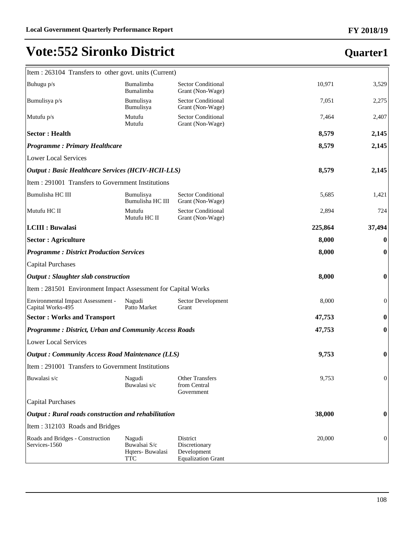#### **FY 2018/19**

### **Quarter1**

 $\overline{1}$ 

| Item : 263104 Transfers to other govt. units (Current)       |                                                  |                                                                              |         |                  |
|--------------------------------------------------------------|--------------------------------------------------|------------------------------------------------------------------------------|---------|------------------|
| Buhugu p/s                                                   | Bumalimba<br>Bumalimba                           | <b>Sector Conditional</b><br>Grant (Non-Wage)                                | 10,971  | 3,529            |
| Bumulisya p/s                                                | Bumulisya<br>Bumulisya                           | <b>Sector Conditional</b><br>Grant (Non-Wage)                                | 7,051   | 2,275            |
| Mutufu $p/s$                                                 | Mutufu<br>Mutufu                                 | <b>Sector Conditional</b><br>Grant (Non-Wage)                                | 7,464   | 2,407            |
| <b>Sector: Health</b>                                        |                                                  |                                                                              | 8,579   | 2,145            |
| <b>Programme: Primary Healthcare</b>                         |                                                  |                                                                              | 8,579   | 2,145            |
| <b>Lower Local Services</b>                                  |                                                  |                                                                              |         |                  |
| <b>Output: Basic Healthcare Services (HCIV-HCII-LLS)</b>     |                                                  |                                                                              | 8,579   | 2,145            |
| Item: 291001 Transfers to Government Institutions            |                                                  |                                                                              |         |                  |
| Bumulisha HC III                                             | Bumulisya<br>Bumulisha HC III                    | <b>Sector Conditional</b><br>Grant (Non-Wage)                                | 5,685   | 1,421            |
| Mutufu HC II                                                 | Mutufu<br>Mutufu HC II                           | <b>Sector Conditional</b><br>Grant (Non-Wage)                                | 2,894   | 724              |
| <b>LCIII : Buwalasi</b>                                      |                                                  |                                                                              | 225,864 | 37,494           |
| <b>Sector : Agriculture</b>                                  |                                                  |                                                                              | 8,000   | $\bf{0}$         |
| <b>Programme: District Production Services</b>               |                                                  |                                                                              | 8,000   | $\boldsymbol{0}$ |
| <b>Capital Purchases</b>                                     |                                                  |                                                                              |         |                  |
| <b>Output</b> : Slaughter slab construction                  |                                                  |                                                                              | 8,000   | $\boldsymbol{0}$ |
| Item: 281501 Environment Impact Assessment for Capital Works |                                                  |                                                                              |         |                  |
| Environmental Impact Assessment -<br>Capital Works-495       | Nagudi<br>Patto Market                           | Sector Development<br>Grant                                                  | 8,000   | $\boldsymbol{0}$ |
| <b>Sector: Works and Transport</b>                           |                                                  |                                                                              | 47,753  | $\bf{0}$         |
| <b>Programme: District, Urban and Community Access Roads</b> |                                                  |                                                                              | 47,753  | $\boldsymbol{0}$ |
| <b>Lower Local Services</b>                                  |                                                  |                                                                              |         |                  |
| <b>Output: Community Access Road Maintenance (LLS)</b>       |                                                  |                                                                              | 9,753   | $\boldsymbol{0}$ |
| Item : 291001 Transfers to Government Institutions           |                                                  |                                                                              |         |                  |
| Buwalasi s/c                                                 | Nagudi<br>Buwalasi s/c                           | <b>Other Transfers</b><br>from Central<br>Government                         | 9,753   | $\boldsymbol{0}$ |
| <b>Capital Purchases</b>                                     |                                                  |                                                                              |         |                  |
| Output: Rural roads construction and rehabilitation          |                                                  |                                                                              | 38,000  | $\bf{0}$         |
| Item: 312103 Roads and Bridges                               |                                                  |                                                                              |         |                  |
| Roads and Bridges - Construction<br>Services-1560            | Nagudi<br>Buwalsai S/c<br>Hqters-Buwalasi<br>TTC | <b>District</b><br>Discretionary<br>Development<br><b>Equalization Grant</b> | 20,000  | $\boldsymbol{0}$ |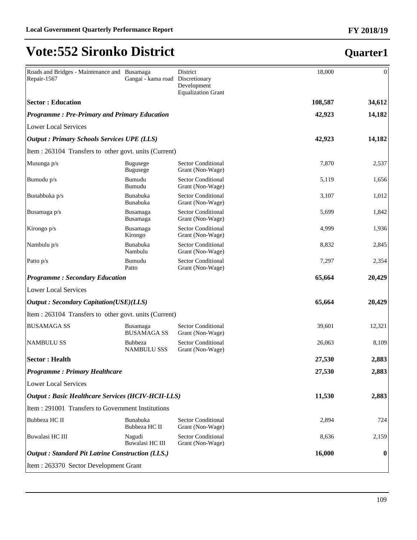#### Roads and Bridges - Maintenance and Busamaga Repair-1567 Gangai - kama road District Discretionary Development Equalization Grant 18,000 0 **Sector : Education 108,587 34,612** *Programme : Pre-Primary and Primary Education* **42,923 14,182** Lower Local Services *Output : Primary Schools Services UPE (LLS)* **42,923 14,182** Item : 263104 Transfers to other govt. units (Current) Musunga p/s Bugusege Bugusege Sector Conditional Grant (Non-Wage) 7,870 2,537 Bumudu p/s Bumudu Bumudu Sector Conditional Grant (Non-Wage) 5,119 1,656 Bunabbuka p/s Bunabuka Bunabuka Sector Conditional Grant (Non-Wage) 3,107 1,012 Busamaga p/s Busamaga Busamaga Sector Conditional Grant (Non-Wage) 5,699 1,842 Kirongo p/s Busamaga Kirongo Sector Conditional Grant (Non-Wage) 4,999 1,936 Nambulu p/s Bunabuka Nambulu Sector Conditional Grant (Non-Wage) 8,832 2,845 Patto p/s Bumudu Patto Sector Conditional Grant (Non-Wage) 7,297 2,354 *Programme : Secondary Education* **65,664 20,429** Lower Local Services *Output : Secondary Capitation(USE)(LLS)* **65,664 20,429** Item : 263104 Transfers to other govt. units (Current) BUSAMAGA SS Busamaga BUSAMAGA SS Sector Conditional Grant (Non-Wage) 39,601 12,321 NAMBULU SS Bubbeza NAMBULU SSS Sector Conditional Grant (Non-Wage) 26,063 8,109 **Sector : Health 27,530 2,883** *Programme : Primary Healthcare* **27,530 2,883** Lower Local Services *Output : Basic Healthcare Services (HCIV-HCII-LLS)* **11,530 2,883** Item : 291001 Transfers to Government Institutions Bubbeza HC II Bunabuka Bubbeza HC II Sector Conditional Grant (Non-Wage) 2,894 724 Buwalasi HC III Nagudi Buwalasi HC III Sector Conditional Grant (Non-Wage) 8,636 2,159 *Output : Standard Pit Latrine Construction (LLS.)* **16,000 0** Item : 263370 Sector Development Grant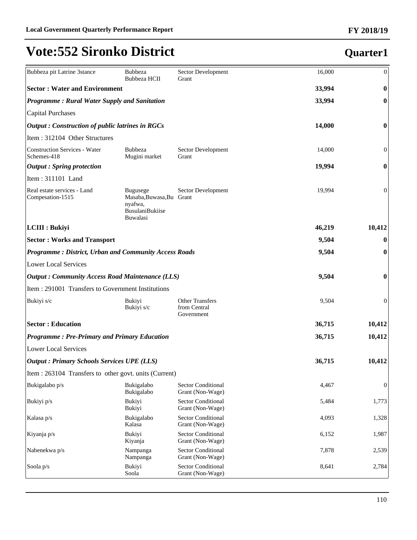| Bubbeza pit Latrine 3stance                                  | <b>Bubbeza</b><br>Bubbeza HCII                                                               | Sector Development<br>Grant                          | 16,000 | $\boldsymbol{0}$ |
|--------------------------------------------------------------|----------------------------------------------------------------------------------------------|------------------------------------------------------|--------|------------------|
| <b>Sector: Water and Environment</b>                         |                                                                                              |                                                      | 33,994 | $\boldsymbol{0}$ |
| <b>Programme: Rural Water Supply and Sanitation</b>          |                                                                                              |                                                      | 33,994 | $\boldsymbol{0}$ |
| Capital Purchases                                            |                                                                                              |                                                      |        |                  |
| <b>Output</b> : Construction of public latrines in RGCs      |                                                                                              |                                                      | 14,000 | $\bf{0}$         |
| Item: 312104 Other Structures                                |                                                                                              |                                                      |        |                  |
| Construction Services - Water<br>Schemes-418                 | Bubbeza<br>Mugini market                                                                     | Sector Development<br>Grant                          | 14,000 | $\mathbf{0}$     |
| $\vert$ <i>Output</i> : Spring protection                    |                                                                                              |                                                      | 19,994 | $\boldsymbol{0}$ |
| Item: 311101 Land                                            |                                                                                              |                                                      |        |                  |
| Real estate services - Land<br>Compesation-1515              | <b>Bugusege</b><br>Masaba, Buwasa, Bu Grant<br>nyafwa,<br><b>BusulaniBukiise</b><br>Buwalasi | Sector Development                                   | 19,994 | $\boldsymbol{0}$ |
| LCIII : Bukiyi                                               |                                                                                              |                                                      | 46,219 | 10,412           |
| <b>Sector: Works and Transport</b>                           |                                                                                              |                                                      | 9,504  | $\boldsymbol{0}$ |
| <b>Programme: District, Urban and Community Access Roads</b> |                                                                                              |                                                      | 9,504  | $\boldsymbol{0}$ |
| Lower Local Services                                         |                                                                                              |                                                      |        |                  |
| <b>Output: Community Access Road Maintenance (LLS)</b>       |                                                                                              |                                                      | 9,504  | $\boldsymbol{0}$ |
| Item : 291001 Transfers to Government Institutions           |                                                                                              |                                                      |        |                  |
| Bukiyi s/c                                                   | <b>Bukiyi</b><br>Bukiyi s/c                                                                  | <b>Other Transfers</b><br>from Central<br>Government | 9,504  | $\mathbf{0}$     |
| <b>Sector: Education</b>                                     |                                                                                              |                                                      | 36,715 | 10,412           |
| <b>Programme: Pre-Primary and Primary Education</b>          |                                                                                              |                                                      | 36,715 | 10,412           |
| Lower Local Services                                         |                                                                                              |                                                      |        |                  |
| <b>Output: Primary Schools Services UPE (LLS)</b>            |                                                                                              |                                                      | 36,715 | 10,412           |
| Item : 263104 Transfers to other govt. units (Current)       |                                                                                              |                                                      |        |                  |
| Bukigalabo p/s                                               | Bukigalabo<br>Bukigalabo                                                                     | Sector Conditional<br>Grant (Non-Wage)               | 4,467  | $\boldsymbol{0}$ |
| Bukiyi p/s                                                   | Bukiyi<br>Bukiyi                                                                             | Sector Conditional<br>Grant (Non-Wage)               | 5,484  | 1,773            |
| Kalasa p/s                                                   | Bukigalabo<br>Kalasa                                                                         | Sector Conditional<br>Grant (Non-Wage)               | 4,093  | 1,328            |
| Kiyanja p/s                                                  | Bukiyi<br>Kiyanja                                                                            | Sector Conditional<br>Grant (Non-Wage)               | 6,152  | 1,987            |
| Nabenekwa p/s                                                | Nampanga<br>Nampanga                                                                         | Sector Conditional<br>Grant (Non-Wage)               | 7,878  | 2,539            |
| Soola p/s                                                    | Bukiyi<br>Soola                                                                              | <b>Sector Conditional</b><br>Grant (Non-Wage)        | 8,641  | 2,784            |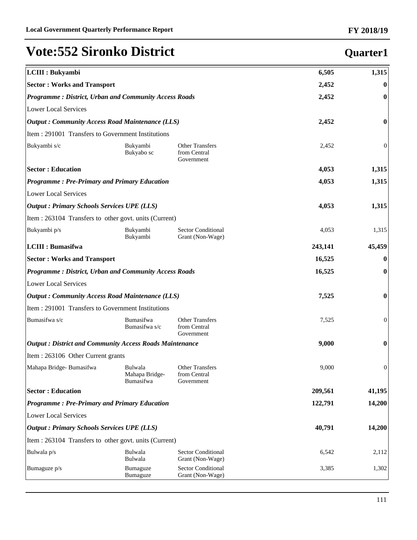| LCIII : Bukyambi                                               |                                                              |                                                      | 6,505   | 1,315            |
|----------------------------------------------------------------|--------------------------------------------------------------|------------------------------------------------------|---------|------------------|
| <b>Sector: Works and Transport</b>                             |                                                              |                                                      |         | $\bf{0}$         |
|                                                                | <b>Programme: District, Urban and Community Access Roads</b> |                                                      |         | $\bf{0}$         |
| <b>Lower Local Services</b>                                    |                                                              |                                                      |         |                  |
| <b>Output: Community Access Road Maintenance (LLS)</b>         |                                                              |                                                      | 2,452   | $\boldsymbol{0}$ |
| Item : 291001 Transfers to Government Institutions             |                                                              |                                                      |         |                  |
| Bukyambi s/c                                                   | Bukyambi<br>Bukyabo sc                                       | <b>Other Transfers</b><br>from Central<br>Government | 2,452   | $\boldsymbol{0}$ |
| <b>Sector: Education</b>                                       |                                                              |                                                      | 4,053   | 1,315            |
| <b>Programme: Pre-Primary and Primary Education</b>            |                                                              |                                                      | 4,053   | 1,315            |
| <b>Lower Local Services</b>                                    |                                                              |                                                      |         |                  |
| <b>Output: Primary Schools Services UPE (LLS)</b>              |                                                              |                                                      | 4,053   | 1,315            |
| Item : 263104 Transfers to other govt. units (Current)         |                                                              |                                                      |         |                  |
| Bukyambi p/s                                                   | Bukyambi<br>Bukyambi                                         | Sector Conditional<br>Grant (Non-Wage)               | 4,053   | 1,315            |
| <b>LCIII : Bumasifwa</b>                                       |                                                              |                                                      | 243,141 | 45,459           |
| <b>Sector: Works and Transport</b>                             |                                                              |                                                      | 16,525  | $\bf{0}$         |
| <b>Programme: District, Urban and Community Access Roads</b>   |                                                              |                                                      | 16,525  | $\bf{0}$         |
| <b>Lower Local Services</b>                                    |                                                              |                                                      |         |                  |
| <b>Output: Community Access Road Maintenance (LLS)</b>         |                                                              |                                                      | 7,525   | $\boldsymbol{0}$ |
| Item : 291001 Transfers to Government Institutions             |                                                              |                                                      |         |                  |
| Bumasifwa s/c                                                  | Bumasifwa<br>Bumasifwa s/c                                   | <b>Other Transfers</b><br>from Central<br>Government | 7,525   | $\mathbf{0}$     |
| <b>Output: District and Community Access Roads Maintenance</b> |                                                              |                                                      | 9,000   | $\boldsymbol{0}$ |
| Item: 263106 Other Current grants                              |                                                              |                                                      |         |                  |
| Mahapa Bridge-Bumasifwa                                        | Bulwala<br>Mahapa Bridge-<br>Bumasifwa                       | <b>Other Transfers</b><br>from Central<br>Government | 9,000   | $\boldsymbol{0}$ |
| <b>Sector: Education</b>                                       |                                                              |                                                      | 209,561 | 41,195           |
| <b>Programme: Pre-Primary and Primary Education</b>            |                                                              |                                                      | 122,791 | 14,200           |
| <b>Lower Local Services</b>                                    |                                                              |                                                      |         |                  |
| <b>Output : Primary Schools Services UPE (LLS)</b>             |                                                              |                                                      | 40,791  | 14,200           |
| Item : 263104 Transfers to other govt. units (Current)         |                                                              |                                                      |         |                  |
| Bulwala p/s                                                    | Bulwala<br>Bulwala                                           | <b>Sector Conditional</b><br>Grant (Non-Wage)        | 6,542   | 2,112            |
| Bumaguze p/s                                                   | Bumaguze<br><b>Bumaguze</b>                                  | <b>Sector Conditional</b><br>Grant (Non-Wage)        | 3,385   | 1,302            |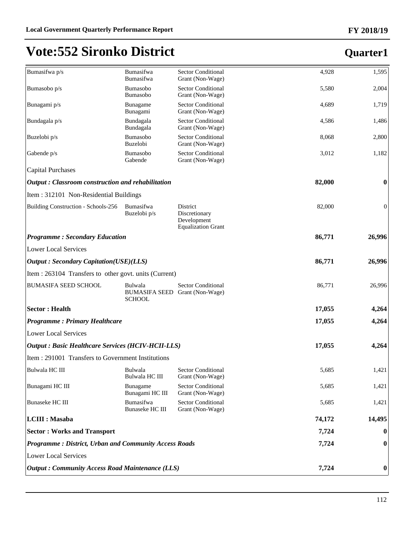#### **FY 2018/19**

| Bumasifwa p/s                                                | Bumasifwa                                                  | <b>Sector Conditional</b>                                             | 4,928  | 1,595            |
|--------------------------------------------------------------|------------------------------------------------------------|-----------------------------------------------------------------------|--------|------------------|
| Bumasobo p/s                                                 | <b>Bumasifwa</b><br>Bumasobo                               | Grant (Non-Wage)<br><b>Sector Conditional</b>                         | 5,580  | 2,004            |
|                                                              | Bumasobo                                                   | Grant (Non-Wage)                                                      |        |                  |
| Bunagami p/s                                                 | Bunagame<br>Bunagami                                       | Sector Conditional<br>Grant (Non-Wage)                                | 4,689  | 1,719            |
| Bundagala p/s                                                | Bundagala<br>Bundagala                                     | <b>Sector Conditional</b><br>Grant (Non-Wage)                         | 4,586  | 1,486            |
| Buzelobi p/s                                                 | Bumasobo<br><b>Buzelobi</b>                                | <b>Sector Conditional</b><br>Grant (Non-Wage)                         | 8,068  | 2,800            |
| Gabende p/s                                                  | Bumasobo<br>Gabende                                        | <b>Sector Conditional</b><br>Grant (Non-Wage)                         | 3,012  | 1,182            |
| <b>Capital Purchases</b>                                     |                                                            |                                                                       |        |                  |
| Output: Classroom construction and rehabilitation            |                                                            |                                                                       | 82,000 | $\bf{0}$         |
| Item: 312101 Non-Residential Buildings                       |                                                            |                                                                       |        |                  |
| Building Construction - Schools-256                          | Bumasifwa<br>Buzelobi p/s                                  | District<br>Discretionary<br>Development<br><b>Equalization Grant</b> | 82,000 | $\boldsymbol{0}$ |
| <b>Programme: Secondary Education</b>                        |                                                            |                                                                       | 86,771 | 26,996           |
| <b>Lower Local Services</b>                                  |                                                            |                                                                       |        |                  |
| <b>Output : Secondary Capitation(USE)(LLS)</b>               |                                                            |                                                                       | 86,771 | 26,996           |
| Item : 263104 Transfers to other govt. units (Current)       |                                                            |                                                                       |        |                  |
| <b>BUMASIFA SEED SCHOOL</b>                                  | Bulwala<br>BUMASIFA SEED Grant (Non-Wage)<br><b>SCHOOL</b> | <b>Sector Conditional</b>                                             | 86,771 | 26,996           |
| <b>Sector: Health</b>                                        |                                                            |                                                                       | 17,055 | 4,264            |
| <b>Programme: Primary Healthcare</b>                         |                                                            |                                                                       | 17,055 | 4,264            |
| <b>Lower Local Services</b>                                  |                                                            |                                                                       |        |                  |
| <b>Output : Basic Healthcare Services (HCIV-HCII-LLS)</b>    |                                                            |                                                                       | 17,055 | 4,264            |
| Item: 291001 Transfers to Government Institutions            |                                                            |                                                                       |        |                  |
| Bulwala HC III                                               | Bulwala<br>Bulwala HC III                                  | <b>Sector Conditional</b><br>Grant (Non-Wage)                         | 5,685  | 1,421            |
| Bunagami HC III                                              | Bunagame<br>Bunagami HC III                                | <b>Sector Conditional</b><br>Grant (Non-Wage)                         | 5,685  | 1,421            |
| Bunaseke HC III                                              | Bumasifwa<br><b>Bunaseke HC III</b>                        | Sector Conditional<br>Grant (Non-Wage)                                | 5,685  | 1,421            |
| <b>LCIII</b> : Masaba                                        |                                                            |                                                                       | 74,172 | 14,495           |
| <b>Sector: Works and Transport</b>                           |                                                            |                                                                       | 7,724  | $\bf{0}$         |
| <b>Programme: District, Urban and Community Access Roads</b> |                                                            |                                                                       | 7,724  | $\boldsymbol{0}$ |
| <b>Lower Local Services</b>                                  |                                                            |                                                                       |        |                  |
| <b>Output: Community Access Road Maintenance (LLS)</b>       |                                                            |                                                                       | 7,724  | $\bf{0}$         |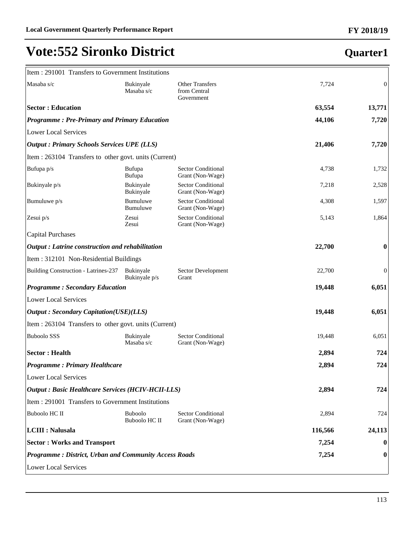| Item: 291001 Transfers to Government Institutions            |                                        |                                                      |         |                  |
|--------------------------------------------------------------|----------------------------------------|------------------------------------------------------|---------|------------------|
| Masaba s/c                                                   | Bukinyale<br>Masaba s/c                | <b>Other Transfers</b><br>from Central<br>Government | 7,724   | $\mathbf{0}$     |
| <b>Sector: Education</b>                                     |                                        |                                                      | 63,554  | 13,771           |
| <b>Programme: Pre-Primary and Primary Education</b>          |                                        |                                                      | 44,106  | 7,720            |
| <b>Lower Local Services</b>                                  |                                        |                                                      |         |                  |
| <b>Output: Primary Schools Services UPE (LLS)</b>            |                                        |                                                      | 21,406  | 7,720            |
| Item : 263104 Transfers to other govt. units (Current)       |                                        |                                                      |         |                  |
| Bufupa p/s                                                   | Bufupa<br>Bufupa                       | <b>Sector Conditional</b><br>Grant (Non-Wage)        | 4,738   | 1,732            |
| Bukinyale p/s                                                | Bukinyale<br>Bukinyale                 | <b>Sector Conditional</b><br>Grant (Non-Wage)        | 7,218   | 2,528            |
| Bumuluwe p/s                                                 | Bumuluwe<br>Bumuluwe                   | <b>Sector Conditional</b><br>Grant (Non-Wage)        | 4,308   | 1,597            |
| Zesui p/s                                                    | Zesui<br>Zesui                         | <b>Sector Conditional</b><br>Grant (Non-Wage)        | 5,143   | 1,864            |
| <b>Capital Purchases</b>                                     |                                        |                                                      |         |                  |
| Output: Latrine construction and rehabilitation              |                                        |                                                      | 22,700  | $\bf{0}$         |
| Item: 312101 Non-Residential Buildings                       |                                        |                                                      |         |                  |
| Building Construction - Latrines-237                         | Bukinyale<br>Bukinyale p/s             | Sector Development<br>Grant                          | 22,700  | $\boldsymbol{0}$ |
| <b>Programme: Secondary Education</b>                        |                                        |                                                      | 19,448  | 6,051            |
| <b>Lower Local Services</b>                                  |                                        |                                                      |         |                  |
| <b>Output: Secondary Capitation(USE)(LLS)</b>                |                                        |                                                      | 19,448  | 6,051            |
| Item : 263104 Transfers to other govt. units (Current)       |                                        |                                                      |         |                  |
| <b>Buboolo SSS</b>                                           | Bukinyale<br>Masaba s/c                | <b>Sector Conditional</b><br>Grant (Non-Wage)        | 19,448  | 6,051            |
| <b>Sector: Health</b>                                        |                                        |                                                      | 2,894   | 724              |
| <b>Programme: Primary Healthcare</b>                         |                                        |                                                      | 2,894   | 724              |
| <b>Lower Local Services</b>                                  |                                        |                                                      |         |                  |
| <b>Output: Basic Healthcare Services (HCIV-HCII-LLS)</b>     |                                        |                                                      | 2,894   | 724              |
| Item: 291001 Transfers to Government Institutions            |                                        |                                                      |         |                  |
| <b>Buboolo HC II</b>                                         | <b>Buboolo</b><br><b>Buboolo HC II</b> | <b>Sector Conditional</b><br>Grant (Non-Wage)        | 2,894   | 724              |
| <b>LCIII : Nalusala</b>                                      |                                        |                                                      | 116,566 | 24,113           |
| <b>Sector: Works and Transport</b>                           |                                        |                                                      | 7,254   | $\bf{0}$         |
| <b>Programme: District, Urban and Community Access Roads</b> |                                        |                                                      | 7,254   | $\bf{0}$         |
| <b>Lower Local Services</b>                                  |                                        |                                                      |         |                  |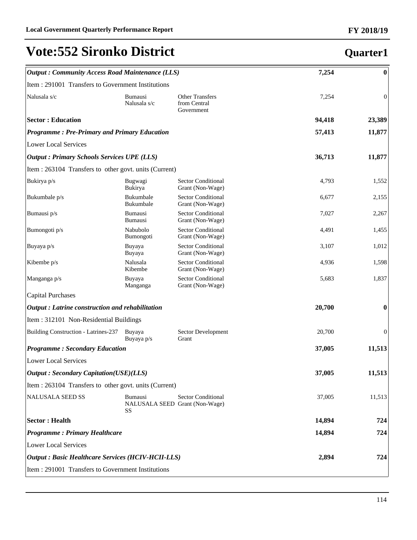| <b>Output: Community Access Road Maintenance (LLS)</b>   |                                  |                                                             | 7,254  | $\boldsymbol{0}$ |
|----------------------------------------------------------|----------------------------------|-------------------------------------------------------------|--------|------------------|
| Item : 291001 Transfers to Government Institutions       |                                  |                                                             |        |                  |
| Nalusala s/c                                             | <b>Bumausi</b><br>Nalusala s/c   | <b>Other Transfers</b><br>from Central<br>Government        | 7,254  | $\mathbf{0}$     |
| <b>Sector: Education</b>                                 |                                  |                                                             | 94,418 | 23,389           |
| <b>Programme: Pre-Primary and Primary Education</b>      |                                  |                                                             | 57,413 | 11,877           |
| Lower Local Services                                     |                                  |                                                             |        |                  |
| <b>Output: Primary Schools Services UPE (LLS)</b>        |                                  |                                                             | 36,713 | 11,877           |
| Item : 263104 Transfers to other govt. units (Current)   |                                  |                                                             |        |                  |
| Bukirya p/s                                              | Bugwagi<br>Bukirya               | <b>Sector Conditional</b><br>Grant (Non-Wage)               | 4,793  | 1,552            |
| Bukumbale p/s                                            | Bukumbale<br>Bukumbale           | <b>Sector Conditional</b><br>Grant (Non-Wage)               | 6,677  | 2,155            |
| Bumausi p/s                                              | <b>Bumausi</b><br><b>Bumausi</b> | <b>Sector Conditional</b><br>Grant (Non-Wage)               | 7,027  | 2,267            |
| Bumongoti p/s                                            | Nabubolo<br>Bumongoti            | <b>Sector Conditional</b><br>Grant (Non-Wage)               | 4,491  | 1,455            |
| Buyaya p/s                                               | Buyaya<br>Buyaya                 | <b>Sector Conditional</b><br>Grant (Non-Wage)               | 3,107  | 1,012            |
| Kibembe p/s                                              | Nalusala<br>Kibembe              | <b>Sector Conditional</b><br>Grant (Non-Wage)               | 4,936  | 1,598            |
| Manganga p/s                                             | Buyaya<br>Manganga               | <b>Sector Conditional</b><br>Grant (Non-Wage)               | 5,683  | 1,837            |
| Capital Purchases                                        |                                  |                                                             |        |                  |
| $\vert$ Output : Latrine construction and rehabilitation |                                  |                                                             | 20,700 | $\boldsymbol{0}$ |
| Item : 312101 Non-Residential Buildings                  |                                  |                                                             |        |                  |
| Building Construction - Latrines-237                     | Buyaya<br>Buyaya p/s             | Sector Development<br>Grant                                 | 20,700 | $\mathbf{0}$     |
| <b>Programme: Secondary Education</b>                    |                                  |                                                             | 37,005 | 11,513           |
| Lower Local Services                                     |                                  |                                                             |        |                  |
| <b>Output</b> : Secondary Capitation(USE)(LLS)           |                                  |                                                             | 37,005 | 11,513           |
| Item : 263104 Transfers to other govt. units (Current)   |                                  |                                                             |        |                  |
| NALUSALA SEED SS                                         | <b>Bumausi</b><br>SS             | <b>Sector Conditional</b><br>NALUSALA SEED Grant (Non-Wage) | 37,005 | 11,513           |
| <b>Sector: Health</b>                                    |                                  |                                                             | 14,894 | 724              |
| <b>Programme: Primary Healthcare</b>                     |                                  |                                                             | 14,894 | 724              |
| Lower Local Services                                     |                                  |                                                             |        |                  |
| <b>Output: Basic Healthcare Services (HCIV-HCII-LLS)</b> |                                  |                                                             | 2,894  | 724              |
| Item : 291001 Transfers to Government Institutions       |                                  |                                                             |        |                  |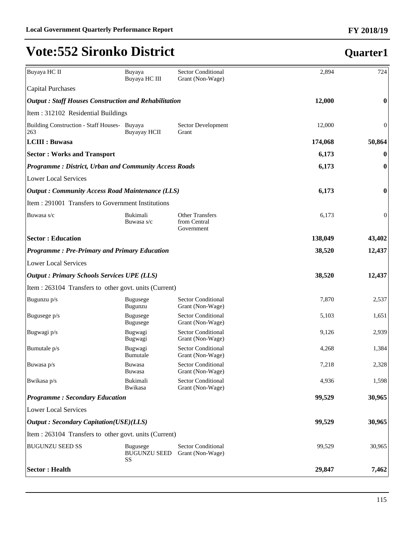| Buyaya HC II                                                 | Buyaya<br>Buyaya HC III                             | <b>Sector Conditional</b><br>Grant (Non-Wage) | 2,894   | 724              |
|--------------------------------------------------------------|-----------------------------------------------------|-----------------------------------------------|---------|------------------|
| <b>Capital Purchases</b>                                     |                                                     |                                               |         |                  |
| <b>Output: Staff Houses Construction and Rehabilitation</b>  |                                                     |                                               | 12,000  | $\boldsymbol{0}$ |
| Item: 312102 Residential Buildings                           |                                                     |                                               |         |                  |
| Building Construction - Staff Houses- Buyaya<br>263          | <b>Buyayay HCII</b>                                 | Sector Development<br>Grant                   | 12,000  | $\overline{0}$   |
| <b>LCIII</b> : Buwasa                                        |                                                     |                                               | 174,068 | 50,864           |
| <b>Sector: Works and Transport</b>                           |                                                     |                                               | 6,173   | $\bf{0}$         |
| <b>Programme: District, Urban and Community Access Roads</b> |                                                     |                                               | 6,173   | $\boldsymbol{0}$ |
| <b>Lower Local Services</b>                                  |                                                     |                                               |         |                  |
| <b>Output: Community Access Road Maintenance (LLS)</b>       |                                                     |                                               | 6,173   | $\boldsymbol{0}$ |
| Item: 291001 Transfers to Government Institutions            |                                                     |                                               |         |                  |
| Buwasa s/c                                                   | Bukimali<br>Buwasa s/c                              | Other Transfers<br>from Central<br>Government | 6,173   | $\boldsymbol{0}$ |
| <b>Sector: Education</b>                                     |                                                     |                                               | 138,049 | 43,402           |
|                                                              | <b>Programme: Pre-Primary and Primary Education</b> |                                               |         | 12,437           |
| <b>Lower Local Services</b>                                  |                                                     |                                               |         |                  |
| <b>Output : Primary Schools Services UPE (LLS)</b>           |                                                     |                                               | 38,520  | 12,437           |
| Item : 263104 Transfers to other govt. units (Current)       |                                                     |                                               |         |                  |
| Bugunzu p/s                                                  | <b>Bugusege</b><br>Bugunzu                          | <b>Sector Conditional</b><br>Grant (Non-Wage) | 7,870   | 2,537            |
| Bugusege p/s                                                 | <b>Bugusege</b><br><b>Bugusege</b>                  | <b>Sector Conditional</b><br>Grant (Non-Wage) | 5,103   | 1,651            |
| Bugwagi p/s                                                  | Bugwagi<br>Bugwagi                                  | <b>Sector Conditional</b><br>Grant (Non-Wage) | 9,126   | 2,939            |
| Bumutale p/s                                                 | Bugwagi<br>Bumutale                                 | <b>Sector Conditional</b><br>Grant (Non-Wage) | 4,268   | 1,384            |
| Buwasa p/s                                                   | Buwasa<br>Buwasa                                    | Sector Conditional<br>Grant (Non-Wage)        | 7,218   | 2,328            |
| Bwikasa p/s                                                  | Bukimali<br>Bwikasa                                 | Sector Conditional<br>Grant (Non-Wage)        | 4,936   | 1,598            |
| <b>Programme: Secondary Education</b>                        |                                                     |                                               | 99,529  | 30,965           |
| <b>Lower Local Services</b>                                  |                                                     |                                               |         |                  |
| <b>Output: Secondary Capitation(USE)(LLS)</b>                |                                                     |                                               | 99,529  | 30,965           |
| Item : 263104 Transfers to other govt. units (Current)       |                                                     |                                               |         |                  |
| <b>BUGUNZU SEED SS</b>                                       | <b>Bugusege</b><br><b>BUGUNZU SEED</b><br>SS        | <b>Sector Conditional</b><br>Grant (Non-Wage) | 99,529  | 30,965           |
| <b>Sector: Health</b>                                        |                                                     |                                               | 29,847  | 7,462            |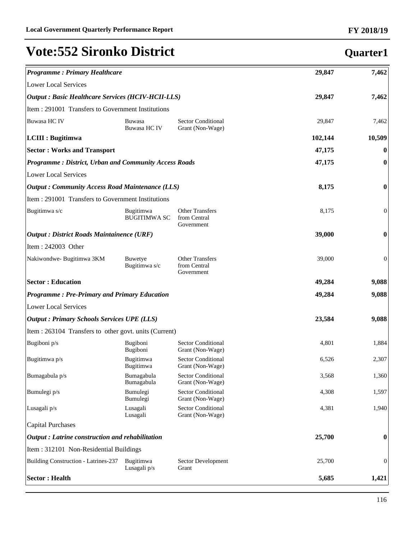**Quarter1**

# **Vote:552 Sironko District**

| <b>Programme: Primary Healthcare</b>                         |                                                          |                                                      | 29,847  | 7,462            |
|--------------------------------------------------------------|----------------------------------------------------------|------------------------------------------------------|---------|------------------|
| <b>Lower Local Services</b>                                  |                                                          |                                                      |         |                  |
|                                                              | <b>Output: Basic Healthcare Services (HCIV-HCII-LLS)</b> |                                                      |         | 7,462            |
| Item: 291001 Transfers to Government Institutions            |                                                          |                                                      |         |                  |
| Buwasa HC IV                                                 | Buwasa<br>Buwasa HC IV                                   | Sector Conditional<br>Grant (Non-Wage)               | 29,847  | 7,462            |
| LCIII : Bugitimwa                                            |                                                          |                                                      | 102,144 | 10,509           |
| <b>Sector: Works and Transport</b>                           |                                                          |                                                      | 47,175  | $\bf{0}$         |
| <b>Programme: District, Urban and Community Access Roads</b> |                                                          |                                                      | 47,175  | $\bf{0}$         |
| <b>Lower Local Services</b>                                  |                                                          |                                                      |         |                  |
| <b>Output: Community Access Road Maintenance (LLS)</b>       |                                                          |                                                      | 8,175   | $\bf{0}$         |
| Item : 291001 Transfers to Government Institutions           |                                                          |                                                      |         |                  |
| Bugitimwa s/c                                                | Bugitimwa<br><b>BUGITIMWA SC</b>                         | <b>Other Transfers</b><br>from Central<br>Government | 8,175   | $\theta$         |
| <b>Output : District Roads Maintainence (URF)</b>            |                                                          |                                                      | 39,000  | $\boldsymbol{0}$ |
| Item: 242003 Other                                           |                                                          |                                                      |         |                  |
| Nakiwondwe-Bugitimwa 3KM                                     | <b>Buwetye</b><br>Bugitimwa s/c                          | <b>Other Transfers</b><br>from Central<br>Government | 39,000  | 0                |
| <b>Sector: Education</b>                                     |                                                          |                                                      | 49,284  | 9,088            |
| <b>Programme: Pre-Primary and Primary Education</b>          |                                                          |                                                      | 49,284  | 9,088            |
| <b>Lower Local Services</b>                                  |                                                          |                                                      |         |                  |
| <b>Output : Primary Schools Services UPE (LLS)</b>           |                                                          |                                                      | 23,584  | 9,088            |
| Item : 263104 Transfers to other govt. units (Current)       |                                                          |                                                      |         |                  |
| Bugiboni p/s                                                 | Bugiboni<br>Bugiboni                                     | <b>Sector Conditional</b><br>Grant (Non-Wage)        | 4,801   | 1,884            |
| Bugitimwa p/s                                                | Bugitimwa<br>Bugitimwa                                   | <b>Sector Conditional</b><br>Grant (Non-Wage)        | 6,526   | 2,307            |
| Bumagabula p/s                                               | Bumagabula<br>Bumagabula                                 | <b>Sector Conditional</b><br>Grant (Non-Wage)        | 3,568   | 1,360            |
| Bumulegi p/s                                                 | Bumulegi<br>Bumulegi                                     | <b>Sector Conditional</b><br>Grant (Non-Wage)        | 4,308   | 1,597            |
| Lusagali p/s                                                 | Lusagali<br>Lusagali                                     | <b>Sector Conditional</b><br>Grant (Non-Wage)        | 4,381   | 1,940            |
| <b>Capital Purchases</b>                                     |                                                          |                                                      |         |                  |
| Output: Latrine construction and rehabilitation              |                                                          |                                                      | 25,700  | $\boldsymbol{0}$ |
| Item: 312101 Non-Residential Buildings                       |                                                          |                                                      |         |                  |
| Building Construction - Latrines-237                         | Bugitimwa<br>Lusagali p/s                                | Sector Development<br>Grant                          | 25,700  | $\boldsymbol{0}$ |
| <b>Sector: Health</b>                                        |                                                          |                                                      | 5,685   | 1,421            |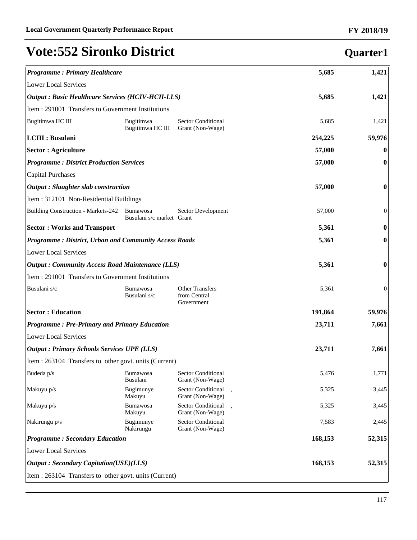| <b>Programme: Primary Healthcare</b>                         |                                              |                                                      | 5,685   | 1,421            |
|--------------------------------------------------------------|----------------------------------------------|------------------------------------------------------|---------|------------------|
| <b>Lower Local Services</b>                                  |                                              |                                                      |         |                  |
| <b>Output : Basic Healthcare Services (HCIV-HCII-LLS)</b>    |                                              |                                                      | 5,685   | 1,421            |
| Item : 291001 Transfers to Government Institutions           |                                              |                                                      |         |                  |
| Bugitimwa HC III                                             | Bugitimwa<br>Bugitimwa HC III                | <b>Sector Conditional</b><br>Grant (Non-Wage)        | 5,685   | 1,421            |
| <b>LCIII : Busulani</b>                                      |                                              |                                                      | 254,225 | 59,976           |
| <b>Sector : Agriculture</b>                                  |                                              |                                                      | 57,000  | $\bf{0}$         |
| <b>Programme: District Production Services</b>               |                                              |                                                      | 57,000  | $\boldsymbol{0}$ |
| <b>Capital Purchases</b>                                     |                                              |                                                      |         |                  |
| <b>Output</b> : Slaughter slab construction                  |                                              |                                                      | 57,000  | $\boldsymbol{0}$ |
| Item: 312101 Non-Residential Buildings                       |                                              |                                                      |         |                  |
| Building Construction - Markets-242                          | <b>Bumawosa</b><br>Busulani s/c market Grant | Sector Development                                   | 57,000  | $\boldsymbol{0}$ |
| <b>Sector: Works and Transport</b>                           |                                              |                                                      | 5,361   | 0                |
| <b>Programme: District, Urban and Community Access Roads</b> |                                              |                                                      | 5,361   | 0                |
| <b>Lower Local Services</b>                                  |                                              |                                                      |         |                  |
| <b>Output: Community Access Road Maintenance (LLS)</b>       |                                              |                                                      | 5,361   | $\bf{0}$         |
| Item : 291001 Transfers to Government Institutions           |                                              |                                                      |         |                  |
| Busulani s/c                                                 | <b>Bumawosa</b><br>Busulani s/c              | <b>Other Transfers</b><br>from Central<br>Government | 5,361   | 0                |
| <b>Sector: Education</b>                                     |                                              |                                                      | 191,864 | 59,976           |
| <b>Programme: Pre-Primary and Primary Education</b>          |                                              |                                                      | 23,711  | 7,661            |
| <b>Lower Local Services</b>                                  |                                              |                                                      |         |                  |
| <b>Output : Primary Schools Services UPE (LLS)</b>           |                                              |                                                      | 23,711  | 7,661            |
| Item : 263104 Transfers to other govt. units (Current)       |                                              |                                                      |         |                  |
| Budeda p/s                                                   | <b>Bumawosa</b><br>Busulani                  | Sector Conditional<br>Grant (Non-Wage)               | 5,476   | 1,771            |
| Makuyu p/s                                                   | Bugimunye<br>Makuyu                          | Sector Conditional<br>Grant (Non-Wage)               | 5,325   | 3,445            |
| Makuyu p/s                                                   | Bumawosa<br>Makuyu                           | Sector Conditional<br>Grant (Non-Wage)               | 5,325   | 3,445            |
| Nakirungu p/s                                                | Bugimunye<br>Nakirungu                       | Sector Conditional<br>Grant (Non-Wage)               | 7,583   | 2,445            |
| <b>Programme: Secondary Education</b>                        |                                              |                                                      | 168,153 | 52,315           |
| <b>Lower Local Services</b>                                  |                                              |                                                      |         |                  |
| <b>Output: Secondary Capitation(USE)(LLS)</b>                |                                              |                                                      | 168,153 | 52,315           |
| Item : 263104 Transfers to other govt. units (Current)       |                                              |                                                      |         |                  |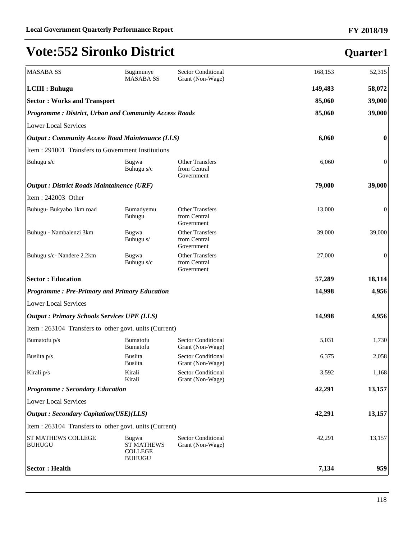| <b>MASABA SS</b>                                             | Bugimunye<br><b>MASABA SS</b>                                 | Sector Conditional<br>Grant (Non-Wage)               | 168,153 | 52,315   |
|--------------------------------------------------------------|---------------------------------------------------------------|------------------------------------------------------|---------|----------|
| LCIII : Buhugu                                               |                                                               |                                                      | 149,483 | 58,072   |
| <b>Sector: Works and Transport</b>                           |                                                               |                                                      | 85,060  | 39,000   |
| <b>Programme: District, Urban and Community Access Roads</b> |                                                               |                                                      | 85,060  | 39,000   |
| <b>Lower Local Services</b>                                  |                                                               |                                                      |         |          |
| <b>Output: Community Access Road Maintenance (LLS)</b>       |                                                               |                                                      | 6,060   | $\bf{0}$ |
| Item : 291001 Transfers to Government Institutions           |                                                               |                                                      |         |          |
| Buhugu s/c                                                   | Bugwa<br>Buhugu s/c                                           | <b>Other Transfers</b><br>from Central<br>Government | 6,060   | 0        |
| <b>Output : District Roads Maintainence (URF)</b>            |                                                               |                                                      | 79,000  | 39,000   |
| Item: 242003 Other                                           |                                                               |                                                      |         |          |
| Buhugu- Bukyabo 1km road                                     | Bumadyemu<br>Buhugu                                           | <b>Other Transfers</b><br>from Central<br>Government | 13,000  | 0        |
| Buhugu - Nambalenzi 3km                                      | Bugwa<br>Buhugu s/                                            | <b>Other Transfers</b><br>from Central<br>Government | 39,000  | 39,000   |
| Buhugu s/c- Nandere 2.2km                                    | Bugwa<br>Buhugu s/c                                           | <b>Other Transfers</b><br>from Central<br>Government | 27,000  | 0        |
| <b>Sector: Education</b>                                     |                                                               |                                                      | 57,289  | 18,114   |
| <b>Programme: Pre-Primary and Primary Education</b>          |                                                               |                                                      | 14,998  | 4,956    |
| <b>Lower Local Services</b>                                  |                                                               |                                                      |         |          |
| <b>Output : Primary Schools Services UPE (LLS)</b>           |                                                               |                                                      | 14,998  | 4,956    |
| Item : 263104 Transfers to other govt. units (Current)       |                                                               |                                                      |         |          |
| Bumatofu p/s                                                 | Bumatofu<br>Bumatofu                                          | <b>Sector Conditional</b><br>Grant (Non-Wage)        | 5,031   | 1,730    |
| Busiita p/s                                                  | <b>Busiita</b><br><b>Busiita</b>                              | Sector Conditional<br>Grant (Non-Wage)               | 6,375   | 2,058    |
| Kirali p/s                                                   | Kirali<br>Kirali                                              | Sector Conditional<br>Grant (Non-Wage)               | 3,592   | 1,168    |
| <b>Programme: Secondary Education</b>                        |                                                               |                                                      | 42,291  | 13,157   |
| <b>Lower Local Services</b>                                  |                                                               |                                                      |         |          |
| <b>Output</b> : Secondary Capitation(USE)(LLS)               |                                                               |                                                      | 42,291  | 13,157   |
| Item : 263104 Transfers to other govt. units (Current)       |                                                               |                                                      |         |          |
| ST MATHEWS COLLEGE<br><b>BUHUGU</b>                          | Bugwa<br><b>ST MATHEWS</b><br><b>COLLEGE</b><br><b>BUHUGU</b> | <b>Sector Conditional</b><br>Grant (Non-Wage)        | 42,291  | 13,157   |
| <b>Sector: Health</b>                                        |                                                               |                                                      | 7,134   | 959      |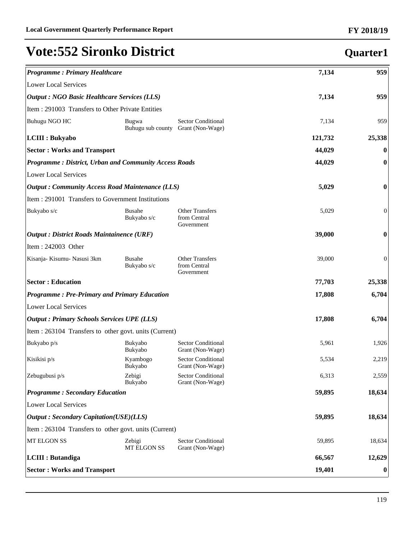| <b>Programme: Primary Healthcare</b>                         |                              |                                                      | 7,134   | 959              |
|--------------------------------------------------------------|------------------------------|------------------------------------------------------|---------|------------------|
| <b>Lower Local Services</b>                                  |                              |                                                      |         |                  |
| <b>Output : NGO Basic Healthcare Services (LLS)</b>          |                              |                                                      | 7,134   | 959              |
| Item: 291003 Transfers to Other Private Entities             |                              |                                                      |         |                  |
| Buhugu NGO HC                                                | Bugwa<br>Buhugu sub county   | <b>Sector Conditional</b><br>Grant (Non-Wage)        | 7,134   | 959              |
| <b>LCIII</b> : Bukyabo                                       |                              |                                                      | 121,732 | 25,338           |
| <b>Sector: Works and Transport</b>                           |                              |                                                      | 44,029  | $\bf{0}$         |
| <b>Programme: District, Urban and Community Access Roads</b> |                              |                                                      | 44,029  | $\bf{0}$         |
| <b>Lower Local Services</b>                                  |                              |                                                      |         |                  |
| <b>Output: Community Access Road Maintenance (LLS)</b>       |                              |                                                      | 5,029   | $\bf{0}$         |
| Item : 291001 Transfers to Government Institutions           |                              |                                                      |         |                  |
| Bukyabo s/c                                                  | <b>Busahe</b><br>Bukyabo s/c | <b>Other Transfers</b><br>from Central<br>Government | 5,029   | $\boldsymbol{0}$ |
| <b>Output : District Roads Maintainence (URF)</b>            |                              |                                                      | 39,000  | $\bf{0}$         |
| Item: $242003$ Other                                         |                              |                                                      |         |                  |
| Kisanja- Kisumu- Nasusi 3km                                  | <b>Busahe</b><br>Bukyabo s/c | <b>Other Transfers</b><br>from Central<br>Government | 39,000  | $\mathbf{0}$     |
| <b>Sector: Education</b>                                     |                              |                                                      | 77,703  | 25,338           |
| <b>Programme: Pre-Primary and Primary Education</b>          |                              |                                                      | 17,808  | 6,704            |
| <b>Lower Local Services</b>                                  |                              |                                                      |         |                  |
| <b>Output : Primary Schools Services UPE (LLS)</b>           |                              |                                                      | 17,808  | 6,704            |
| Item : 263104 Transfers to other govt. units (Current)       |                              |                                                      |         |                  |
| Bukyabo p/s                                                  | Bukyabo<br>Bukyabo           | <b>Sector Conditional</b><br>Grant (Non-Wage)        | 5,961   | 1,926            |
| Kisikisi p/s                                                 | Kyambogo<br>Bukyabo          | <b>Sector Conditional</b><br>Grant (Non-Wage)        | 5,534   | 2,219            |
| Zebugubusi p/s                                               | Zebigi<br>Bukyabo            | Sector Conditional<br>Grant (Non-Wage)               | 6,313   | 2,559            |
| <b>Programme: Secondary Education</b>                        |                              |                                                      | 59,895  | 18,634           |
| <b>Lower Local Services</b>                                  |                              |                                                      |         |                  |
| <b>Output: Secondary Capitation(USE)(LLS)</b>                |                              |                                                      | 59,895  | 18,634           |
| Item : 263104 Transfers to other govt. units (Current)       |                              |                                                      |         |                  |
| MT ELGON SS                                                  | Zebigi<br>MT ELGON SS        | <b>Sector Conditional</b><br>Grant (Non-Wage)        | 59,895  | 18,634           |
| <b>LCIII</b> : Butandiga                                     |                              |                                                      | 66,567  | 12,629           |
| <b>Sector: Works and Transport</b>                           |                              |                                                      | 19,401  | $\bf{0}$         |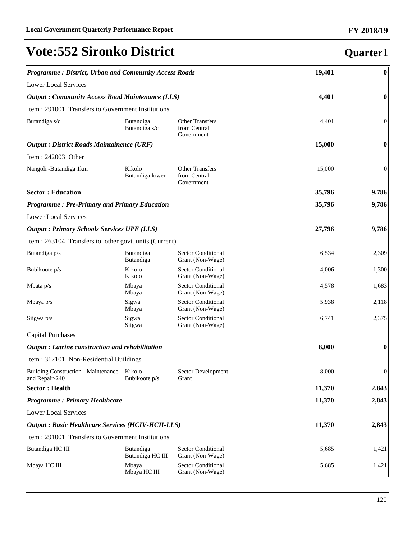| <b>Programme: District, Urban and Community Access Roads</b> |                                                   |                                                      | 19,401 | $\bf{0}$         |
|--------------------------------------------------------------|---------------------------------------------------|------------------------------------------------------|--------|------------------|
| <b>Lower Local Services</b>                                  |                                                   |                                                      |        |                  |
| <b>Output: Community Access Road Maintenance (LLS)</b>       |                                                   |                                                      | 4,401  | $\bf{0}$         |
| Item: 291001 Transfers to Government Institutions            |                                                   |                                                      |        |                  |
| Butandiga s/c                                                | Butandiga<br>Butandiga s/c                        | <b>Other Transfers</b><br>from Central<br>Government | 4,401  | $\boldsymbol{0}$ |
|                                                              | <b>Output : District Roads Maintainence (URF)</b> |                                                      |        | $\bf{0}$         |
| Item: 242003 Other                                           |                                                   |                                                      |        |                  |
| Nangoli -Butandiga 1km                                       | Kikolo<br>Butandiga lower                         | <b>Other Transfers</b><br>from Central<br>Government | 15,000 | $\mathbf{0}$     |
| <b>Sector: Education</b>                                     |                                                   |                                                      | 35,796 | 9,786            |
| <b>Programme: Pre-Primary and Primary Education</b>          |                                                   |                                                      | 35,796 | 9,786            |
| <b>Lower Local Services</b>                                  |                                                   |                                                      |        |                  |
| <b>Output : Primary Schools Services UPE (LLS)</b>           |                                                   |                                                      | 27,796 | 9,786            |
| Item : 263104 Transfers to other govt. units (Current)       |                                                   |                                                      |        |                  |
| Butandiga p/s                                                | Butandiga<br>Butandiga                            | <b>Sector Conditional</b><br>Grant (Non-Wage)        | 6,534  | 2,309            |
| Bubikoote p/s                                                | Kikolo<br>Kikolo                                  | <b>Sector Conditional</b><br>Grant (Non-Wage)        | 4,006  | 1,300            |
| Mbata $p/s$                                                  | Mbaya<br>Mbaya                                    | <b>Sector Conditional</b><br>Grant (Non-Wage)        | 4,578  | 1,683            |
| Mbaya $p/s$                                                  | Sigwa<br>Mbaya                                    | <b>Sector Conditional</b><br>Grant (Non-Wage)        | 5,938  | 2,118            |
| Siigwa p/s                                                   | Sigwa<br>Siigwa                                   | <b>Sector Conditional</b><br>Grant (Non-Wage)        | 6,741  | 2,375            |
| <b>Capital Purchases</b>                                     |                                                   |                                                      |        |                  |
| Output: Latrine construction and rehabilitation              |                                                   |                                                      | 8,000  | $\bf{0}$         |
| Item: 312101 Non-Residential Buildings                       |                                                   |                                                      |        |                  |
| Building Construction - Maintenance Kikolo<br>and Repair-240 | Bubikoote p/s                                     | Sector Development<br>Grant                          | 8,000  | $\mathbf{0}$     |
| <b>Sector: Health</b>                                        |                                                   |                                                      | 11,370 | 2,843            |
| <b>Programme: Primary Healthcare</b>                         |                                                   |                                                      | 11,370 | 2,843            |
| <b>Lower Local Services</b>                                  |                                                   |                                                      |        |                  |
| <b>Output : Basic Healthcare Services (HCIV-HCII-LLS)</b>    |                                                   | 11,370                                               | 2,843  |                  |
| Item : 291001 Transfers to Government Institutions           |                                                   |                                                      |        |                  |
| Butandiga HC III                                             | Butandiga<br>Butandiga HC III                     | <b>Sector Conditional</b><br>Grant (Non-Wage)        | 5,685  | 1,421            |
| Mbaya HC III                                                 | Mbaya<br>Mbaya HC III                             | Sector Conditional<br>Grant (Non-Wage)               | 5,685  | 1,421            |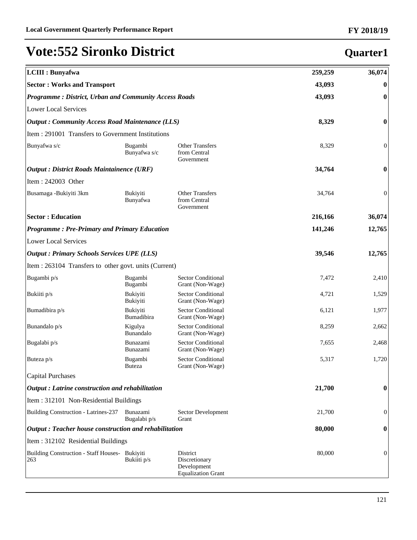| <b>LCIII</b> : Bunyafwa                                |                                                              |                                                                       | 259,259 | 36,074           |
|--------------------------------------------------------|--------------------------------------------------------------|-----------------------------------------------------------------------|---------|------------------|
| <b>Sector: Works and Transport</b>                     |                                                              |                                                                       |         | $\bf{0}$         |
|                                                        | <b>Programme: District, Urban and Community Access Roads</b> |                                                                       |         | $\boldsymbol{0}$ |
| <b>Lower Local Services</b>                            |                                                              |                                                                       |         |                  |
|                                                        | <b>Output: Community Access Road Maintenance (LLS)</b>       |                                                                       |         | $\boldsymbol{0}$ |
| Item: 291001 Transfers to Government Institutions      |                                                              |                                                                       |         |                  |
| Bunyafwa s/c                                           | Bugambi<br>Bunyafwa s/c                                      | <b>Other Transfers</b><br>from Central<br>Government                  | 8,329   | $\boldsymbol{0}$ |
| <b>Output : District Roads Maintainence (URF)</b>      |                                                              |                                                                       | 34,764  | $\boldsymbol{0}$ |
| Item: 242003 Other                                     |                                                              |                                                                       |         |                  |
| Busamaga -Bukiyiti 3km                                 | <b>Bukiyiti</b><br>Bunyafwa                                  | <b>Other Transfers</b><br>from Central<br>Government                  | 34,764  | $\boldsymbol{0}$ |
| <b>Sector: Education</b>                               |                                                              |                                                                       | 216,166 | 36,074           |
| <b>Programme: Pre-Primary and Primary Education</b>    |                                                              |                                                                       | 141,246 | 12,765           |
| <b>Lower Local Services</b>                            |                                                              |                                                                       |         |                  |
| <b>Output : Primary Schools Services UPE (LLS)</b>     |                                                              |                                                                       | 39,546  | 12,765           |
| Item : 263104 Transfers to other govt. units (Current) |                                                              |                                                                       |         |                  |
| Bugambi p/s                                            | Bugambi<br>Bugambi                                           | <b>Sector Conditional</b><br>Grant (Non-Wage)                         | 7,472   | 2,410            |
| Bukiiti p/s                                            | Bukiyiti<br>Bukiyiti                                         | <b>Sector Conditional</b><br>Grant (Non-Wage)                         | 4,721   | 1,529            |
| Bumadibira p/s                                         | <b>Bukiyiti</b><br>Bumadibira                                | <b>Sector Conditional</b><br>Grant (Non-Wage)                         | 6,121   | 1,977            |
| Bunandalo p/s                                          | Kigulya<br>Bunandalo                                         | <b>Sector Conditional</b><br>Grant (Non-Wage)                         | 8,259   | 2,662            |
| Bugalabi p/s                                           | Bunazami<br>Bunazami                                         | <b>Sector Conditional</b><br>Grant (Non-Wage)                         | 7,655   | 2,468            |
| Buteza p/s                                             | Bugambi<br><b>Buteza</b>                                     | <b>Sector Conditional</b><br>Grant (Non-Wage)                         | 5,317   | 1,720            |
| <b>Capital Purchases</b>                               |                                                              |                                                                       |         |                  |
| Output: Latrine construction and rehabilitation        |                                                              |                                                                       | 21,700  | $\bf{0}$         |
| Item: 312101 Non-Residential Buildings                 |                                                              |                                                                       |         |                  |
| Building Construction - Latrines-237                   | Bunazami<br>Bugalabi p/s                                     | Sector Development<br>Grant                                           | 21,700  | 0                |
| Output: Teacher house construction and rehabilitation  |                                                              | 80,000                                                                | 0       |                  |
| Item: 312102 Residential Buildings                     |                                                              |                                                                       |         |                  |
| Building Construction - Staff Houses- Bukiyiti<br>263  | Bukiiti p/s                                                  | District<br>Discretionary<br>Development<br><b>Equalization Grant</b> | 80,000  | 0                |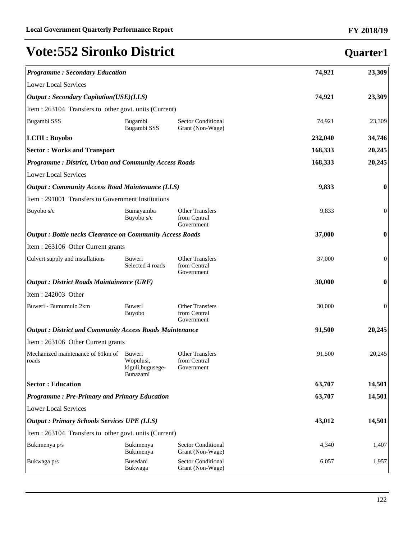| <b>Programme: Secondary Education</b>                           | 74,921                                               | 23,309                                               |         |                  |
|-----------------------------------------------------------------|------------------------------------------------------|------------------------------------------------------|---------|------------------|
| <b>Lower Local Services</b>                                     |                                                      |                                                      |         |                  |
| <b>Output: Secondary Capitation(USE)(LLS)</b>                   | 74,921                                               | 23,309                                               |         |                  |
| Item : 263104 Transfers to other govt. units (Current)          |                                                      |                                                      |         |                  |
| Bugambi SSS                                                     | Bugambi<br>Bugambi SSS                               | <b>Sector Conditional</b><br>Grant (Non-Wage)        | 74,921  | 23,309           |
| <b>LCIII</b> : Buyobo                                           |                                                      |                                                      | 232,040 | 34,746           |
| <b>Sector: Works and Transport</b>                              | 168,333                                              | 20,245                                               |         |                  |
| <b>Programme: District, Urban and Community Access Roads</b>    | 168,333                                              | 20,245                                               |         |                  |
| <b>Lower Local Services</b>                                     |                                                      |                                                      |         |                  |
| <b>Output: Community Access Road Maintenance (LLS)</b>          | 9,833                                                | 0                                                    |         |                  |
| Item: 291001 Transfers to Government Institutions               |                                                      |                                                      |         |                  |
| Buyobo s/c                                                      | Bumayamba<br>Buyobo s/c                              | <b>Other Transfers</b><br>from Central<br>Government | 9,833   | 0                |
| <b>Output: Bottle necks Clearance on Community Access Roads</b> | 37,000                                               | $\bf{0}$                                             |         |                  |
| Item: 263106 Other Current grants                               |                                                      |                                                      |         |                  |
| Culvert supply and installations                                | Buweri<br>Selected 4 roads                           | <b>Other Transfers</b><br>from Central<br>Government | 37,000  | $\boldsymbol{0}$ |
| <b>Output : District Roads Maintainence (URF)</b>               | 30,000                                               | 0                                                    |         |                  |
| Item: 242003 Other                                              |                                                      |                                                      |         |                  |
| Buweri - Bumumulo 2km                                           | Buweri<br><b>Buyobo</b>                              | <b>Other Transfers</b><br>from Central<br>Government | 30,000  | $\boldsymbol{0}$ |
| <b>Output: District and Community Access Roads Maintenance</b>  | 91,500                                               | 20,245                                               |         |                  |
| Item: 263106 Other Current grants                               |                                                      |                                                      |         |                  |
| Mechanized maintenance of 61km of<br>roads                      | Buweri<br>Wopulusi,<br>kiguli, bugusege-<br>Bunazami | <b>Other Transfers</b><br>from Central<br>Government | 91,500  | 20,245           |
| <b>Sector: Education</b>                                        |                                                      |                                                      | 63,707  | 14,501           |
| <b>Programme: Pre-Primary and Primary Education</b>             | 63,707                                               | 14,501                                               |         |                  |
| <b>Lower Local Services</b>                                     |                                                      |                                                      |         |                  |
| <b>Output: Primary Schools Services UPE (LLS)</b>               | 43,012                                               | 14,501                                               |         |                  |
| Item : 263104 Transfers to other govt. units (Current)          |                                                      |                                                      |         |                  |
| Bukimenya p/s                                                   | Bukimenya<br>Bukimenya                               | <b>Sector Conditional</b><br>Grant (Non-Wage)        | 4,340   | 1,407            |
| Bukwaga p/s                                                     | Busedani<br>Bukwaga                                  | <b>Sector Conditional</b><br>Grant (Non-Wage)        | 6,057   | 1,957            |